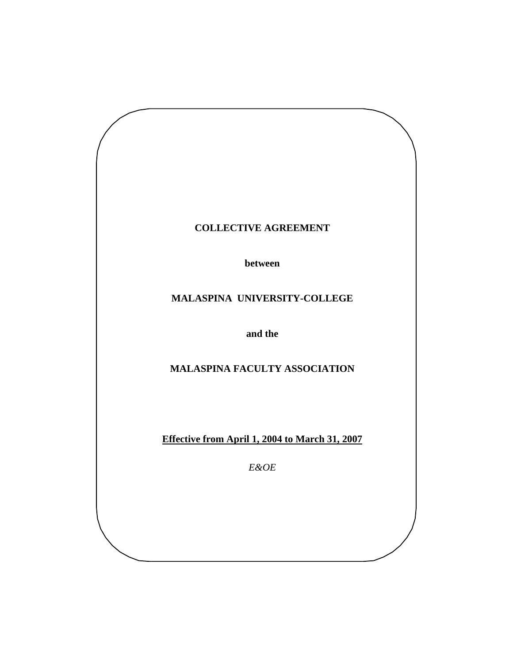

**between** 

# **MALASPINA UNIVERSITY-COLLEGE**

**and the** 

**MALASPINA FACULTY ASSOCIATION** 

**Effective from April 1, 2004 to March 31, 2007**

*E&OE*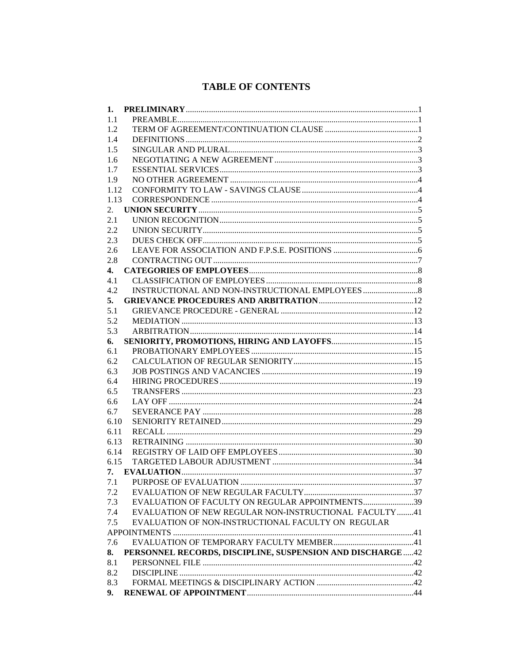# **TABLE OF CONTENTS**

| 1.   |                                                           |  |
|------|-----------------------------------------------------------|--|
| 1.1  |                                                           |  |
| 1.2  |                                                           |  |
| 1.4  |                                                           |  |
| 1.5  |                                                           |  |
| 1.6  |                                                           |  |
| 1.7  |                                                           |  |
| 1.9  |                                                           |  |
| 1.12 |                                                           |  |
| 1.13 |                                                           |  |
| 2.   |                                                           |  |
| 2.1  |                                                           |  |
| 2.2  |                                                           |  |
| 2.3  |                                                           |  |
| 2.6  |                                                           |  |
| 2.8  |                                                           |  |
| 4.   |                                                           |  |
| 4.1  |                                                           |  |
| 4.2  |                                                           |  |
| 5.   |                                                           |  |
| 5.1  |                                                           |  |
| 5.2  |                                                           |  |
| 5.3  |                                                           |  |
| 6.   |                                                           |  |
| 6.1  |                                                           |  |
| 6.2  |                                                           |  |
| 6.3  |                                                           |  |
| 6.4  |                                                           |  |
| 6.5  |                                                           |  |
| 6.6  |                                                           |  |
| 6.7  |                                                           |  |
| 6.10 |                                                           |  |
| 6.11 |                                                           |  |
| 6.13 |                                                           |  |
| 6.14 |                                                           |  |
| 6.15 |                                                           |  |
|      |                                                           |  |
|      |                                                           |  |
| 7.2  |                                                           |  |
| 7.3  | EVALUATION OF FACULTY ON REGULAR APPOINTMENTS39           |  |
| 7.4  | EVALUATION OF NEW REGULAR NON-INSTRUCTIONAL FACULTY41     |  |
| 7.5  | EVALUATION OF NON-INSTRUCTIONAL FACULTY ON REGULAR        |  |
|      |                                                           |  |
| 7.6  |                                                           |  |
| 8.   | PERSONNEL RECORDS, DISCIPLINE, SUSPENSION AND DISCHARGE42 |  |
| 8.1  |                                                           |  |
| 8.2  |                                                           |  |
| 8.3  |                                                           |  |
| 9.   |                                                           |  |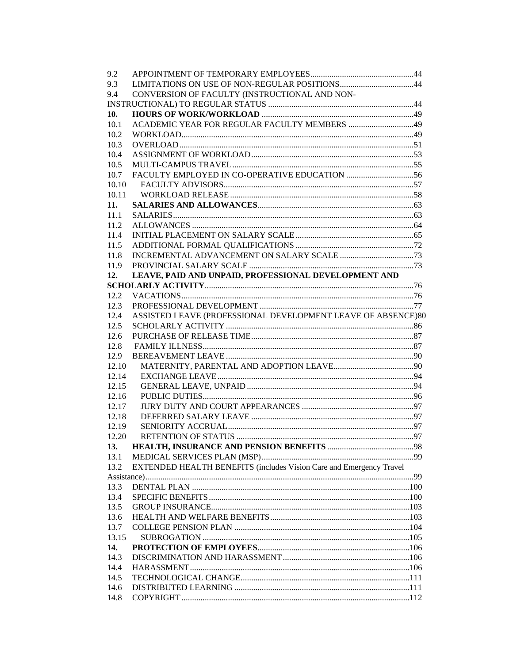| 9.2   |                                                                     |  |
|-------|---------------------------------------------------------------------|--|
| 9.3   |                                                                     |  |
| 9.4   | CONVERSION OF FACULTY (INSTRUCTIONAL AND NON-                       |  |
|       |                                                                     |  |
| 10.   |                                                                     |  |
| 10.1  |                                                                     |  |
| 10.2  |                                                                     |  |
| 10.3  |                                                                     |  |
| 10.4  |                                                                     |  |
| 10.5  |                                                                     |  |
| 10.7  |                                                                     |  |
| 10.10 |                                                                     |  |
| 10.11 |                                                                     |  |
| 11.   |                                                                     |  |
| 11.1  |                                                                     |  |
| 11.2  |                                                                     |  |
| 11.4  |                                                                     |  |
| 11.5  |                                                                     |  |
| 11.8  |                                                                     |  |
| 11.9  |                                                                     |  |
|       |                                                                     |  |
| 12.   | LEAVE, PAID AND UNPAID, PROFESSIONAL DEVELOPMENT AND                |  |
|       |                                                                     |  |
| 12.2  |                                                                     |  |
| 12.3  |                                                                     |  |
| 12.4  | ASSISTED LEAVE (PROFESSIONAL DEVELOPMENT LEAVE OF ABSENCE)80        |  |
| 12.5  |                                                                     |  |
| 12.6  |                                                                     |  |
| 12.8  |                                                                     |  |
| 12.9  |                                                                     |  |
| 12.10 |                                                                     |  |
| 12.14 |                                                                     |  |
| 12.15 |                                                                     |  |
| 12.16 |                                                                     |  |
| 12.17 |                                                                     |  |
| 12.18 |                                                                     |  |
| 12.19 |                                                                     |  |
| 12.20 |                                                                     |  |
|       |                                                                     |  |
| 13.1  |                                                                     |  |
| 13.2  | EXTENDED HEALTH BENEFITS (includes Vision Care and Emergency Travel |  |
|       |                                                                     |  |
| 13.3  |                                                                     |  |
| 13.4  |                                                                     |  |
| 13.5  |                                                                     |  |
| 13.6  |                                                                     |  |
| 13.7  |                                                                     |  |
| 13.15 |                                                                     |  |
| 14.   |                                                                     |  |
| 14.3  |                                                                     |  |
| 14.4  |                                                                     |  |
| 14.5  |                                                                     |  |
| 14.6  |                                                                     |  |
| 14.8  |                                                                     |  |
|       |                                                                     |  |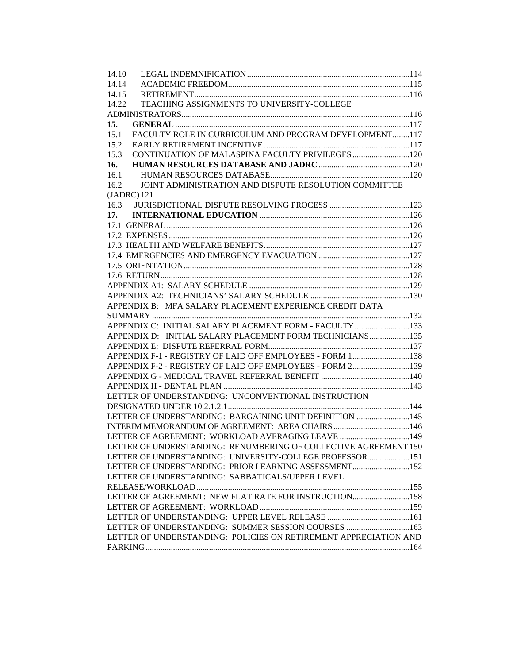| 14.10                                                            |  |
|------------------------------------------------------------------|--|
| 14.14                                                            |  |
| 14.15                                                            |  |
| TEACHING ASSIGNMENTS TO UNIVERSITY-COLLEGE<br>14.22              |  |
|                                                                  |  |
| 15.                                                              |  |
| FACULTY ROLE IN CURRICULUM AND PROGRAM DEVELOPMENT117<br>15.1    |  |
| 15.2                                                             |  |
| 15.3                                                             |  |
| 16.                                                              |  |
| 16.1                                                             |  |
| JOINT ADMINISTRATION AND DISPUTE RESOLUTION COMMITTEE<br>16.2    |  |
| $(JADRC)$ 121                                                    |  |
| 16.3                                                             |  |
| 17.                                                              |  |
|                                                                  |  |
|                                                                  |  |
|                                                                  |  |
|                                                                  |  |
|                                                                  |  |
|                                                                  |  |
|                                                                  |  |
|                                                                  |  |
| APPENDIX B: MFA SALARY PLACEMENT EXPERIENCE CREDIT DATA          |  |
|                                                                  |  |
| APPENDIX C: INITIAL SALARY PLACEMENT FORM - FACULTY 133          |  |
|                                                                  |  |
| APPENDIX D: INITIAL SALARY PLACEMENT FORM TECHNICIANS135         |  |
|                                                                  |  |
| APPENDIX F-1 - REGISTRY OF LAID OFF EMPLOYEES - FORM 1138        |  |
| APPENDIX F-2 - REGISTRY OF LAID OFF EMPLOYEES - FORM 2139        |  |
|                                                                  |  |
|                                                                  |  |
| LETTER OF UNDERSTANDING: UNCONVENTIONAL INSTRUCTION              |  |
|                                                                  |  |
| LETTER OF UNDERSTANDING: BARGAINING UNIT DEFINITION 145          |  |
| INTERIM MEMORANDUM OF AGREEMENT: AREA CHAIRS 146                 |  |
| LETTER OF AGREEMENT: WORKLOAD AVERAGING LEAVE 149                |  |
| LETTER OF UNDERSTANDING: RENUMBERING OF COLLECTIVE AGREEMENT 150 |  |
| LETTER OF UNDERSTANDING: UNIVERSITY-COLLEGE PROFESSOR151         |  |
| LETTER OF UNDERSTANDING: PRIOR LEARNING ASSESSMENT152            |  |
| LETTER OF UNDERSTANDING: SABBATICALS/UPPER LEVEL                 |  |
|                                                                  |  |
| LETTER OF AGREEMENT: NEW FLAT RATE FOR INSTRUCTION158            |  |
|                                                                  |  |
|                                                                  |  |
| LETTER OF UNDERSTANDING: SUMMER SESSION COURSES 163              |  |
| LETTER OF UNDERSTANDING: POLICIES ON RETIREMENT APPRECIATION AND |  |
|                                                                  |  |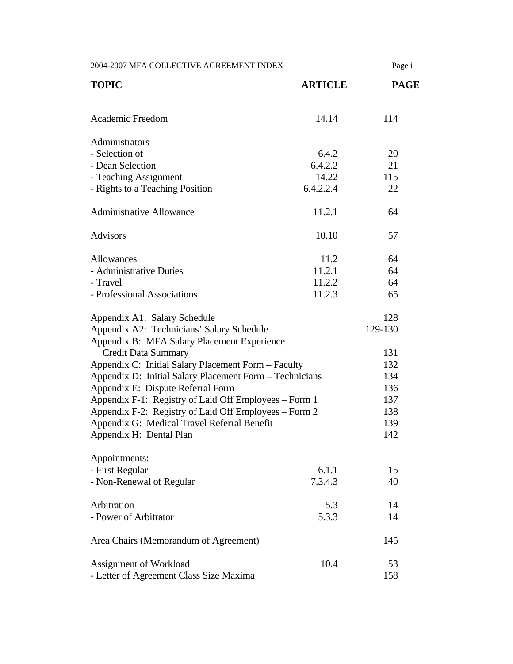| 2004-2007 MFA COLLECTIVE AGREEMENT INDEX                                                 |                | Page i      |
|------------------------------------------------------------------------------------------|----------------|-------------|
| <b>TOPIC</b>                                                                             | <b>ARTICLE</b> | <b>PAGE</b> |
| Academic Freedom                                                                         | 14.14          | 114         |
| Administrators                                                                           |                |             |
| - Selection of                                                                           | 6.4.2          | 20          |
| - Dean Selection                                                                         | 6.4.2.2        | 21          |
| - Teaching Assignment                                                                    | 14.22          | 115         |
| - Rights to a Teaching Position                                                          | 6.4.2.2.4      | 22          |
| <b>Administrative Allowance</b>                                                          | 11.2.1         | 64          |
| <b>Advisors</b>                                                                          | 10.10          | 57          |
| <b>Allowances</b>                                                                        | 11.2           | 64          |
| - Administrative Duties                                                                  | 11.2.1         | 64          |
| - Travel                                                                                 | 11.2.2         | 64          |
| - Professional Associations                                                              | 11.2.3         | 65          |
| Appendix A1: Salary Schedule                                                             |                | 128         |
| Appendix A2: Technicians' Salary Schedule<br>Appendix B: MFA Salary Placement Experience |                | 129-130     |
| <b>Credit Data Summary</b>                                                               |                | 131         |
| Appendix C: Initial Salary Placement Form - Faculty                                      |                | 132         |
| Appendix D: Initial Salary Placement Form - Technicians                                  |                | 134         |
| Appendix E: Dispute Referral Form                                                        |                | 136         |
| Appendix F-1: Registry of Laid Off Employees – Form 1                                    |                | 137         |
| Appendix F-2: Registry of Laid Off Employees – Form 2                                    |                | 138         |
| Appendix G: Medical Travel Referral Benefit                                              |                | 139         |
| Appendix H: Dental Plan                                                                  |                | 142         |
| Appointments:                                                                            |                |             |
| - First Regular                                                                          | 6.1.1          | 15          |
| - Non-Renewal of Regular                                                                 | 7.3.4.3        | 40          |
| Arbitration                                                                              | 5.3            | 14          |
| - Power of Arbitrator                                                                    | 5.3.3          | 14          |
| Area Chairs (Memorandum of Agreement)                                                    |                | 145         |
| Assignment of Workload                                                                   | 10.4           | 53          |
| - Letter of Agreement Class Size Maxima                                                  |                | 158         |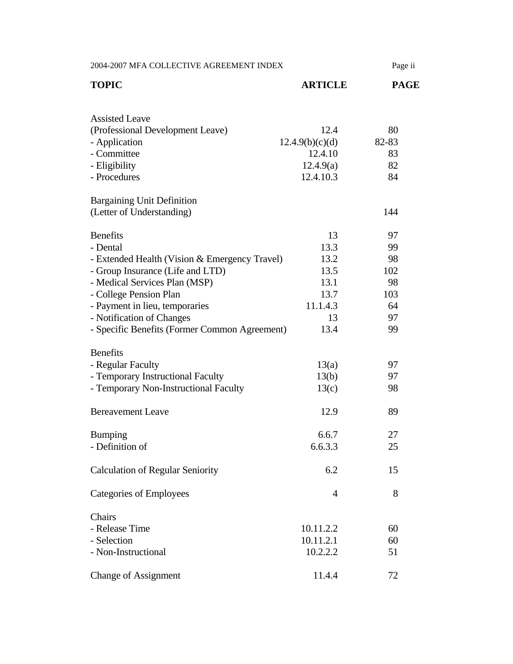| 2004-2007 MFA COLLECTIVE AGREEMENT INDEX      |                 | Page ii     |
|-----------------------------------------------|-----------------|-------------|
| <b>TOPIC</b>                                  | <b>ARTICLE</b>  | <b>PAGE</b> |
| <b>Assisted Leave</b>                         |                 |             |
| (Professional Development Leave)              | 12.4            | 80          |
| - Application                                 | 12.4.9(b)(c)(d) | 82-83       |
| - Committee                                   | 12.4.10         | 83          |
| - Eligibility                                 | 12.4.9(a)       | 82          |
| - Procedures                                  | 12.4.10.3       | 84          |
| <b>Bargaining Unit Definition</b>             |                 |             |
| (Letter of Understanding)                     |                 | 144         |
| <b>Benefits</b>                               | 13              | 97          |
| - Dental                                      | 13.3            | 99          |
| - Extended Health (Vision & Emergency Travel) | 13.2            | 98          |
| - Group Insurance (Life and LTD)              | 13.5            | 102         |
| - Medical Services Plan (MSP)                 | 13.1            | 98          |
| - College Pension Plan                        | 13.7            | 103         |
| - Payment in lieu, temporaries                | 11.1.4.3        | 64          |
| - Notification of Changes                     | 13              | 97          |
| - Specific Benefits (Former Common Agreement) | 13.4            | 99          |
| <b>Benefits</b>                               |                 |             |
| - Regular Faculty                             | 13(a)           | 97          |
| - Temporary Instructional Faculty             | 13(b)           | 97          |
| - Temporary Non-Instructional Faculty         | 13(c)           | 98          |
| <b>Bereavement Leave</b>                      | 12.9            | 89          |
| <b>Bumping</b>                                | 6.6.7           | 27          |
| - Definition of                               | 6.6.3.3         | 25          |
| <b>Calculation of Regular Seniority</b>       | 6.2             | 15          |
| <b>Categories of Employees</b>                | $\overline{4}$  | 8           |
| Chairs                                        |                 |             |
| - Release Time                                | 10.11.2.2       | 60          |
| - Selection                                   | 10.11.2.1       | 60          |
| - Non-Instructional                           | 10.2.2.2        | 51          |
| <b>Change of Assignment</b>                   | 11.4.4          | 72          |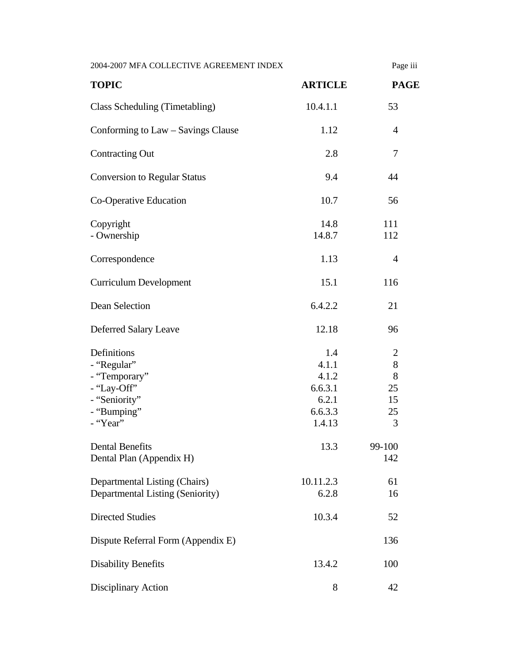| 2004-2007 MFA COLLECTIVE AGREEMENT INDEX                                                               |                                                                | Page iii                               |
|--------------------------------------------------------------------------------------------------------|----------------------------------------------------------------|----------------------------------------|
| <b>TOPIC</b>                                                                                           | <b>ARTICLE</b>                                                 | <b>PAGE</b>                            |
| Class Scheduling (Timetabling)                                                                         | 10.4.1.1                                                       | 53                                     |
| Conforming to Law – Savings Clause                                                                     | 1.12                                                           | $\overline{4}$                         |
| <b>Contracting Out</b>                                                                                 | 2.8                                                            | 7                                      |
| <b>Conversion to Regular Status</b>                                                                    | 9.4                                                            | 44                                     |
| Co-Operative Education                                                                                 | 10.7                                                           | 56                                     |
| Copyright<br>- Ownership                                                                               | 14.8<br>14.8.7                                                 | 111<br>112                             |
| Correspondence                                                                                         | 1.13                                                           | $\overline{4}$                         |
| <b>Curriculum Development</b>                                                                          | 15.1                                                           | 116                                    |
| Dean Selection                                                                                         | 6.4.2.2                                                        | 21                                     |
| Deferred Salary Leave                                                                                  | 12.18                                                          | 96                                     |
| Definitions<br>- "Regular"<br>- "Temporary"<br>- "Lay-Off"<br>- "Seniority"<br>- "Bumping"<br>- "Year" | 1.4<br>4.1.1<br>4.1.2<br>6.6.3.1<br>6.2.1<br>6.6.3.3<br>1.4.13 | 2<br>$8\,$<br>8<br>25<br>15<br>25<br>3 |
| <b>Dental Benefits</b><br>Dental Plan (Appendix H)                                                     | 13.3                                                           | 99-100<br>142                          |
| Departmental Listing (Chairs)<br>Departmental Listing (Seniority)                                      | 10.11.2.3<br>6.2.8                                             | 61<br>16                               |
| <b>Directed Studies</b>                                                                                | 10.3.4                                                         | 52                                     |
| Dispute Referral Form (Appendix E)                                                                     |                                                                | 136                                    |
| <b>Disability Benefits</b>                                                                             | 13.4.2                                                         | 100                                    |
| Disciplinary Action                                                                                    | 8                                                              | 42                                     |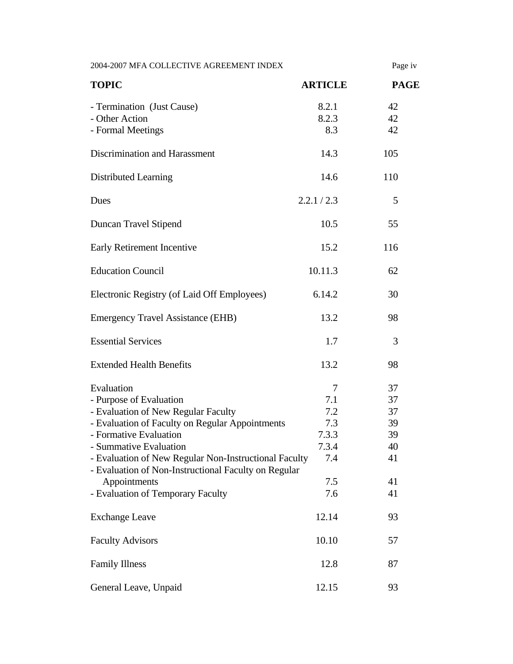2004-2007 MFA COLLECTIVE AGREEMENT INDEX Page iv

| <b>TOPIC</b>                                                                                                  | <b>ARTICLE</b> | <b>PAGE</b> |
|---------------------------------------------------------------------------------------------------------------|----------------|-------------|
| - Termination (Just Cause)<br>- Other Action                                                                  | 8.2.1<br>8.2.3 | 42<br>42    |
| - Formal Meetings                                                                                             | 8.3            | 42          |
| Discrimination and Harassment                                                                                 | 14.3           | 105         |
| Distributed Learning                                                                                          | 14.6           | 110         |
| Dues                                                                                                          | 2.2.1 / 2.3    | 5           |
| Duncan Travel Stipend                                                                                         | 10.5           | 55          |
| Early Retirement Incentive                                                                                    | 15.2           | 116         |
| <b>Education Council</b>                                                                                      | 10.11.3        | 62          |
| Electronic Registry (of Laid Off Employees)                                                                   | 6.14.2         | 30          |
| <b>Emergency Travel Assistance (EHB)</b>                                                                      | 13.2           | 98          |
| <b>Essential Services</b>                                                                                     | 1.7            | 3           |
| <b>Extended Health Benefits</b>                                                                               | 13.2           | 98          |
| Evaluation                                                                                                    | 7              | 37          |
| - Purpose of Evaluation                                                                                       | 7.1            | 37          |
| - Evaluation of New Regular Faculty                                                                           | 7.2            | 37          |
| - Evaluation of Faculty on Regular Appointments                                                               | 7.3            | 39          |
| - Formative Evaluation                                                                                        | 7.3.3          | 39          |
| - Summative Evaluation                                                                                        | 7.3.4          | 40          |
| - Evaluation of New Regular Non-Instructional Faculty<br>- Evaluation of Non-Instructional Faculty on Regular | 7.4            | 41          |
| Appointments                                                                                                  | 7.5            | 41          |
| - Evaluation of Temporary Faculty                                                                             | 7.6            | 41          |
| <b>Exchange Leave</b>                                                                                         | 12.14          | 93          |
| <b>Faculty Advisors</b>                                                                                       | 10.10          | 57          |
| <b>Family Illness</b>                                                                                         | 12.8           | 87          |
| General Leave, Unpaid                                                                                         | 12.15          | 93          |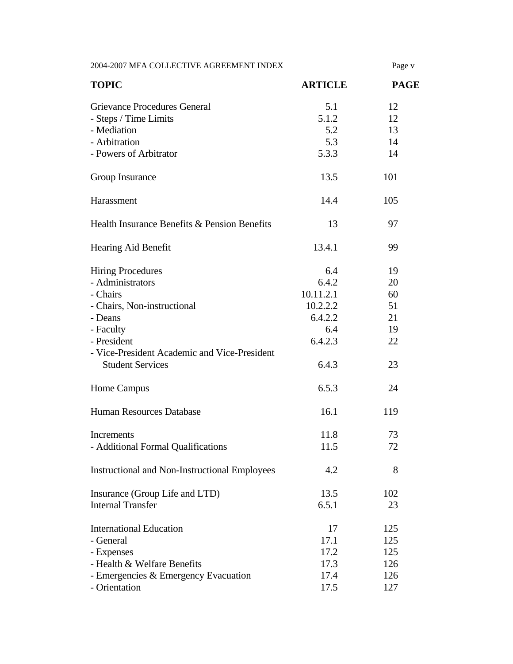2004-2007 MFA COLLECTIVE AGREEMENT INDEX Page v

| <b>TOPIC</b>                                         | <b>ARTICLE</b> | <b>PAGE</b> |
|------------------------------------------------------|----------------|-------------|
| Grievance Procedures General                         | 5.1            | 12          |
| - Steps / Time Limits                                | 5.1.2          | 12          |
| - Mediation                                          | 5.2            | 13          |
| - Arbitration                                        | 5.3            | 14          |
| - Powers of Arbitrator                               | 5.3.3          | 14          |
| Group Insurance                                      | 13.5           | 101         |
| Harassment                                           | 14.4           | 105         |
| Health Insurance Benefits & Pension Benefits         | 13             | 97          |
| Hearing Aid Benefit                                  | 13.4.1         | 99          |
| <b>Hiring Procedures</b>                             | 6.4            | 19          |
| - Administrators                                     | 6.4.2          | 20          |
| - Chairs                                             | 10.11.2.1      | 60          |
| - Chairs, Non-instructional                          | 10.2.2.2       | 51          |
| - Deans                                              | 6.4.2.2        | 21          |
| - Faculty                                            | 6.4            | 19          |
| - President                                          | 6.4.2.3        | 22          |
| - Vice-President Academic and Vice-President         |                |             |
| <b>Student Services</b>                              | 6.4.3          | 23          |
| Home Campus                                          | 6.5.3          | 24          |
| <b>Human Resources Database</b>                      | 16.1           | 119         |
| <b>Increments</b>                                    | 11.8           | 73          |
| - Additional Formal Qualifications                   | 11.5           | 72          |
| <b>Instructional and Non-Instructional Employees</b> | 4.2            | 8           |
| Insurance (Group Life and LTD)                       | 13.5           | 102         |
| <b>Internal Transfer</b>                             | 6.5.1          | 23          |
| <b>International Education</b>                       | 17             | 125         |
| - General                                            | 17.1           | 125         |
| - Expenses                                           | 17.2           | 125         |
| - Health & Welfare Benefits                          | 17.3           | 126         |
| - Emergencies & Emergency Evacuation                 | 17.4           | 126         |
| - Orientation                                        | 17.5           | 127         |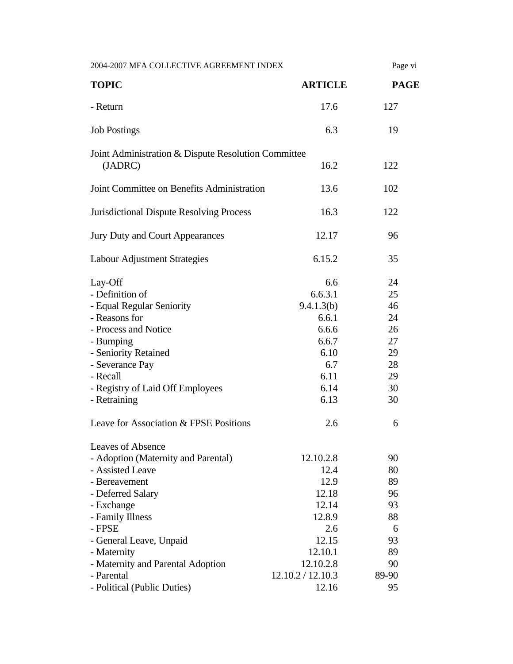| 2004-2007 MFA COLLECTIVE AGREEMENT INDEX                                                                                                                                                                                                                           |                                                                                                                    | Page vi                                                             |
|--------------------------------------------------------------------------------------------------------------------------------------------------------------------------------------------------------------------------------------------------------------------|--------------------------------------------------------------------------------------------------------------------|---------------------------------------------------------------------|
| <b>TOPIC</b>                                                                                                                                                                                                                                                       | <b>ARTICLE</b>                                                                                                     | <b>PAGE</b>                                                         |
| - Return                                                                                                                                                                                                                                                           | 17.6                                                                                                               | 127                                                                 |
| <b>Job Postings</b>                                                                                                                                                                                                                                                | 6.3                                                                                                                | 19                                                                  |
| Joint Administration & Dispute Resolution Committee<br>(JADRC)                                                                                                                                                                                                     | 16.2                                                                                                               | 122                                                                 |
| Joint Committee on Benefits Administration                                                                                                                                                                                                                         | 13.6                                                                                                               | 102                                                                 |
| <b>Jurisdictional Dispute Resolving Process</b>                                                                                                                                                                                                                    | 16.3                                                                                                               | 122                                                                 |
| Jury Duty and Court Appearances                                                                                                                                                                                                                                    | 12.17                                                                                                              | 96                                                                  |
| Labour Adjustment Strategies                                                                                                                                                                                                                                       | 6.15.2                                                                                                             | 35                                                                  |
| Lay-Off<br>- Definition of<br>- Equal Regular Seniority<br>- Reasons for<br>- Process and Notice<br>- Bumping<br>- Seniority Retained<br>- Severance Pay<br>- Recall<br>- Registry of Laid Off Employees<br>- Retraining<br>Leave for Association & FPSE Positions | 6.6<br>6.6.3.1<br>9.4.1.3(b)<br>6.6.1<br>6.6.6<br>6.6.7<br>6.10<br>6.7<br>6.11<br>6.14<br>6.13<br>2.6              | 24<br>25<br>46<br>24<br>26<br>27<br>29<br>28<br>29<br>30<br>30<br>6 |
| <b>Leaves of Absence</b><br>- Adoption (Maternity and Parental)<br>- Assisted Leave<br>- Bereavement<br>- Deferred Salary<br>- Exchange<br>- Family Illness<br>- FPSE<br>- General Leave, Unpaid<br>- Maternity<br>- Maternity and Parental Adoption<br>- Parental | 12.10.2.8<br>12.4<br>12.9<br>12.18<br>12.14<br>12.8.9<br>2.6<br>12.15<br>12.10.1<br>12.10.2.8<br>12.10.2 / 12.10.3 | 90<br>80<br>89<br>96<br>93<br>88<br>6<br>93<br>89<br>90<br>89-90    |
| - Political (Public Duties)                                                                                                                                                                                                                                        | 12.16                                                                                                              | 95                                                                  |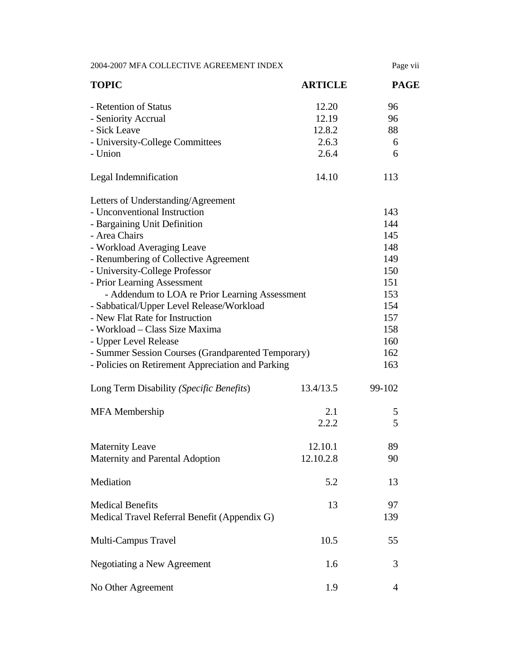| 2004-2007 MFA COLLECTIVE AGREEMENT INDEX           |                | Page vii    |
|----------------------------------------------------|----------------|-------------|
| <b>TOPIC</b>                                       | <b>ARTICLE</b> | <b>PAGE</b> |
| - Retention of Status                              | 12.20          | 96          |
| - Seniority Accrual                                | 12.19          | 96          |
| - Sick Leave                                       | 12.8.2         | 88          |
| - University-College Committees                    | 2.6.3          | 6           |
| - Union                                            | 2.6.4          | 6           |
| Legal Indemnification                              | 14.10          | 113         |
| Letters of Understanding/Agreement                 |                |             |
| - Unconventional Instruction                       |                | 143         |
| - Bargaining Unit Definition                       |                | 144         |
| - Area Chairs                                      |                | 145         |
| - Workload Averaging Leave                         |                | 148         |
| - Renumbering of Collective Agreement              |                | 149         |
| - University-College Professor                     |                | 150         |
| - Prior Learning Assessment                        |                | 151         |
| - Addendum to LOA re Prior Learning Assessment     |                | 153         |
| - Sabbatical/Upper Level Release/Workload          |                | 154         |
| - New Flat Rate for Instruction                    |                | 157         |
| - Workload – Class Size Maxima                     |                | 158         |
| - Upper Level Release                              |                | 160         |
| - Summer Session Courses (Grandparented Temporary) |                | 162         |
| - Policies on Retirement Appreciation and Parking  |                | 163         |
| Long Term Disability (Specific Benefits)           | 13.4/13.5      | 99-102      |
| <b>MFA</b> Membership                              | 2.1            | 5           |
|                                                    | 2.2.2          | 5           |
| <b>Maternity Leave</b>                             | 12.10.1        | 89          |
| Maternity and Parental Adoption                    | 12.10.2.8      | 90          |
| Mediation                                          | 5.2            | 13          |
| <b>Medical Benefits</b>                            | 13             | 97          |
| Medical Travel Referral Benefit (Appendix G)       |                | 139         |
| Multi-Campus Travel                                | 10.5           | 55          |
| <b>Negotiating a New Agreement</b>                 | 1.6            | 3           |
| No Other Agreement                                 | 1.9            | 4           |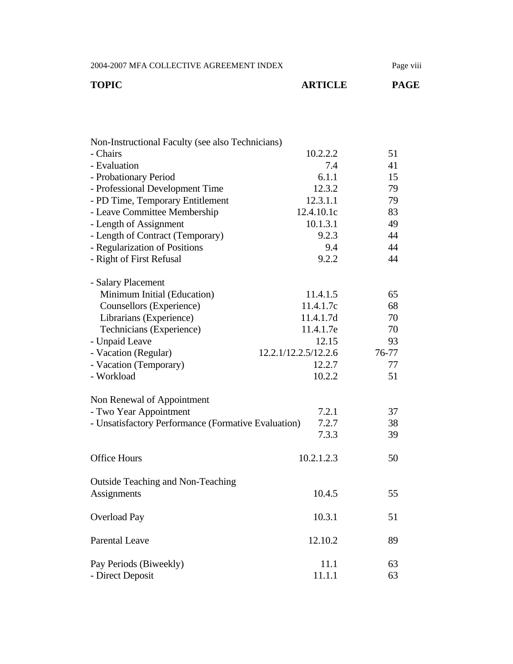2004-2007 MFA COLLECTIVE AGREEMENT INDEX Page viii

| TOPIC | <b>ARTICLE</b> | <b>PAGE</b> |
|-------|----------------|-------------|
|       |                |             |

| Non-Instructional Faculty (see also Technicians)    |                      |       |
|-----------------------------------------------------|----------------------|-------|
| - Chairs                                            | 10.2.2.2             | 51    |
| - Evaluation                                        | 7.4                  | 41    |
| - Probationary Period                               | 6.1.1                | 15    |
| - Professional Development Time                     | 12.3.2               | 79    |
| - PD Time, Temporary Entitlement                    | 12.3.1.1             | 79    |
| - Leave Committee Membership                        | 12.4.10.1c           | 83    |
| - Length of Assignment                              | 10.1.3.1             | 49    |
| - Length of Contract (Temporary)                    | 9.2.3                | 44    |
| - Regularization of Positions                       | 9.4                  | 44    |
| - Right of First Refusal                            | 9.2.2                | 44    |
| - Salary Placement                                  |                      |       |
| Minimum Initial (Education)                         | 11.4.1.5             | 65    |
| Counsellors (Experience)                            | 11.4.1.7c            | 68    |
| Librarians (Experience)                             | 11.4.1.7d            | 70    |
| Technicians (Experience)                            | 11.4.1.7e            | 70    |
| - Unpaid Leave                                      | 12.15                | 93    |
| - Vacation (Regular)                                | 12.2.1/12.2.5/12.2.6 | 76-77 |
| - Vacation (Temporary)                              | 12.2.7               | 77    |
| - Workload                                          | 10.2.2               | 51    |
| Non Renewal of Appointment                          |                      |       |
| - Two Year Appointment                              | 7.2.1                | 37    |
| - Unsatisfactory Performance (Formative Evaluation) | 7.2.7                | 38    |
|                                                     | 7.3.3                | 39    |
| <b>Office Hours</b>                                 | 10.2.1.2.3           | 50    |
| <b>Outside Teaching and Non-Teaching</b>            |                      |       |
| Assignments                                         | 10.4.5               | 55    |
| <b>Overload Pay</b>                                 | 10.3.1               | 51    |
| <b>Parental Leave</b>                               | 12.10.2              | 89    |
| Pay Periods (Biweekly)                              | 11.1                 | 63    |
| - Direct Deposit                                    | 11.1.1               | 63    |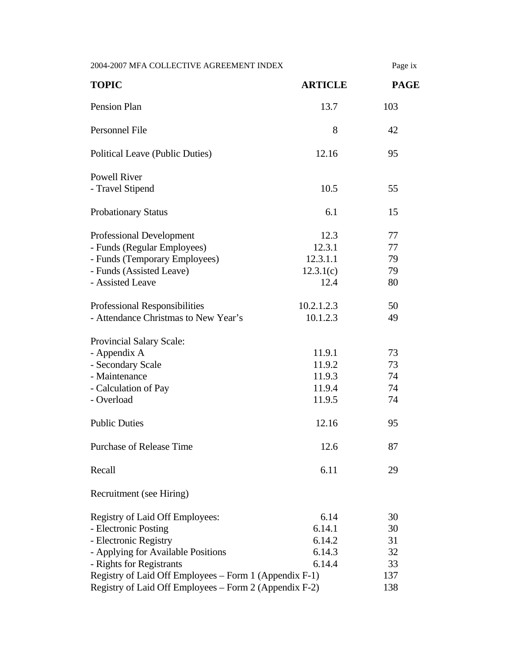| 2004-2007 MFA COLLECTIVE AGREEMENT INDEX                                                                                                                                                                                                                               |                                                 | Page ix                                  |  |
|------------------------------------------------------------------------------------------------------------------------------------------------------------------------------------------------------------------------------------------------------------------------|-------------------------------------------------|------------------------------------------|--|
| <b>TOPIC</b>                                                                                                                                                                                                                                                           | <b>ARTICLE</b>                                  | <b>PAGE</b>                              |  |
| Pension Plan                                                                                                                                                                                                                                                           | 13.7                                            | 103                                      |  |
| Personnel File                                                                                                                                                                                                                                                         | 8                                               | 42                                       |  |
| Political Leave (Public Duties)                                                                                                                                                                                                                                        | 12.16                                           | 95                                       |  |
| <b>Powell River</b><br>- Travel Stipend                                                                                                                                                                                                                                | 10.5                                            | 55                                       |  |
| <b>Probationary Status</b>                                                                                                                                                                                                                                             | 6.1                                             | 15                                       |  |
| <b>Professional Development</b><br>- Funds (Regular Employees)<br>- Funds (Temporary Employees)<br>- Funds (Assisted Leave)<br>- Assisted Leave                                                                                                                        | 12.3<br>12.3.1<br>12.3.1.1<br>12.3.1(c)<br>12.4 | 77<br>77<br>79<br>79<br>80               |  |
| Professional Responsibilities<br>- Attendance Christmas to New Year's                                                                                                                                                                                                  | 10.2.1.2.3<br>10.1.2.3                          | 50<br>49                                 |  |
| Provincial Salary Scale:<br>- Appendix A<br>- Secondary Scale<br>- Maintenance<br>- Calculation of Pay<br>- Overload                                                                                                                                                   | 11.9.1<br>11.9.2<br>11.9.3<br>11.9.4<br>11.9.5  | 73<br>73<br>74<br>74<br>74               |  |
| <b>Public Duties</b>                                                                                                                                                                                                                                                   | 12.16                                           | 95                                       |  |
| <b>Purchase of Release Time</b>                                                                                                                                                                                                                                        | 12.6                                            | 87                                       |  |
| Recall                                                                                                                                                                                                                                                                 | 6.11                                            | 29                                       |  |
| Recruitment (see Hiring)                                                                                                                                                                                                                                               |                                                 |                                          |  |
| Registry of Laid Off Employees:<br>- Electronic Posting<br>- Electronic Registry<br>- Applying for Available Positions<br>- Rights for Registrants<br>Registry of Laid Off Employees – Form 1 (Appendix F-1)<br>Registry of Laid Off Employees – Form 2 (Appendix F-2) | 6.14<br>6.14.1<br>6.14.2<br>6.14.3<br>6.14.4    | 30<br>30<br>31<br>32<br>33<br>137<br>138 |  |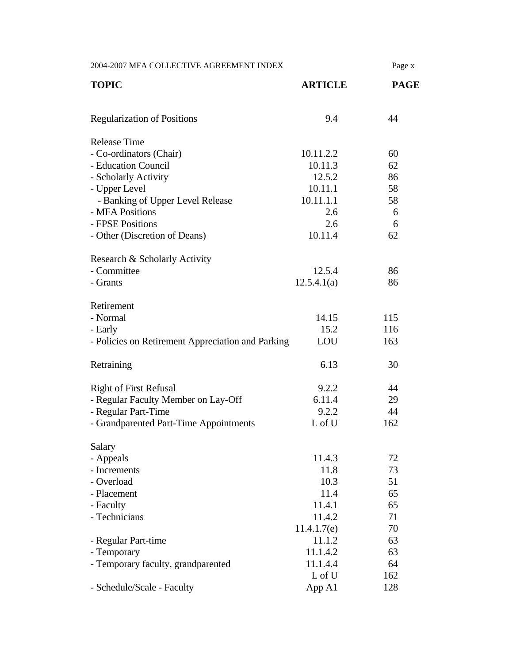| 2004-2007 MFA COLLECTIVE AGREEMENT INDEX          |                | Page x      |
|---------------------------------------------------|----------------|-------------|
| <b>TOPIC</b>                                      | <b>ARTICLE</b> | <b>PAGE</b> |
| <b>Regularization of Positions</b>                | 9.4            | 44          |
| <b>Release Time</b>                               |                |             |
| - Co-ordinators (Chair)                           | 10.11.2.2      | 60          |
| - Education Council                               | 10.11.3        | 62          |
| - Scholarly Activity                              | 12.5.2         | 86          |
| - Upper Level                                     | 10.11.1        | 58          |
| - Banking of Upper Level Release                  | 10.11.1.1      | 58          |
| - MFA Positions                                   | 2.6            | 6           |
| - FPSE Positions                                  | 2.6            | 6           |
| - Other (Discretion of Deans)                     | 10.11.4        | 62          |
|                                                   |                |             |
| Research & Scholarly Activity<br>- Committee      | 12.5.4         | 86          |
| - Grants                                          | 12.5.4.1(a)    | 86          |
|                                                   |                |             |
| Retirement                                        |                |             |
| - Normal                                          | 14.15          | 115         |
| - Early                                           | 15.2           | 116         |
| - Policies on Retirement Appreciation and Parking | LOU            | 163         |
| Retraining                                        | 6.13           | 30          |
| <b>Right of First Refusal</b>                     | 9.2.2          | 44          |
| - Regular Faculty Member on Lay-Off               | 6.11.4         | 29          |
| - Regular Part-Time                               | 9.2.2          | 44          |
| - Grandparented Part-Time Appointments            | L of U         | 162         |
|                                                   |                |             |
| Salary                                            |                |             |
| - Appeals                                         | 11.4.3         | 72          |
| - Increments<br>- Overload                        | 11.8<br>10.3   | 73<br>51    |
| - Placement                                       | 11.4           | 65          |
| - Faculty                                         | 11.4.1         | 65          |
| - Technicians                                     | 11.4.2         | 71          |
|                                                   | 11.4.1.7(e)    | 70          |
| - Regular Part-time                               | 11.1.2         | 63          |
| - Temporary                                       | 11.1.4.2       | 63          |
| - Temporary faculty, grandparented                | 11.1.4.4       | 64          |
|                                                   | L of U         | 162         |
| - Schedule/Scale - Faculty                        | App A1         | 128         |
|                                                   |                |             |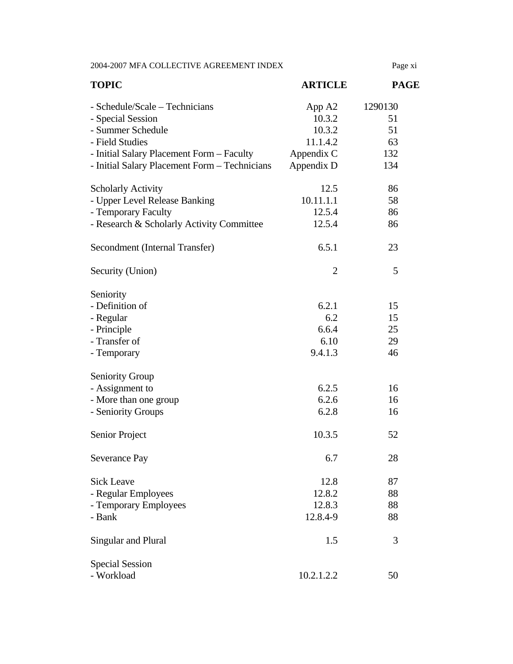2004-2007 MFA COLLECTIVE AGREEMENT INDEX Page xi

| <b>TOPIC</b>                                  | <b>ARTICLE</b> | <b>PAGE</b> |
|-----------------------------------------------|----------------|-------------|
| - Schedule/Scale – Technicians                | App A2         | 1290130     |
| - Special Session                             | 10.3.2         | 51          |
| - Summer Schedule                             | 10.3.2         | 51          |
| - Field Studies                               | 11.1.4.2       | 63          |
| - Initial Salary Placement Form - Faculty     | Appendix C     | 132         |
| - Initial Salary Placement Form - Technicians | Appendix D     | 134         |
| <b>Scholarly Activity</b>                     | 12.5           | 86          |
| - Upper Level Release Banking                 | 10.11.1.1      | 58          |
| - Temporary Faculty                           | 12.5.4         | 86          |
| - Research & Scholarly Activity Committee     | 12.5.4         | 86          |
| Secondment (Internal Transfer)                | 6.5.1          | 23          |
| Security (Union)                              | $\overline{2}$ | 5           |
| Seniority                                     |                |             |
| - Definition of                               | 6.2.1          | 15          |
| - Regular                                     | 6.2            | 15          |
| - Principle                                   | 6.6.4          | 25          |
| - Transfer of                                 | 6.10           | 29          |
| - Temporary                                   | 9.4.1.3        | 46          |
| <b>Seniority Group</b>                        |                |             |
| - Assignment to                               | 6.2.5          | 16          |
| - More than one group                         | 6.2.6          | 16          |
| - Seniority Groups                            | 6.2.8          | 16          |
| Senior Project                                | 10.3.5         | 52          |
| Severance Pay                                 | 6.7            | $28\,$      |
| <b>Sick Leave</b>                             | 12.8           | 87          |
| - Regular Employees                           | 12.8.2         | 88          |
| - Temporary Employees                         | 12.8.3         | 88          |
| - Bank                                        | 12.8.4-9       | 88          |
| Singular and Plural                           | 1.5            | 3           |
| <b>Special Session</b>                        |                |             |
| - Workload                                    | 10.2.1.2.2     | 50          |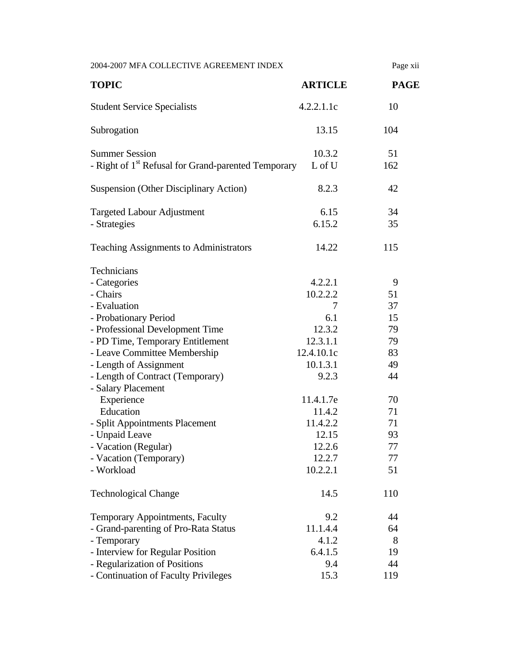| <b>TOPIC</b>                                                                                                                                                                                                                                                                                                                                                                                                               | <b>ARTICLE</b><br>4.2.2.1.1c                                                                                                                                         | <b>PAGE</b>                                                                                 |
|----------------------------------------------------------------------------------------------------------------------------------------------------------------------------------------------------------------------------------------------------------------------------------------------------------------------------------------------------------------------------------------------------------------------------|----------------------------------------------------------------------------------------------------------------------------------------------------------------------|---------------------------------------------------------------------------------------------|
|                                                                                                                                                                                                                                                                                                                                                                                                                            |                                                                                                                                                                      |                                                                                             |
| <b>Student Service Specialists</b>                                                                                                                                                                                                                                                                                                                                                                                         |                                                                                                                                                                      | 10                                                                                          |
| Subrogation                                                                                                                                                                                                                                                                                                                                                                                                                | 13.15                                                                                                                                                                | 104                                                                                         |
| <b>Summer Session</b><br>- Right of 1 <sup>st</sup> Refusal for Grand-parented Temporary                                                                                                                                                                                                                                                                                                                                   | 10.3.2<br>L of U                                                                                                                                                     | 51<br>162                                                                                   |
| <b>Suspension (Other Disciplinary Action)</b>                                                                                                                                                                                                                                                                                                                                                                              | 8.2.3                                                                                                                                                                | 42                                                                                          |
| <b>Targeted Labour Adjustment</b><br>- Strategies                                                                                                                                                                                                                                                                                                                                                                          | 6.15<br>6.15.2                                                                                                                                                       | 34<br>35                                                                                    |
| <b>Teaching Assignments to Administrators</b>                                                                                                                                                                                                                                                                                                                                                                              | 14.22                                                                                                                                                                | 115                                                                                         |
| Technicians<br>- Categories<br>- Chairs<br>- Evaluation<br>- Probationary Period<br>- Professional Development Time<br>- PD Time, Temporary Entitlement<br>- Leave Committee Membership<br>- Length of Assignment<br>- Length of Contract (Temporary)<br>- Salary Placement<br>Experience<br>Education<br>- Split Appointments Placement<br>- Unpaid Leave<br>- Vacation (Regular)<br>- Vacation (Temporary)<br>- Workload | 4.2.2.1<br>10.2.2.2<br>7<br>6.1<br>12.3.2<br>12.3.1.1<br>12.4.10.1c<br>10.1.3.1<br>9.2.3<br>11.4.1.7e<br>11.4.2<br>11.4.2.2<br>12.15<br>12.2.6<br>12.2.7<br>10.2.2.1 | 9<br>51<br>37<br>15<br>79<br>79<br>83<br>49<br>44<br>70<br>71<br>71<br>93<br>77<br>77<br>51 |
| <b>Technological Change</b>                                                                                                                                                                                                                                                                                                                                                                                                | 14.5                                                                                                                                                                 | 110                                                                                         |
| Temporary Appointments, Faculty<br>- Grand-parenting of Pro-Rata Status<br>- Temporary<br>- Interview for Regular Position<br>- Regularization of Positions<br>- Continuation of Faculty Privileges                                                                                                                                                                                                                        | 9.2<br>11.1.4.4<br>4.1.2<br>6.4.1.5<br>9.4<br>15.3                                                                                                                   | 44<br>64<br>8<br>19<br>44<br>119                                                            |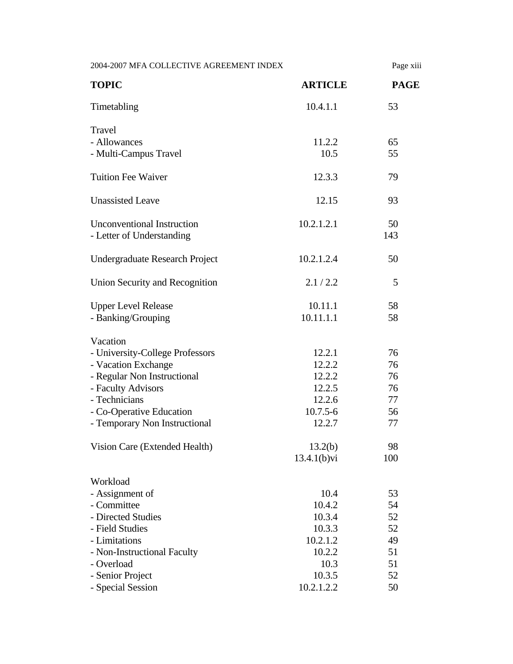|                                   |                | Page xiii   |  |
|-----------------------------------|----------------|-------------|--|
| <b>TOPIC</b>                      | <b>ARTICLE</b> | <b>PAGE</b> |  |
| Timetabling                       | 10.4.1.1       | 53          |  |
| Travel                            |                |             |  |
| - Allowances                      | 11.2.2         | 65          |  |
| - Multi-Campus Travel             | 10.5           | 55          |  |
| <b>Tuition Fee Waiver</b>         | 12.3.3         | 79          |  |
| <b>Unassisted Leave</b>           | 12.15          | 93          |  |
| <b>Unconventional Instruction</b> | 10.2.1.2.1     | 50          |  |
| - Letter of Understanding         |                | 143         |  |
| Undergraduate Research Project    | 10.2.1.2.4     | 50          |  |
| Union Security and Recognition    | 2.1 / 2.2      | 5           |  |
| <b>Upper Level Release</b>        | 10.11.1        | 58          |  |
| - Banking/Grouping                | 10.11.1.1      | 58          |  |
| Vacation                          |                |             |  |
| - University-College Professors   | 12.2.1         | 76          |  |
| - Vacation Exchange               | 12.2.2         | 76          |  |
| - Regular Non Instructional       | 12.2.2         | 76          |  |
| - Faculty Advisors                | 12.2.5         | 76          |  |
| - Technicians                     | 12.2.6         | 77          |  |
| - Co-Operative Education          | $10.7.5 - 6$   | 56          |  |
| - Temporary Non Instructional     | 12.2.7         | 77          |  |
| Vision Care (Extended Health)     | 13.2(b)        | 98          |  |
|                                   | $13.4.1(b)$ vi | 100         |  |
| Workload                          |                |             |  |
| - Assignment of                   | 10.4           | 53          |  |
| - Committee                       | 10.4.2         | 54          |  |
| - Directed Studies                | 10.3.4         | 52          |  |
| - Field Studies                   | 10.3.3         | 52          |  |
| - Limitations                     | 10.2.1.2       | 49          |  |
| - Non-Instructional Faculty       | 10.2.2         | 51          |  |
| - Overload                        | 10.3           | 51          |  |
|                                   | 10.3.5         | 52          |  |
| - Senior Project                  |                |             |  |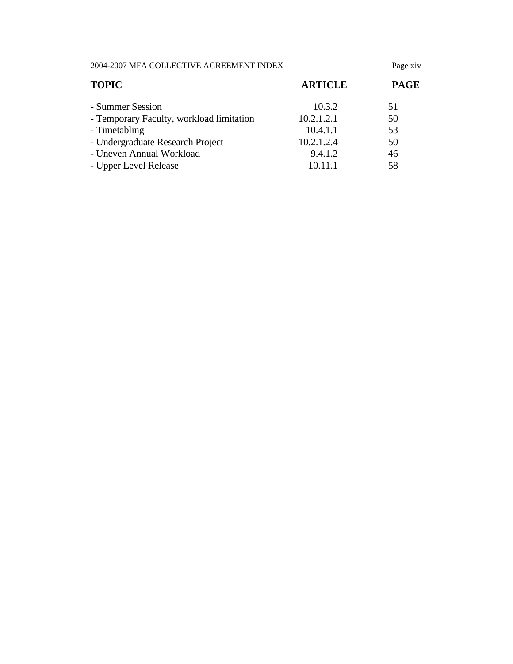2004-2007 MFA COLLECTIVE AGREEMENT INDEX Page xiv

| <b>TOPIC</b>                             | <b>ARTICLE</b> | <b>PAGE</b> |  |
|------------------------------------------|----------------|-------------|--|
| - Summer Session                         | 10.3.2         | 51          |  |
| - Temporary Faculty, workload limitation | 10.2.1.2.1     | 50          |  |
| - Timetabling                            | 10.4.1.1       | 53          |  |
| - Undergraduate Research Project         | 10.2.1.2.4     | 50          |  |
| - Uneven Annual Workload                 | 9.4.1.2        | 46          |  |
| - Upper Level Release                    | 10.11.1        | 58          |  |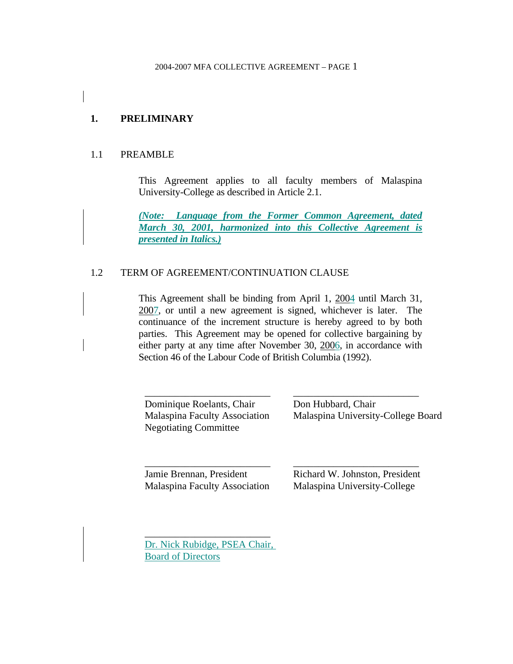## **1. PRELIMINARY**

#### 1.1 PREAMBLE

 This Agreement applies to all faculty members of Malaspina University-College as described in Article 2.1.

*(Note: Language from the Former Common Agreement, dated March 30, 2001, harmonized into this Collective Agreement is presented in Italics.)*

#### 1.2 TERM OF AGREEMENT/CONTINUATION CLAUSE

 This Agreement shall be binding from April 1, 2004 until March 31, 2007, or until a new agreement is signed, whichever is later. The continuance of the increment structure is hereby agreed to by both parties. This Agreement may be opened for collective bargaining by either party at any time after November 30, 2006, in accordance with Section 46 of the Labour Code of British Columbia (1992).

Dominique Roelants, Chair Malaspina Faculty Association Negotiating Committee

\_\_\_\_\_\_\_\_\_\_\_\_\_\_\_\_\_\_\_\_\_\_\_\_\_

\_\_\_\_\_\_\_\_\_\_\_\_\_\_\_\_\_\_\_\_\_\_\_\_\_ Don Hubbard, Chair Malaspina University-College Board

\_\_\_\_\_\_\_\_\_\_\_\_\_\_\_\_\_\_\_\_\_\_\_\_\_ Jamie Brennan, President Malaspina Faculty Association

Richard W. Johnston, President Malaspina University-College

\_\_\_\_\_\_\_\_\_\_\_\_\_\_\_\_\_\_\_\_\_\_\_\_\_

Dr. Nick Rubidge, PSEA Chair, Board of Directors

\_\_\_\_\_\_\_\_\_\_\_\_\_\_\_\_\_\_\_\_\_\_\_\_\_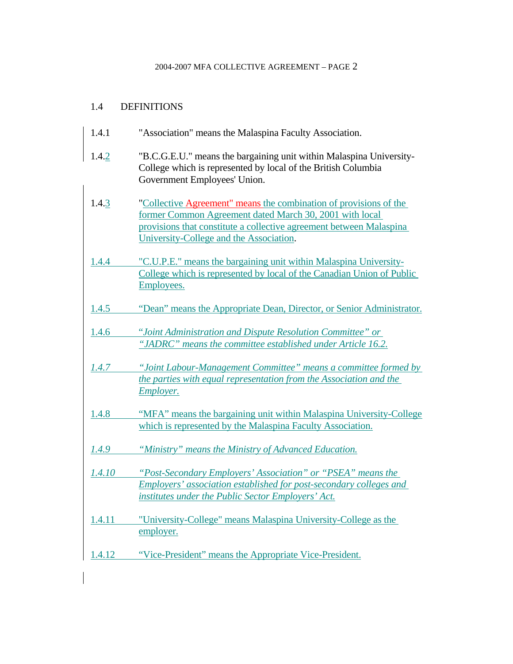## 1.4 DEFINITIONS

| 1.4.1 | "Association" means the Malaspina Faculty Association. |  |
|-------|--------------------------------------------------------|--|
|       |                                                        |  |

- 1.4.2 "B.C.G.E.U." means the bargaining unit within Malaspina University-College which is represented by local of the British Columbia Government Employees' Union.
- 1.4.3 "Collective Agreement" means the combination of provisions of the former Common Agreement dated March 30, 2001 with local provisions that constitute a collective agreement between Malaspina University-College and the Association.
- 1.4.4 "C.U.P.E." means the bargaining unit within Malaspina University-College which is represented by local of the Canadian Union of Public Employees.
- 1.4.5 "Dean" means the Appropriate Dean, Director, or Senior Administrator.
- 1.4.6 "*Joint Administration and Dispute Resolution Committee" or "JADRC" means the committee established under Article 16.2.*
- *1.4.7 "Joint Labour-Management Committee" means a committee formed by the parties with equal representation from the Association and the Employer.*
- 1.4.8 "MFA" means the bargaining unit within Malaspina University-College which is represented by the Malaspina Faculty Association.
- *1.4.9 "Ministry" means the Ministry of Advanced Education.*
- *1.4.10 "Post-Secondary Employers' Association" or "PSEA" means the Employers' association established for post-secondary colleges and institutes under the Public Sector Employers' Act.*
- 1.4.11 "University-College" means Malaspina University-College as the employer.
- 1.4.12 "Vice-President" means the Appropriate Vice-President.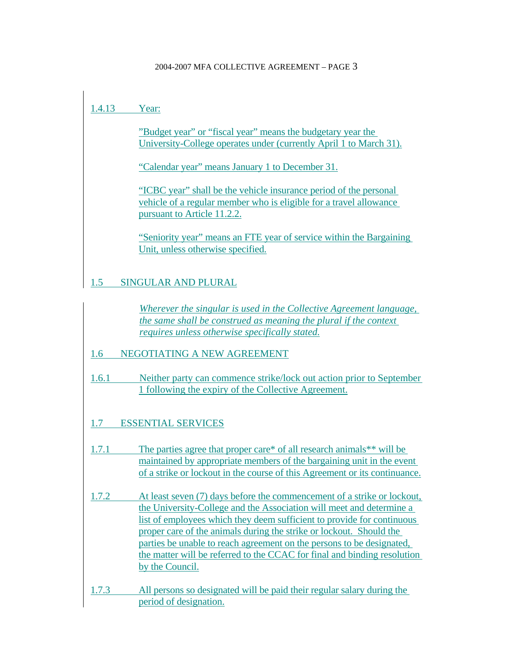# 1.4.13 Year:

"Budget year" or "fiscal year" means the budgetary year the University-College operates under (currently April 1 to March 31).

"Calendar year" means January 1 to December 31.

"ICBC year" shall be the vehicle insurance period of the personal vehicle of a regular member who is eligible for a travel allowance pursuant to Article 11.2.2.

"Seniority year" means an FTE year of service within the Bargaining Unit, unless otherwise specified.

# 1.5 SINGULAR AND PLURAL

*Wherever the singular is used in the Collective Agreement language, the same shall be construed as meaning the plural if the context requires unless otherwise specifically stated.*

## 1.6 NEGOTIATING A NEW AGREEMENT

- 1.6.1 Neither party can commence strike/lock out action prior to September 1 following the expiry of the Collective Agreement.
- 1.7 ESSENTIAL SERVICES
- 1.7.1 The parties agree that proper care\* of all research animals\*\* will be maintained by appropriate members of the bargaining unit in the event of a strike or lockout in the course of this Agreement or its continuance.
- 1.7.2 At least seven (7) days before the commencement of a strike or lockout, the University-College and the Association will meet and determine a list of employees which they deem sufficient to provide for continuous proper care of the animals during the strike or lockout. Should the parties be unable to reach agreement on the persons to be designated, the matter will be referred to the CCAC for final and binding resolution by the Council.
- 1.7.3 All persons so designated will be paid their regular salary during the period of designation.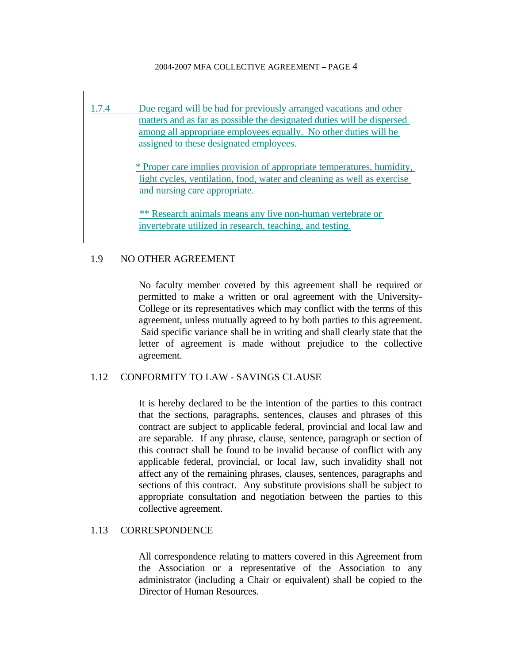1.7.4 Due regard will be had for previously arranged vacations and other matters and as far as possible the designated duties will be dispersed among all appropriate employees equally. No other duties will be assigned to these designated employees.

> \* Proper care implies provision of appropriate temperatures, humidity, light cycles, ventilation, food, water and cleaning as well as exercise and nursing care appropriate.

\*\* Research animals means any live non-human vertebrate or invertebrate utilized in research, teaching, and testing.

#### 1.9 NO OTHER AGREEMENT

 No faculty member covered by this agreement shall be required or permitted to make a written or oral agreement with the University-College or its representatives which may conflict with the terms of this agreement, unless mutually agreed to by both parties to this agreement. Said specific variance shall be in writing and shall clearly state that the letter of agreement is made without prejudice to the collective agreement.

#### 1.12 CONFORMITY TO LAW - SAVINGS CLAUSE

 It is hereby declared to be the intention of the parties to this contract that the sections, paragraphs, sentences, clauses and phrases of this contract are subject to applicable federal, provincial and local law and are separable. If any phrase, clause, sentence, paragraph or section of this contract shall be found to be invalid because of conflict with any applicable federal, provincial, or local law, such invalidity shall not affect any of the remaining phrases, clauses, sentences, paragraphs and sections of this contract. Any substitute provisions shall be subject to appropriate consultation and negotiation between the parties to this collective agreement.

#### 1.13 CORRESPONDENCE

 All correspondence relating to matters covered in this Agreement from the Association or a representative of the Association to any administrator (including a Chair or equivalent) shall be copied to the Director of Human Resources.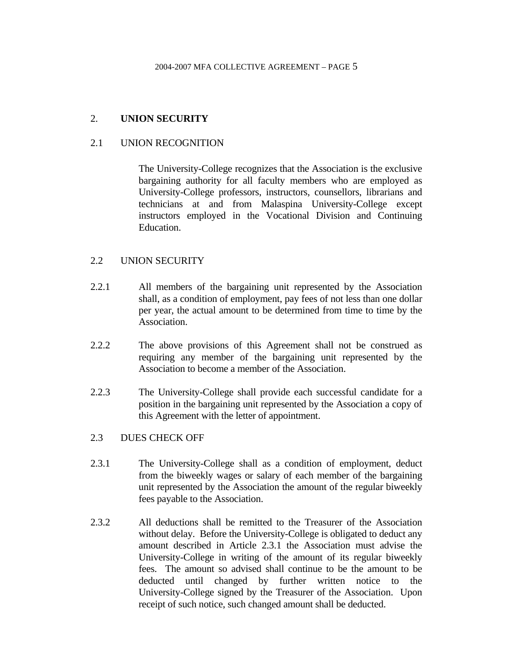### 2. **UNION SECURITY**

#### 2.1 UNION RECOGNITION

 The University-College recognizes that the Association is the exclusive bargaining authority for all faculty members who are employed as University-College professors, instructors, counsellors, librarians and technicians at and from Malaspina University-College except instructors employed in the Vocational Division and Continuing Education.

#### 2.2 UNION SECURITY

- 2.2.1 All members of the bargaining unit represented by the Association shall, as a condition of employment, pay fees of not less than one dollar per year, the actual amount to be determined from time to time by the Association.
- 2.2.2 The above provisions of this Agreement shall not be construed as requiring any member of the bargaining unit represented by the Association to become a member of the Association.
- 2.2.3 The University-College shall provide each successful candidate for a position in the bargaining unit represented by the Association a copy of this Agreement with the letter of appointment.

#### 2.3 DUES CHECK OFF

- 2.3.1 The University-College shall as a condition of employment, deduct from the biweekly wages or salary of each member of the bargaining unit represented by the Association the amount of the regular biweekly fees payable to the Association.
- 2.3.2 All deductions shall be remitted to the Treasurer of the Association without delay. Before the University-College is obligated to deduct any amount described in Article 2.3.1 the Association must advise the University-College in writing of the amount of its regular biweekly fees. The amount so advised shall continue to be the amount to be deducted until changed by further written notice to the University-College signed by the Treasurer of the Association. Upon receipt of such notice, such changed amount shall be deducted.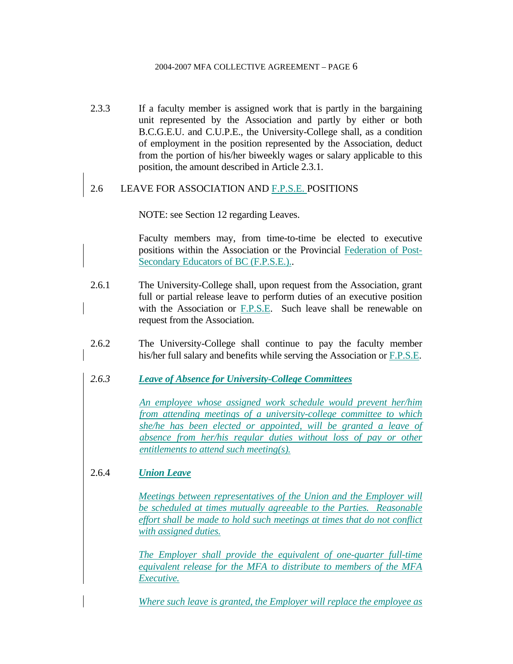2.3.3 If a faculty member is assigned work that is partly in the bargaining unit represented by the Association and partly by either or both B.C.G.E.U. and C.U.P.E., the University-College shall, as a condition of employment in the position represented by the Association, deduct from the portion of his/her biweekly wages or salary applicable to this position, the amount described in Article 2.3.1.

### 2.6 LEAVE FOR ASSOCIATION AND F.P.S.E. POSITIONS

NOTE: see Section 12 regarding Leaves.

 Faculty members may, from time-to-time be elected to executive positions within the Association or the Provincial Federation of Post-Secondary Educators of BC (F.P.S.E.)..

- 2.6.1 The University-College shall, upon request from the Association, grant full or partial release leave to perform duties of an executive position with the Association or F.P.S.E. Such leave shall be renewable on request from the Association.
- 2.6.2 The University-College shall continue to pay the faculty member his/her full salary and benefits while serving the Association or F.P.S.E.
- *2.6.3 Leave of Absence for University-College Committees*

*An employee whose assigned work schedule would prevent her/him from attending meetings of a university-college committee to which she/he has been elected or appointed, will be granted a leave of absence from her/his regular duties without loss of pay or other entitlements to attend such meeting(s).*

## 2.6.4 *Union Leave*

*Meetings between representatives of the Union and the Employer will be scheduled at times mutually agreeable to the Parties. Reasonable effort shall be made to hold such meetings at times that do not conflict with assigned duties.*

*The Employer shall provide the equivalent of one-quarter full-time equivalent release for the MFA to distribute to members of the MFA Executive.*

*Where such leave is granted, the Employer will replace the employee as*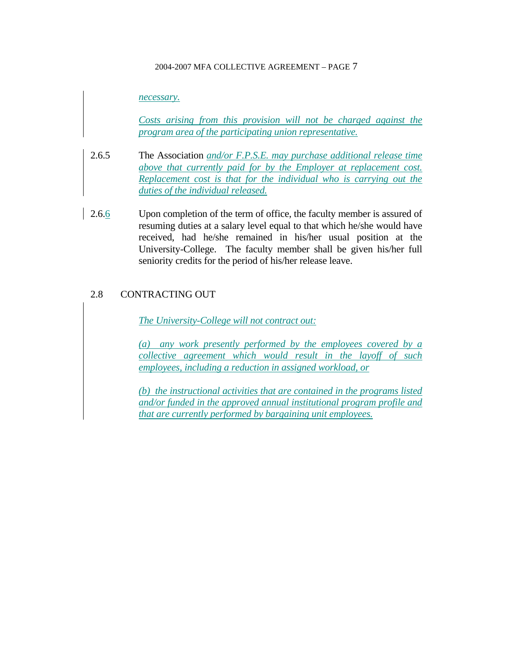#### *necessary.*

*Costs arising from this provision will not be charged against the program area of the participating union representative.*

- 2.6.5 The Association *and/or F.P.S.E. may purchase additional release time above that currently paid for by the Employer at replacement cost. Replacement cost is that for the individual who is carrying out the duties of the individual released.*
- 2.6.6 Upon completion of the term of office, the faculty member is assured of resuming duties at a salary level equal to that which he/she would have received, had he/she remained in his/her usual position at the University-College. The faculty member shall be given his/her full seniority credits for the period of his/her release leave.

#### 2.8 CONTRACTING OUT

*The University-College will not contract out:*

*(a) any work presently performed by the employees covered by a collective agreement which would result in the layoff of such employees, including a reduction in assigned workload, or*

*(b) the instructional activities that are contained in the programs listed and/or funded in the approved annual institutional program profile and that are currently performed by bargaining unit employees.*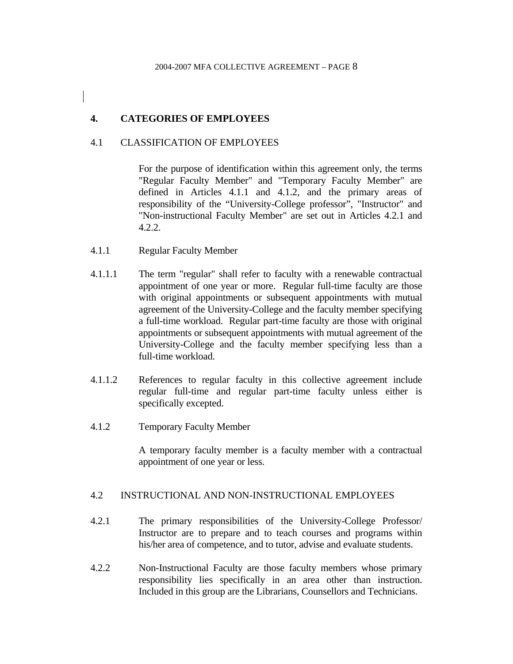## **4. CATEGORIES OF EMPLOYEES**

### 4.1 CLASSIFICATION OF EMPLOYEES

 For the purpose of identification within this agreement only, the terms "Regular Faculty Member" and "Temporary Faculty Member" are defined in Articles 4.1.1 and 4.1.2, and the primary areas of responsibility of the "University-College professor", "Instructor" and "Non-instructional Faculty Member" are set out in Articles 4.2.1 and 4.2.2.

- 4.1.1 Regular Faculty Member
- 4.1.1.1 The term "regular" shall refer to faculty with a renewable contractual appointment of one year or more. Regular full-time faculty are those with original appointments or subsequent appointments with mutual agreement of the University-College and the faculty member specifying a full-time workload. Regular part-time faculty are those with original appointments or subsequent appointments with mutual agreement of the University-College and the faculty member specifying less than a full-time workload.
- 4.1.1.2 References to regular faculty in this collective agreement include regular full-time and regular part-time faculty unless either is specifically excepted.
- 4.1.2 Temporary Faculty Member

 A temporary faculty member is a faculty member with a contractual appointment of one year or less.

### 4.2 INSTRUCTIONAL AND NON-INSTRUCTIONAL EMPLOYEES

- 4.2.1 The primary responsibilities of the University-College Professor/ Instructor are to prepare and to teach courses and programs within his/her area of competence, and to tutor, advise and evaluate students.
- 4.2.2 Non-Instructional Faculty are those faculty members whose primary responsibility lies specifically in an area other than instruction. Included in this group are the Librarians, Counsellors and Technicians.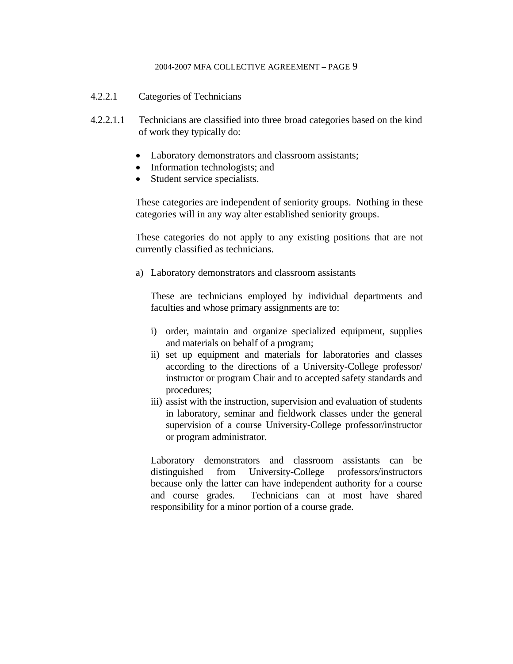- 4.2.2.1 Categories of Technicians
- 4.2.2.1.1 Technicians are classified into three broad categories based on the kind of work they typically do:
	- Laboratory demonstrators and classroom assistants;
	- Information technologists; and
	- Student service specialists.

These categories are independent of seniority groups. Nothing in these categories will in any way alter established seniority groups.

These categories do not apply to any existing positions that are not currently classified as technicians.

a) Laboratory demonstrators and classroom assistants

 These are technicians employed by individual departments and faculties and whose primary assignments are to:

- i) order, maintain and organize specialized equipment, supplies and materials on behalf of a program;
- ii) set up equipment and materials for laboratories and classes according to the directions of a University-College professor/ instructor or program Chair and to accepted safety standards and procedures;
- iii) assist with the instruction, supervision and evaluation of students in laboratory, seminar and fieldwork classes under the general supervision of a course University-College professor/instructor or program administrator.

 Laboratory demonstrators and classroom assistants can be distinguished from University-College professors/instructors because only the latter can have independent authority for a course and course grades. Technicians can at most have shared responsibility for a minor portion of a course grade.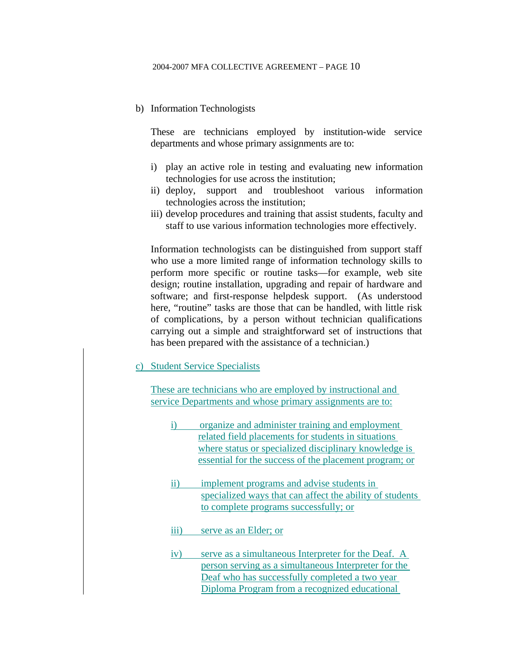b) Information Technologists

 These are technicians employed by institution-wide service departments and whose primary assignments are to:

- i) play an active role in testing and evaluating new information technologies for use across the institution;
- ii) deploy, support and troubleshoot various information technologies across the institution;
- iii) develop procedures and training that assist students, faculty and staff to use various information technologies more effectively.

Information technologists can be distinguished from support staff who use a more limited range of information technology skills to perform more specific or routine tasks—for example, web site design; routine installation, upgrading and repair of hardware and software; and first-response helpdesk support. (As understood here, "routine" tasks are those that can be handled, with little risk of complications, by a person without technician qualifications carrying out a simple and straightforward set of instructions that has been prepared with the assistance of a technician.)

c) Student Service Specialists

These are technicians who are employed by instructional and service Departments and whose primary assignments are to:

- i) organize and administer training and employment related field placements for students in situations where status or specialized disciplinary knowledge is essential for the success of the placement program; or
- ii) implement programs and advise students in specialized ways that can affect the ability of students to complete programs successfully; or

iii) serve as an Elder; or

iv) serve as a simultaneous Interpreter for the Deaf. A person serving as a simultaneous Interpreter for the Deaf who has successfully completed a two year Diploma Program from a recognized educational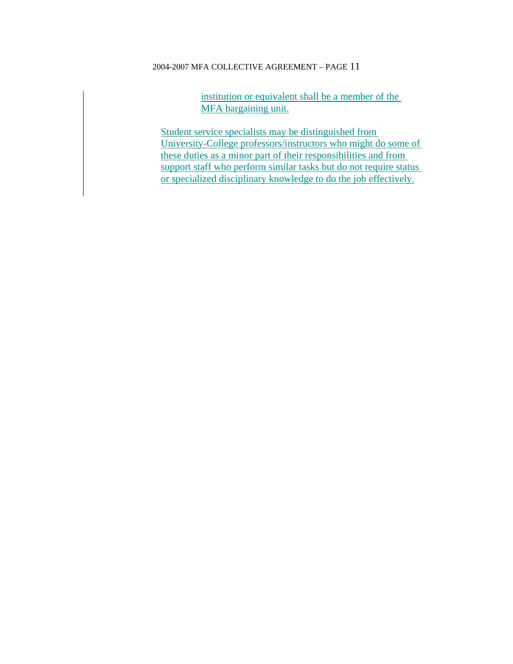institution or equivalent shall be a member of the MFA bargaining unit.

Student service specialists may be distinguished from University-College professors/instructors who might do some of these duties as a minor part of their responsibilities and from support staff who perform similar tasks but do not require status or specialized disciplinary knowledge to do the job effectively.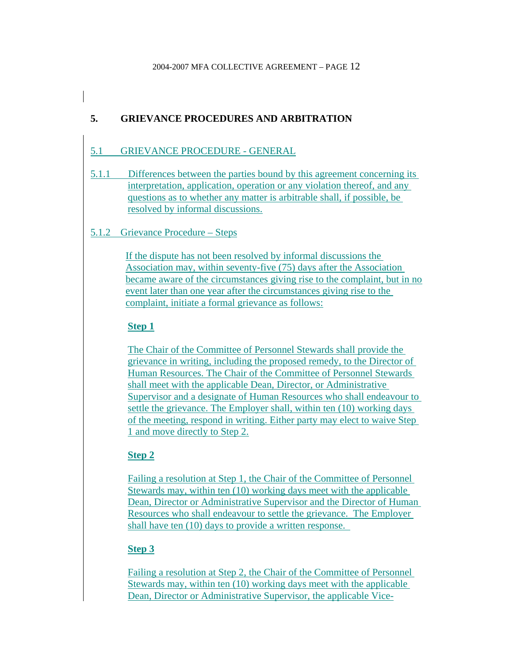# **5. GRIEVANCE PROCEDURES AND ARBITRATION**

## 5.1 GRIEVANCE PROCEDURE - GENERAL

5.1.1 Differences between the parties bound by this agreement concerning its interpretation, application, operation or any violation thereof, and any questions as to whether any matter is arbitrable shall, if possible, be resolved by informal discussions.

### 5.1.2 Grievance Procedure – Steps

If the dispute has not been resolved by informal discussions the Association may, within seventy-five (75) days after the Association became aware of the circumstances giving rise to the complaint, but in no event later than one year after the circumstances giving rise to the complaint, initiate a formal grievance as follows:

### **Step 1**

The Chair of the Committee of Personnel Stewards shall provide the grievance in writing, including the proposed remedy, to the Director of Human Resources. The Chair of the Committee of Personnel Stewards shall meet with the applicable Dean, Director, or Administrative Supervisor and a designate of Human Resources who shall endeavour to settle the grievance. The Employer shall, within ten (10) working days of the meeting, respond in writing. Either party may elect to waive Step 1 and move directly to Step 2.

## **Step 2**

Failing a resolution at Step 1, the Chair of the Committee of Personnel Stewards may, within ten (10) working days meet with the applicable Dean, Director or Administrative Supervisor and the Director of Human Resources who shall endeavour to settle the grievance. The Employer shall have ten (10) days to provide a written response.

## **Step 3**

Failing a resolution at Step 2, the Chair of the Committee of Personnel Stewards may, within ten (10) working days meet with the applicable Dean, Director or Administrative Supervisor, the applicable Vice-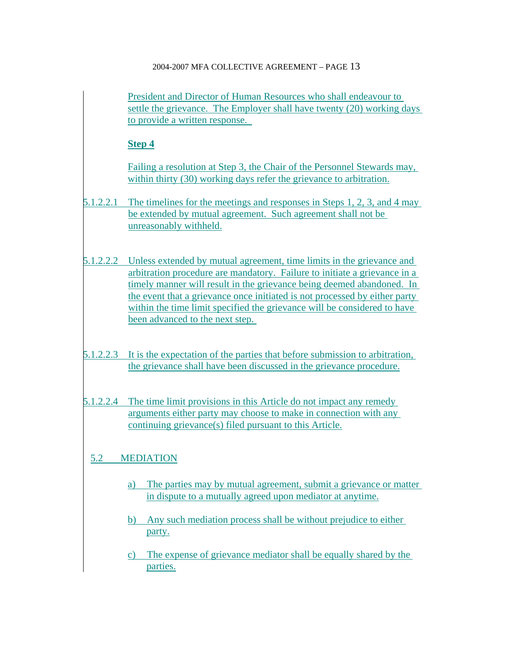President and Director of Human Resources who shall endeavour to settle the grievance. The Employer shall have twenty (20) working days to provide a written response.

## **Step 4**

Failing a resolution at Step 3, the Chair of the Personnel Stewards may, within thirty (30) working days refer the grievance to arbitration.

- 5.1.2.2.1 The timelines for the meetings and responses in Steps 1, 2, 3, and 4 may be extended by mutual agreement. Such agreement shall not be unreasonably withheld.
- 5.1.2.2.2 Unless extended by mutual agreement, time limits in the grievance and arbitration procedure are mandatory. Failure to initiate a grievance in a timely manner will result in the grievance being deemed abandoned. In the event that a grievance once initiated is not processed by either party within the time limit specified the grievance will be considered to have been advanced to the next step.
- 5.1.2.2.3 It is the expectation of the parties that before submission to arbitration, the grievance shall have been discussed in the grievance procedure.
- 5.1.2.2.4 The time limit provisions in this Article do not impact any remedy arguments either party may choose to make in connection with any continuing grievance(s) filed pursuant to this Article.

# 5.2 MEDIATION

- a) The parties may by mutual agreement, submit a grievance or matter in dispute to a mutually agreed upon mediator at anytime.
- b) Any such mediation process shall be without prejudice to either party.
- c) The expense of grievance mediator shall be equally shared by the parties.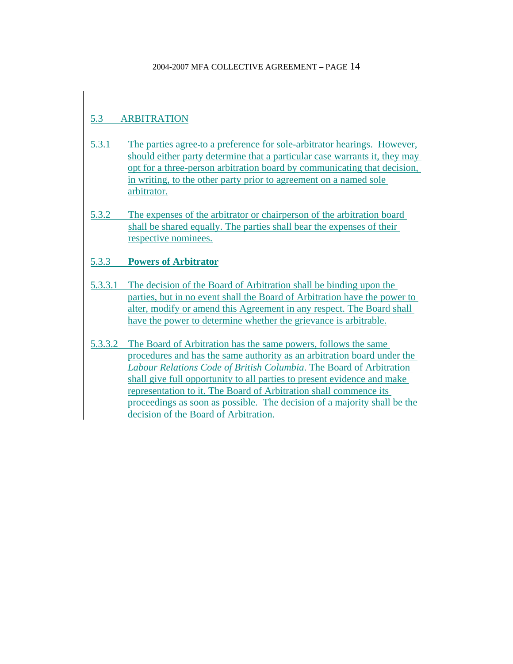# 5.3 ARBITRATION

- 5.3.1 The parties agree to a preference for sole-arbitrator hearings. However, should either party determine that a particular case warrants it, they may opt for a three-person arbitration board by communicating that decision, in writing, to the other party prior to agreement on a named sole arbitrator.
- 5.3.2 The expenses of the arbitrator or chairperson of the arbitration board shall be shared equally. The parties shall bear the expenses of their respective nominees.

## 5.3.3 **Powers of Arbitrator**

- 5.3.3.1 The decision of the Board of Arbitration shall be binding upon the parties, but in no event shall the Board of Arbitration have the power to alter, modify or amend this Agreement in any respect. The Board shall have the power to determine whether the grievance is arbitrable.
- 5.3.3.2 The Board of Arbitration has the same powers, follows the same procedures and has the same authority as an arbitration board under the *Labour Relations Code of British Columbia*. The Board of Arbitration shall give full opportunity to all parties to present evidence and make representation to it. The Board of Arbitration shall commence its proceedings as soon as possible. The decision of a majority shall be the decision of the Board of Arbitration.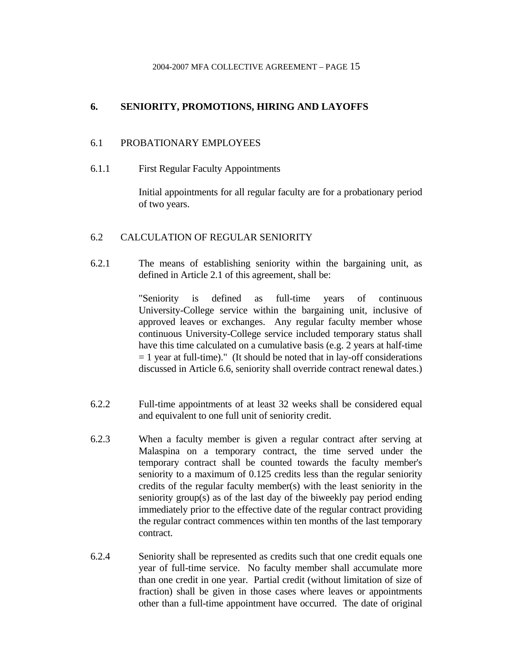## **6. SENIORITY, PROMOTIONS, HIRING AND LAYOFFS**

#### 6.1 PROBATIONARY EMPLOYEES

6.1.1 First Regular Faculty Appointments

 Initial appointments for all regular faculty are for a probationary period of two years.

#### 6.2 CALCULATION OF REGULAR SENIORITY

6.2.1 The means of establishing seniority within the bargaining unit, as defined in Article 2.1 of this agreement, shall be:

> "Seniority is defined as full-time years of continuous University-College service within the bargaining unit, inclusive of approved leaves or exchanges. Any regular faculty member whose continuous University-College service included temporary status shall have this time calculated on a cumulative basis (e.g. 2 years at half-time  $= 1$  year at full-time)." (It should be noted that in lay-off considerations discussed in Article 6.6, seniority shall override contract renewal dates.)

- 6.2.2 Full-time appointments of at least 32 weeks shall be considered equal and equivalent to one full unit of seniority credit.
- 6.2.3 When a faculty member is given a regular contract after serving at Malaspina on a temporary contract, the time served under the temporary contract shall be counted towards the faculty member's seniority to a maximum of 0.125 credits less than the regular seniority credits of the regular faculty member(s) with the least seniority in the seniority group(s) as of the last day of the biweekly pay period ending immediately prior to the effective date of the regular contract providing the regular contract commences within ten months of the last temporary contract.
- 6.2.4 Seniority shall be represented as credits such that one credit equals one year of full-time service. No faculty member shall accumulate more than one credit in one year. Partial credit (without limitation of size of fraction) shall be given in those cases where leaves or appointments other than a full-time appointment have occurred. The date of original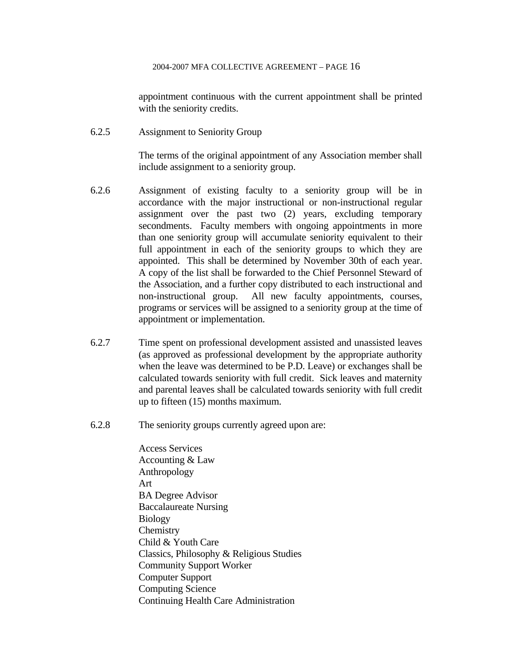appointment continuous with the current appointment shall be printed with the seniority credits.

6.2.5 Assignment to Seniority Group

 The terms of the original appointment of any Association member shall include assignment to a seniority group.

- 6.2.6 Assignment of existing faculty to a seniority group will be in accordance with the major instructional or non-instructional regular assignment over the past two (2) years, excluding temporary secondments. Faculty members with ongoing appointments in more than one seniority group will accumulate seniority equivalent to their full appointment in each of the seniority groups to which they are appointed. This shall be determined by November 30th of each year. A copy of the list shall be forwarded to the Chief Personnel Steward of the Association, and a further copy distributed to each instructional and non-instructional group. All new faculty appointments, courses, programs or services will be assigned to a seniority group at the time of appointment or implementation.
- 6.2.7 Time spent on professional development assisted and unassisted leaves (as approved as professional development by the appropriate authority when the leave was determined to be P.D. Leave) or exchanges shall be calculated towards seniority with full credit. Sick leaves and maternity and parental leaves shall be calculated towards seniority with full credit up to fifteen (15) months maximum.
- 6.2.8 The seniority groups currently agreed upon are:

 Access Services Accounting & Law Anthropology Art BA Degree Advisor Baccalaureate Nursing Biology **Chemistry**  Child & Youth Care Classics, Philosophy & Religious Studies Community Support Worker Computer Support Computing Science Continuing Health Care Administration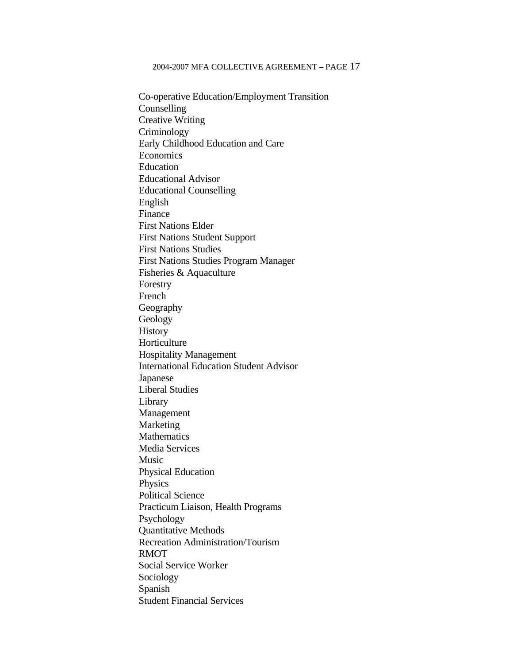Co-operative Education/Employment Transition Counselling Creative Writing Criminology Early Childhood Education and Care Economics Education Educational Advisor Educational Counselling English Finance First Nations Elder First Nations Student Support First Nations Studies First Nations Studies Program Manager Fisheries & Aquaculture Forestry French Geography Geology **History**  Horticulture Hospitality Management International Education Student Advisor Japanese Liberal Studies Library Management Marketing **Mathematics**  Media Services Music Physical Education Physics Political Science Practicum Liaison, Health Programs Psychology Quantitative Methods Recreation Administration/Tourism RMOT Social Service Worker Sociology Spanish Student Financial Services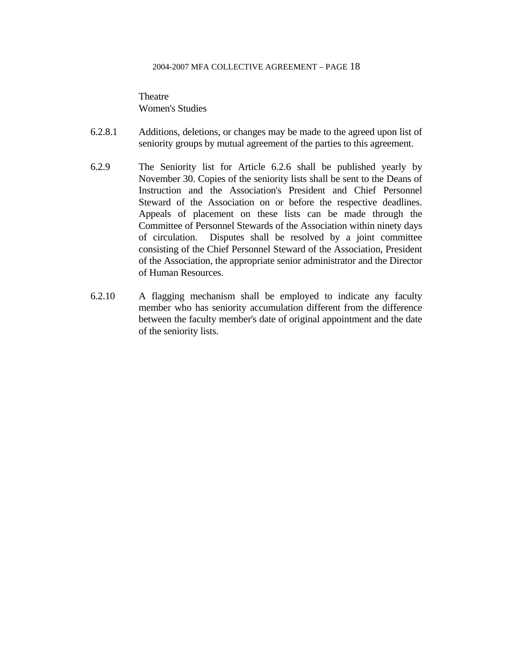**Theatre** Women's Studies

- 6.2.8.1 Additions, deletions, or changes may be made to the agreed upon list of seniority groups by mutual agreement of the parties to this agreement.
- 6.2.9 The Seniority list for Article 6.2.6 shall be published yearly by November 30. Copies of the seniority lists shall be sent to the Deans of Instruction and the Association's President and Chief Personnel Steward of the Association on or before the respective deadlines. Appeals of placement on these lists can be made through the Committee of Personnel Stewards of the Association within ninety days of circulation. Disputes shall be resolved by a joint committee consisting of the Chief Personnel Steward of the Association, President of the Association, the appropriate senior administrator and the Director of Human Resources.
- 6.2.10 A flagging mechanism shall be employed to indicate any faculty member who has seniority accumulation different from the difference between the faculty member's date of original appointment and the date of the seniority lists.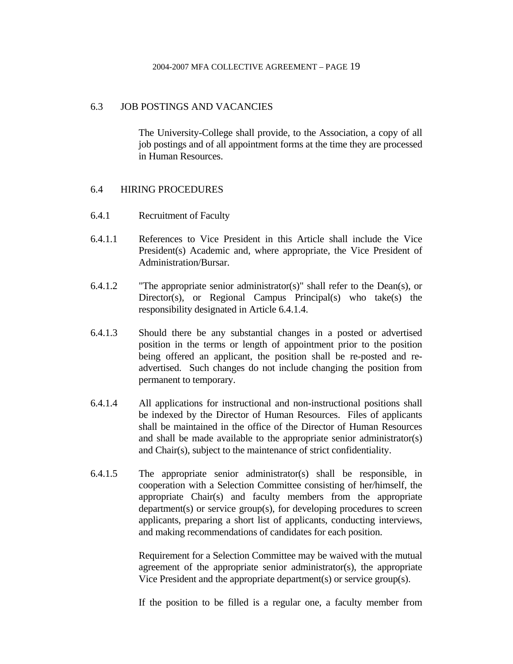## 6.3 JOB POSTINGS AND VACANCIES

 The University-College shall provide, to the Association, a copy of all job postings and of all appointment forms at the time they are processed in Human Resources.

### 6.4 HIRING PROCEDURES

- 6.4.1 Recruitment of Faculty
- 6.4.1.1 References to Vice President in this Article shall include the Vice President(s) Academic and, where appropriate, the Vice President of Administration/Bursar.
- 6.4.1.2 "The appropriate senior administrator(s)" shall refer to the Dean(s), or Director(s), or Regional Campus Principal(s) who take(s) the responsibility designated in Article 6.4.1.4.
- 6.4.1.3 Should there be any substantial changes in a posted or advertised position in the terms or length of appointment prior to the position being offered an applicant, the position shall be re-posted and readvertised. Such changes do not include changing the position from permanent to temporary.
- 6.4.1.4 All applications for instructional and non-instructional positions shall be indexed by the Director of Human Resources. Files of applicants shall be maintained in the office of the Director of Human Resources and shall be made available to the appropriate senior administrator(s) and Chair(s), subject to the maintenance of strict confidentiality.
- 6.4.1.5 The appropriate senior administrator(s) shall be responsible, in cooperation with a Selection Committee consisting of her/himself, the appropriate Chair(s) and faculty members from the appropriate department(s) or service group(s), for developing procedures to screen applicants, preparing a short list of applicants, conducting interviews, and making recommendations of candidates for each position.

 Requirement for a Selection Committee may be waived with the mutual agreement of the appropriate senior administrator(s), the appropriate Vice President and the appropriate department(s) or service group(s).

If the position to be filled is a regular one, a faculty member from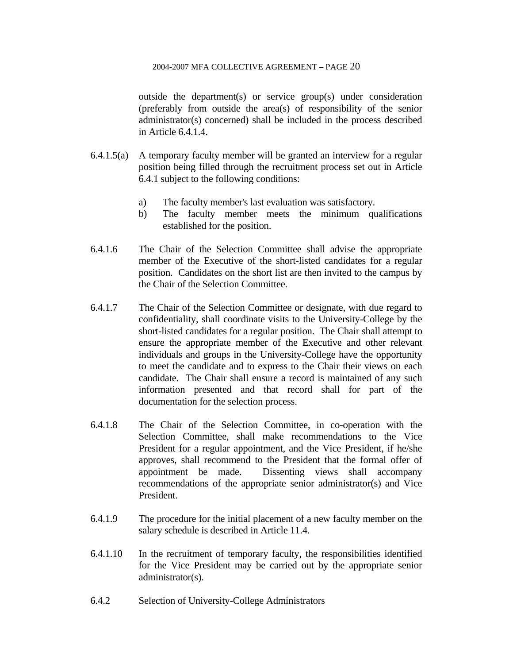outside the department(s) or service group(s) under consideration (preferably from outside the area(s) of responsibility of the senior administrator(s) concerned) shall be included in the process described in Article 6.4.1.4.

- 6.4.1.5(a) A temporary faculty member will be granted an interview for a regular position being filled through the recruitment process set out in Article 6.4.1 subject to the following conditions:
	- a) The faculty member's last evaluation was satisfactory.
	- b) The faculty member meets the minimum qualifications established for the position.
- 6.4.1.6 The Chair of the Selection Committee shall advise the appropriate member of the Executive of the short-listed candidates for a regular position. Candidates on the short list are then invited to the campus by the Chair of the Selection Committee.
- 6.4.1.7 The Chair of the Selection Committee or designate, with due regard to confidentiality, shall coordinate visits to the University-College by the short-listed candidates for a regular position. The Chair shall attempt to ensure the appropriate member of the Executive and other relevant individuals and groups in the University-College have the opportunity to meet the candidate and to express to the Chair their views on each candidate. The Chair shall ensure a record is maintained of any such information presented and that record shall for part of the documentation for the selection process.
- 6.4.1.8 The Chair of the Selection Committee, in co-operation with the Selection Committee, shall make recommendations to the Vice President for a regular appointment, and the Vice President, if he/she approves, shall recommend to the President that the formal offer of appointment be made. Dissenting views shall accompany recommendations of the appropriate senior administrator(s) and Vice President.
- 6.4.1.9 The procedure for the initial placement of a new faculty member on the salary schedule is described in Article 11.4.
- 6.4.1.10 In the recruitment of temporary faculty, the responsibilities identified for the Vice President may be carried out by the appropriate senior administrator(s).
- 6.4.2 Selection of University-College Administrators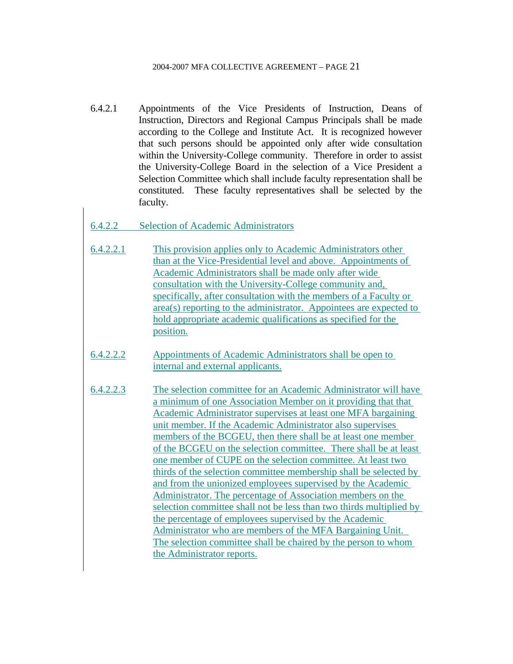6.4.2.1 Appointments of the Vice Presidents of Instruction, Deans of Instruction, Directors and Regional Campus Principals shall be made according to the College and Institute Act. It is recognized however that such persons should be appointed only after wide consultation within the University-College community. Therefore in order to assist the University-College Board in the selection of a Vice President a Selection Committee which shall include faculty representation shall be constituted. These faculty representatives shall be selected by the faculty.

## 6.4.2.2 Selection of Academic Administrators

- 6.4.2.2.1 This provision applies only to Academic Administrators other than at the Vice-Presidential level and above. Appointments of Academic Administrators shall be made only after wide consultation with the University-College community and, specifically, after consultation with the members of a Faculty or area(s) reporting to the administrator. Appointees are expected to hold appropriate academic qualifications as specified for the position.
- 6.4.2.2.2 Appointments of Academic Administrators shall be open to internal and external applicants.
- 6.4.2.2.3 The selection committee for an Academic Administrator will have a minimum of one Association Member on it providing that that Academic Administrator supervises at least one MFA bargaining unit member. If the Academic Administrator also supervises members of the BCGEU, then there shall be at least one member of the BCGEU on the selection committee. There shall be at least one member of CUPE on the selection committee. At least two thirds of the selection committee membership shall be selected by and from the unionized employees supervised by the Academic Administrator. The percentage of Association members on the selection committee shall not be less than two thirds multiplied by the percentage of employees supervised by the Academic Administrator who are members of the MFA Bargaining Unit. The selection committee shall be chaired by the person to whom the Administrator reports.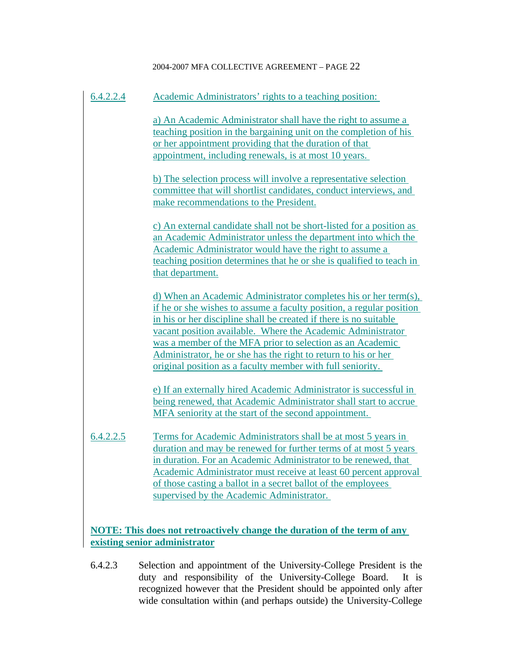| 6.4.2.2.4 | Academic Administrators' rights to a teaching position:                                                                                                                                                                                                                                                                                                                                                                                                                         |
|-----------|---------------------------------------------------------------------------------------------------------------------------------------------------------------------------------------------------------------------------------------------------------------------------------------------------------------------------------------------------------------------------------------------------------------------------------------------------------------------------------|
|           | a) An Academic Administrator shall have the right to assume a<br>teaching position in the bargaining unit on the completion of his<br>or her appointment providing that the duration of that<br>appointment, including renewals, is at most 10 years.                                                                                                                                                                                                                           |
|           | b) The selection process will involve a representative selection<br>committee that will shortlist candidates, conduct interviews, and<br>make recommendations to the President.                                                                                                                                                                                                                                                                                                 |
|           | c) An external candidate shall not be short-listed for a position as<br>an Academic Administrator unless the department into which the<br>Academic Administrator would have the right to assume a<br>teaching position determines that he or she is qualified to teach in<br>that department.                                                                                                                                                                                   |
|           | d) When an Academic Administrator completes his or her term(s),<br>if he or she wishes to assume a faculty position, a regular position<br>in his or her discipline shall be created if there is no suitable<br>vacant position available. Where the Academic Administrator<br>was a member of the MFA prior to selection as an Academic<br>Administrator, he or she has the right to return to his or her<br><u>original position as a faculty member with full seniority.</u> |
|           | e) If an externally hired Academic Administrator is successful in<br>being renewed, that Academic Administrator shall start to accrue<br>MFA seniority at the start of the second appointment.                                                                                                                                                                                                                                                                                  |
| 6.4.2.2.5 | Terms for Academic Administrators shall be at most 5 years in<br>duration and may be renewed for further terms of at most 5 years<br>in duration. For an Academic Administrator to be renewed, that<br>Academic Administrator must receive at least 60 percent approval<br>of those casting a ballot in a secret ballot of the employees<br>supervised by the Academic Administrator.                                                                                           |
|           | <b>NOTE:</b> This does not retroactively change the duration of the term of any<br>existing senior administrator                                                                                                                                                                                                                                                                                                                                                                |

6.4.2.3 Selection and appointment of the University-College President is the duty and responsibility of the University-College Board. It is recognized however that the President should be appointed only after wide consultation within (and perhaps outside) the University-College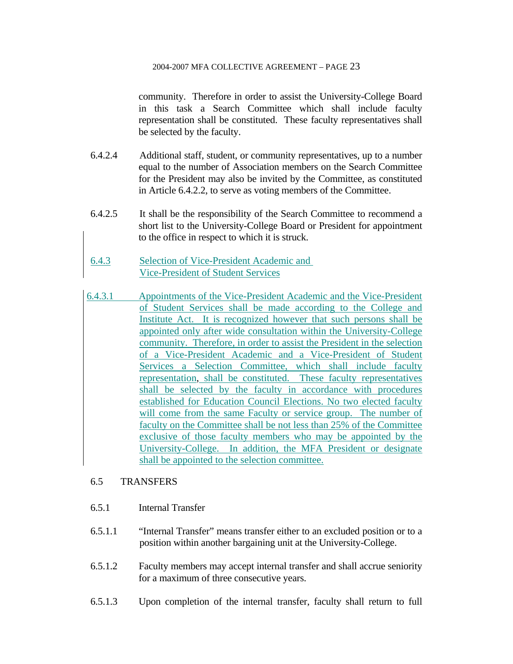community. Therefore in order to assist the University-College Board in this task a Search Committee which shall include faculty representation shall be constituted. These faculty representatives shall be selected by the faculty.

- 6.4.2.4 Additional staff, student, or community representatives, up to a number equal to the number of Association members on the Search Committee for the President may also be invited by the Committee, as constituted in Article 6.4.2.2, to serve as voting members of the Committee.
- 6.4.2.5 It shall be the responsibility of the Search Committee to recommend a short list to the University-College Board or President for appointment to the office in respect to which it is struck.
- 6.4.3 Selection of Vice-President Academic and Vice-President of Student Services
- 6.4.3.1 Appointments of the Vice-President Academic and the Vice-President of Student Services shall be made according to the College and Institute Act. It is recognized however that such persons shall be appointed only after wide consultation within the University-College community. Therefore, in order to assist the President in the selection of a Vice-President Academic and a Vice-President of Student Services a Selection Committee, which shall include faculty representation, shall be constituted. These faculty representatives shall be selected by the faculty in accordance with procedures established for Education Council Elections. No two elected faculty will come from the same Faculty or service group. The number of faculty on the Committee shall be not less than 25% of the Committee exclusive of those faculty members who may be appointed by the University-College. In addition, the MFA President or designate shall be appointed to the selection committee.

## 6.5 TRANSFERS

- 6.5.1 Internal Transfer
- 6.5.1.1 "Internal Transfer" means transfer either to an excluded position or to a position within another bargaining unit at the University-College.
- 6.5.1.2 Faculty members may accept internal transfer and shall accrue seniority for a maximum of three consecutive years.
- 6.5.1.3 Upon completion of the internal transfer, faculty shall return to full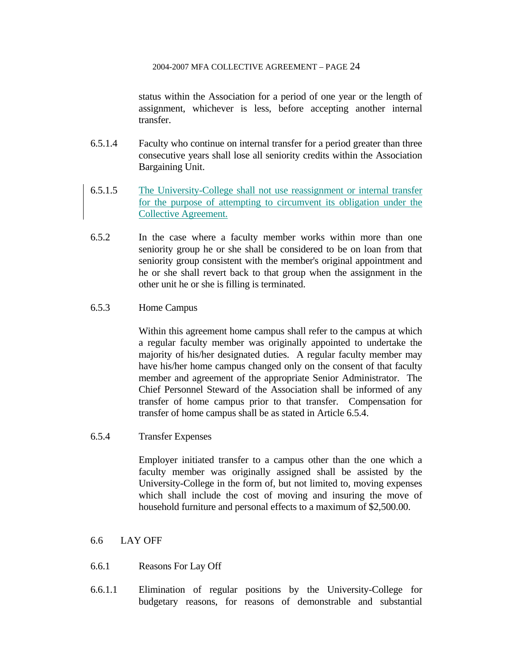status within the Association for a period of one year or the length of assignment, whichever is less, before accepting another internal transfer.

- 6.5.1.4 Faculty who continue on internal transfer for a period greater than three consecutive years shall lose all seniority credits within the Association Bargaining Unit.
- 6.5.1.5 The University-College shall not use reassignment or internal transfer for the purpose of attempting to circumvent its obligation under the Collective Agreement.
- 6.5.2 In the case where a faculty member works within more than one seniority group he or she shall be considered to be on loan from that seniority group consistent with the member's original appointment and he or she shall revert back to that group when the assignment in the other unit he or she is filling is terminated.

### 6.5.3 Home Campus

 Within this agreement home campus shall refer to the campus at which a regular faculty member was originally appointed to undertake the majority of his/her designated duties. A regular faculty member may have his/her home campus changed only on the consent of that faculty member and agreement of the appropriate Senior Administrator. The Chief Personnel Steward of the Association shall be informed of any transfer of home campus prior to that transfer. Compensation for transfer of home campus shall be as stated in Article 6.5.4.

6.5.4 Transfer Expenses

 Employer initiated transfer to a campus other than the one which a faculty member was originally assigned shall be assisted by the University-College in the form of, but not limited to, moving expenses which shall include the cost of moving and insuring the move of household furniture and personal effects to a maximum of \$2,500.00.

### 6.6 LAY OFF

- 6.6.1 Reasons For Lay Off
- 6.6.1.1 Elimination of regular positions by the University-College for budgetary reasons, for reasons of demonstrable and substantial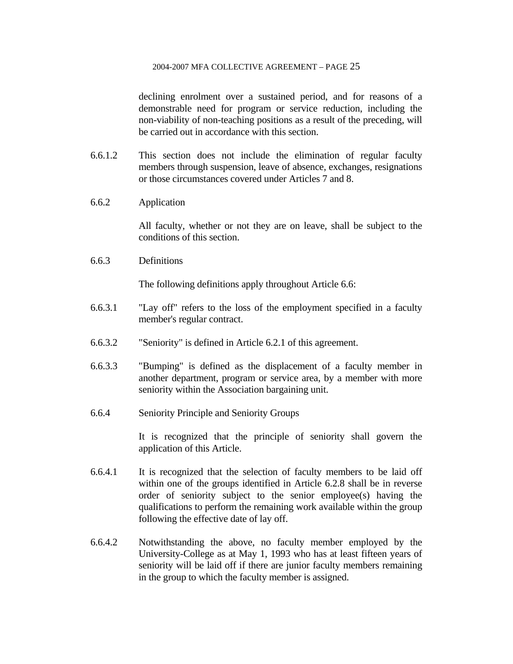declining enrolment over a sustained period, and for reasons of a demonstrable need for program or service reduction, including the non-viability of non-teaching positions as a result of the preceding, will be carried out in accordance with this section.

- 6.6.1.2 This section does not include the elimination of regular faculty members through suspension, leave of absence, exchanges, resignations or those circumstances covered under Articles 7 and 8.
- 6.6.2 Application

 All faculty, whether or not they are on leave, shall be subject to the conditions of this section.

6.6.3 Definitions

The following definitions apply throughout Article 6.6:

- 6.6.3.1 "Lay off" refers to the loss of the employment specified in a faculty member's regular contract.
- 6.6.3.2 "Seniority" is defined in Article 6.2.1 of this agreement.
- 6.6.3.3 "Bumping" is defined as the displacement of a faculty member in another department, program or service area, by a member with more seniority within the Association bargaining unit.
- 6.6.4 Seniority Principle and Seniority Groups

 It is recognized that the principle of seniority shall govern the application of this Article.

- 6.6.4.1 It is recognized that the selection of faculty members to be laid off within one of the groups identified in Article 6.2.8 shall be in reverse order of seniority subject to the senior employee(s) having the qualifications to perform the remaining work available within the group following the effective date of lay off.
- 6.6.4.2 Notwithstanding the above, no faculty member employed by the University-College as at May 1, 1993 who has at least fifteen years of seniority will be laid off if there are junior faculty members remaining in the group to which the faculty member is assigned.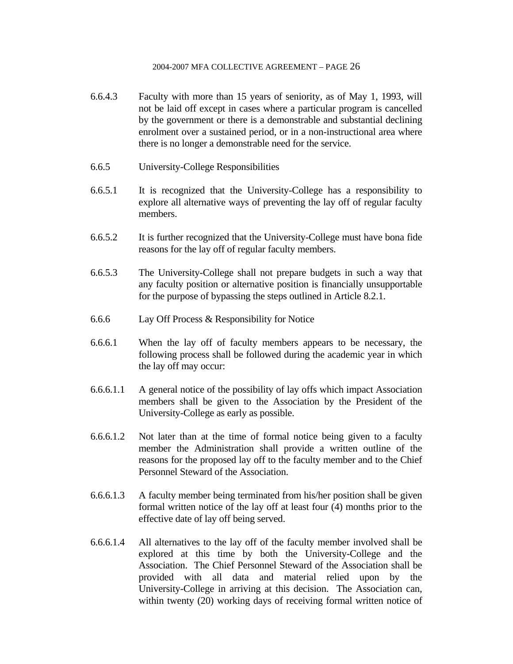- 6.6.4.3 Faculty with more than 15 years of seniority, as of May 1, 1993, will not be laid off except in cases where a particular program is cancelled by the government or there is a demonstrable and substantial declining enrolment over a sustained period, or in a non-instructional area where there is no longer a demonstrable need for the service.
- 6.6.5 University-College Responsibilities
- 6.6.5.1 It is recognized that the University-College has a responsibility to explore all alternative ways of preventing the lay off of regular faculty members.
- 6.6.5.2 It is further recognized that the University-College must have bona fide reasons for the lay off of regular faculty members.
- 6.6.5.3 The University-College shall not prepare budgets in such a way that any faculty position or alternative position is financially unsupportable for the purpose of bypassing the steps outlined in Article 8.2.1.
- 6.6.6 Lay Off Process & Responsibility for Notice
- 6.6.6.1 When the lay off of faculty members appears to be necessary, the following process shall be followed during the academic year in which the lay off may occur:
- 6.6.6.1.1 A general notice of the possibility of lay offs which impact Association members shall be given to the Association by the President of the University-College as early as possible.
- 6.6.6.1.2 Not later than at the time of formal notice being given to a faculty member the Administration shall provide a written outline of the reasons for the proposed lay off to the faculty member and to the Chief Personnel Steward of the Association.
- 6.6.6.1.3 A faculty member being terminated from his/her position shall be given formal written notice of the lay off at least four (4) months prior to the effective date of lay off being served.
- 6.6.6.1.4 All alternatives to the lay off of the faculty member involved shall be explored at this time by both the University-College and the Association. The Chief Personnel Steward of the Association shall be provided with all data and material relied upon by the University-College in arriving at this decision. The Association can, within twenty (20) working days of receiving formal written notice of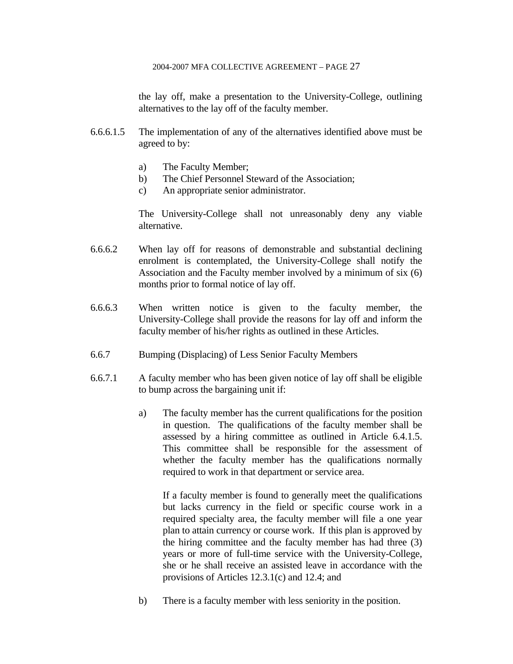the lay off, make a presentation to the University-College, outlining alternatives to the lay off of the faculty member.

- 6.6.6.1.5 The implementation of any of the alternatives identified above must be agreed to by:
	- a) The Faculty Member;
	- b) The Chief Personnel Steward of the Association;
	- c) An appropriate senior administrator.

 The University-College shall not unreasonably deny any viable alternative.

- 6.6.6.2 When lay off for reasons of demonstrable and substantial declining enrolment is contemplated, the University-College shall notify the Association and the Faculty member involved by a minimum of six (6) months prior to formal notice of lay off.
- 6.6.6.3 When written notice is given to the faculty member, the University-College shall provide the reasons for lay off and inform the faculty member of his/her rights as outlined in these Articles.
- 6.6.7 Bumping (Displacing) of Less Senior Faculty Members
- 6.6.7.1 A faculty member who has been given notice of lay off shall be eligible to bump across the bargaining unit if:
	- a) The faculty member has the current qualifications for the position in question. The qualifications of the faculty member shall be assessed by a hiring committee as outlined in Article 6.4.1.5. This committee shall be responsible for the assessment of whether the faculty member has the qualifications normally required to work in that department or service area.

 If a faculty member is found to generally meet the qualifications but lacks currency in the field or specific course work in a required specialty area, the faculty member will file a one year plan to attain currency or course work. If this plan is approved by the hiring committee and the faculty member has had three (3) years or more of full-time service with the University-College, she or he shall receive an assisted leave in accordance with the provisions of Articles 12.3.1(c) and 12.4; and

b) There is a faculty member with less seniority in the position.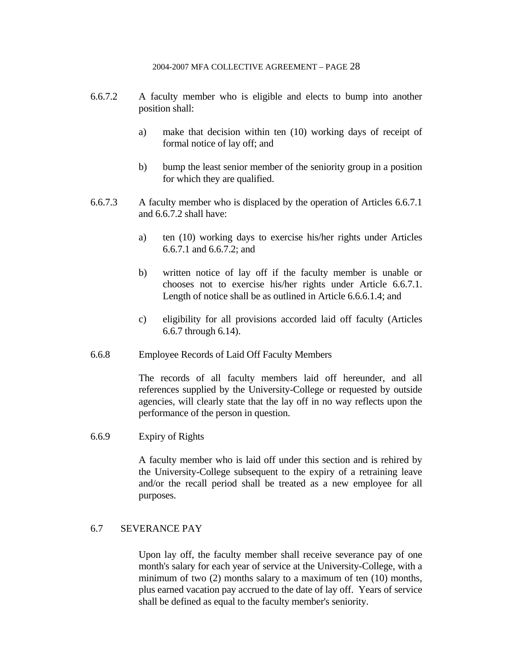- 6.6.7.2 A faculty member who is eligible and elects to bump into another position shall:
	- a) make that decision within ten (10) working days of receipt of formal notice of lay off; and
	- b) bump the least senior member of the seniority group in a position for which they are qualified.
- 6.6.7.3 A faculty member who is displaced by the operation of Articles 6.6.7.1 and 6.6.7.2 shall have:
	- a) ten (10) working days to exercise his/her rights under Articles 6.6.7.1 and 6.6.7.2; and
	- b) written notice of lay off if the faculty member is unable or chooses not to exercise his/her rights under Article 6.6.7.1. Length of notice shall be as outlined in Article 6.6.6.1.4; and
	- c) eligibility for all provisions accorded laid off faculty (Articles 6.6.7 through 6.14).
- 6.6.8 Employee Records of Laid Off Faculty Members

 The records of all faculty members laid off hereunder, and all references supplied by the University-College or requested by outside agencies, will clearly state that the lay off in no way reflects upon the performance of the person in question.

6.6.9 Expiry of Rights

 A faculty member who is laid off under this section and is rehired by the University-College subsequent to the expiry of a retraining leave and/or the recall period shall be treated as a new employee for all purposes.

### 6.7 SEVERANCE PAY

 Upon lay off, the faculty member shall receive severance pay of one month's salary for each year of service at the University-College, with a minimum of two (2) months salary to a maximum of ten (10) months, plus earned vacation pay accrued to the date of lay off. Years of service shall be defined as equal to the faculty member's seniority.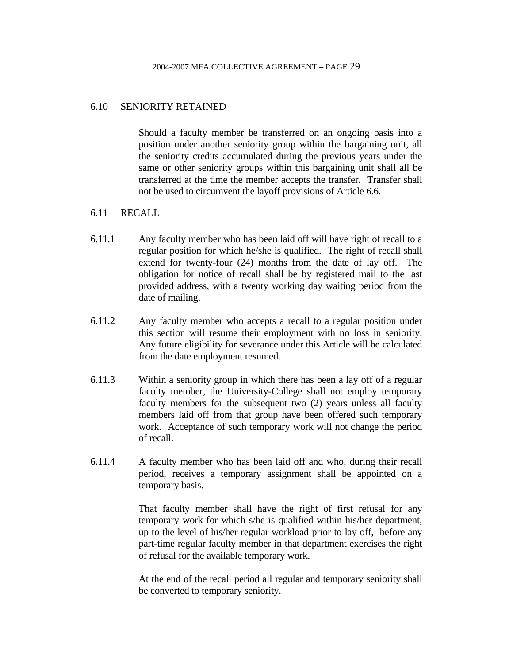### 6.10 SENIORITY RETAINED

 Should a faculty member be transferred on an ongoing basis into a position under another seniority group within the bargaining unit, all the seniority credits accumulated during the previous years under the same or other seniority groups within this bargaining unit shall all be transferred at the time the member accepts the transfer. Transfer shall not be used to circumvent the layoff provisions of Article 6.6.

### 6.11 RECALL

- 6.11.1 Any faculty member who has been laid off will have right of recall to a regular position for which he/she is qualified. The right of recall shall extend for twenty-four (24) months from the date of lay off. The obligation for notice of recall shall be by registered mail to the last provided address, with a twenty working day waiting period from the date of mailing.
- 6.11.2 Any faculty member who accepts a recall to a regular position under this section will resume their employment with no loss in seniority. Any future eligibility for severance under this Article will be calculated from the date employment resumed.
- 6.11.3 Within a seniority group in which there has been a lay off of a regular faculty member, the University-College shall not employ temporary faculty members for the subsequent two (2) years unless all faculty members laid off from that group have been offered such temporary work. Acceptance of such temporary work will not change the period of recall.
- 6.11.4 A faculty member who has been laid off and who, during their recall period, receives a temporary assignment shall be appointed on a temporary basis.

 That faculty member shall have the right of first refusal for any temporary work for which s/he is qualified within his/her department, up to the level of his/her regular workload prior to lay off, before any part-time regular faculty member in that department exercises the right of refusal for the available temporary work.

 At the end of the recall period all regular and temporary seniority shall be converted to temporary seniority.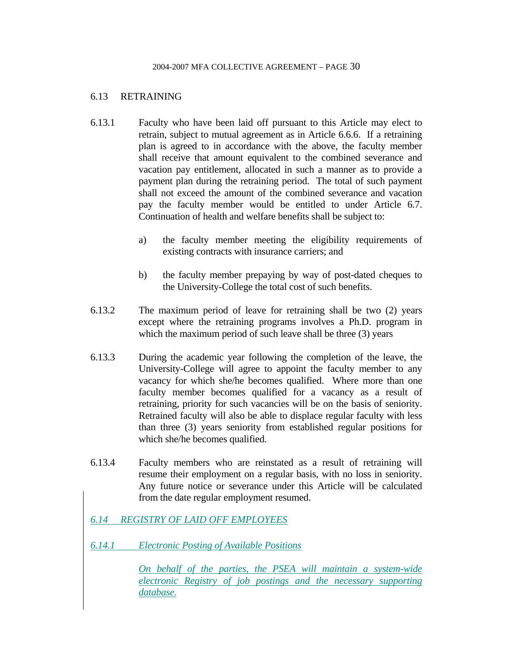### 6.13 RETRAINING

- 6.13.1 Faculty who have been laid off pursuant to this Article may elect to retrain, subject to mutual agreement as in Article 6.6.6. If a retraining plan is agreed to in accordance with the above, the faculty member shall receive that amount equivalent to the combined severance and vacation pay entitlement, allocated in such a manner as to provide a payment plan during the retraining period. The total of such payment shall not exceed the amount of the combined severance and vacation pay the faculty member would be entitled to under Article 6.7. Continuation of health and welfare benefits shall be subject to:
	- a) the faculty member meeting the eligibility requirements of existing contracts with insurance carriers; and
	- b) the faculty member prepaying by way of post-dated cheques to the University-College the total cost of such benefits.
- 6.13.2 The maximum period of leave for retraining shall be two (2) years except where the retraining programs involves a Ph.D. program in which the maximum period of such leave shall be three (3) years
- 6.13.3 During the academic year following the completion of the leave, the University-College will agree to appoint the faculty member to any vacancy for which she/he becomes qualified. Where more than one faculty member becomes qualified for a vacancy as a result of retraining, priority for such vacancies will be on the basis of seniority. Retrained faculty will also be able to displace regular faculty with less than three (3) years seniority from established regular positions for which she/he becomes qualified.
- 6.13.4 Faculty members who are reinstated as a result of retraining will resume their employment on a regular basis, with no loss in seniority. Any future notice or severance under this Article will be calculated from the date regular employment resumed.

## *6.14 REGISTRY OF LAID OFF EMPLOYEES*

*6.14.1 Electronic Posting of Available Positions*

*On behalf of the parties, the PSEA will maintain a system-wide electronic Registry of job postings and the necessary supporting database.*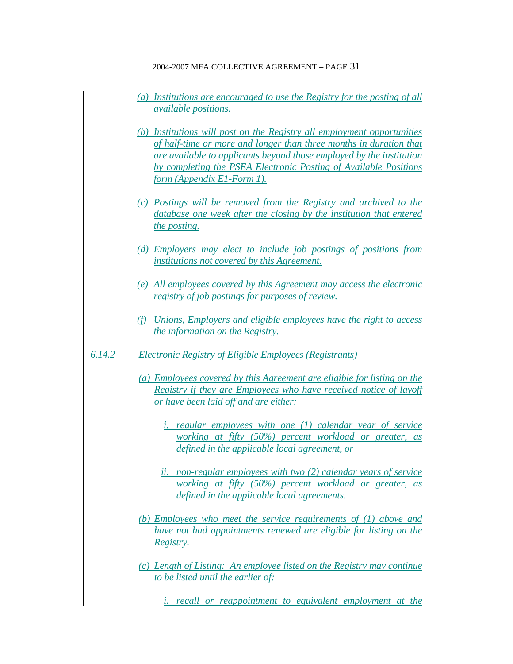- *(a) Institutions are encouraged to use the Registry for the posting of all available positions.*
- *(b) Institutions will post on the Registry all employment opportunities of half-time or more and longer than three months in duration that are available to applicants beyond those employed by the institution by completing the PSEA Electronic Posting of Available Positions form (Appendix E1-Form 1).*
- *(c) Postings will be removed from the Registry and archived to the database one week after the closing by the institution that entered the posting.*
- *(d) Employers may elect to include job postings of positions from institutions not covered by this Agreement.*
- *(e) All employees covered by this Agreement may access the electronic registry of job postings for purposes of review.*
- *(f) Unions, Employers and eligible employees have the right to access the information on the Registry.*
- *6.14.2 Electronic Registry of Eligible Employees (Registrants)*
	- *(a) Employees covered by this Agreement are eligible for listing on the Registry if they are Employees who have received notice of layoff or have been laid off and are either:*
		- *i. regular employees with one (1) calendar year of service working at fifty (50%) percent workload or greater, as defined in the applicable local agreement, or*
		- *ii. non-regular employees with two (2) calendar years of service working at fifty (50%) percent workload or greater, as defined in the applicable local agreements.*
	- *(b) Employees who meet the service requirements of (1) above and have not had appointments renewed are eligible for listing on the Registry.*
	- *(c) Length of Listing: An employee listed on the Registry may continue to be listed until the earlier of:*
		- *i. recall or reappointment to equivalent employment at the*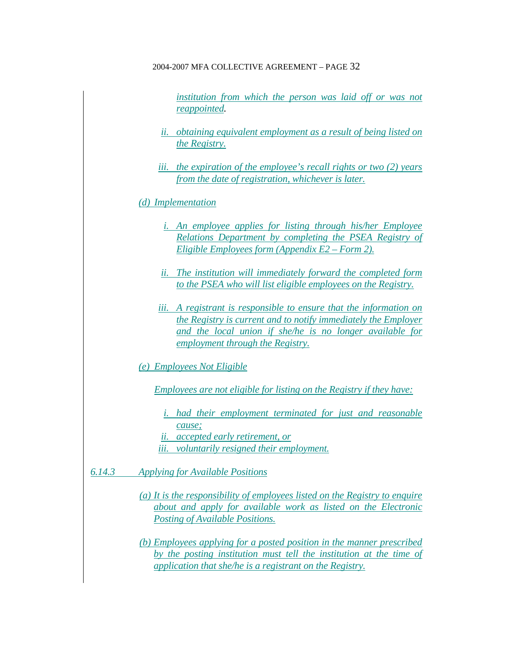*institution from which the person was laid off or was not reappointed.*

- *ii. obtaining equivalent employment as a result of being listed on the Registry.*
- *iii. the expiration of the employee's recall rights or two (2) years from the date of registration, whichever is later.*

## *(d) Implementation*

- *i. An employee applies for listing through his/her Employee Relations Department by completing the PSEA Registry of Eligible Employees form (Appendix E2 – Form 2).*
- *ii. The institution will immediately forward the completed form to the PSEA who will list eligible employees on the Registry.*
- *iii. A registrant is responsible to ensure that the information on the Registry is current and to notify immediately the Employer and the local union if she/he is no longer available for employment through the Registry.*
- *(e) Employees Not Eligible*

*Employees are not eligible for listing on the Registry if they have:*

- *i. had their employment terminated for just and reasonable cause;*
- *ii. accepted early retirement, or*
- *iii. voluntarily resigned their employment.*

*6.14.3 Applying for Available Positions*

- *(a) It is the responsibility of employees listed on the Registry to enquire about and apply for available work as listed on the Electronic Posting of Available Positions.*
- *(b) Employees applying for a posted position in the manner prescribed by the posting institution must tell the institution at the time of application that she/he is a registrant on the Registry.*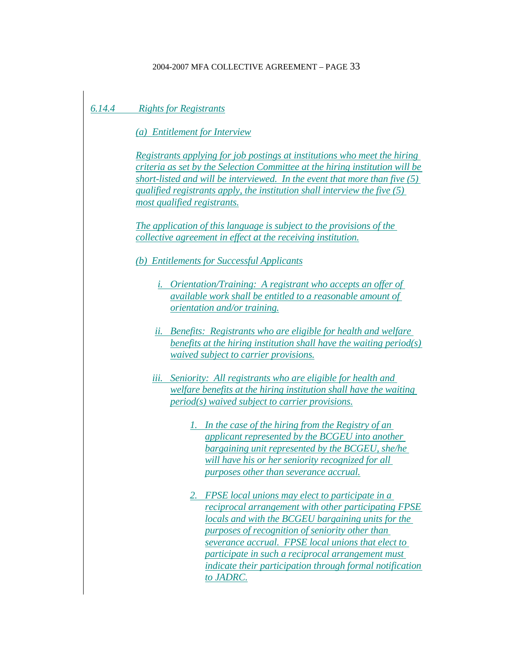## *6.14.4 Rights for Registrants*

*(a) Entitlement for Interview*

*Registrants applying for job postings at institutions who meet the hiring criteria as set by the Selection Committee at the hiring institution will be short-listed and will be interviewed. In the event that more than five (5) qualified registrants apply, the institution shall interview the five (5) most qualified registrants.*

*The application of this language is subject to the provisions of the collective agreement in effect at the receiving institution.*

### *(b) Entitlements for Successful Applicants*

- *i. Orientation/Training: A registrant who accepts an offer of available work shall be entitled to a reasonable amount of orientation and/or training.*
- *ii. Benefits: Registrants who are eligible for health and welfare benefits at the hiring institution shall have the waiting period(s) waived subject to carrier provisions.*
- *iii. Seniority: All registrants who are eligible for health and welfare benefits at the hiring institution shall have the waiting period(s) waived subject to carrier provisions.*
	- *1. In the case of the hiring from the Registry of an applicant represented by the BCGEU into another bargaining unit represented by the BCGEU, she/he will have his or her seniority recognized for all purposes other than severance accrual.*
	- *2. FPSE local unions may elect to participate in a reciprocal arrangement with other participating FPSE locals and with the BCGEU bargaining units for the purposes of recognition of seniority other than severance accrual. FPSE local unions that elect to participate in such a reciprocal arrangement must indicate their participation through formal notification to JADRC.*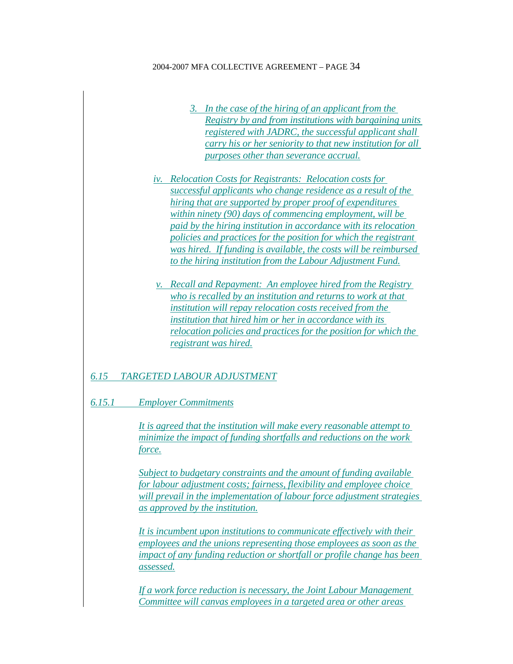- *3. In the case of the hiring of an applicant from the Registry by and from institutions with bargaining units registered with JADRC, the successful applicant shall carry his or her seniority to that new institution for all purposes other than severance accrual.*
- *iv. Relocation Costs for Registrants: Relocation costs for successful applicants who change residence as a result of the hiring that are supported by proper proof of expenditures within ninety (90) days of commencing employment, will be paid by the hiring institution in accordance with its relocation policies and practices for the position for which the registrant was hired. If funding is available, the costs will be reimbursed to the hiring institution from the Labour Adjustment Fund.*
- *v. Recall and Repayment: An employee hired from the Registry who is recalled by an institution and returns to work at that institution will repay relocation costs received from the institution that hired him or her in accordance with its relocation policies and practices for the position for which the registrant was hired.*

## *6.15 TARGETED LABOUR ADJUSTMENT*

*6.15.1 Employer Commitments*

*It is agreed that the institution will make every reasonable attempt to minimize the impact of funding shortfalls and reductions on the work force.*

*Subject to budgetary constraints and the amount of funding available for labour adjustment costs; fairness, flexibility and employee choice will prevail in the implementation of labour force adjustment strategies as approved by the institution.*

*It is incumbent upon institutions to communicate effectively with their employees and the unions representing those employees as soon as the impact of any funding reduction or shortfall or profile change has been assessed.*

*If a work force reduction is necessary, the Joint Labour Management Committee will canvas employees in a targeted area or other areas*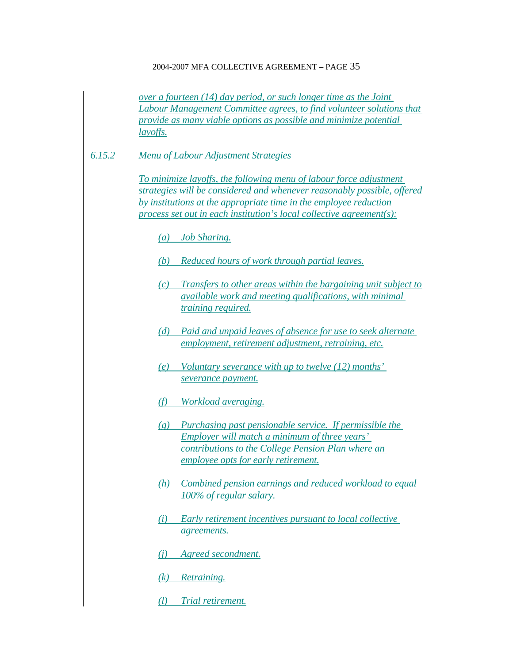*over a fourteen (14) day period, or such longer time as the Joint Labour Management Committee agrees, to find volunteer solutions that provide as many viable options as possible and minimize potential layoffs.*

*6.15.2 Menu of Labour Adjustment Strategies*

*To minimize layoffs, the following menu of labour force adjustment strategies will be considered and whenever reasonably possible, offered by institutions at the appropriate time in the employee reduction process set out in each institution's local collective agreement(s):*

- *(a) Job Sharing.*
- *(b) Reduced hours of work through partial leaves.*
- *(c) Transfers to other areas within the bargaining unit subject to available work and meeting qualifications, with minimal training required.*
- *(d) Paid and unpaid leaves of absence for use to seek alternate employment, retirement adjustment, retraining, etc.*
- *(e) Voluntary severance with up to twelve (12) months' severance payment.*
- *(f) Workload averaging.*
- *(g) Purchasing past pensionable service. If permissible the Employer will match a minimum of three years' contributions to the College Pension Plan where an employee opts for early retirement.*
- *(h) Combined pension earnings and reduced workload to equal 100% of regular salary.*
- *(i) Early retirement incentives pursuant to local collective agreements.*
- *(j) Agreed secondment.*
- *(k) Retraining.*
- *(l) Trial retirement.*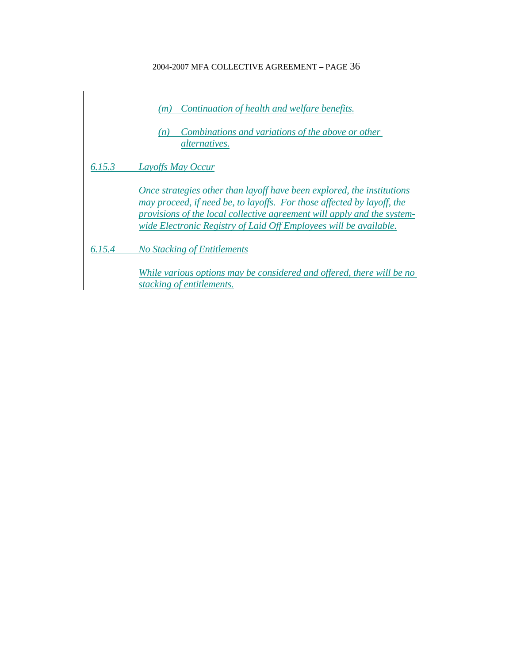|        | Continuation of health and welfare benefits.<br>(m)<br>Combinations and variations of the above or other<br>(n)<br><i>alternatives.</i>                                                                                                                                                          |
|--------|--------------------------------------------------------------------------------------------------------------------------------------------------------------------------------------------------------------------------------------------------------------------------------------------------|
| 6.15.3 | <b>Layoffs May Occur</b>                                                                                                                                                                                                                                                                         |
|        | Once strategies other than layoff have been explored, the institutions<br>may proceed, if need be, to layoffs. For those affected by layoff, the<br>provisions of the local collective agreement will apply and the system-<br>wide Electronic Registry of Laid Off Employees will be available. |
| 6.15.4 | No Stacking of Entitlements                                                                                                                                                                                                                                                                      |
|        | While various options may be considered and offered, there will be no<br>stacking of entitlements.                                                                                                                                                                                               |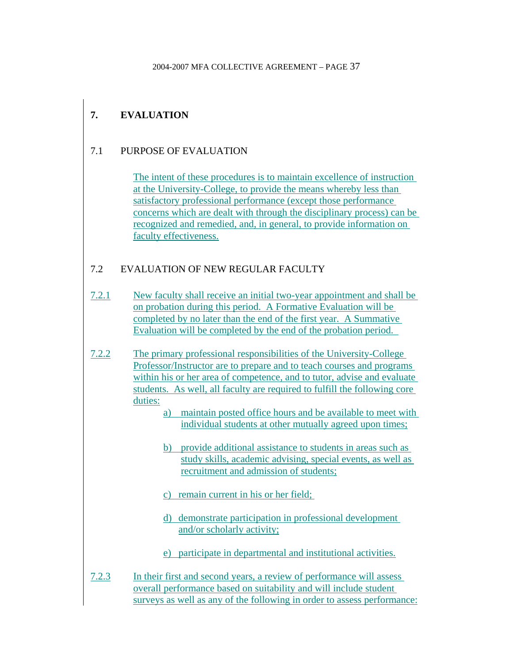# **7. EVALUATION**

## 7.1 PURPOSE OF EVALUATION

The intent of these procedures is to maintain excellence of instruction at the University-College, to provide the means whereby less than satisfactory professional performance (except those performance concerns which are dealt with through the disciplinary process) can be recognized and remedied, and, in general, to provide information on faculty effectiveness.

## 7.2 EVALUATION OF NEW REGULAR FACULTY

- 7.2.1 New faculty shall receive an initial two-year appointment and shall be on probation during this period. A Formative Evaluation will be completed by no later than the end of the first year. A Summative Evaluation will be completed by the end of the probation period.
- 7.2.2 The primary professional responsibilities of the University-College Professor/Instructor are to prepare and to teach courses and programs within his or her area of competence, and to tutor, advise and evaluate students. As well, all faculty are required to fulfill the following core duties:
	- a) maintain posted office hours and be available to meet with individual students at other mutually agreed upon times;
	- b) provide additional assistance to students in areas such as study skills, academic advising, special events, as well as recruitment and admission of students;
	- c) remain current in his or her field;
	- d) demonstrate participation in professional development and/or scholarly activity;
	- e) participate in departmental and institutional activities.
- 7.2.3 In their first and second years, a review of performance will assess overall performance based on suitability and will include student surveys as well as any of the following in order to assess performance: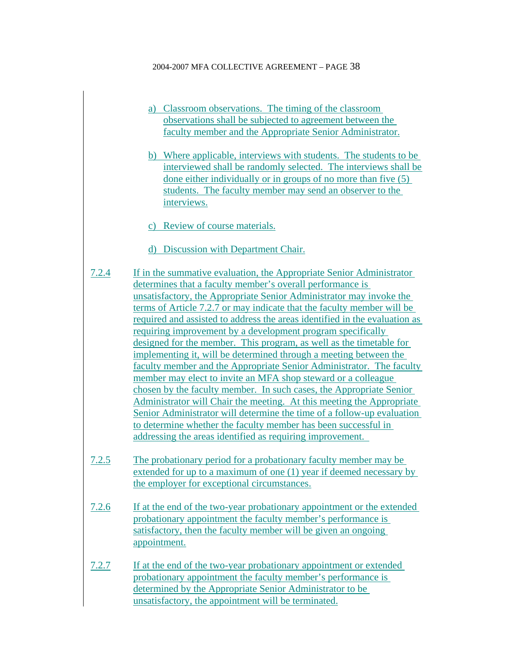- a) Classroom observations. The timing of the classroom observations shall be subjected to agreement between the faculty member and the Appropriate Senior Administrator.
- b) Where applicable, interviews with students. The students to be interviewed shall be randomly selected. The interviews shall be done either individually or in groups of no more than five (5) students. The faculty member may send an observer to the interviews.
- c) Review of course materials.
- d) Discussion with Department Chair.
- 7.2.4 If in the summative evaluation, the Appropriate Senior Administrator determines that a faculty member's overall performance is unsatisfactory, the Appropriate Senior Administrator may invoke the terms of Article 7.2.7 or may indicate that the faculty member will be required and assisted to address the areas identified in the evaluation as requiring improvement by a development program specifically designed for the member. This program, as well as the timetable for implementing it, will be determined through a meeting between the faculty member and the Appropriate Senior Administrator. The faculty member may elect to invite an MFA shop steward or a colleague chosen by the faculty member. In such cases, the Appropriate Senior Administrator will Chair the meeting. At this meeting the Appropriate Senior Administrator will determine the time of a follow-up evaluation to determine whether the faculty member has been successful in addressing the areas identified as requiring improvement.
- 7.2.5 The probationary period for a probationary faculty member may be extended for up to a maximum of one (1) year if deemed necessary by the employer for exceptional circumstances.
- 7.2.6 If at the end of the two-year probationary appointment or the extended probationary appointment the faculty member's performance is satisfactory, then the faculty member will be given an ongoing appointment.
- 7.2.7 If at the end of the two-year probationary appointment or extended probationary appointment the faculty member's performance is determined by the Appropriate Senior Administrator to be unsatisfactory, the appointment will be terminated.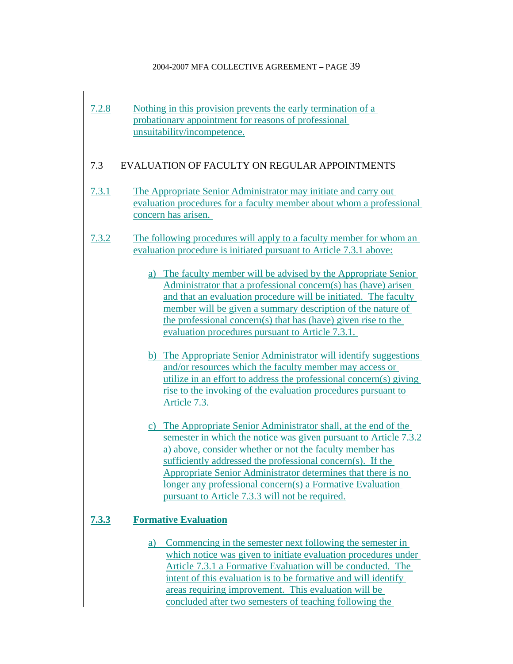7.2.8 Nothing in this provision prevents the early termination of a probationary appointment for reasons of professional unsuitability/incompetence.

## 7.3 EVALUATION OF FACULTY ON REGULAR APPOINTMENTS

- 7.3.1 The Appropriate Senior Administrator may initiate and carry out evaluation procedures for a faculty member about whom a professional concern has arisen.
- 7.3.2 The following procedures will apply to a faculty member for whom an evaluation procedure is initiated pursuant to Article 7.3.1 above:
	- a) The faculty member will be advised by the Appropriate Senior Administrator that a professional concern(s) has (have) arisen and that an evaluation procedure will be initiated. The faculty member will be given a summary description of the nature of the professional concern(s) that has (have) given rise to the evaluation procedures pursuant to Article 7.3.1.
	- b) The Appropriate Senior Administrator will identify suggestions and/or resources which the faculty member may access or utilize in an effort to address the professional concern(s) giving rise to the invoking of the evaluation procedures pursuant to Article 7.3.
	- c) The Appropriate Senior Administrator shall, at the end of the semester in which the notice was given pursuant to Article 7.3.2 a) above, consider whether or not the faculty member has sufficiently addressed the professional concern(s). If the Appropriate Senior Administrator determines that there is no longer any professional concern(s) a Formative Evaluation pursuant to Article 7.3.3 will not be required.

## **7.3.3 Formative Evaluation**

a) Commencing in the semester next following the semester in which notice was given to initiate evaluation procedures under Article 7.3.1 a Formative Evaluation will be conducted. The intent of this evaluation is to be formative and will identify areas requiring improvement. This evaluation will be concluded after two semesters of teaching following the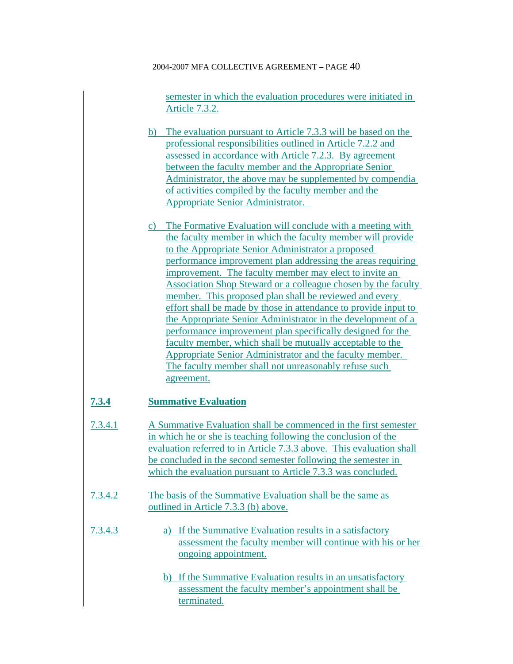semester in which the evaluation procedures were initiated in Article 7.3.2.

- b) The evaluation pursuant to Article 7.3.3 will be based on the professional responsibilities outlined in Article 7.2.2 and assessed in accordance with Article 7.2.3. By agreement between the faculty member and the Appropriate Senior Administrator, the above may be supplemented by compendia of activities compiled by the faculty member and the Appropriate Senior Administrator.
- c) The Formative Evaluation will conclude with a meeting with the faculty member in which the faculty member will provide to the Appropriate Senior Administrator a proposed performance improvement plan addressing the areas requiring improvement. The faculty member may elect to invite an Association Shop Steward or a colleague chosen by the faculty member. This proposed plan shall be reviewed and every effort shall be made by those in attendance to provide input to the Appropriate Senior Administrator in the development of a performance improvement plan specifically designed for the faculty member, which shall be mutually acceptable to the Appropriate Senior Administrator and the faculty member. The faculty member shall not unreasonably refuse such agreement.

## **7.3.4 Summative Evaluation**

- 7.3.4.1 A Summative Evaluation shall be commenced in the first semester in which he or she is teaching following the conclusion of the evaluation referred to in Article 7.3.3 above. This evaluation shall be concluded in the second semester following the semester in which the evaluation pursuant to Article 7.3.3 was concluded.
- 7.3.4.2 The basis of the Summative Evaluation shall be the same as outlined in Article 7.3.3 (b) above.
- 7.3.4.3 a) If the Summative Evaluation results in a satisfactory assessment the faculty member will continue with his or her ongoing appointment.
	- b) If the Summative Evaluation results in an unsatisfactory assessment the faculty member's appointment shall be terminated.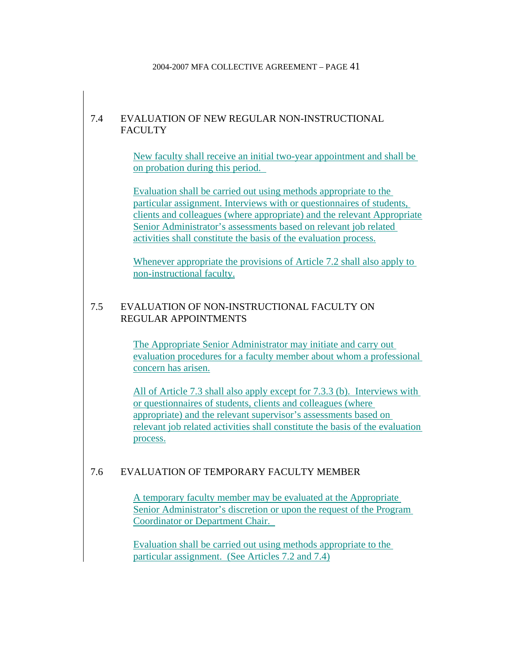## 7.4 EVALUATION OF NEW REGULAR NON-INSTRUCTIONAL **FACULTY**

New faculty shall receive an initial two-year appointment and shall be on probation during this period.

Evaluation shall be carried out using methods appropriate to the particular assignment. Interviews with or questionnaires of students, clients and colleagues (where appropriate) and the relevant Appropriate Senior Administrator's assessments based on relevant job related activities shall constitute the basis of the evaluation process.

Whenever appropriate the provisions of Article 7.2 shall also apply to non-instructional faculty.

## 7.5 EVALUATION OF NON-INSTRUCTIONAL FACULTY ON REGULAR APPOINTMENTS

The Appropriate Senior Administrator may initiate and carry out evaluation procedures for a faculty member about whom a professional concern has arisen.

All of Article 7.3 shall also apply except for 7.3.3 (b). Interviews with or questionnaires of students, clients and colleagues (where appropriate) and the relevant supervisor's assessments based on relevant job related activities shall constitute the basis of the evaluation process.

## 7.6 EVALUATION OF TEMPORARY FACULTY MEMBER

A temporary faculty member may be evaluated at the Appropriate Senior Administrator's discretion or upon the request of the Program Coordinator or Department Chair.

Evaluation shall be carried out using methods appropriate to the particular assignment. (See Articles 7.2 and 7.4)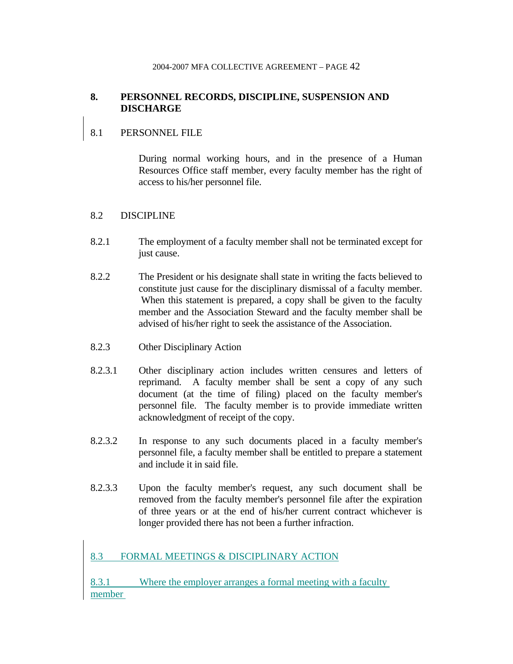## **8. PERSONNEL RECORDS, DISCIPLINE, SUSPENSION AND DISCHARGE**

## 8.1 PERSONNEL FILE

 During normal working hours, and in the presence of a Human Resources Office staff member, every faculty member has the right of access to his/her personnel file.

### 8.2 DISCIPLINE

- 8.2.1 The employment of a faculty member shall not be terminated except for just cause.
- 8.2.2 The President or his designate shall state in writing the facts believed to constitute just cause for the disciplinary dismissal of a faculty member. When this statement is prepared, a copy shall be given to the faculty member and the Association Steward and the faculty member shall be advised of his/her right to seek the assistance of the Association.
- 8.2.3 Other Disciplinary Action
- 8.2.3.1 Other disciplinary action includes written censures and letters of reprimand. A faculty member shall be sent a copy of any such document (at the time of filing) placed on the faculty member's personnel file. The faculty member is to provide immediate written acknowledgment of receipt of the copy.
- 8.2.3.2 In response to any such documents placed in a faculty member's personnel file, a faculty member shall be entitled to prepare a statement and include it in said file.
- 8.2.3.3 Upon the faculty member's request, any such document shall be removed from the faculty member's personnel file after the expiration of three years or at the end of his/her current contract whichever is longer provided there has not been a further infraction.

## 8.3 FORMAL MEETINGS & DISCIPLINARY ACTION

8.3.1 Where the employer arranges a formal meeting with a faculty member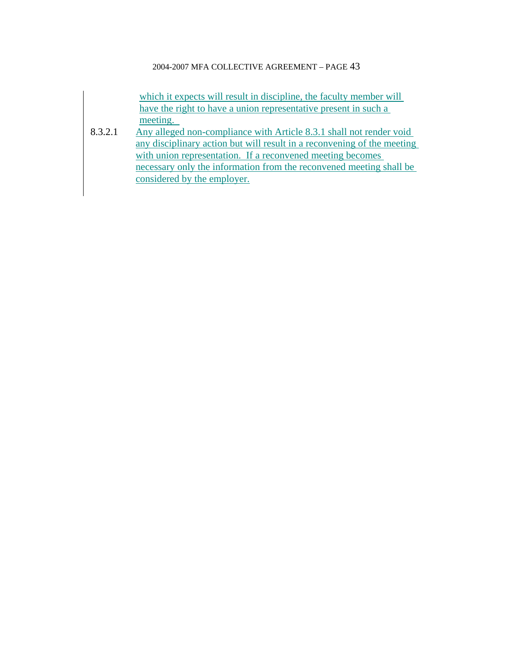which it expects will result in discipline, the faculty member will have the right to have a union representative present in such a meeting.

8.3.2.1 Any alleged non-compliance with Article 8.3.1 shall not render void any disciplinary action but will result in a reconvening of the meeting with union representation. If a reconvened meeting becomes necessary only the information from the reconvened meeting shall be considered by the employer.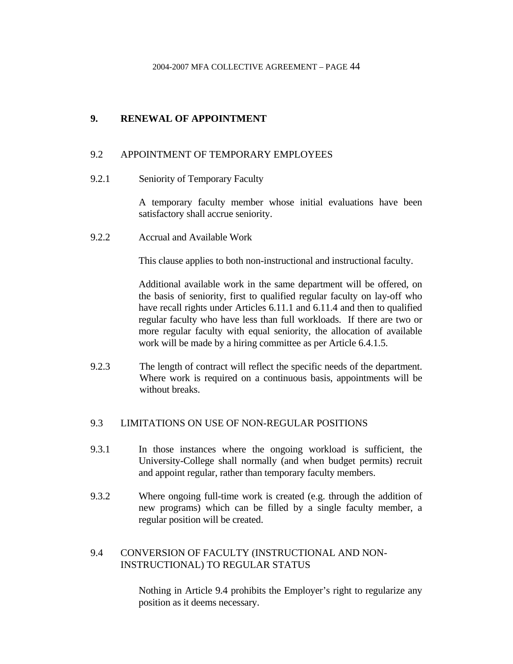## **9. RENEWAL OF APPOINTMENT**

## 9.2 APPOINTMENT OF TEMPORARY EMPLOYEES

9.2.1 Seniority of Temporary Faculty

A temporary faculty member whose initial evaluations have been satisfactory shall accrue seniority.

9.2.2 Accrual and Available Work

This clause applies to both non-instructional and instructional faculty.

 Additional available work in the same department will be offered, on the basis of seniority, first to qualified regular faculty on lay-off who have recall rights under Articles 6.11.1 and 6.11.4 and then to qualified regular faculty who have less than full workloads. If there are two or more regular faculty with equal seniority, the allocation of available work will be made by a hiring committee as per Article 6.4.1.5.

9.2.3 The length of contract will reflect the specific needs of the department. Where work is required on a continuous basis, appointments will be without breaks.

## 9.3 LIMITATIONS ON USE OF NON-REGULAR POSITIONS

- 9.3.1 In those instances where the ongoing workload is sufficient, the University-College shall normally (and when budget permits) recruit and appoint regular, rather than temporary faculty members.
- 9.3.2 Where ongoing full-time work is created (e.g. through the addition of new programs) which can be filled by a single faculty member, a regular position will be created.

## 9.4 CONVERSION OF FACULTY (INSTRUCTIONAL AND NON-INSTRUCTIONAL) TO REGULAR STATUS

 Nothing in Article 9.4 prohibits the Employer's right to regularize any position as it deems necessary.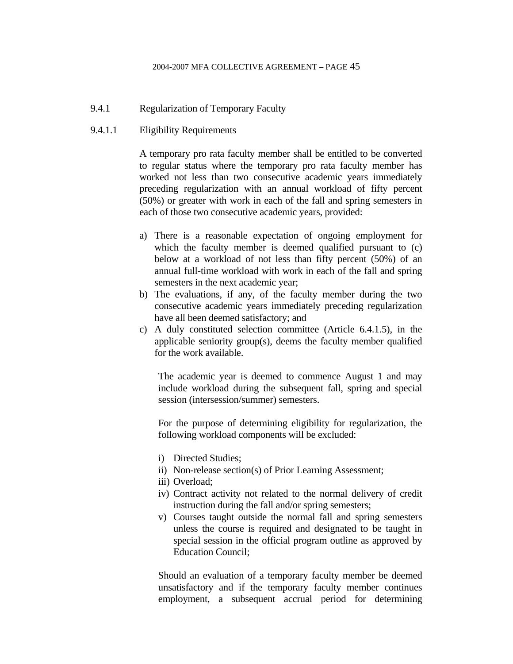### 9.4.1 Regularization of Temporary Faculty

## 9.4.1.1 Eligibility Requirements

A temporary pro rata faculty member shall be entitled to be converted to regular status where the temporary pro rata faculty member has worked not less than two consecutive academic years immediately preceding regularization with an annual workload of fifty percent (50%) or greater with work in each of the fall and spring semesters in each of those two consecutive academic years, provided:

- a) There is a reasonable expectation of ongoing employment for which the faculty member is deemed qualified pursuant to (c) below at a workload of not less than fifty percent (50%) of an annual full-time workload with work in each of the fall and spring semesters in the next academic year;
- b) The evaluations, if any, of the faculty member during the two consecutive academic years immediately preceding regularization have all been deemed satisfactory; and
- c) A duly constituted selection committee (Article 6.4.1.5), in the applicable seniority group(s), deems the faculty member qualified for the work available.

The academic year is deemed to commence August 1 and may include workload during the subsequent fall, spring and special session (intersession/summer) semesters.

For the purpose of determining eligibility for regularization, the following workload components will be excluded:

- i) Directed Studies;
- ii) Non-release section(s) of Prior Learning Assessment;
- iii) Overload;
- iv) Contract activity not related to the normal delivery of credit instruction during the fall and/or spring semesters;
- v) Courses taught outside the normal fall and spring semesters unless the course is required and designated to be taught in special session in the official program outline as approved by Education Council;

Should an evaluation of a temporary faculty member be deemed unsatisfactory and if the temporary faculty member continues employment, a subsequent accrual period for determining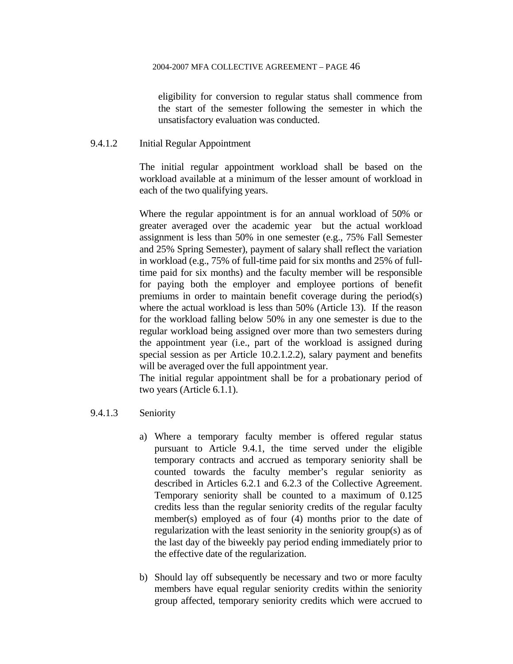eligibility for conversion to regular status shall commence from the start of the semester following the semester in which the unsatisfactory evaluation was conducted.

### 9.4.1.2 Initial Regular Appointment

The initial regular appointment workload shall be based on the workload available at a minimum of the lesser amount of workload in each of the two qualifying years.

Where the regular appointment is for an annual workload of 50% or greater averaged over the academic year but the actual workload assignment is less than 50% in one semester (e.g., 75% Fall Semester and 25% Spring Semester), payment of salary shall reflect the variation in workload (e.g., 75% of full-time paid for six months and 25% of fulltime paid for six months) and the faculty member will be responsible for paying both the employer and employee portions of benefit premiums in order to maintain benefit coverage during the period(s) where the actual workload is less than 50% (Article 13). If the reason for the workload falling below 50% in any one semester is due to the regular workload being assigned over more than two semesters during the appointment year (i.e., part of the workload is assigned during special session as per Article 10.2.1.2.2), salary payment and benefits will be averaged over the full appointment year.

The initial regular appointment shall be for a probationary period of two years (Article 6.1.1).

### 9.4.1.3 Seniority

- a) Where a temporary faculty member is offered regular status pursuant to Article 9.4.1, the time served under the eligible temporary contracts and accrued as temporary seniority shall be counted towards the faculty member's regular seniority as described in Articles 6.2.1 and 6.2.3 of the Collective Agreement. Temporary seniority shall be counted to a maximum of 0.125 credits less than the regular seniority credits of the regular faculty member(s) employed as of four (4) months prior to the date of regularization with the least seniority in the seniority group(s) as of the last day of the biweekly pay period ending immediately prior to the effective date of the regularization.
- b) Should lay off subsequently be necessary and two or more faculty members have equal regular seniority credits within the seniority group affected, temporary seniority credits which were accrued to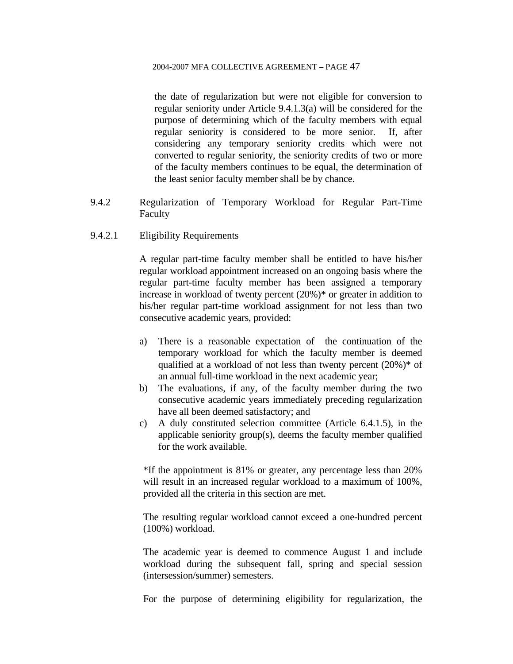the date of regularization but were not eligible for conversion to regular seniority under Article 9.4.1.3(a) will be considered for the purpose of determining which of the faculty members with equal regular seniority is considered to be more senior. If, after considering any temporary seniority credits which were not converted to regular seniority, the seniority credits of two or more of the faculty members continues to be equal, the determination of the least senior faculty member shall be by chance.

- 9.4.2 Regularization of Temporary Workload for Regular Part-Time Faculty
- 9.4.2.1 Eligibility Requirements

A regular part-time faculty member shall be entitled to have his/her regular workload appointment increased on an ongoing basis where the regular part-time faculty member has been assigned a temporary increase in workload of twenty percent (20%)\* or greater in addition to his/her regular part-time workload assignment for not less than two consecutive academic years, provided:

- a) There is a reasonable expectation of the continuation of the temporary workload for which the faculty member is deemed qualified at a workload of not less than twenty percent (20%)\* of an annual full-time workload in the next academic year;
- b) The evaluations, if any, of the faculty member during the two consecutive academic years immediately preceding regularization have all been deemed satisfactory; and
- c) A duly constituted selection committee (Article 6.4.1.5), in the applicable seniority group(s), deems the faculty member qualified for the work available.

\*If the appointment is 81% or greater, any percentage less than 20% will result in an increased regular workload to a maximum of 100%, provided all the criteria in this section are met.

The resulting regular workload cannot exceed a one-hundred percent (100%) workload.

The academic year is deemed to commence August 1 and include workload during the subsequent fall, spring and special session (intersession/summer) semesters.

For the purpose of determining eligibility for regularization, the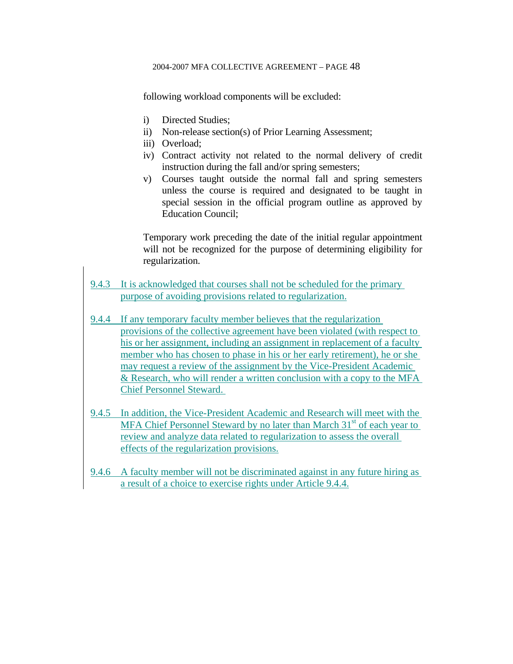following workload components will be excluded:

- i) Directed Studies;
- ii) Non-release section(s) of Prior Learning Assessment;
- iii) Overload;
- iv) Contract activity not related to the normal delivery of credit instruction during the fall and/or spring semesters;
- v) Courses taught outside the normal fall and spring semesters unless the course is required and designated to be taught in special session in the official program outline as approved by Education Council;

Temporary work preceding the date of the initial regular appointment will not be recognized for the purpose of determining eligibility for regularization.

- 9.4.3 It is acknowledged that courses shall not be scheduled for the primary purpose of avoiding provisions related to regularization.
- 9.4.4 If any temporary faculty member believes that the regularization provisions of the collective agreement have been violated (with respect to his or her assignment, including an assignment in replacement of a faculty member who has chosen to phase in his or her early retirement), he or she may request a review of the assignment by the Vice-President Academic & Research, who will render a written conclusion with a copy to the MFA Chief Personnel Steward.
- 9.4.5 In addition, the Vice-President Academic and Research will meet with the MFA Chief Personnel Steward by no later than March  $31<sup>st</sup>$  of each year to review and analyze data related to regularization to assess the overall effects of the regularization provisions.
- 9.4.6 A faculty member will not be discriminated against in any future hiring as a result of a choice to exercise rights under Article 9.4.4.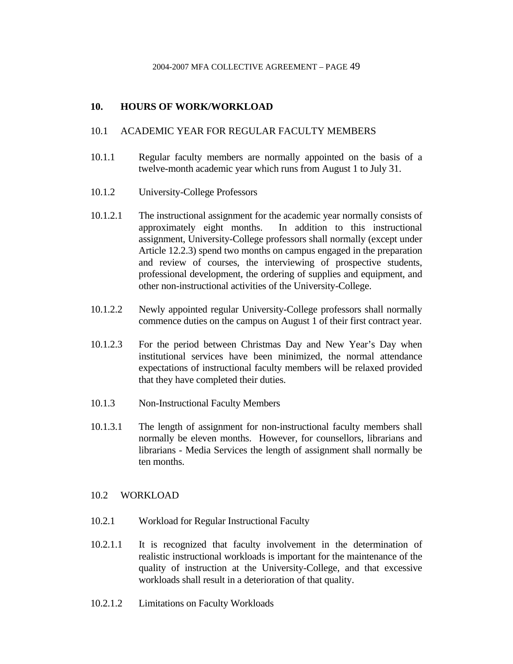## **10. HOURS OF WORK/WORKLOAD**

## 10.1 ACADEMIC YEAR FOR REGULAR FACULTY MEMBERS

- 10.1.1 Regular faculty members are normally appointed on the basis of a twelve-month academic year which runs from August 1 to July 31.
- 10.1.2 University-College Professors
- 10.1.2.1 The instructional assignment for the academic year normally consists of approximately eight months. In addition to this instructional assignment, University-College professors shall normally (except under Article 12.2.3) spend two months on campus engaged in the preparation and review of courses, the interviewing of prospective students, professional development, the ordering of supplies and equipment, and other non-instructional activities of the University-College.
- 10.1.2.2 Newly appointed regular University-College professors shall normally commence duties on the campus on August 1 of their first contract year.
- 10.1.2.3 For the period between Christmas Day and New Year's Day when institutional services have been minimized, the normal attendance expectations of instructional faculty members will be relaxed provided that they have completed their duties.
- 10.1.3 Non-Instructional Faculty Members
- 10.1.3.1 The length of assignment for non-instructional faculty members shall normally be eleven months. However, for counsellors, librarians and librarians - Media Services the length of assignment shall normally be ten months.

### 10.2 WORKLOAD

- 10.2.1 Workload for Regular Instructional Faculty
- 10.2.1.1 It is recognized that faculty involvement in the determination of realistic instructional workloads is important for the maintenance of the quality of instruction at the University-College, and that excessive workloads shall result in a deterioration of that quality.
- 10.2.1.2 Limitations on Faculty Workloads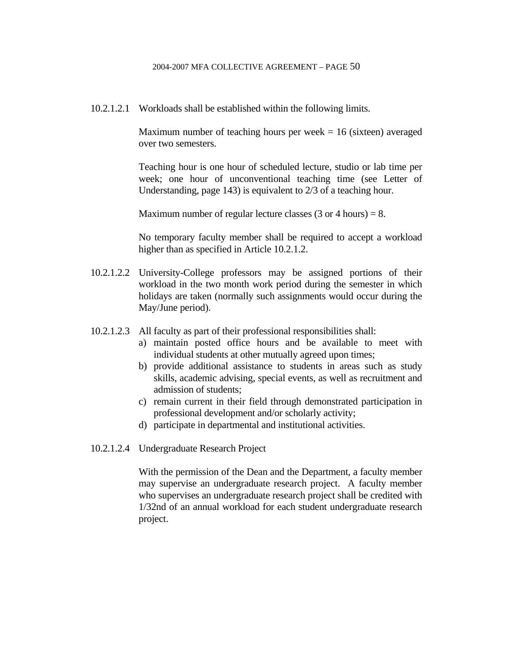10.2.1.2.1 Workloads shall be established within the following limits.

Maximum number of teaching hours per week  $= 16$  (sixteen) averaged over two semesters.

 Teaching hour is one hour of scheduled lecture, studio or lab time per week; one hour of unconventional teaching time (see Letter of Understanding, page 143) is equivalent to 2/3 of a teaching hour.

Maximum number of regular lecture classes  $(3 \text{ or } 4 \text{ hours}) = 8$ .

 No temporary faculty member shall be required to accept a workload higher than as specified in Article 10.2.1.2.

- 10.2.1.2.2 University-College professors may be assigned portions of their workload in the two month work period during the semester in which holidays are taken (normally such assignments would occur during the May/June period).
- 10.2.1.2.3 All faculty as part of their professional responsibilities shall:
	- a) maintain posted office hours and be available to meet with individual students at other mutually agreed upon times;
	- b) provide additional assistance to students in areas such as study skills, academic advising, special events, as well as recruitment and admission of students;
	- c) remain current in their field through demonstrated participation in professional development and/or scholarly activity;
	- d) participate in departmental and institutional activities.
- 10.2.1.2.4 Undergraduate Research Project

 With the permission of the Dean and the Department, a faculty member may supervise an undergraduate research project. A faculty member who supervises an undergraduate research project shall be credited with 1/32nd of an annual workload for each student undergraduate research project.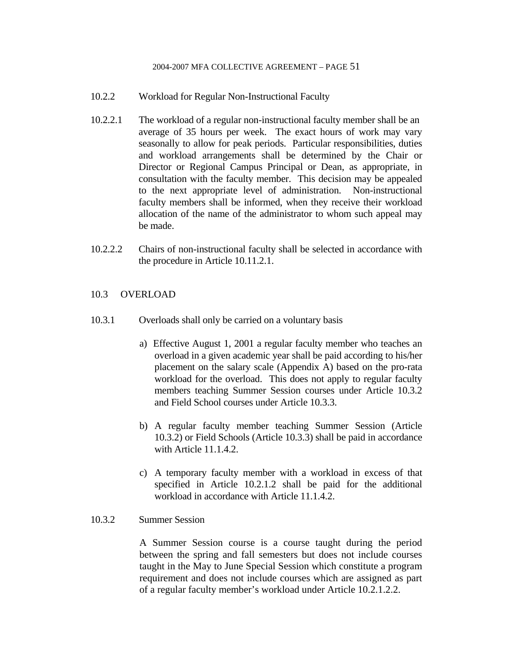- 10.2.2 Workload for Regular Non-Instructional Faculty
- 10.2.2.1 The workload of a regular non-instructional faculty member shall be an average of 35 hours per week. The exact hours of work may vary seasonally to allow for peak periods. Particular responsibilities, duties and workload arrangements shall be determined by the Chair or Director or Regional Campus Principal or Dean, as appropriate, in consultation with the faculty member. This decision may be appealed to the next appropriate level of administration. Non-instructional faculty members shall be informed, when they receive their workload allocation of the name of the administrator to whom such appeal may be made.
- 10.2.2.2 Chairs of non-instructional faculty shall be selected in accordance with the procedure in Article 10.11.2.1.

### 10.3 OVERLOAD

- 10.3.1 Overloads shall only be carried on a voluntary basis
	- a) Effective August 1, 2001 a regular faculty member who teaches an overload in a given academic year shall be paid according to his/her placement on the salary scale (Appendix A) based on the pro-rata workload for the overload. This does not apply to regular faculty members teaching Summer Session courses under Article 10.3.2 and Field School courses under Article 10.3.3.
	- b) A regular faculty member teaching Summer Session (Article 10.3.2) or Field Schools (Article 10.3.3) shall be paid in accordance with Article 11.1.4.2.
	- c) A temporary faculty member with a workload in excess of that specified in Article 10.2.1.2 shall be paid for the additional workload in accordance with Article 11.1.4.2.

### 10.3.2 Summer Session

A Summer Session course is a course taught during the period between the spring and fall semesters but does not include courses taught in the May to June Special Session which constitute a program requirement and does not include courses which are assigned as part of a regular faculty member's workload under Article 10.2.1.2.2.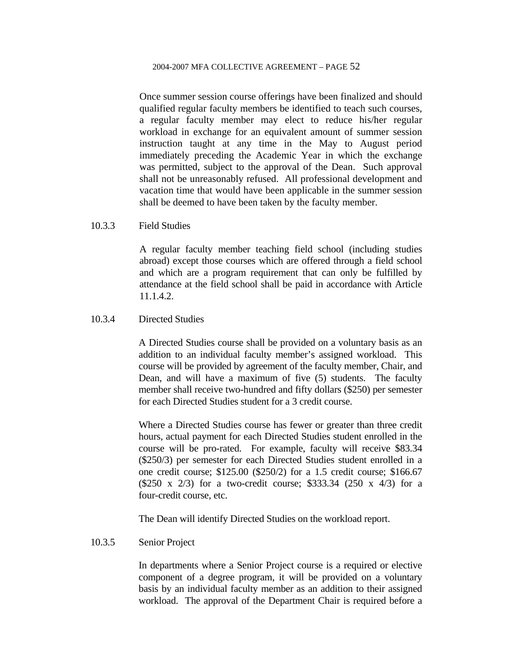Once summer session course offerings have been finalized and should qualified regular faculty members be identified to teach such courses, a regular faculty member may elect to reduce his/her regular workload in exchange for an equivalent amount of summer session instruction taught at any time in the May to August period immediately preceding the Academic Year in which the exchange was permitted, subject to the approval of the Dean. Such approval shall not be unreasonably refused. All professional development and vacation time that would have been applicable in the summer session shall be deemed to have been taken by the faculty member.

### 10.3.3 Field Studies

A regular faculty member teaching field school (including studies abroad) except those courses which are offered through a field school and which are a program requirement that can only be fulfilled by attendance at the field school shall be paid in accordance with Article 11.1.4.2.

### 10.3.4 Directed Studies

 A Directed Studies course shall be provided on a voluntary basis as an addition to an individual faculty member's assigned workload. This course will be provided by agreement of the faculty member, Chair, and Dean, and will have a maximum of five (5) students. The faculty member shall receive two-hundred and fifty dollars (\$250) per semester for each Directed Studies student for a 3 credit course.

 Where a Directed Studies course has fewer or greater than three credit hours, actual payment for each Directed Studies student enrolled in the course will be pro-rated. For example, faculty will receive \$83.34 (\$250/3) per semester for each Directed Studies student enrolled in a one credit course; \$125.00 (\$250/2) for a 1.5 credit course; \$166.67 (\$250 x 2/3) for a two-credit course; \$333.34 (250 x 4/3) for a four-credit course, etc.

The Dean will identify Directed Studies on the workload report.

### 10.3.5 Senior Project

 In departments where a Senior Project course is a required or elective component of a degree program, it will be provided on a voluntary basis by an individual faculty member as an addition to their assigned workload. The approval of the Department Chair is required before a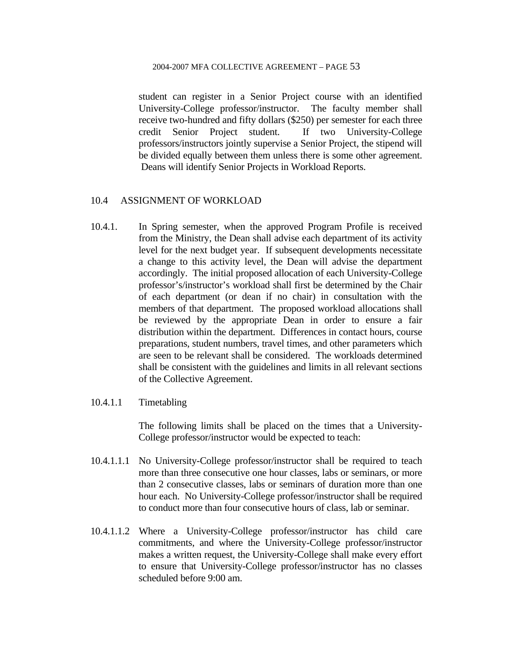student can register in a Senior Project course with an identified University-College professor/instructor. The faculty member shall receive two-hundred and fifty dollars (\$250) per semester for each three credit Senior Project student. If two University-College professors/instructors jointly supervise a Senior Project, the stipend will be divided equally between them unless there is some other agreement. Deans will identify Senior Projects in Workload Reports.

### 10.4 ASSIGNMENT OF WORKLOAD

- 10.4.1. In Spring semester, when the approved Program Profile is received from the Ministry, the Dean shall advise each department of its activity level for the next budget year. If subsequent developments necessitate a change to this activity level, the Dean will advise the department accordingly. The initial proposed allocation of each University-College professor's/instructor's workload shall first be determined by the Chair of each department (or dean if no chair) in consultation with the members of that department. The proposed workload allocations shall be reviewed by the appropriate Dean in order to ensure a fair distribution within the department. Differences in contact hours, course preparations, student numbers, travel times, and other parameters which are seen to be relevant shall be considered. The workloads determined shall be consistent with the guidelines and limits in all relevant sections of the Collective Agreement.
- 10.4.1.1 Timetabling

The following limits shall be placed on the times that a University-College professor/instructor would be expected to teach:

- 10.4.1.1.1 No University-College professor/instructor shall be required to teach more than three consecutive one hour classes, labs or seminars, or more than 2 consecutive classes, labs or seminars of duration more than one hour each. No University-College professor/instructor shall be required to conduct more than four consecutive hours of class, lab or seminar.
- 10.4.1.1.2 Where a University-College professor/instructor has child care commitments, and where the University-College professor/instructor makes a written request, the University-College shall make every effort to ensure that University-College professor/instructor has no classes scheduled before 9:00 am.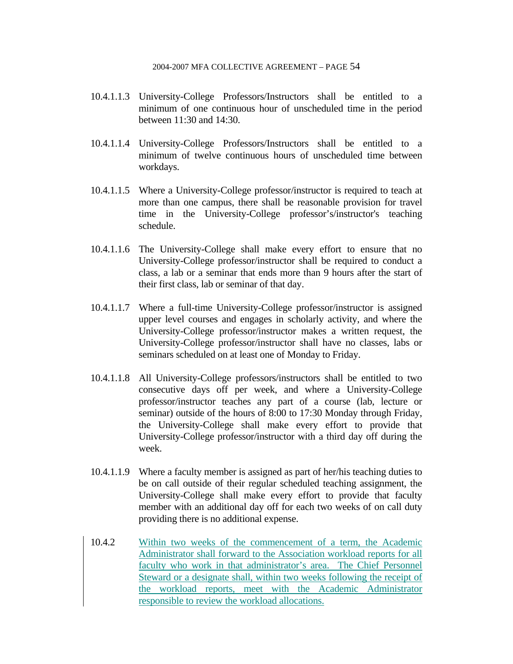- 10.4.1.1.3 University-College Professors/Instructors shall be entitled to a minimum of one continuous hour of unscheduled time in the period between 11:30 and 14:30.
- 10.4.1.1.4 University-College Professors/Instructors shall be entitled to a minimum of twelve continuous hours of unscheduled time between workdays.
- 10.4.1.1.5 Where a University-College professor/instructor is required to teach at more than one campus, there shall be reasonable provision for travel time in the University-College professor's/instructor's teaching schedule.
- 10.4.1.1.6 The University-College shall make every effort to ensure that no University-College professor/instructor shall be required to conduct a class, a lab or a seminar that ends more than 9 hours after the start of their first class, lab or seminar of that day.
- 10.4.1.1.7 Where a full-time University-College professor/instructor is assigned upper level courses and engages in scholarly activity, and where the University-College professor/instructor makes a written request, the University-College professor/instructor shall have no classes, labs or seminars scheduled on at least one of Monday to Friday.
- 10.4.1.1.8 All University-College professors/instructors shall be entitled to two consecutive days off per week, and where a University-College professor/instructor teaches any part of a course (lab, lecture or seminar) outside of the hours of 8:00 to 17:30 Monday through Friday, the University-College shall make every effort to provide that University-College professor/instructor with a third day off during the week.
- 10.4.1.1.9 Where a faculty member is assigned as part of her/his teaching duties to be on call outside of their regular scheduled teaching assignment, the University-College shall make every effort to provide that faculty member with an additional day off for each two weeks of on call duty providing there is no additional expense.
- 10.4.2 Within two weeks of the commencement of a term, the Academic Administrator shall forward to the Association workload reports for all faculty who work in that administrator's area. The Chief Personnel Steward or a designate shall, within two weeks following the receipt of the workload reports, meet with the Academic Administrator responsible to review the workload allocations.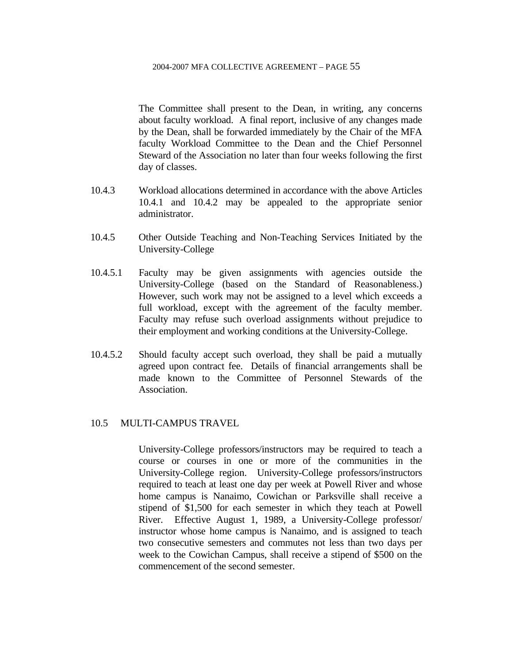The Committee shall present to the Dean, in writing, any concerns about faculty workload. A final report, inclusive of any changes made by the Dean, shall be forwarded immediately by the Chair of the MFA faculty Workload Committee to the Dean and the Chief Personnel Steward of the Association no later than four weeks following the first day of classes.

- 10.4.3 Workload allocations determined in accordance with the above Articles 10.4.1 and 10.4.2 may be appealed to the appropriate senior administrator.
- 10.4.5 Other Outside Teaching and Non-Teaching Services Initiated by the University-College
- 10.4.5.1 Faculty may be given assignments with agencies outside the University-College (based on the Standard of Reasonableness.) However, such work may not be assigned to a level which exceeds a full workload, except with the agreement of the faculty member. Faculty may refuse such overload assignments without prejudice to their employment and working conditions at the University-College.
- 10.4.5.2 Should faculty accept such overload, they shall be paid a mutually agreed upon contract fee. Details of financial arrangements shall be made known to the Committee of Personnel Stewards of the Association.

### 10.5 MULTI-CAMPUS TRAVEL

 University-College professors/instructors may be required to teach a course or courses in one or more of the communities in the University-College region. University-College professors/instructors required to teach at least one day per week at Powell River and whose home campus is Nanaimo, Cowichan or Parksville shall receive a stipend of \$1,500 for each semester in which they teach at Powell River. Effective August 1, 1989, a University-College professor/ instructor whose home campus is Nanaimo, and is assigned to teach two consecutive semesters and commutes not less than two days per week to the Cowichan Campus, shall receive a stipend of \$500 on the commencement of the second semester.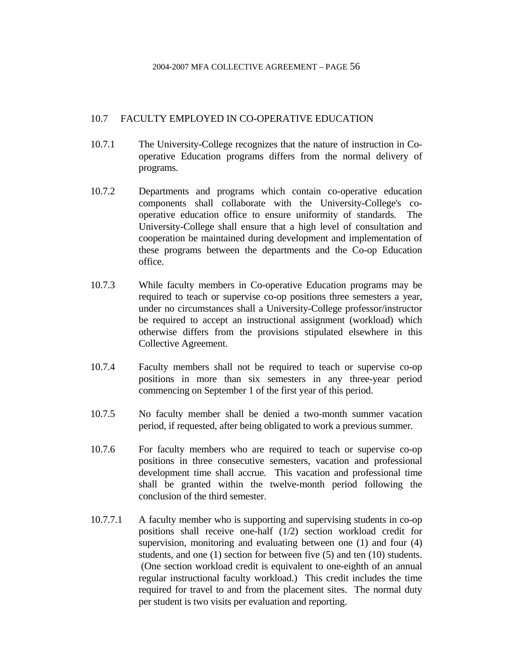### 10.7 FACULTY EMPLOYED IN CO-OPERATIVE EDUCATION

- 10.7.1 The University-College recognizes that the nature of instruction in Cooperative Education programs differs from the normal delivery of programs.
- 10.7.2 Departments and programs which contain co-operative education components shall collaborate with the University-College's cooperative education office to ensure uniformity of standards. The University-College shall ensure that a high level of consultation and cooperation be maintained during development and implementation of these programs between the departments and the Co-op Education office.
- 10.7.3 While faculty members in Co-operative Education programs may be required to teach or supervise co-op positions three semesters a year, under no circumstances shall a University-College professor/instructor be required to accept an instructional assignment (workload) which otherwise differs from the provisions stipulated elsewhere in this Collective Agreement.
- 10.7.4 Faculty members shall not be required to teach or supervise co-op positions in more than six semesters in any three-year period commencing on September 1 of the first year of this period.
- 10.7.5 No faculty member shall be denied a two-month summer vacation period, if requested, after being obligated to work a previous summer.
- 10.7.6 For faculty members who are required to teach or supervise co-op positions in three consecutive semesters, vacation and professional development time shall accrue. This vacation and professional time shall be granted within the twelve-month period following the conclusion of the third semester.
- 10.7.7.1 A faculty member who is supporting and supervising students in co-op positions shall receive one-half (1/2) section workload credit for supervision, monitoring and evaluating between one (1) and four (4) students, and one (1) section for between five (5) and ten (10) students. (One section workload credit is equivalent to one-eighth of an annual regular instructional faculty workload.) This credit includes the time required for travel to and from the placement sites. The normal duty per student is two visits per evaluation and reporting.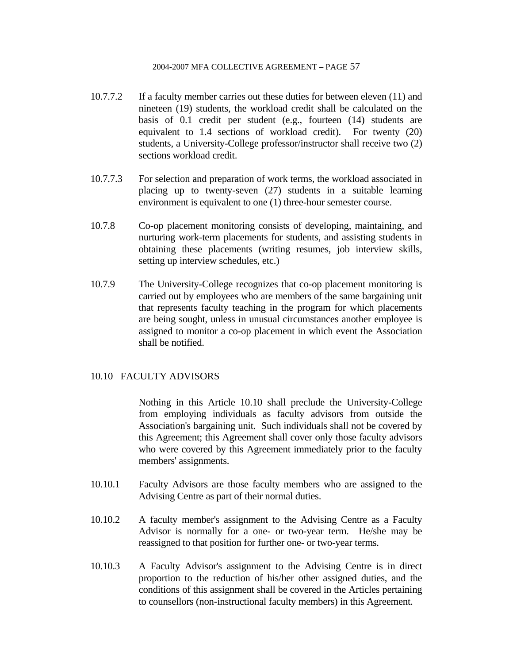- 10.7.7.2 If a faculty member carries out these duties for between eleven (11) and nineteen (19) students, the workload credit shall be calculated on the basis of 0.1 credit per student (e.g., fourteen (14) students are equivalent to 1.4 sections of workload credit). For twenty (20) students, a University-College professor/instructor shall receive two (2) sections workload credit.
- 10.7.7.3 For selection and preparation of work terms, the workload associated in placing up to twenty-seven (27) students in a suitable learning environment is equivalent to one (1) three-hour semester course.
- 10.7.8 Co-op placement monitoring consists of developing, maintaining, and nurturing work-term placements for students, and assisting students in obtaining these placements (writing resumes, job interview skills, setting up interview schedules, etc.)
- 10.7.9 The University-College recognizes that co-op placement monitoring is carried out by employees who are members of the same bargaining unit that represents faculty teaching in the program for which placements are being sought, unless in unusual circumstances another employee is assigned to monitor a co-op placement in which event the Association shall be notified.

### 10.10 FACULTY ADVISORS

 Nothing in this Article 10.10 shall preclude the University-College from employing individuals as faculty advisors from outside the Association's bargaining unit. Such individuals shall not be covered by this Agreement; this Agreement shall cover only those faculty advisors who were covered by this Agreement immediately prior to the faculty members' assignments.

- 10.10.1 Faculty Advisors are those faculty members who are assigned to the Advising Centre as part of their normal duties.
- 10.10.2 A faculty member's assignment to the Advising Centre as a Faculty Advisor is normally for a one- or two-year term. He/she may be reassigned to that position for further one- or two-year terms.
- 10.10.3 A Faculty Advisor's assignment to the Advising Centre is in direct proportion to the reduction of his/her other assigned duties, and the conditions of this assignment shall be covered in the Articles pertaining to counsellors (non-instructional faculty members) in this Agreement.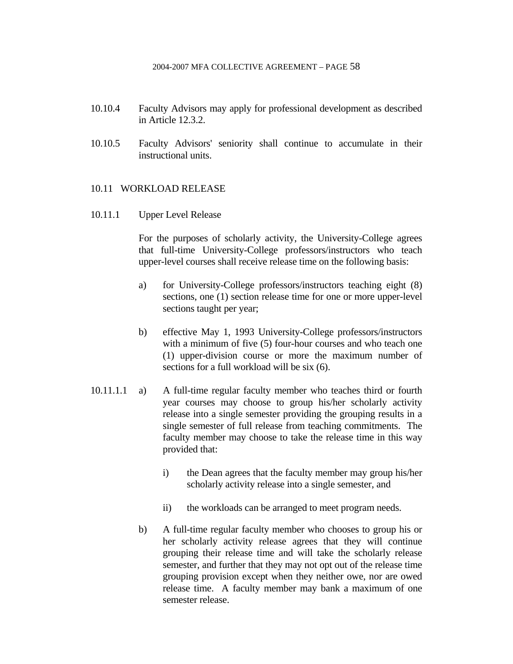- 10.10.4 Faculty Advisors may apply for professional development as described in Article 12.3.2.
- 10.10.5 Faculty Advisors' seniority shall continue to accumulate in their instructional units.

### 10.11 WORKLOAD RELEASE

10.11.1 Upper Level Release

 For the purposes of scholarly activity, the University-College agrees that full-time University-College professors/instructors who teach upper-level courses shall receive release time on the following basis:

- a) for University-College professors/instructors teaching eight (8) sections, one (1) section release time for one or more upper-level sections taught per year;
- b) effective May 1, 1993 University-College professors/instructors with a minimum of five (5) four-hour courses and who teach one (1) upper-division course or more the maximum number of sections for a full workload will be six (6).
- 10.11.1.1 a) A full-time regular faculty member who teaches third or fourth year courses may choose to group his/her scholarly activity release into a single semester providing the grouping results in a single semester of full release from teaching commitments. The faculty member may choose to take the release time in this way provided that:
	- i) the Dean agrees that the faculty member may group his/her scholarly activity release into a single semester, and
	- ii) the workloads can be arranged to meet program needs.
	- b) A full-time regular faculty member who chooses to group his or her scholarly activity release agrees that they will continue grouping their release time and will take the scholarly release semester, and further that they may not opt out of the release time grouping provision except when they neither owe, nor are owed release time. A faculty member may bank a maximum of one semester release.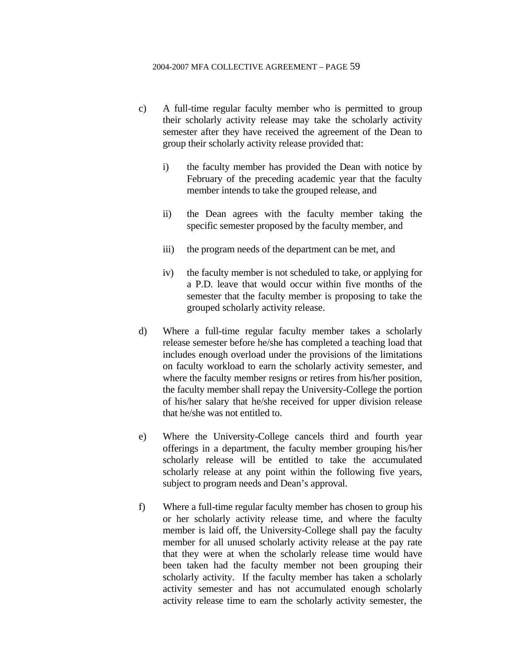- c) A full-time regular faculty member who is permitted to group their scholarly activity release may take the scholarly activity semester after they have received the agreement of the Dean to group their scholarly activity release provided that:
	- i) the faculty member has provided the Dean with notice by February of the preceding academic year that the faculty member intends to take the grouped release, and
	- ii) the Dean agrees with the faculty member taking the specific semester proposed by the faculty member, and
	- iii) the program needs of the department can be met, and
	- iv) the faculty member is not scheduled to take, or applying for a P.D. leave that would occur within five months of the semester that the faculty member is proposing to take the grouped scholarly activity release.
- d) Where a full-time regular faculty member takes a scholarly release semester before he/she has completed a teaching load that includes enough overload under the provisions of the limitations on faculty workload to earn the scholarly activity semester, and where the faculty member resigns or retires from his/her position, the faculty member shall repay the University-College the portion of his/her salary that he/she received for upper division release that he/she was not entitled to.
- e) Where the University-College cancels third and fourth year offerings in a department, the faculty member grouping his/her scholarly release will be entitled to take the accumulated scholarly release at any point within the following five years, subject to program needs and Dean's approval.
- f) Where a full-time regular faculty member has chosen to group his or her scholarly activity release time, and where the faculty member is laid off, the University-College shall pay the faculty member for all unused scholarly activity release at the pay rate that they were at when the scholarly release time would have been taken had the faculty member not been grouping their scholarly activity. If the faculty member has taken a scholarly activity semester and has not accumulated enough scholarly activity release time to earn the scholarly activity semester, the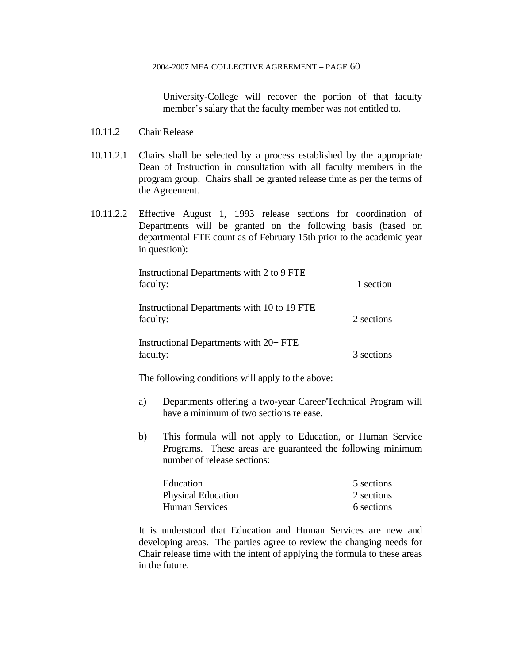University-College will recover the portion of that faculty member's salary that the faculty member was not entitled to.

- 10.11.2 Chair Release
- 10.11.2.1 Chairs shall be selected by a process established by the appropriate Dean of Instruction in consultation with all faculty members in the program group. Chairs shall be granted release time as per the terms of the Agreement.
- 10.11.2.2 Effective August 1, 1993 release sections for coordination of Departments will be granted on the following basis (based on departmental FTE count as of February 15th prior to the academic year in question):

| Instructional Departments with 2 to 9 FTE<br>faculty:   | 1 section  |
|---------------------------------------------------------|------------|
| Instructional Departments with 10 to 19 FTE<br>faculty: | 2 sections |
| Instructional Departments with 20+ FTE<br>faculty:      | 3 sections |

The following conditions will apply to the above:

- a) Departments offering a two-year Career/Technical Program will have a minimum of two sections release.
- b) This formula will not apply to Education, or Human Service Programs. These areas are guaranteed the following minimum number of release sections:

| Education                 | 5 sections |
|---------------------------|------------|
| <b>Physical Education</b> | 2 sections |
| <b>Human Services</b>     | 6 sections |

 It is understood that Education and Human Services are new and developing areas. The parties agree to review the changing needs for Chair release time with the intent of applying the formula to these areas in the future.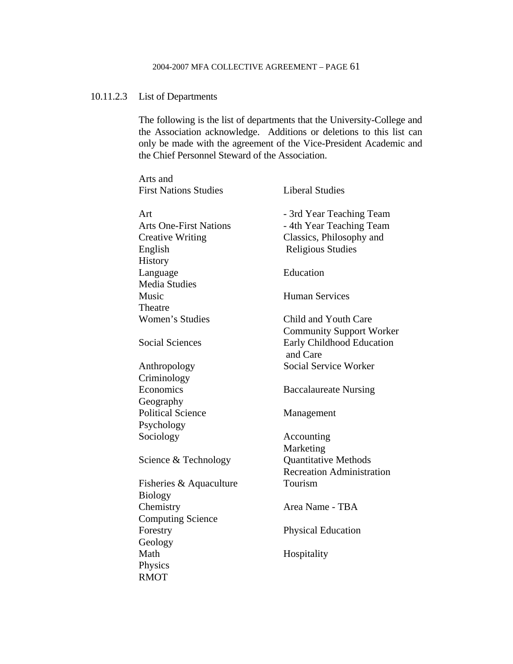# 10.11.2.3 List of Departments

 The following is the list of departments that the University-College and the Association acknowledge. Additions or deletions to this list can only be made with the agreement of the Vice-President Academic and the Chief Personnel Steward of the Association.

| Arts and                      |                                       |
|-------------------------------|---------------------------------------|
| <b>First Nations Studies</b>  | <b>Liberal Studies</b>                |
| Art                           | - 3rd Year Teaching Team              |
| <b>Arts One-First Nations</b> | - 4th Year Teaching Team              |
| <b>Creative Writing</b>       | Classics, Philosophy and              |
| English                       | <b>Religious Studies</b>              |
| History                       |                                       |
| Language                      | Education                             |
| <b>Media Studies</b>          |                                       |
| Music                         | <b>Human Services</b>                 |
| Theatre                       |                                       |
| Women's Studies               | Child and Youth Care                  |
|                               | <b>Community Support Worker</b>       |
| <b>Social Sciences</b>        | Early Childhood Education<br>and Care |
| Anthropology                  | Social Service Worker                 |
| Criminology                   |                                       |
| Economics                     | <b>Baccalaureate Nursing</b>          |
| Geography                     |                                       |
| <b>Political Science</b>      | Management                            |
| Psychology                    |                                       |
| Sociology                     | Accounting                            |
|                               | Marketing                             |
| Science & Technology          | <b>Quantitative Methods</b>           |
|                               | <b>Recreation Administration</b>      |
| Fisheries & Aquaculture       | Tourism                               |
| <b>Biology</b>                |                                       |
| Chemistry                     | Area Name - TBA                       |
| <b>Computing Science</b>      |                                       |
| Forestry                      | <b>Physical Education</b>             |
| Geology                       |                                       |
| Math                          | Hospitality                           |
| Physics                       |                                       |
| <b>RMOT</b>                   |                                       |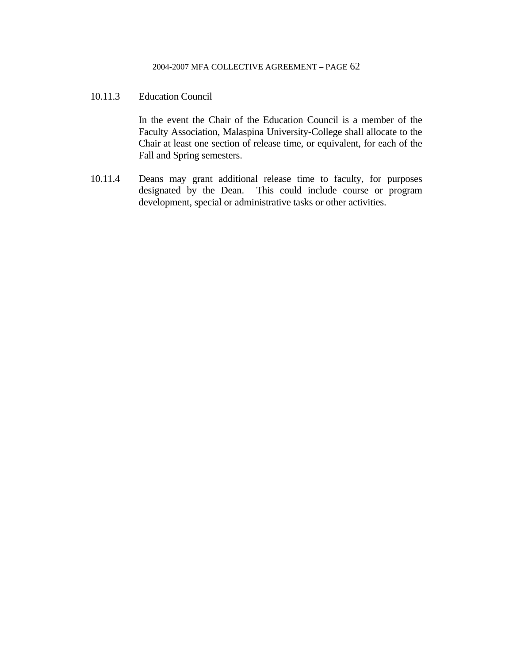### 10.11.3 Education Council

In the event the Chair of the Education Council is a member of the Faculty Association, Malaspina University-College shall allocate to the Chair at least one section of release time, or equivalent, for each of the Fall and Spring semesters.

10.11.4 Deans may grant additional release time to faculty, for purposes designated by the Dean. This could include course or program development, special or administrative tasks or other activities.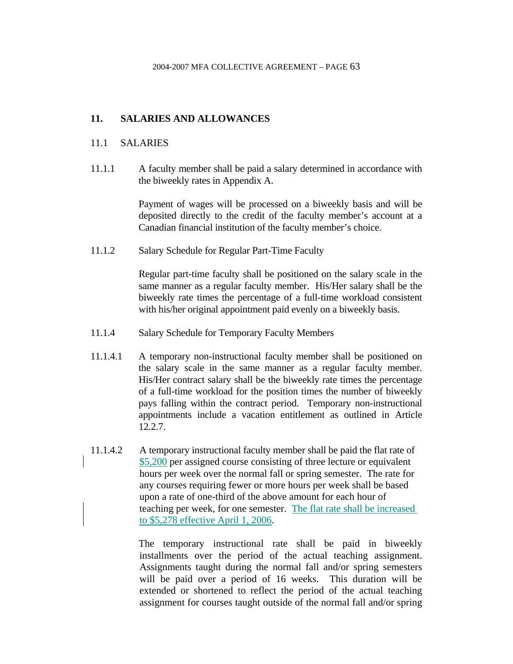# **11. SALARIES AND ALLOWANCES**

### 11.1 SALARIES

11.1.1 A faculty member shall be paid a salary determined in accordance with the biweekly rates in Appendix A.

> Payment of wages will be processed on a biweekly basis and will be deposited directly to the credit of the faculty member's account at a Canadian financial institution of the faculty member's choice.

11.1.2 Salary Schedule for Regular Part-Time Faculty

 Regular part-time faculty shall be positioned on the salary scale in the same manner as a regular faculty member. His/Her salary shall be the biweekly rate times the percentage of a full-time workload consistent with his/her original appointment paid evenly on a biweekly basis.

- 11.1.4 Salary Schedule for Temporary Faculty Members
- 11.1.4.1 A temporary non-instructional faculty member shall be positioned on the salary scale in the same manner as a regular faculty member. His/Her contract salary shall be the biweekly rate times the percentage of a full-time workload for the position times the number of biweekly pays falling within the contract period. Temporary non-instructional appointments include a vacation entitlement as outlined in Article 12.2.7.
- 11.1.4.2 A temporary instructional faculty member shall be paid the flat rate of \$5,200 per assigned course consisting of three lecture or equivalent hours per week over the normal fall or spring semester. The rate for any courses requiring fewer or more hours per week shall be based upon a rate of one-third of the above amount for each hour of teaching per week, for one semester. The flat rate shall be increased to \$5,278 effective April 1, 2006.

 The temporary instructional rate shall be paid in biweekly installments over the period of the actual teaching assignment. Assignments taught during the normal fall and/or spring semesters will be paid over a period of 16 weeks. This duration will be extended or shortened to reflect the period of the actual teaching assignment for courses taught outside of the normal fall and/or spring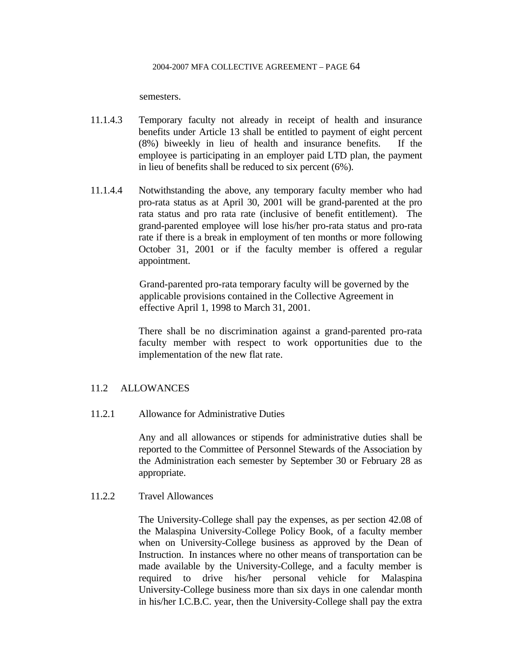semesters.

- 11.1.4.3 Temporary faculty not already in receipt of health and insurance benefits under Article 13 shall be entitled to payment of eight percent (8%) biweekly in lieu of health and insurance benefits. If the employee is participating in an employer paid LTD plan, the payment in lieu of benefits shall be reduced to six percent (6%).
- 11.1.4.4 Notwithstanding the above, any temporary faculty member who had pro-rata status as at April 30, 2001 will be grand-parented at the pro rata status and pro rata rate (inclusive of benefit entitlement). The grand-parented employee will lose his/her pro-rata status and pro-rata rate if there is a break in employment of ten months or more following October 31, 2001 or if the faculty member is offered a regular appointment.

Grand-parented pro-rata temporary faculty will be governed by the applicable provisions contained in the Collective Agreement in effective April 1, 1998 to March 31, 2001.

 There shall be no discrimination against a grand-parented pro-rata faculty member with respect to work opportunities due to the implementation of the new flat rate.

### 11.2 ALLOWANCES

11.2.1 Allowance for Administrative Duties

 Any and all allowances or stipends for administrative duties shall be reported to the Committee of Personnel Stewards of the Association by the Administration each semester by September 30 or February 28 as appropriate.

### 11.2.2 Travel Allowances

 The University-College shall pay the expenses, as per section 42.08 of the Malaspina University-College Policy Book, of a faculty member when on University-College business as approved by the Dean of Instruction. In instances where no other means of transportation can be made available by the University-College, and a faculty member is required to drive his/her personal vehicle for Malaspina University-College business more than six days in one calendar month in his/her I.C.B.C. year, then the University-College shall pay the extra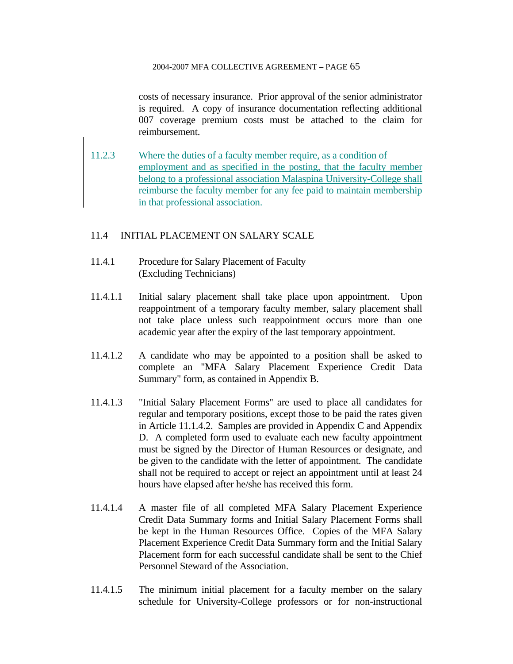costs of necessary insurance. Prior approval of the senior administrator is required. A copy of insurance documentation reflecting additional 007 coverage premium costs must be attached to the claim for reimbursement.

11.2.3 Where the duties of a faculty member require, as a condition of employment and as specified in the posting, that the faculty member belong to a professional association Malaspina University-College shall reimburse the faculty member for any fee paid to maintain membership in that professional association.

### 11.4 INITIAL PLACEMENT ON SALARY SCALE

- 11.4.1 Procedure for Salary Placement of Faculty (Excluding Technicians)
- 11.4.1.1 Initial salary placement shall take place upon appointment. Upon reappointment of a temporary faculty member, salary placement shall not take place unless such reappointment occurs more than one academic year after the expiry of the last temporary appointment.
- 11.4.1.2 A candidate who may be appointed to a position shall be asked to complete an "MFA Salary Placement Experience Credit Data Summary" form, as contained in Appendix B.
- 11.4.1.3 "Initial Salary Placement Forms" are used to place all candidates for regular and temporary positions, except those to be paid the rates given in Article 11.1.4.2. Samples are provided in Appendix C and Appendix D. A completed form used to evaluate each new faculty appointment must be signed by the Director of Human Resources or designate, and be given to the candidate with the letter of appointment. The candidate shall not be required to accept or reject an appointment until at least 24 hours have elapsed after he/she has received this form.
- 11.4.1.4 A master file of all completed MFA Salary Placement Experience Credit Data Summary forms and Initial Salary Placement Forms shall be kept in the Human Resources Office. Copies of the MFA Salary Placement Experience Credit Data Summary form and the Initial Salary Placement form for each successful candidate shall be sent to the Chief Personnel Steward of the Association.
- 11.4.1.5 The minimum initial placement for a faculty member on the salary schedule for University-College professors or for non-instructional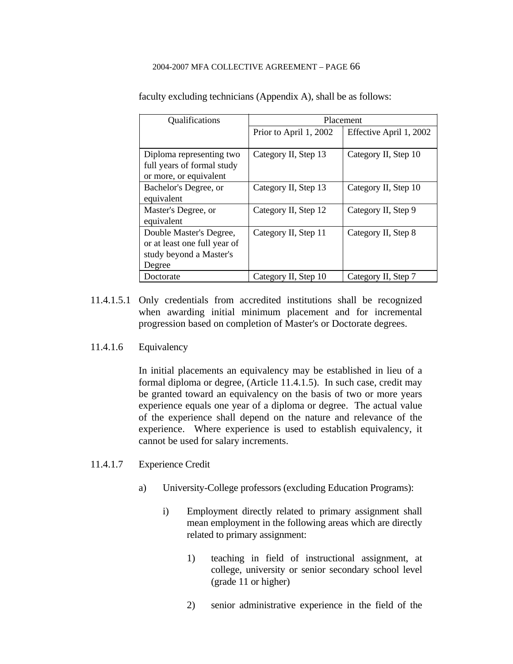| Qualifications               | Placement              |                         |
|------------------------------|------------------------|-------------------------|
|                              | Prior to April 1, 2002 | Effective April 1, 2002 |
|                              |                        |                         |
| Diploma representing two     | Category II, Step 13   | Category II, Step 10    |
| full years of formal study   |                        |                         |
| or more, or equivalent       |                        |                         |
| Bachelor's Degree, or        | Category II, Step 13   | Category II, Step 10    |
| equivalent                   |                        |                         |
| Master's Degree, or          | Category II, Step 12   | Category II, Step 9     |
| equivalent                   |                        |                         |
| Double Master's Degree,      | Category II, Step 11   | Category II, Step 8     |
| or at least one full year of |                        |                         |
| study beyond a Master's      |                        |                         |
| Degree                       |                        |                         |
| Doctorate                    | Category II, Step 10   | Category II, Step 7     |

faculty excluding technicians (Appendix A), shall be as follows:

- 11.4.1.5.1 Only credentials from accredited institutions shall be recognized when awarding initial minimum placement and for incremental progression based on completion of Master's or Doctorate degrees.
- 11.4.1.6 Equivalency

 In initial placements an equivalency may be established in lieu of a formal diploma or degree, (Article 11.4.1.5). In such case, credit may be granted toward an equivalency on the basis of two or more years experience equals one year of a diploma or degree. The actual value of the experience shall depend on the nature and relevance of the experience. Where experience is used to establish equivalency, it cannot be used for salary increments.

- 11.4.1.7 Experience Credit
	- a) University-College professors (excluding Education Programs):
		- i) Employment directly related to primary assignment shall mean employment in the following areas which are directly related to primary assignment:
			- 1) teaching in field of instructional assignment, at college, university or senior secondary school level (grade 11 or higher)
			- 2) senior administrative experience in the field of the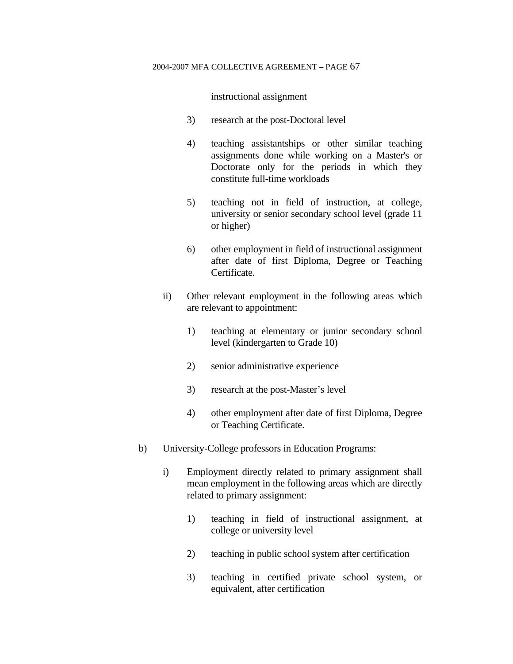instructional assignment

- 3) research at the post-Doctoral level
- 4) teaching assistantships or other similar teaching assignments done while working on a Master's or Doctorate only for the periods in which they constitute full-time workloads
- 5) teaching not in field of instruction, at college, university or senior secondary school level (grade 11 or higher)
- 6) other employment in field of instructional assignment after date of first Diploma, Degree or Teaching Certificate.
- ii) Other relevant employment in the following areas which are relevant to appointment:
	- 1) teaching at elementary or junior secondary school level (kindergarten to Grade 10)
	- 2) senior administrative experience
	- 3) research at the post-Master's level
	- 4) other employment after date of first Diploma, Degree or Teaching Certificate.
- b) University-College professors in Education Programs:
	- i) Employment directly related to primary assignment shall mean employment in the following areas which are directly related to primary assignment:
		- 1) teaching in field of instructional assignment, at college or university level
		- 2) teaching in public school system after certification
		- 3) teaching in certified private school system, or equivalent, after certification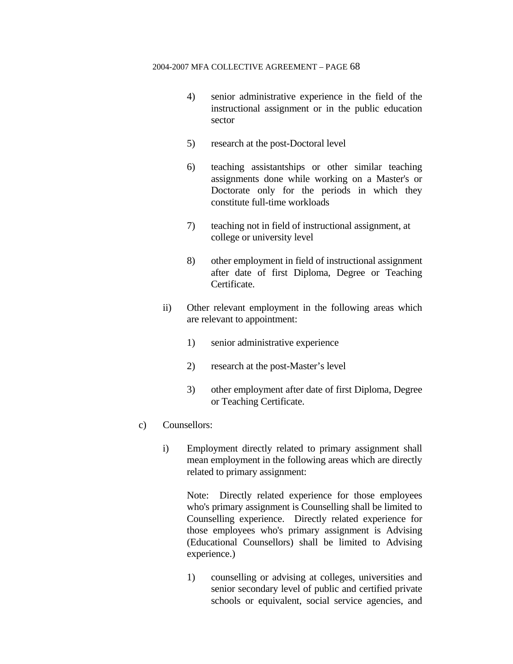- 4) senior administrative experience in the field of the instructional assignment or in the public education sector
- 5) research at the post-Doctoral level
- 6) teaching assistantships or other similar teaching assignments done while working on a Master's or Doctorate only for the periods in which they constitute full-time workloads
- 7) teaching not in field of instructional assignment, at college or university level
- 8) other employment in field of instructional assignment after date of first Diploma, Degree or Teaching Certificate.
- ii) Other relevant employment in the following areas which are relevant to appointment:
	- 1) senior administrative experience
	- 2) research at the post-Master's level
	- 3) other employment after date of first Diploma, Degree or Teaching Certificate.
- c) Counsellors:
	- i) Employment directly related to primary assignment shall mean employment in the following areas which are directly related to primary assignment:

 Note: Directly related experience for those employees who's primary assignment is Counselling shall be limited to Counselling experience. Directly related experience for those employees who's primary assignment is Advising (Educational Counsellors) shall be limited to Advising experience.)

 1) counselling or advising at colleges, universities and senior secondary level of public and certified private schools or equivalent, social service agencies, and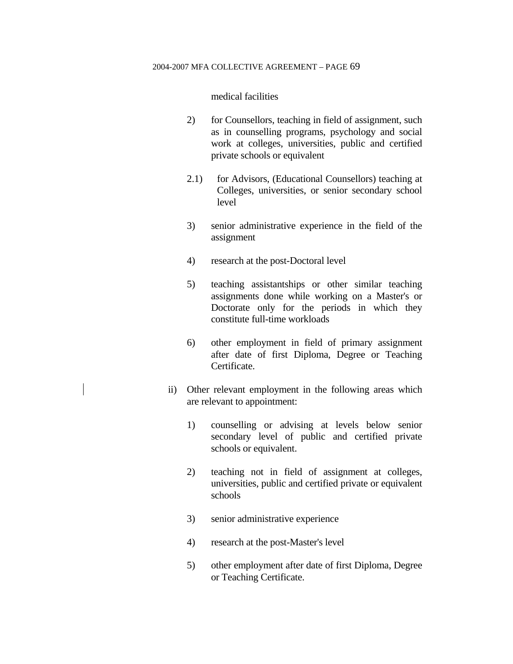medical facilities

- 2) for Counsellors, teaching in field of assignment, such as in counselling programs, psychology and social work at colleges, universities, public and certified private schools or equivalent
- 2.1) for Advisors, (Educational Counsellors) teaching at Colleges, universities, or senior secondary school level
- 3) senior administrative experience in the field of the assignment
- 4) research at the post-Doctoral level
- 5) teaching assistantships or other similar teaching assignments done while working on a Master's or Doctorate only for the periods in which they constitute full-time workloads
- 6) other employment in field of primary assignment after date of first Diploma, Degree or Teaching Certificate.
- ii) Other relevant employment in the following areas which are relevant to appointment:
	- 1) counselling or advising at levels below senior secondary level of public and certified private schools or equivalent.
	- 2) teaching not in field of assignment at colleges, universities, public and certified private or equivalent schools
	- 3) senior administrative experience
	- 4) research at the post-Master's level
	- 5) other employment after date of first Diploma, Degree or Teaching Certificate.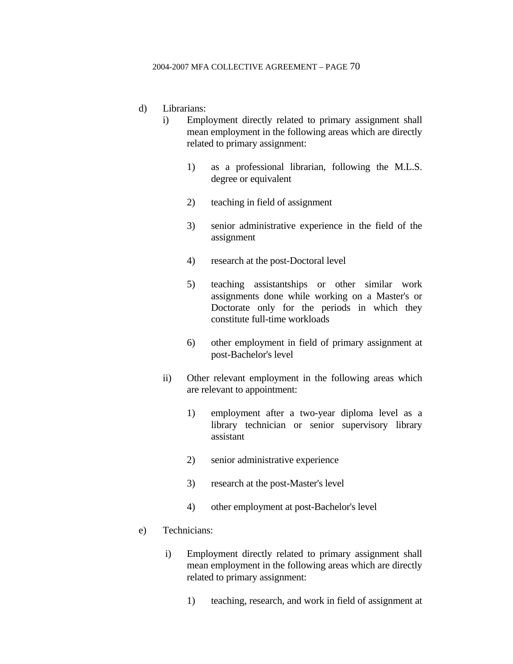### d) Librarians:

- i) Employment directly related to primary assignment shall mean employment in the following areas which are directly related to primary assignment:
	- 1) as a professional librarian, following the M.L.S. degree or equivalent
	- 2) teaching in field of assignment
	- 3) senior administrative experience in the field of the assignment
	- 4) research at the post-Doctoral level
	- 5) teaching assistantships or other similar work assignments done while working on a Master's or Doctorate only for the periods in which they constitute full-time workloads
	- 6) other employment in field of primary assignment at post-Bachelor's level
- ii) Other relevant employment in the following areas which are relevant to appointment:
	- 1) employment after a two-year diploma level as a library technician or senior supervisory library assistant
	- 2) senior administrative experience
	- 3) research at the post-Master's level
	- 4) other employment at post-Bachelor's level
- e) Technicians:
	- i) Employment directly related to primary assignment shall mean employment in the following areas which are directly related to primary assignment:
		- 1) teaching, research, and work in field of assignment at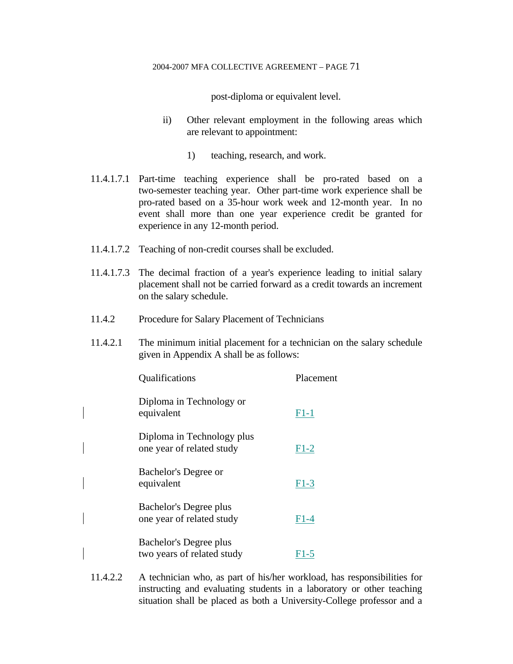post-diploma or equivalent level.

- ii) Other relevant employment in the following areas which are relevant to appointment:
	- 1) teaching, research, and work.
- 11.4.1.7.1 Part-time teaching experience shall be pro-rated based on a two-semester teaching year. Other part-time work experience shall be pro-rated based on a 35-hour work week and 12-month year. In no event shall more than one year experience credit be granted for experience in any 12-month period.
- 11.4.1.7.2 Teaching of non-credit courses shall be excluded.
- 11.4.1.7.3 The decimal fraction of a year's experience leading to initial salary placement shall not be carried forward as a credit towards an increment on the salary schedule.
- 11.4.2 Procedure for Salary Placement of Technicians
- 11.4.2.1 The minimum initial placement for a technician on the salary schedule given in Appendix A shall be as follows:

| Qualifications                                          | Placement |
|---------------------------------------------------------|-----------|
| Diploma in Technology or<br>equivalent                  | $F1-1$    |
| Diploma in Technology plus<br>one year of related study | $F1-2$    |
| Bachelor's Degree or<br>equivalent                      | $F1-3$    |
| Bachelor's Degree plus<br>one year of related study     | $F1-4$    |
| Bachelor's Degree plus<br>two years of related study    | F1-5      |

11.4.2.2 A technician who, as part of his/her workload, has responsibilities for instructing and evaluating students in a laboratory or other teaching situation shall be placed as both a University-College professor and a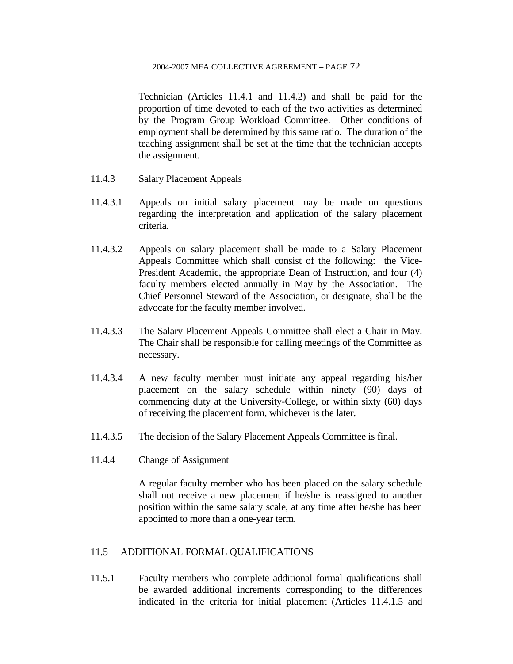Technician (Articles 11.4.1 and 11.4.2) and shall be paid for the proportion of time devoted to each of the two activities as determined by the Program Group Workload Committee. Other conditions of employment shall be determined by this same ratio. The duration of the teaching assignment shall be set at the time that the technician accepts the assignment.

- 11.4.3 Salary Placement Appeals
- 11.4.3.1 Appeals on initial salary placement may be made on questions regarding the interpretation and application of the salary placement criteria.
- 11.4.3.2 Appeals on salary placement shall be made to a Salary Placement Appeals Committee which shall consist of the following: the Vice-President Academic, the appropriate Dean of Instruction, and four (4) faculty members elected annually in May by the Association. The Chief Personnel Steward of the Association, or designate, shall be the advocate for the faculty member involved.
- 11.4.3.3 The Salary Placement Appeals Committee shall elect a Chair in May. The Chair shall be responsible for calling meetings of the Committee as necessary.
- 11.4.3.4 A new faculty member must initiate any appeal regarding his/her placement on the salary schedule within ninety (90) days of commencing duty at the University-College, or within sixty (60) days of receiving the placement form, whichever is the later.
- 11.4.3.5 The decision of the Salary Placement Appeals Committee is final.
- 11.4.4 Change of Assignment

 A regular faculty member who has been placed on the salary schedule shall not receive a new placement if he/she is reassigned to another position within the same salary scale, at any time after he/she has been appointed to more than a one-year term.

### 11.5 ADDITIONAL FORMAL QUALIFICATIONS

11.5.1 Faculty members who complete additional formal qualifications shall be awarded additional increments corresponding to the differences indicated in the criteria for initial placement (Articles 11.4.1.5 and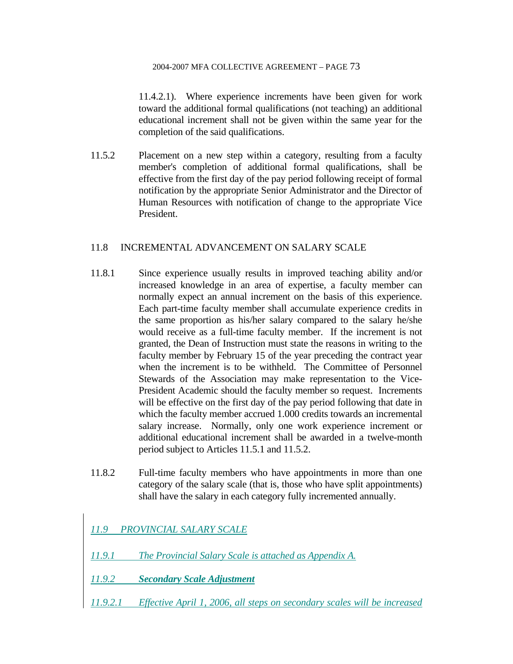11.4.2.1). Where experience increments have been given for work toward the additional formal qualifications (not teaching) an additional educational increment shall not be given within the same year for the completion of the said qualifications.

11.5.2 Placement on a new step within a category, resulting from a faculty member's completion of additional formal qualifications, shall be effective from the first day of the pay period following receipt of formal notification by the appropriate Senior Administrator and the Director of Human Resources with notification of change to the appropriate Vice President.

### 11.8 INCREMENTAL ADVANCEMENT ON SALARY SCALE

- 11.8.1 Since experience usually results in improved teaching ability and/or increased knowledge in an area of expertise, a faculty member can normally expect an annual increment on the basis of this experience. Each part-time faculty member shall accumulate experience credits in the same proportion as his/her salary compared to the salary he/she would receive as a full-time faculty member. If the increment is not granted, the Dean of Instruction must state the reasons in writing to the faculty member by February 15 of the year preceding the contract year when the increment is to be withheld. The Committee of Personnel Stewards of the Association may make representation to the Vice-President Academic should the faculty member so request. Increments will be effective on the first day of the pay period following that date in which the faculty member accrued 1.000 credits towards an incremental salary increase. Normally, only one work experience increment or additional educational increment shall be awarded in a twelve-month period subject to Articles 11.5.1 and 11.5.2.
- 11.8.2 Full-time faculty members who have appointments in more than one category of the salary scale (that is, those who have split appointments) shall have the salary in each category fully incremented annually.

*11.9 PROVINCIAL SALARY SCALE*

- *11.9.1 The Provincial Salary Scale is attached as Appendix A.*
- *11.9.2 Secondary Scale Adjustment*
- *11.9.2.1 Effective April 1, 2006, all steps on secondary scales will be increased*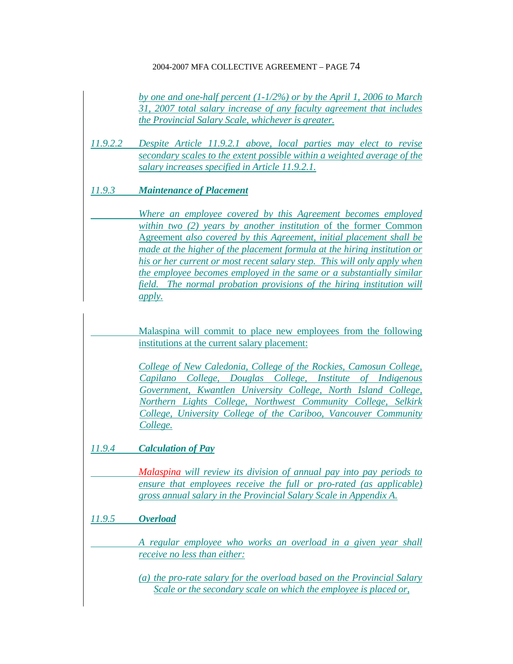*by one and one-half percent (1-1/2%) or by the April 1, 2006 to March 31, 2007 total salary increase of any faculty agreement that includes the Provincial Salary Scale, whichever is greater.*

*11.9.2.2 Despite Article 11.9.2.1 above, local parties may elect to revise secondary scales to the extent possible within a weighted average of the salary increases specified in Article 11.9.2.1.*

### *11.9.3 Maintenance of Placement*

 *Where an employee covered by this Agreement becomes employed within two (2) years by another institution* of the former Common Agreement *also covered by this Agreement, initial placement shall be made at the higher of the placement formula at the hiring institution or his or her current or most recent salary step. This will only apply when the employee becomes employed in the same or a substantially similar field. The normal probation provisions of the hiring institution will apply.* 

Malaspina will commit to place new employees from the following institutions at the current salary placement:

*College of New Caledonia, College of the Rockies, Camosun College, Capilano College, Douglas College, Institute of Indigenous Government, Kwantlen University College, North Island College, Northern Lights College, Northwest Community College, Selkirk College, University College of the Cariboo, Vancouver Community College.*

*11.9.4 Calculation of Pay*

*Malaspina will review its division of annual pay into pay periods to ensure that employees receive the full or pro-rated (as applicable) gross annual salary in the Provincial Salary Scale in Appendix A.*

*11.9.5 Overload*

 *A regular employee who works an overload in a given year shall receive no less than either:*

*(a) the pro-rate salary for the overload based on the Provincial Salary Scale or the secondary scale on which the employee is placed or,*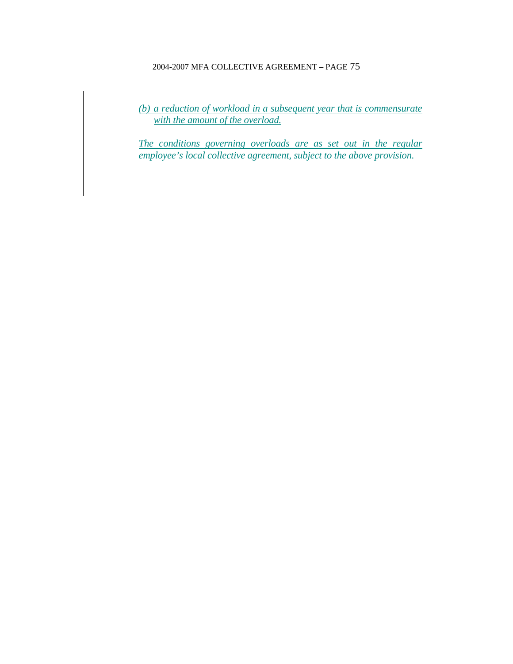*(b) a reduction of workload in a subsequent year that is commensurate with the amount of the overload.*

*The conditions governing overloads are as set out in the regular employee's local collective agreement, subject to the above provision.*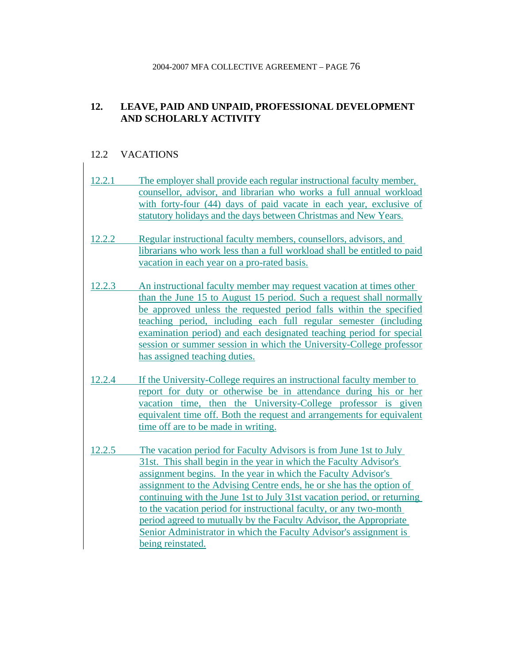# **12. LEAVE, PAID AND UNPAID, PROFESSIONAL DEVELOPMENT AND SCHOLARLY ACTIVITY**

# 12.2 VACATIONS

| 12.2.1 | The employer shall provide each regular instructional faculty member,<br>counsellor, advisor, and librarian who works a full annual workload<br>with forty-four (44) days of paid vacate in each year, exclusive of                                                                                                                                                                                                                                                                                                                                                                            |
|--------|------------------------------------------------------------------------------------------------------------------------------------------------------------------------------------------------------------------------------------------------------------------------------------------------------------------------------------------------------------------------------------------------------------------------------------------------------------------------------------------------------------------------------------------------------------------------------------------------|
|        | statutory holidays and the days between Christmas and New Years.                                                                                                                                                                                                                                                                                                                                                                                                                                                                                                                               |
| 12.2.2 | Regular instructional faculty members, counsellors, advisors, and<br>librarians who work less than a full workload shall be entitled to paid<br>vacation in each year on a pro-rated basis.                                                                                                                                                                                                                                                                                                                                                                                                    |
| 12.2.3 | An instructional faculty member may request vacation at times other<br>than the June 15 to August 15 period. Such a request shall normally<br>be approved unless the requested period falls within the specified<br>teaching period, including each full regular semester (including<br>examination period) and each designated teaching period for special<br>session or summer session in which the University-College professor<br>has assigned teaching duties.                                                                                                                            |
| 12.2.4 | If the University-College requires an instructional faculty member to<br>report for duty or otherwise be in attendance during his or her<br>vacation time, then the University-College professor is given<br>equivalent time off. Both the request and arrangements for equivalent<br>time off are to be made in writing.                                                                                                                                                                                                                                                                      |
| 12.2.5 | The vacation period for Faculty Advisors is from June 1st to July<br>31st. This shall begin in the year in which the Faculty Advisor's<br>assignment begins. In the year in which the Faculty Advisor's<br>assignment to the Advising Centre ends, he or she has the option of<br>continuing with the June 1st to July 31st vacation period, or returning<br>to the vacation period for instructional faculty, or any two-month<br>period agreed to mutually by the Faculty Advisor, the Appropriate<br>Senior Administrator in which the Faculty Advisor's assignment is<br>being reinstated. |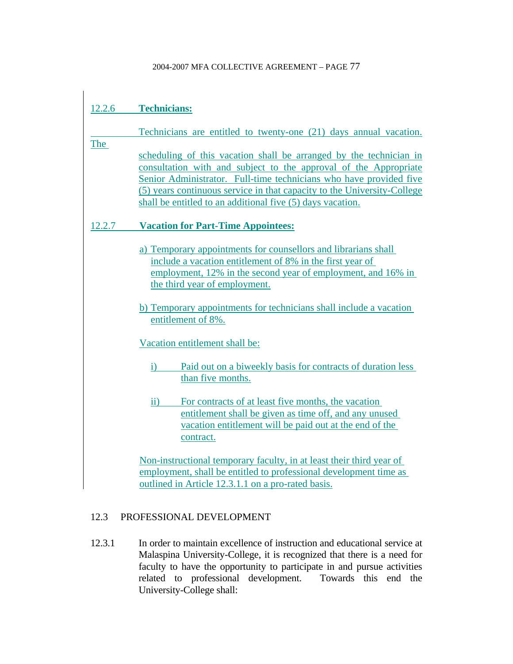# 12.2.6 **Technicians:**

|        | Technicians are entitled to twenty-one (21) days annual vacation.                                                                                                                                                                                                                                                                                     |
|--------|-------------------------------------------------------------------------------------------------------------------------------------------------------------------------------------------------------------------------------------------------------------------------------------------------------------------------------------------------------|
| The    | scheduling of this vacation shall be arranged by the technician in<br>consultation with and subject to the approval of the Appropriate<br>Senior Administrator. Full-time technicians who have provided five<br>(5) years continuous service in that capacity to the University-College<br>shall be entitled to an additional five (5) days vacation. |
| 12.2.7 | <b>Vacation for Part-Time Appointees:</b>                                                                                                                                                                                                                                                                                                             |
|        | a) Temporary appointments for counsellors and librarians shall<br>include a vacation entitlement of 8% in the first year of<br>employment, 12% in the second year of employment, and 16% in<br>the third year of employment.                                                                                                                          |
|        | b) Temporary appointments for technicians shall include a vacation<br>entitlement of 8%.                                                                                                                                                                                                                                                              |
|        | Vacation entitlement shall be:                                                                                                                                                                                                                                                                                                                        |
|        | Paid out on a biweekly basis for contracts of duration less<br>$\ddot{1}$<br>than five months.                                                                                                                                                                                                                                                        |
|        | For contracts of at least five months, the vacation<br>$\ddot{\textbf{i}}$<br>entitlement shall be given as time off, and any unused<br>vacation entitlement will be paid out at the end of the<br>contract.                                                                                                                                          |
|        | Non-instructional temporary faculty, in at least their third year of<br>employment, shall be entitled to professional development time as<br>outlined in Article 12.3.1.1 on a pro-rated basis.                                                                                                                                                       |

# 12.3 PROFESSIONAL DEVELOPMENT

12.3.1 In order to maintain excellence of instruction and educational service at Malaspina University-College, it is recognized that there is a need for faculty to have the opportunity to participate in and pursue activities related to professional development. Towards this end the University-College shall: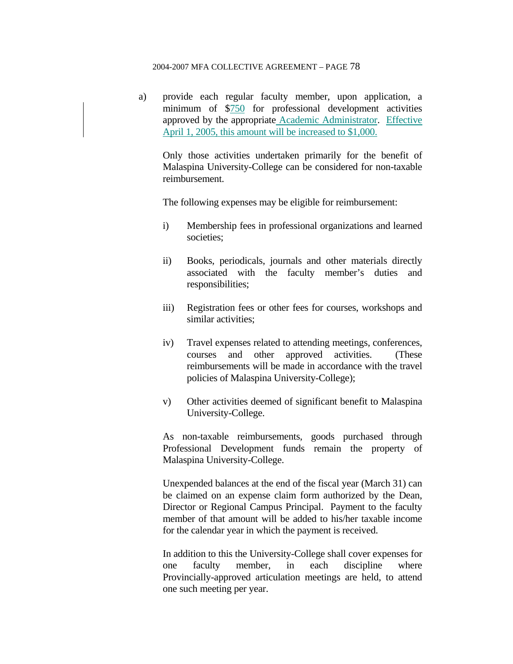a) provide each regular faculty member, upon application, a minimum of \$750 for professional development activities approved by the appropriate Academic Administrator. Effective April 1, 2005, this amount will be increased to \$1,000.

 Only those activities undertaken primarily for the benefit of Malaspina University-College can be considered for non-taxable reimbursement.

The following expenses may be eligible for reimbursement:

- i) Membership fees in professional organizations and learned societies;
- ii) Books, periodicals, journals and other materials directly associated with the faculty member's duties and responsibilities;
- iii) Registration fees or other fees for courses, workshops and similar activities;
- iv) Travel expenses related to attending meetings, conferences, courses and other approved activities. (These reimbursements will be made in accordance with the travel policies of Malaspina University-College);
- v) Other activities deemed of significant benefit to Malaspina University-College.

 As non-taxable reimbursements, goods purchased through Professional Development funds remain the property of Malaspina University-College.

 Unexpended balances at the end of the fiscal year (March 31) can be claimed on an expense claim form authorized by the Dean, Director or Regional Campus Principal. Payment to the faculty member of that amount will be added to his/her taxable income for the calendar year in which the payment is received.

 In addition to this the University-College shall cover expenses for one faculty member, in each discipline where Provincially-approved articulation meetings are held, to attend one such meeting per year.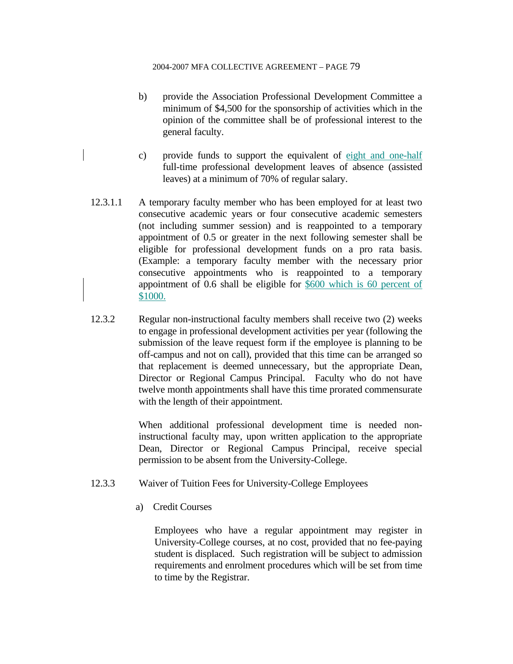- b) provide the Association Professional Development Committee a minimum of \$4,500 for the sponsorship of activities which in the opinion of the committee shall be of professional interest to the general faculty.
- c) provide funds to support the equivalent of eight and one-half full-time professional development leaves of absence (assisted leaves) at a minimum of 70% of regular salary.
- 12.3.1.1 A temporary faculty member who has been employed for at least two consecutive academic years or four consecutive academic semesters (not including summer session) and is reappointed to a temporary appointment of 0.5 or greater in the next following semester shall be eligible for professional development funds on a pro rata basis. (Example: a temporary faculty member with the necessary prior consecutive appointments who is reappointed to a temporary appointment of 0.6 shall be eligible for \$600 which is 60 percent of \$1000.
- 12.3.2 Regular non-instructional faculty members shall receive two (2) weeks to engage in professional development activities per year (following the submission of the leave request form if the employee is planning to be off-campus and not on call), provided that this time can be arranged so that replacement is deemed unnecessary, but the appropriate Dean, Director or Regional Campus Principal. Faculty who do not have twelve month appointments shall have this time prorated commensurate with the length of their appointment.

 When additional professional development time is needed noninstructional faculty may, upon written application to the appropriate Dean, Director or Regional Campus Principal, receive special permission to be absent from the University-College.

- 12.3.3 Waiver of Tuition Fees for University-College Employees
	- a) Credit Courses

 Employees who have a regular appointment may register in University-College courses, at no cost, provided that no fee-paying student is displaced. Such registration will be subject to admission requirements and enrolment procedures which will be set from time to time by the Registrar.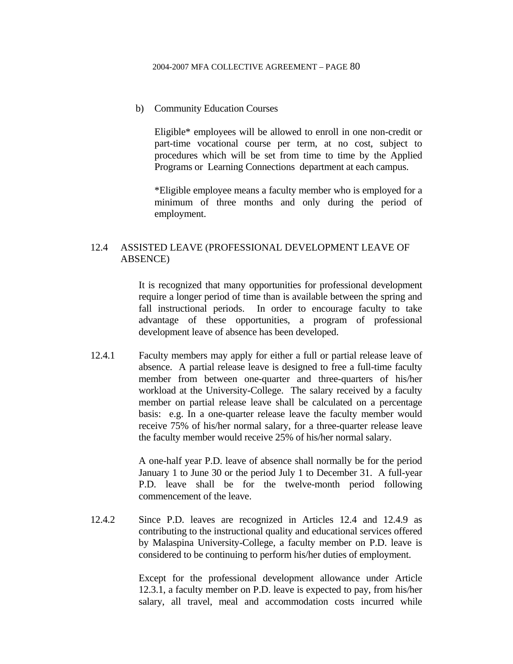b) Community Education Courses

Eligible\* employees will be allowed to enroll in one non-credit or part-time vocational course per term, at no cost, subject to procedures which will be set from time to time by the Applied Programs or Learning Connections department at each campus.

\*Eligible employee means a faculty member who is employed for a minimum of three months and only during the period of employment.

### 12.4 ASSISTED LEAVE (PROFESSIONAL DEVELOPMENT LEAVE OF ABSENCE)

 It is recognized that many opportunities for professional development require a longer period of time than is available between the spring and fall instructional periods. In order to encourage faculty to take advantage of these opportunities, a program of professional development leave of absence has been developed.

12.4.1 Faculty members may apply for either a full or partial release leave of absence. A partial release leave is designed to free a full-time faculty member from between one-quarter and three-quarters of his/her workload at the University-College. The salary received by a faculty member on partial release leave shall be calculated on a percentage basis: e.g. In a one-quarter release leave the faculty member would receive 75% of his/her normal salary, for a three-quarter release leave the faculty member would receive 25% of his/her normal salary.

> A one-half year P.D. leave of absence shall normally be for the period January 1 to June 30 or the period July 1 to December 31. A full-year P.D. leave shall be for the twelve-month period following commencement of the leave.

12.4.2 Since P.D. leaves are recognized in Articles 12.4 and 12.4.9 as contributing to the instructional quality and educational services offered by Malaspina University-College, a faculty member on P.D. leave is considered to be continuing to perform his/her duties of employment.

> Except for the professional development allowance under Article 12.3.1, a faculty member on P.D. leave is expected to pay, from his/her salary, all travel, meal and accommodation costs incurred while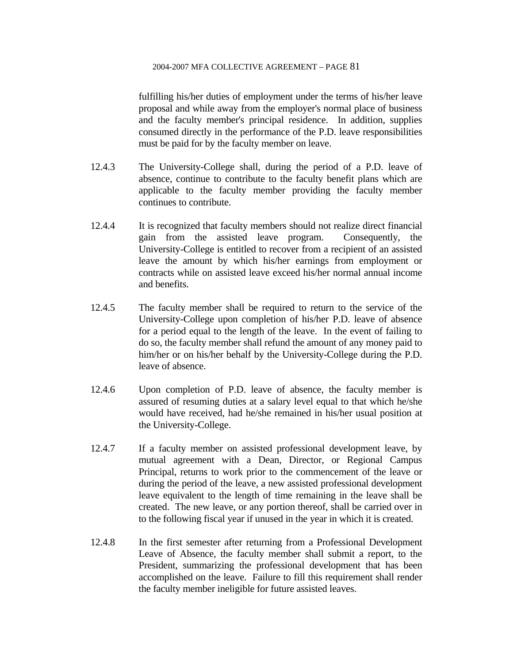fulfilling his/her duties of employment under the terms of his/her leave proposal and while away from the employer's normal place of business and the faculty member's principal residence. In addition, supplies consumed directly in the performance of the P.D. leave responsibilities must be paid for by the faculty member on leave.

- 12.4.3 The University-College shall, during the period of a P.D. leave of absence, continue to contribute to the faculty benefit plans which are applicable to the faculty member providing the faculty member continues to contribute.
- 12.4.4 It is recognized that faculty members should not realize direct financial gain from the assisted leave program. Consequently, the University-College is entitled to recover from a recipient of an assisted leave the amount by which his/her earnings from employment or contracts while on assisted leave exceed his/her normal annual income and benefits.
- 12.4.5 The faculty member shall be required to return to the service of the University-College upon completion of his/her P.D. leave of absence for a period equal to the length of the leave. In the event of failing to do so, the faculty member shall refund the amount of any money paid to him/her or on his/her behalf by the University-College during the P.D. leave of absence.
- 12.4.6 Upon completion of P.D. leave of absence, the faculty member is assured of resuming duties at a salary level equal to that which he/she would have received, had he/she remained in his/her usual position at the University-College.
- 12.4.7 If a faculty member on assisted professional development leave, by mutual agreement with a Dean, Director, or Regional Campus Principal, returns to work prior to the commencement of the leave or during the period of the leave, a new assisted professional development leave equivalent to the length of time remaining in the leave shall be created. The new leave, or any portion thereof, shall be carried over in to the following fiscal year if unused in the year in which it is created.
- 12.4.8 In the first semester after returning from a Professional Development Leave of Absence, the faculty member shall submit a report, to the President, summarizing the professional development that has been accomplished on the leave. Failure to fill this requirement shall render the faculty member ineligible for future assisted leaves.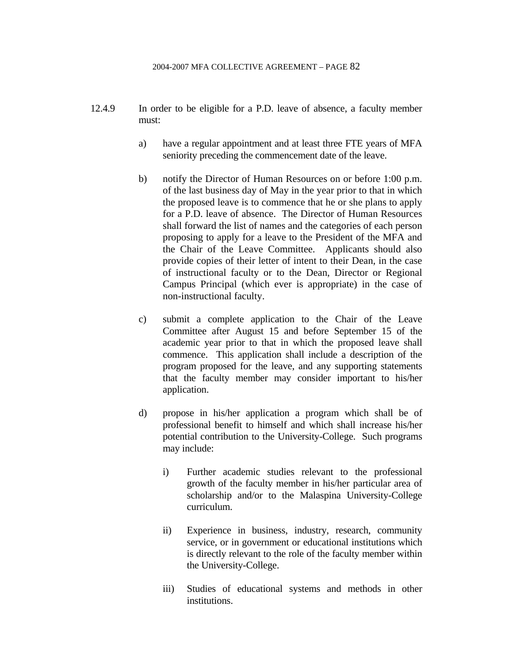- 12.4.9 In order to be eligible for a P.D. leave of absence, a faculty member must:
	- a) have a regular appointment and at least three FTE years of MFA seniority preceding the commencement date of the leave.
	- b) notify the Director of Human Resources on or before 1:00 p.m. of the last business day of May in the year prior to that in which the proposed leave is to commence that he or she plans to apply for a P.D. leave of absence. The Director of Human Resources shall forward the list of names and the categories of each person proposing to apply for a leave to the President of the MFA and the Chair of the Leave Committee. Applicants should also provide copies of their letter of intent to their Dean, in the case of instructional faculty or to the Dean, Director or Regional Campus Principal (which ever is appropriate) in the case of non-instructional faculty.
	- c) submit a complete application to the Chair of the Leave Committee after August 15 and before September 15 of the academic year prior to that in which the proposed leave shall commence. This application shall include a description of the program proposed for the leave, and any supporting statements that the faculty member may consider important to his/her application.
	- d) propose in his/her application a program which shall be of professional benefit to himself and which shall increase his/her potential contribution to the University-College. Such programs may include:
		- i) Further academic studies relevant to the professional growth of the faculty member in his/her particular area of scholarship and/or to the Malaspina University-College curriculum.
		- ii) Experience in business, industry, research, community service, or in government or educational institutions which is directly relevant to the role of the faculty member within the University-College.
		- iii) Studies of educational systems and methods in other institutions.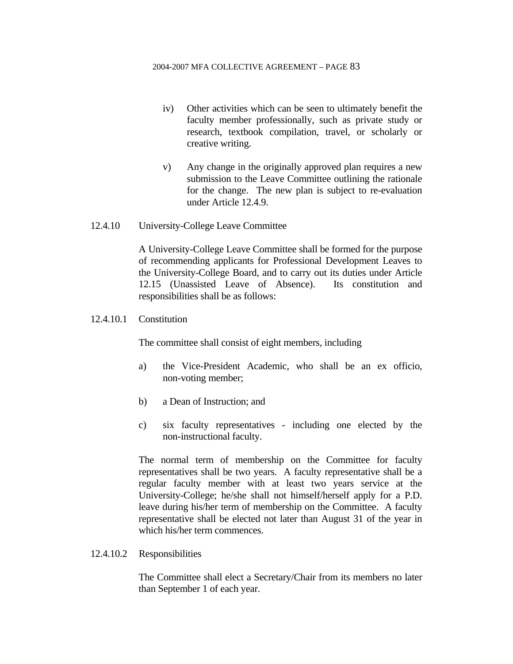- iv) Other activities which can be seen to ultimately benefit the faculty member professionally, such as private study or research, textbook compilation, travel, or scholarly or creative writing.
- v) Any change in the originally approved plan requires a new submission to the Leave Committee outlining the rationale for the change. The new plan is subject to re-evaluation under Article 12.4.9.
- 12.4.10 University-College Leave Committee

 A University-College Leave Committee shall be formed for the purpose of recommending applicants for Professional Development Leaves to the University-College Board, and to carry out its duties under Article 12.15 (Unassisted Leave of Absence). Its constitution and responsibilities shall be as follows:

12.4.10.1 Constitution

The committee shall consist of eight members, including

- a) the Vice-President Academic, who shall be an ex officio, non-voting member;
- b) a Dean of Instruction; and
- c) six faculty representatives including one elected by the non-instructional faculty.

 The normal term of membership on the Committee for faculty representatives shall be two years. A faculty representative shall be a regular faculty member with at least two years service at the University-College; he/she shall not himself/herself apply for a P.D. leave during his/her term of membership on the Committee. A faculty representative shall be elected not later than August 31 of the year in which his/her term commences.

12.4.10.2 Responsibilities

 The Committee shall elect a Secretary/Chair from its members no later than September 1 of each year.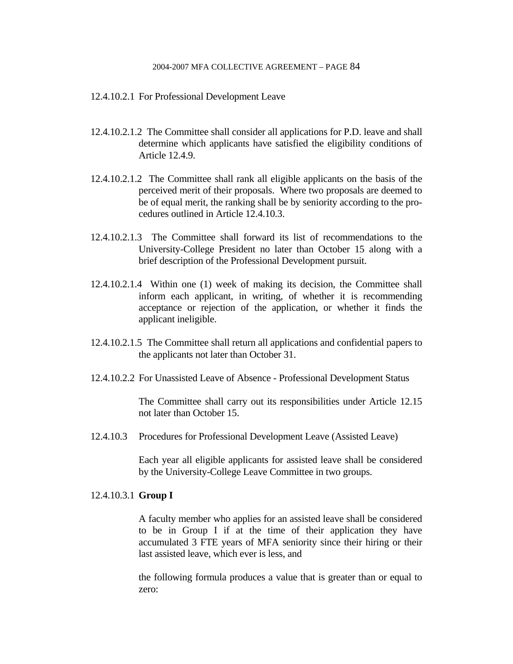- 12.4.10.2.1 For Professional Development Leave
- 12.4.10.2.1.2 The Committee shall consider all applications for P.D. leave and shall determine which applicants have satisfied the eligibility conditions of Article 12.4.9.
- 12.4.10.2.1.2 The Committee shall rank all eligible applicants on the basis of the perceived merit of their proposals. Where two proposals are deemed to be of equal merit, the ranking shall be by seniority according to the procedures outlined in Article 12.4.10.3.
- 12.4.10.2.1.3 The Committee shall forward its list of recommendations to the University-College President no later than October 15 along with a brief description of the Professional Development pursuit.
- 12.4.10.2.1.4 Within one (1) week of making its decision, the Committee shall inform each applicant, in writing, of whether it is recommending acceptance or rejection of the application, or whether it finds the applicant ineligible.
- 12.4.10.2.1.5 The Committee shall return all applications and confidential papers to the applicants not later than October 31.
- 12.4.10.2.2 For Unassisted Leave of Absence Professional Development Status

 The Committee shall carry out its responsibilities under Article 12.15 not later than October 15.

12.4.10.3 Procedures for Professional Development Leave (Assisted Leave)

 Each year all eligible applicants for assisted leave shall be considered by the University-College Leave Committee in two groups.

### 12.4.10.3.1 **Group I**

 A faculty member who applies for an assisted leave shall be considered to be in Group I if at the time of their application they have accumulated 3 FTE years of MFA seniority since their hiring or their last assisted leave, which ever is less, and

 the following formula produces a value that is greater than or equal to zero: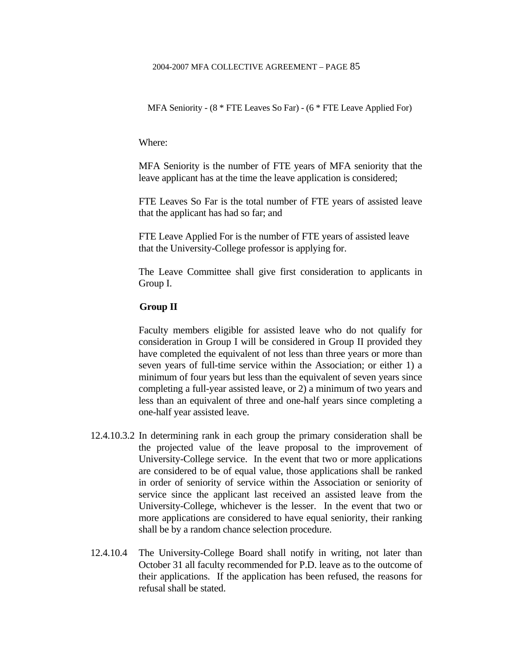MFA Seniority - (8 \* FTE Leaves So Far) - (6 \* FTE Leave Applied For)

Where:

 MFA Seniority is the number of FTE years of MFA seniority that the leave applicant has at the time the leave application is considered;

 FTE Leaves So Far is the total number of FTE years of assisted leave that the applicant has had so far; and

 FTE Leave Applied For is the number of FTE years of assisted leave that the University-College professor is applying for.

 The Leave Committee shall give first consideration to applicants in Group I.

#### **Group II**

 Faculty members eligible for assisted leave who do not qualify for consideration in Group I will be considered in Group II provided they have completed the equivalent of not less than three years or more than seven years of full-time service within the Association; or either 1) a minimum of four years but less than the equivalent of seven years since completing a full-year assisted leave, or 2) a minimum of two years and less than an equivalent of three and one-half years since completing a one-half year assisted leave.

- 12.4.10.3.2 In determining rank in each group the primary consideration shall be the projected value of the leave proposal to the improvement of University-College service. In the event that two or more applications are considered to be of equal value, those applications shall be ranked in order of seniority of service within the Association or seniority of service since the applicant last received an assisted leave from the University-College, whichever is the lesser. In the event that two or more applications are considered to have equal seniority, their ranking shall be by a random chance selection procedure.
- 12.4.10.4 The University-College Board shall notify in writing, not later than October 31 all faculty recommended for P.D. leave as to the outcome of their applications. If the application has been refused, the reasons for refusal shall be stated.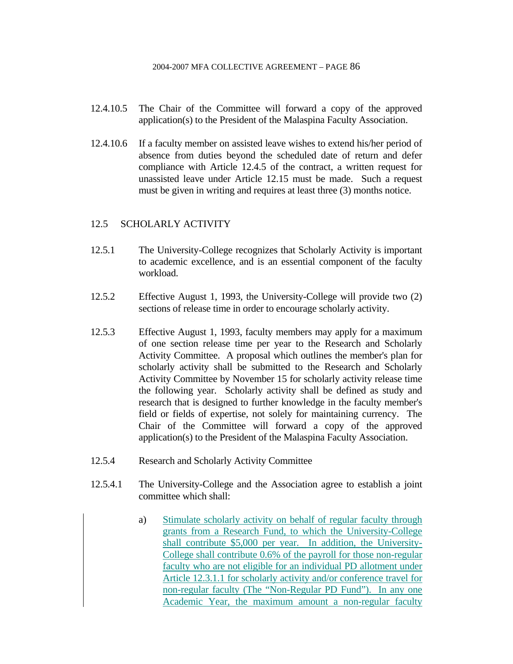- 12.4.10.5 The Chair of the Committee will forward a copy of the approved application(s) to the President of the Malaspina Faculty Association.
- 12.4.10.6 If a faculty member on assisted leave wishes to extend his/her period of absence from duties beyond the scheduled date of return and defer compliance with Article 12.4.5 of the contract, a written request for unassisted leave under Article 12.15 must be made. Such a request must be given in writing and requires at least three (3) months notice.

### 12.5 SCHOLARLY ACTIVITY

- 12.5.1 The University-College recognizes that Scholarly Activity is important to academic excellence, and is an essential component of the faculty workload.
- 12.5.2 Effective August 1, 1993, the University-College will provide two (2) sections of release time in order to encourage scholarly activity.
- 12.5.3 Effective August 1, 1993, faculty members may apply for a maximum of one section release time per year to the Research and Scholarly Activity Committee. A proposal which outlines the member's plan for scholarly activity shall be submitted to the Research and Scholarly Activity Committee by November 15 for scholarly activity release time the following year. Scholarly activity shall be defined as study and research that is designed to further knowledge in the faculty member's field or fields of expertise, not solely for maintaining currency. The Chair of the Committee will forward a copy of the approved application(s) to the President of the Malaspina Faculty Association.
- 12.5.4 Research and Scholarly Activity Committee
- 12.5.4.1 The University-College and the Association agree to establish a joint committee which shall:
	- a) Stimulate scholarly activity on behalf of regular faculty through grants from a Research Fund, to which the University-College shall contribute \$5,000 per year. In addition, the University-College shall contribute 0.6% of the payroll for those non-regular faculty who are not eligible for an individual PD allotment under Article 12.3.1.1 for scholarly activity and/or conference travel for non-regular faculty (The "Non-Regular PD Fund"). In any one Academic Year, the maximum amount a non-regular faculty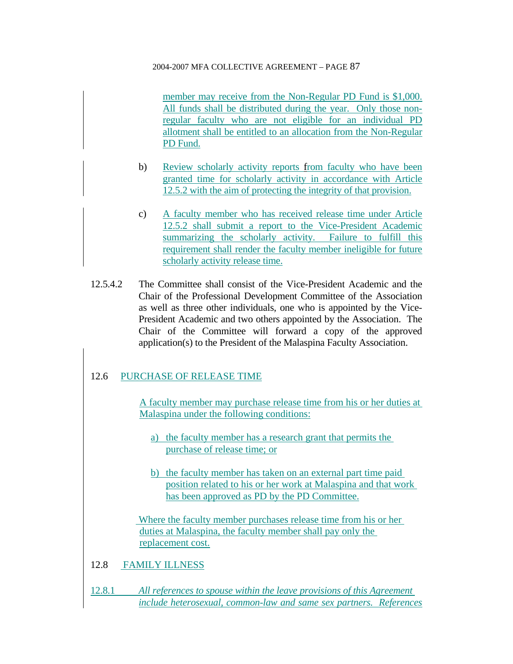member may receive from the Non-Regular PD Fund is \$1,000. All funds shall be distributed during the year. Only those nonregular faculty who are not eligible for an individual PD allotment shall be entitled to an allocation from the Non-Regular PD Fund.

- b) Review scholarly activity reports from faculty who have been granted time for scholarly activity in accordance with Article 12.5.2 with the aim of protecting the integrity of that provision.
- c) A faculty member who has received release time under Article 12.5.2 shall submit a report to the Vice-President Academic summarizing the scholarly activity. Failure to fulfill this requirement shall render the faculty member ineligible for future scholarly activity release time.
- 12.5.4.2 The Committee shall consist of the Vice-President Academic and the Chair of the Professional Development Committee of the Association as well as three other individuals, one who is appointed by the Vice-President Academic and two others appointed by the Association. The Chair of the Committee will forward a copy of the approved application(s) to the President of the Malaspina Faculty Association.

# 12.6 PURCHASE OF RELEASE TIME

A faculty member may purchase release time from his or her duties at Malaspina under the following conditions:

- a) the faculty member has a research grant that permits the purchase of release time; or
- b) the faculty member has taken on an external part time paid position related to his or her work at Malaspina and that work has been approved as PD by the PD Committee.

 Where the faculty member purchases release time from his or her duties at Malaspina, the faculty member shall pay only the replacement cost.

- 12.8 FAMILY ILLNESS
- 12.8.1 All references to spouse within the leave provisions of this Agreement *include heterosexual, common-law and same sex partners. References*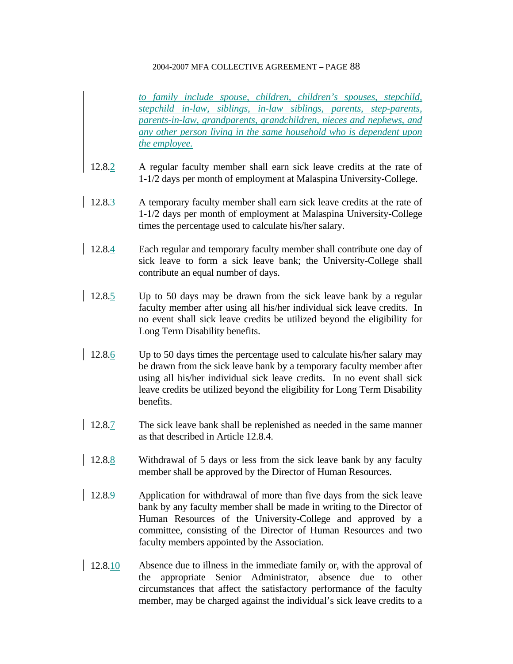*to family include spouse, children, children's spouses, stepchild, stepchild in-law, siblings, in-law siblings, parents, step-parents, parents-in-law, grandparents, grandchildren, nieces and nephews, and any other person living in the same household who is dependent upon the employee.*

- 12.8.2 A regular faculty member shall earn sick leave credits at the rate of 1-1/2 days per month of employment at Malaspina University-College.
- 12.8.3 A temporary faculty member shall earn sick leave credits at the rate of 1-1/2 days per month of employment at Malaspina University-College times the percentage used to calculate his/her salary.
- 12.8.4 Each regular and temporary faculty member shall contribute one day of sick leave to form a sick leave bank; the University-College shall contribute an equal number of days.
- 12.8.5 Up to 50 days may be drawn from the sick leave bank by a regular faculty member after using all his/her individual sick leave credits. In no event shall sick leave credits be utilized beyond the eligibility for Long Term Disability benefits.
- 12.8.6 Up to 50 days times the percentage used to calculate his/her salary may be drawn from the sick leave bank by a temporary faculty member after using all his/her individual sick leave credits. In no event shall sick leave credits be utilized beyond the eligibility for Long Term Disability benefits.
- 12.8.7 The sick leave bank shall be replenished as needed in the same manner as that described in Article 12.8.4.
- 12.8.8 Withdrawal of 5 days or less from the sick leave bank by any faculty member shall be approved by the Director of Human Resources.
- 12.8.9 Application for withdrawal of more than five days from the sick leave bank by any faculty member shall be made in writing to the Director of Human Resources of the University-College and approved by a committee, consisting of the Director of Human Resources and two faculty members appointed by the Association.
- 12.8.10 Absence due to illness in the immediate family or, with the approval of the appropriate Senior Administrator, absence due to other circumstances that affect the satisfactory performance of the faculty member, may be charged against the individual's sick leave credits to a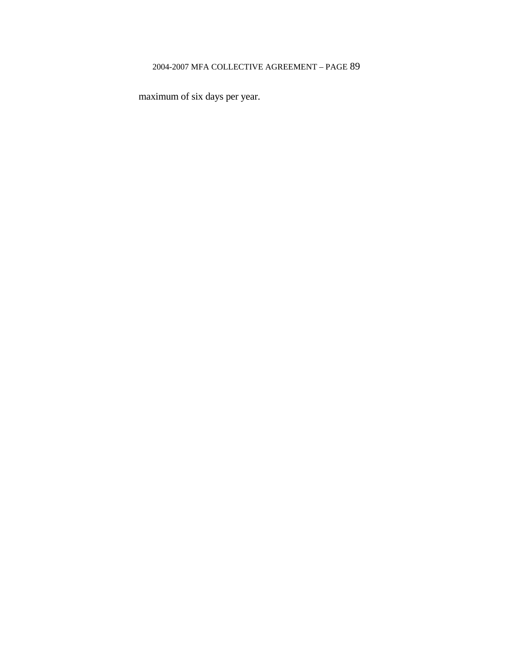maximum of six days per year.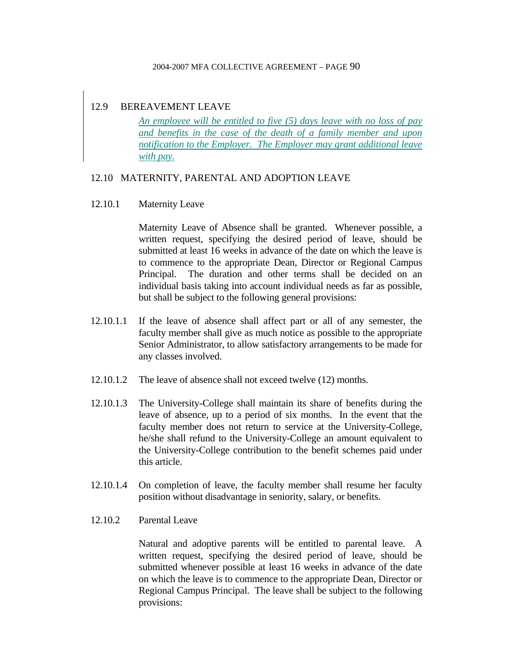### 12.9 BEREAVEMENT LEAVE

*An employee will be entitled to five (5) days leave with no loss of pay and benefits in the case of the death of a family member and upon notification to the Employer. The Employer may grant additional leave with pay.*

### 12.10 MATERNITY, PARENTAL AND ADOPTION LEAVE

### 12.10.1 Maternity Leave

 Maternity Leave of Absence shall be granted. Whenever possible, a written request, specifying the desired period of leave, should be submitted at least 16 weeks in advance of the date on which the leave is to commence to the appropriate Dean, Director or Regional Campus Principal. The duration and other terms shall be decided on an individual basis taking into account individual needs as far as possible, but shall be subject to the following general provisions:

- 12.10.1.1 If the leave of absence shall affect part or all of any semester, the faculty member shall give as much notice as possible to the appropriate Senior Administrator, to allow satisfactory arrangements to be made for any classes involved.
- 12.10.1.2 The leave of absence shall not exceed twelve (12) months.
- 12.10.1.3 The University-College shall maintain its share of benefits during the leave of absence, up to a period of six months. In the event that the faculty member does not return to service at the University-College, he/she shall refund to the University-College an amount equivalent to the University-College contribution to the benefit schemes paid under this article.
- 12.10.1.4 On completion of leave, the faculty member shall resume her faculty position without disadvantage in seniority, salary, or benefits.
- 12.10.2 Parental Leave

 Natural and adoptive parents will be entitled to parental leave. A written request, specifying the desired period of leave, should be submitted whenever possible at least 16 weeks in advance of the date on which the leave is to commence to the appropriate Dean, Director or Regional Campus Principal. The leave shall be subject to the following provisions: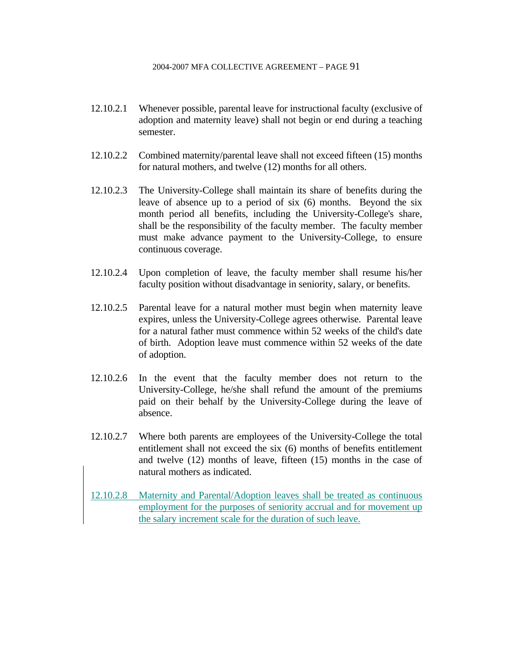- 12.10.2.1 Whenever possible, parental leave for instructional faculty (exclusive of adoption and maternity leave) shall not begin or end during a teaching semester.
- 12.10.2.2 Combined maternity/parental leave shall not exceed fifteen (15) months for natural mothers, and twelve (12) months for all others.
- 12.10.2.3 The University-College shall maintain its share of benefits during the leave of absence up to a period of six (6) months. Beyond the six month period all benefits, including the University-College's share, shall be the responsibility of the faculty member. The faculty member must make advance payment to the University-College, to ensure continuous coverage.
- 12.10.2.4 Upon completion of leave, the faculty member shall resume his/her faculty position without disadvantage in seniority, salary, or benefits.
- 12.10.2.5 Parental leave for a natural mother must begin when maternity leave expires, unless the University-College agrees otherwise. Parental leave for a natural father must commence within 52 weeks of the child's date of birth. Adoption leave must commence within 52 weeks of the date of adoption.
- 12.10.2.6 In the event that the faculty member does not return to the University-College, he/she shall refund the amount of the premiums paid on their behalf by the University-College during the leave of absence.
- 12.10.2.7 Where both parents are employees of the University-College the total entitlement shall not exceed the six (6) months of benefits entitlement and twelve (12) months of leave, fifteen (15) months in the case of natural mothers as indicated.
- 12.10.2.8 Maternity and Parental/Adoption leaves shall be treated as continuous employment for the purposes of seniority accrual and for movement up the salary increment scale for the duration of such leave.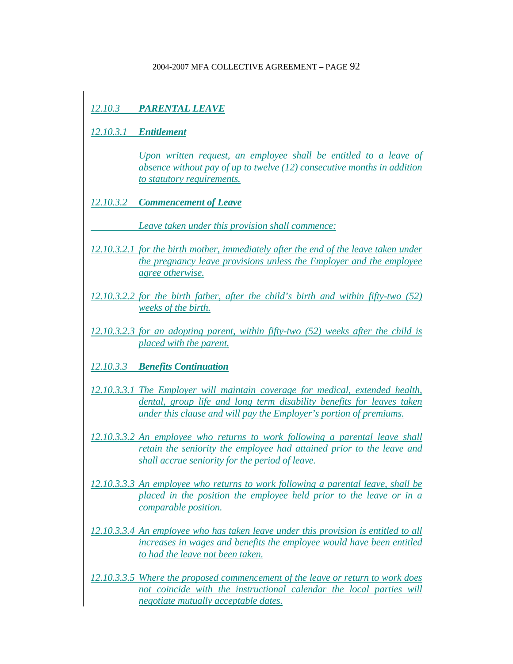# *12.10.3 PARENTAL LEAVE*

*12.10.3.1 Entitlement*

 *Upon written request, an employee shall be entitled to a leave of absence without pay of up to twelve (12) consecutive months in addition to statutory requirements.*

*12.10.3.2 Commencement of Leave*

 *Leave taken under this provision shall commence:*

- *12.10.3.2.1 for the birth mother, immediately after the end of the leave taken under the pregnancy leave provisions unless the Employer and the employee agree otherwise.*
- *12.10.3.2.2 for the birth father, after the child's birth and within fifty-two (52) weeks of the birth.*
- *12.10.3.2.3 for an adopting parent, within fifty-two (52) weeks after the child is placed with the parent.*

*12.10.3.3 Benefits Continuation*

- *12.10.3.3.1 The Employer will maintain coverage for medical, extended health, dental, group life and long term disability benefits for leaves taken under this clause and will pay the Employer's portion of premiums.*
- *12.10.3.3.2 An employee who returns to work following a parental leave shall retain the seniority the employee had attained prior to the leave and shall accrue seniority for the period of leave.*
- *12.10.3.3.3 An employee who returns to work following a parental leave, shall be placed in the position the employee held prior to the leave or in a comparable position.*
- *12.10.3.3.4 An employee who has taken leave under this provision is entitled to all increases in wages and benefits the employee would have been entitled to had the leave not been taken.*
- *12.10.3.3.5 Where the proposed commencement of the leave or return to work does*  not coincide with the instructional calendar the local parties will *negotiate mutually acceptable dates.*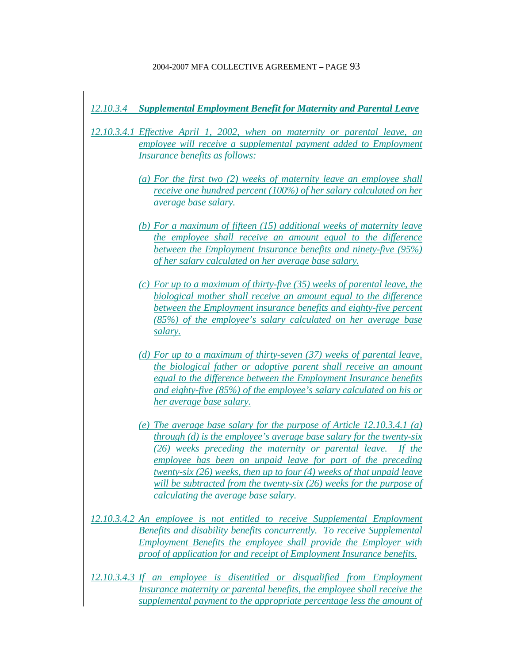## *12.10.3.4 Supplemental Employment Benefit for Maternity and Parental Leave*

*12.10.3.4.1 Effective April 1, 2002, when on maternity or parental leave, an employee will receive a supplemental payment added to Employment Insurance benefits as follows:*

- *(a) For the first two (2) weeks of maternity leave an employee shall receive one hundred percent (100%) of her salary calculated on her average base salary.*
- *(b) For a maximum of fifteen (15) additional weeks of maternity leave the employee shall receive an amount equal to the difference between the Employment Insurance benefits and ninety-five (95%) of her salary calculated on her average base salary.*
- *(c) For up to a maximum of thirty-five (35) weeks of parental leave, the biological mother shall receive an amount equal to the difference between the Employment insurance benefits and eighty-five percent (85%) of the employee's salary calculated on her average base salary.*
- *(d) For up to a maximum of thirty-seven (37) weeks of parental leave, the biological father or adoptive parent shall receive an amount equal to the difference between the Employment Insurance benefits and eighty-five (85%) of the employee's salary calculated on his or her average base salary.*
- *(e) The average base salary for the purpose of Article 12.10.3.4.1 (a) through (d) is the employee's average base salary for the twenty-six (26) weeks preceding the maternity or parental leave. If the employee has been on unpaid leave for part of the preceding twenty-six (26) weeks, then up to four (4) weeks of that unpaid leave will be subtracted from the twenty-six (26) weeks for the purpose of calculating the average base salary.*
- *12.10.3.4.2 An employee is not entitled to receive Supplemental Employment Benefits and disability benefits concurrently. To receive Supplemental Employment Benefits the employee shall provide the Employer with proof of application for and receipt of Employment Insurance benefits.*
- *12.10.3.4.3 If an employee is disentitled or disqualified from Employment Insurance maternity or parental benefits, the employee shall receive the supplemental payment to the appropriate percentage less the amount of*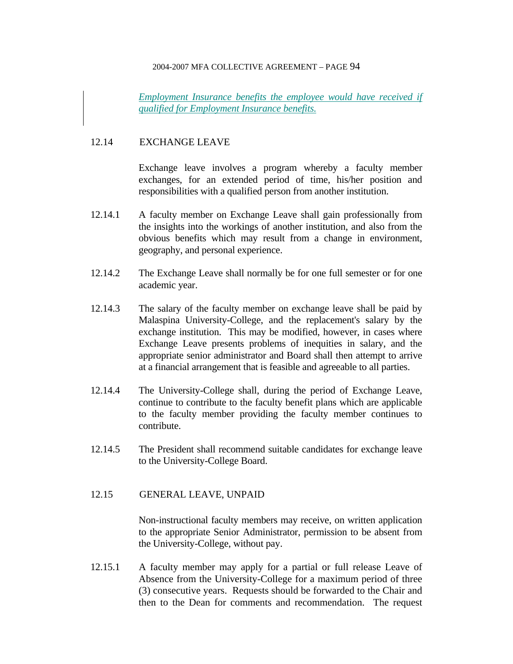*Employment Insurance benefits the employee would have received if qualified for Employment Insurance benefits.*

## 12.14 EXCHANGE LEAVE

 Exchange leave involves a program whereby a faculty member exchanges, for an extended period of time, his/her position and responsibilities with a qualified person from another institution.

- 12.14.1 A faculty member on Exchange Leave shall gain professionally from the insights into the workings of another institution, and also from the obvious benefits which may result from a change in environment, geography, and personal experience.
- 12.14.2 The Exchange Leave shall normally be for one full semester or for one academic year.
- 12.14.3 The salary of the faculty member on exchange leave shall be paid by Malaspina University-College, and the replacement's salary by the exchange institution. This may be modified, however, in cases where Exchange Leave presents problems of inequities in salary, and the appropriate senior administrator and Board shall then attempt to arrive at a financial arrangement that is feasible and agreeable to all parties.
- 12.14.4 The University-College shall, during the period of Exchange Leave, continue to contribute to the faculty benefit plans which are applicable to the faculty member providing the faculty member continues to contribute.
- 12.14.5 The President shall recommend suitable candidates for exchange leave to the University-College Board.
- 12.15 GENERAL LEAVE, UNPAID

 Non-instructional faculty members may receive, on written application to the appropriate Senior Administrator, permission to be absent from the University-College, without pay.

12.15.1 A faculty member may apply for a partial or full release Leave of Absence from the University-College for a maximum period of three (3) consecutive years. Requests should be forwarded to the Chair and then to the Dean for comments and recommendation. The request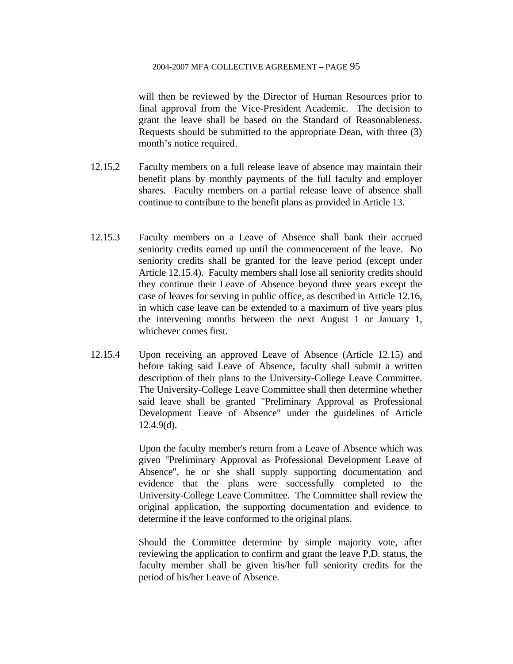will then be reviewed by the Director of Human Resources prior to final approval from the Vice-President Academic. The decision to grant the leave shall be based on the Standard of Reasonableness. Requests should be submitted to the appropriate Dean, with three (3) month's notice required.

- 12.15.2 Faculty members on a full release leave of absence may maintain their benefit plans by monthly payments of the full faculty and employer shares. Faculty members on a partial release leave of absence shall continue to contribute to the benefit plans as provided in Article 13.
- 12.15.3 Faculty members on a Leave of Absence shall bank their accrued seniority credits earned up until the commencement of the leave. No seniority credits shall be granted for the leave period (except under Article 12.15.4). Faculty members shall lose all seniority credits should they continue their Leave of Absence beyond three years except the case of leaves for serving in public office, as described in Article 12.16, in which case leave can be extended to a maximum of five years plus the intervening months between the next August 1 or January 1, whichever comes first.
- 12.15.4 Upon receiving an approved Leave of Absence (Article 12.15) and before taking said Leave of Absence, faculty shall submit a written description of their plans to the University-College Leave Committee. The University-College Leave Committee shall then determine whether said leave shall be granted "Preliminary Approval as Professional Development Leave of Absence" under the guidelines of Article 12.4.9(d).

 Upon the faculty member's return from a Leave of Absence which was given "Preliminary Approval as Professional Development Leave of Absence", he or she shall supply supporting documentation and evidence that the plans were successfully completed to the University-College Leave Committee. The Committee shall review the original application, the supporting documentation and evidence to determine if the leave conformed to the original plans.

 Should the Committee determine by simple majority vote, after reviewing the application to confirm and grant the leave P.D. status, the faculty member shall be given his/her full seniority credits for the period of his/her Leave of Absence.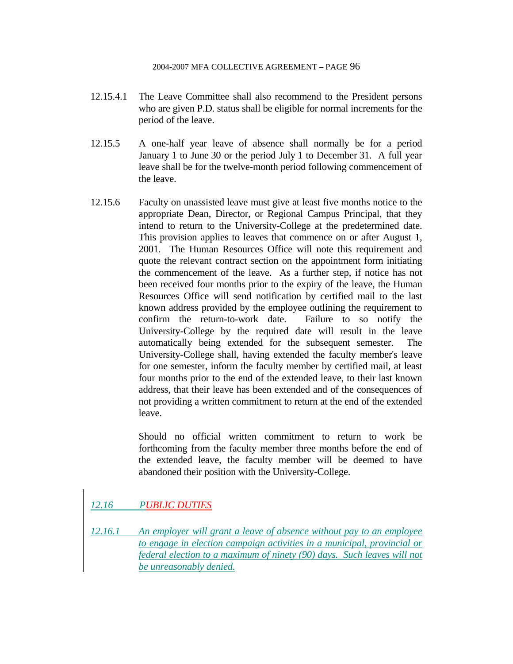- 12.15.4.1 The Leave Committee shall also recommend to the President persons who are given P.D. status shall be eligible for normal increments for the period of the leave.
- 12.15.5 A one-half year leave of absence shall normally be for a period January 1 to June 30 or the period July 1 to December 31. A full year leave shall be for the twelve-month period following commencement of the leave.
- 12.15.6 Faculty on unassisted leave must give at least five months notice to the appropriate Dean, Director, or Regional Campus Principal, that they intend to return to the University-College at the predetermined date. This provision applies to leaves that commence on or after August 1, 2001. The Human Resources Office will note this requirement and quote the relevant contract section on the appointment form initiating the commencement of the leave. As a further step, if notice has not been received four months prior to the expiry of the leave, the Human Resources Office will send notification by certified mail to the last known address provided by the employee outlining the requirement to confirm the return-to-work date. Failure to so notify the University-College by the required date will result in the leave automatically being extended for the subsequent semester. The University-College shall, having extended the faculty member's leave for one semester, inform the faculty member by certified mail, at least four months prior to the end of the extended leave, to their last known address, that their leave has been extended and of the consequences of not providing a written commitment to return at the end of the extended leave.

 Should no official written commitment to return to work be forthcoming from the faculty member three months before the end of the extended leave, the faculty member will be deemed to have abandoned their position with the University-College.

# *12.16 PUBLIC DUTIES*

*12.16.1 An employer will grant a leave of absence without pay to an employee to engage in election campaign activities in a municipal, provincial or federal election to a maximum of ninety (90) days. Such leaves will not be unreasonably denied.*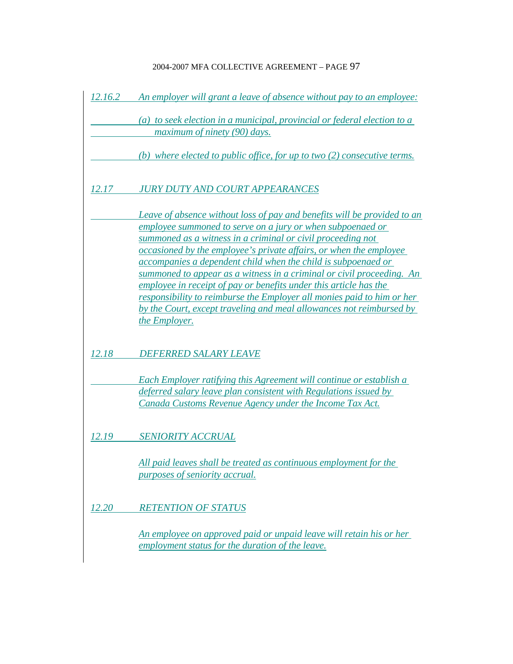| 12.16.2 | An employer will grant a leave of absence without pay to an employee:                                                                                                                                                                                                                                                                                                                                                                                                                                                                                                                                                                                         |
|---------|---------------------------------------------------------------------------------------------------------------------------------------------------------------------------------------------------------------------------------------------------------------------------------------------------------------------------------------------------------------------------------------------------------------------------------------------------------------------------------------------------------------------------------------------------------------------------------------------------------------------------------------------------------------|
|         | (a) to seek election in a municipal, provincial or federal election to a<br>maximum of ninety (90) days.                                                                                                                                                                                                                                                                                                                                                                                                                                                                                                                                                      |
|         | (b) where elected to public office, for up to two (2) consecutive terms.                                                                                                                                                                                                                                                                                                                                                                                                                                                                                                                                                                                      |
| 12.17   | <b>JURY DUTY AND COURT APPEARANCES</b>                                                                                                                                                                                                                                                                                                                                                                                                                                                                                                                                                                                                                        |
|         | Leave of absence without loss of pay and benefits will be provided to an<br>employee summoned to serve on a jury or when subpoenaed or<br>summoned as a witness in a criminal or civil proceeding not<br>occasioned by the employee's private affairs, or when the employee<br>accompanies a dependent child when the child is subpoenaed or<br>summoned to appear as a witness in a criminal or civil proceeding. An<br>employee in receipt of pay or benefits under this article has the<br>responsibility to reimburse the Employer all monies paid to him or her<br>by the Court, except traveling and meal allowances not reimbursed by<br>the Employer. |
| 12.18   | <b>DEFERRED SALARY LEAVE</b>                                                                                                                                                                                                                                                                                                                                                                                                                                                                                                                                                                                                                                  |
|         | Each Employer ratifying this Agreement will continue or establish a<br>deferred salary leave plan consistent with Regulations issued by<br>Canada Customs Revenue Agency under the Income Tax Act.                                                                                                                                                                                                                                                                                                                                                                                                                                                            |
| 12.19   | <b>SENIORITY ACCRUAL</b>                                                                                                                                                                                                                                                                                                                                                                                                                                                                                                                                                                                                                                      |
|         | All paid leaves shall be treated as continuous employment for the<br><i>purposes of seniority accrual.</i>                                                                                                                                                                                                                                                                                                                                                                                                                                                                                                                                                    |
| 12.20   | <b>RETENTION OF STATUS</b>                                                                                                                                                                                                                                                                                                                                                                                                                                                                                                                                                                                                                                    |
|         | An employee on approved paid or unpaid leave will retain his or her<br>employment status for the duration of the leave.                                                                                                                                                                                                                                                                                                                                                                                                                                                                                                                                       |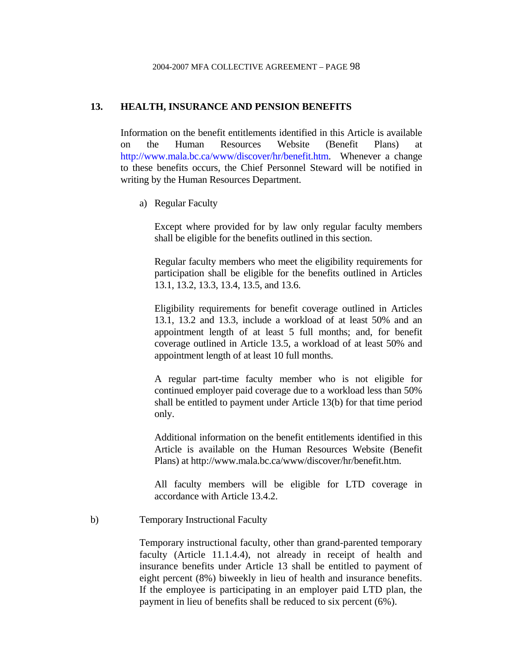### **13. HEALTH, INSURANCE AND PENSION BENEFITS**

Information on the benefit entitlements identified in this Article is available on the Human Resources Website (Benefit Plans) at http://www.mala.bc.ca/www/discover/hr/benefit.htm. Whenever a change to these benefits occurs, the Chief Personnel Steward will be notified in writing by the Human Resources Department.

a) Regular Faculty

Except where provided for by law only regular faculty members shall be eligible for the benefits outlined in this section.

 Regular faculty members who meet the eligibility requirements for participation shall be eligible for the benefits outlined in Articles 13.1, 13.2, 13.3, 13.4, 13.5, and 13.6.

 Eligibility requirements for benefit coverage outlined in Articles 13.1, 13.2 and 13.3, include a workload of at least 50% and an appointment length of at least 5 full months; and, for benefit coverage outlined in Article 13.5, a workload of at least 50% and appointment length of at least 10 full months.

 A regular part-time faculty member who is not eligible for continued employer paid coverage due to a workload less than 50% shall be entitled to payment under Article 13(b) for that time period only.

 Additional information on the benefit entitlements identified in this Article is available on the Human Resources Website (Benefit Plans) at http://www.mala.bc.ca/www/discover/hr/benefit.htm.

 All faculty members will be eligible for LTD coverage in accordance with Article 13.4.2.

b) Temporary Instructional Faculty

Temporary instructional faculty, other than grand-parented temporary faculty (Article 11.1.4.4), not already in receipt of health and insurance benefits under Article 13 shall be entitled to payment of eight percent (8%) biweekly in lieu of health and insurance benefits. If the employee is participating in an employer paid LTD plan, the payment in lieu of benefits shall be reduced to six percent (6%).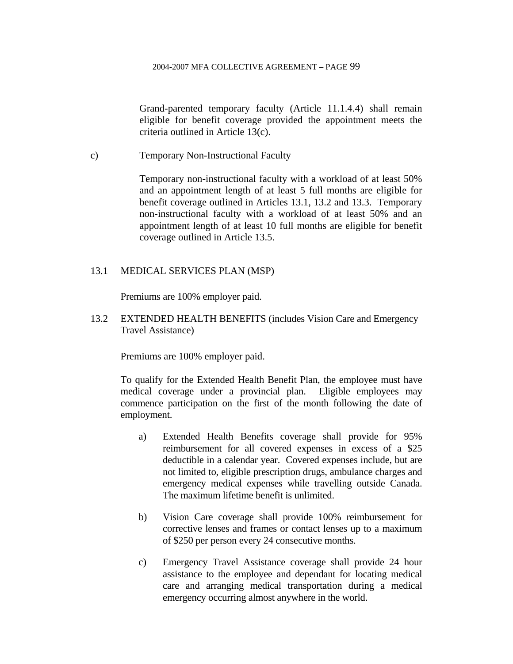Grand-parented temporary faculty (Article 11.1.4.4) shall remain eligible for benefit coverage provided the appointment meets the criteria outlined in Article 13(c).

c) Temporary Non-Instructional Faculty

Temporary non-instructional faculty with a workload of at least 50% and an appointment length of at least 5 full months are eligible for benefit coverage outlined in Articles 13.1, 13.2 and 13.3. Temporary non-instructional faculty with a workload of at least 50% and an appointment length of at least 10 full months are eligible for benefit coverage outlined in Article 13.5.

## 13.1 MEDICAL SERVICES PLAN (MSP)

Premiums are 100% employer paid.

13.2 EXTENDED HEALTH BENEFITS (includes Vision Care and Emergency Travel Assistance)

Premiums are 100% employer paid.

To qualify for the Extended Health Benefit Plan, the employee must have medical coverage under a provincial plan. Eligible employees may commence participation on the first of the month following the date of employment.

- a) Extended Health Benefits coverage shall provide for 95% reimbursement for all covered expenses in excess of a \$25 deductible in a calendar year. Covered expenses include, but are not limited to, eligible prescription drugs, ambulance charges and emergency medical expenses while travelling outside Canada. The maximum lifetime benefit is unlimited.
- b) Vision Care coverage shall provide 100% reimbursement for corrective lenses and frames or contact lenses up to a maximum of \$250 per person every 24 consecutive months.
- c) Emergency Travel Assistance coverage shall provide 24 hour assistance to the employee and dependant for locating medical care and arranging medical transportation during a medical emergency occurring almost anywhere in the world.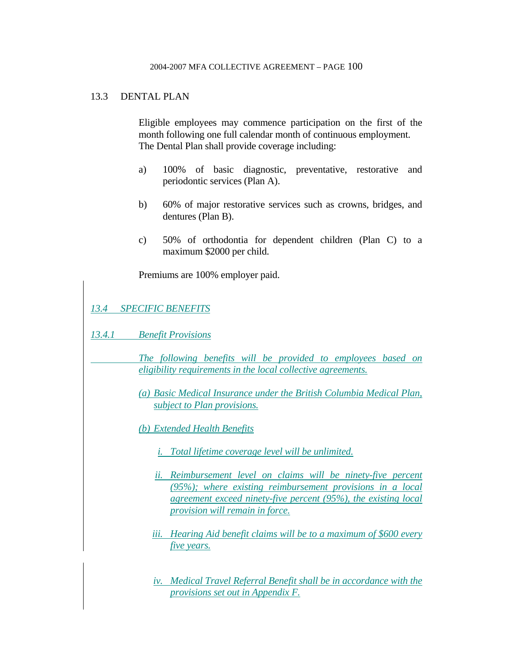## 13.3 DENTAL PLAN

 Eligible employees may commence participation on the first of the month following one full calendar month of continuous employment. The Dental Plan shall provide coverage including:

- a) 100% of basic diagnostic, preventative, restorative and periodontic services (Plan A).
- b) 60% of major restorative services such as crowns, bridges, and dentures (Plan B).
- c) 50% of orthodontia for dependent children (Plan C) to a maximum \$2000 per child.

Premiums are 100% employer paid.

*13.4 SPECIFIC BENEFITS*

*13.4.1 Benefit Provisions*

 *The following benefits will be provided to employees based on eligibility requirements in the local collective agreements.*

*(a) Basic Medical Insurance under the British Columbia Medical Plan, subject to Plan provisions.*

*(b) Extended Health Benefits*

- *i. Total lifetime coverage level will be unlimited.*
- *ii. Reimbursement level on claims will be ninety-five percent (95%); where existing reimbursement provisions in a local agreement exceed ninety-five percent (95%), the existing local provision will remain in force.*
- *iii. Hearing Aid benefit claims will be to a maximum of \$600 every five years.*

*iv. Medical Travel Referral Benefit shall be in accordance with the provisions set out in Appendix F.*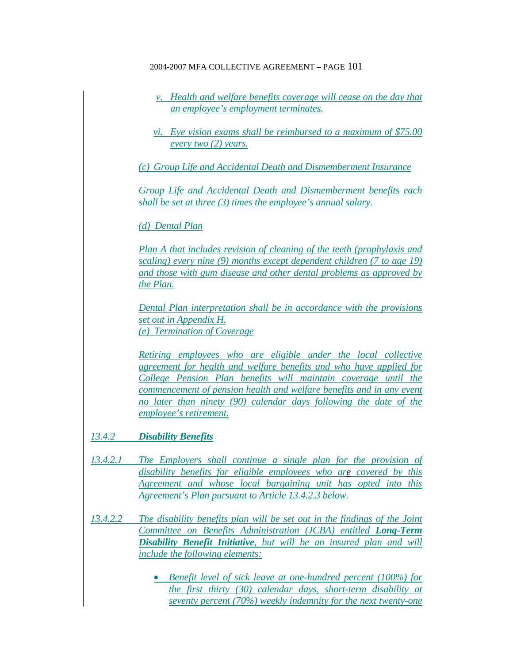- *v. Health and welfare benefits coverage will cease on the day that an employee's employment terminates.*
- *vi. Eye vision exams shall be reimbursed to a maximum of \$75.00 every two (2) years.*

*(c) Group Life and Accidental Death and Dismemberment Insurance*

*Group Life and Accidental Death and Dismemberment benefits each shall be set at three (3) times the employee's annual salary.*

*(d) Dental Plan*

*Plan A that includes revision of cleaning of the teeth (prophylaxis and scaling) every nine (9) months except dependent children (7 to age 19) and those with gum disease and other dental problems as approved by the Plan.*

*Dental Plan interpretation shall be in accordance with the provisions set out in Appendix H. (e) Termination of Coverage*

*Retiring employees who are eligible under the local collective agreement for health and welfare benefits and who have applied for College Pension Plan benefits will maintain coverage until the commencement of pension health and welfare benefits and in any event no later than ninety (90) calendar days following the date of the employee's retirement.*

*13.4.2 Disability Benefits*

- *13.4.2.1 The Employers shall continue a single plan for the provision of disability benefits for eligible employees who are covered by this Agreement and whose local bargaining unit has opted into this Agreement's Plan pursuant to Article 13.4.2.3 below.*
- *13.4.2.2 The disability benefits plan will be set out in the findings of the Joint Committee on Benefits Administration (JCBA) entitled Long-Term Disability Benefit Initiative, but will be an insured plan and will include the following elements:*
	- *Benefit level of sick leave at one-hundred percent (100%) for the first thirty (30) calendar days, short-term disability at seventy percent (70%) weekly indemnity for the next twenty-one*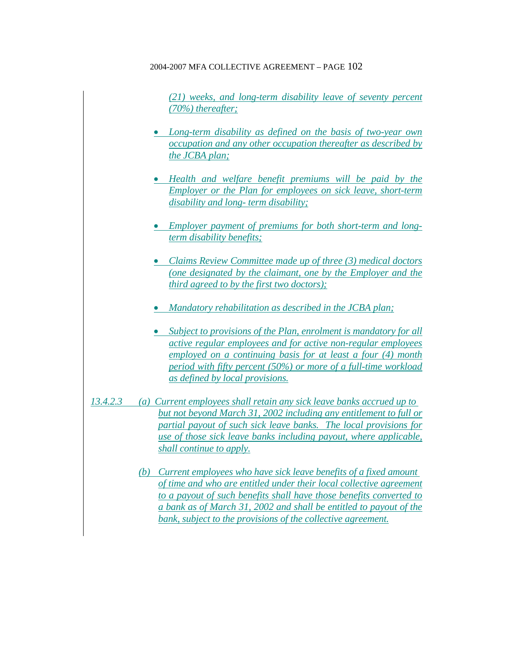*(21) weeks, and long-term disability leave of seventy percent (70%) thereafter;*

- *Long-term disability as defined on the basis of two-year own occupation and any other occupation thereafter as described by the JCBA plan;*
- *Health and welfare benefit premiums will be paid by the Employer or the Plan for employees on sick leave, short-term disability and long- term disability;*
- *Employer payment of premiums for both short-term and longterm disability benefits;*
- *Claims Review Committee made up of three (3) medical doctors (one designated by the claimant, one by the Employer and the third agreed to by the first two doctors);*
- *Mandatory rehabilitation as described in the JCBA plan;*
- *Subject to provisions of the Plan, enrolment is mandatory for all active regular employees and for active non-regular employees employed on a continuing basis for at least a four (4) month period with fifty percent (50%) or more of a full-time workload as defined by local provisions.*
- *13.4.2.3 (a) Current employees shall retain any sick leave banks accrued up to but not beyond March 31, 2002 including any entitlement to full or partial payout of such sick leave banks. The local provisions for use of those sick leave banks including payout, where applicable, shall continue to apply.*
	- *(b) Current employees who have sick leave benefits of a fixed amount of time and who are entitled under their local collective agreement to a payout of such benefits shall have those benefits converted to a bank as of March 31, 2002 and shall be entitled to payout of the bank, subject to the provisions of the collective agreement.*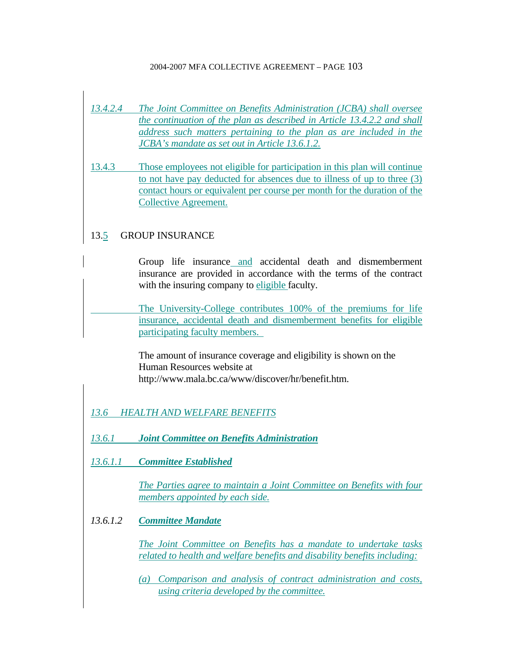- *13.4.2.4 The Joint Committee on Benefits Administration (JCBA) shall oversee the continuation of the plan as described in Article 13.4.2.2 and shall address such matters pertaining to the plan as are included in the JCBA's mandate as set out in Article 13.6.1.2.*
- 13.4.3 Those employees not eligible for participation in this plan will continue to not have pay deducted for absences due to illness of up to three (3) contact hours or equivalent per course per month for the duration of the Collective Agreement.

# 13.5 GROUP INSURANCE

 Group life insurance and accidental death and dismemberment insurance are provided in accordance with the terms of the contract with the insuring company to eligible faculty.

 The University-College contributes 100% of the premiums for life insurance, accidental death and dismemberment benefits for eligible participating faculty members.

 The amount of insurance coverage and eligibility is shown on the Human Resources website at http://www.mala.bc.ca/www/discover/hr/benefit.htm.

# *13.6 HEALTH AND WELFARE BENEFITS*

*13.6.1 Joint Committee on Benefits Administration*

*13.6.1.1 Committee Established*

*The Parties agree to maintain a Joint Committee on Benefits with four members appointed by each side.*

*13.6.1.2 Committee Mandate*

*The Joint Committee on Benefits has a mandate to undertake tasks related to health and welfare benefits and disability benefits including:*

*(a) Comparison and analysis of contract administration and costs, using criteria developed by the committee.*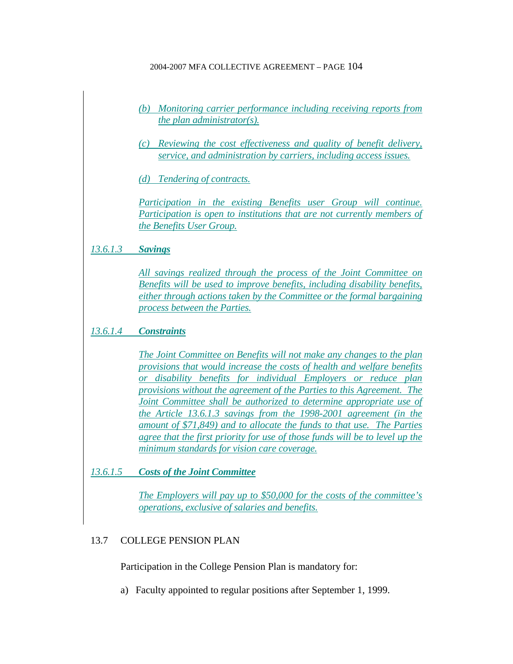- *(b) Monitoring carrier performance including receiving reports from the plan administrator(s).*
- *(c) Reviewing the cost effectiveness and quality of benefit delivery, service, and administration by carriers, including access issues.*

*(d) Tendering of contracts.*

*Participation in the existing Benefits user Group will continue. Participation is open to institutions that are not currently members of the Benefits User Group.*

# *13.6.1.3 Savings*

*All savings realized through the process of the Joint Committee on Benefits will be used to improve benefits, including disability benefits, either through actions taken by the Committee or the formal bargaining process between the Parties.*

# *13.6.1.4 Constraints*

*The Joint Committee on Benefits will not make any changes to the plan provisions that would increase the costs of health and welfare benefits or disability benefits for individual Employers or reduce plan provisions without the agreement of the Parties to this Agreement. The Joint Committee shall be authorized to determine appropriate use of the Article 13.6.1.3 savings from the 1998-2001 agreement (in the amount of \$71,849) and to allocate the funds to that use. The Parties agree that the first priority for use of those funds will be to level up the minimum standards for vision care coverage.*

*13.6.1.5 Costs of the Joint Committee*

*The Employers will pay up to \$50,000 for the costs of the committee's operations, exclusive of salaries and benefits.*

# 13.7 COLLEGE PENSION PLAN

Participation in the College Pension Plan is mandatory for:

a) Faculty appointed to regular positions after September 1, 1999.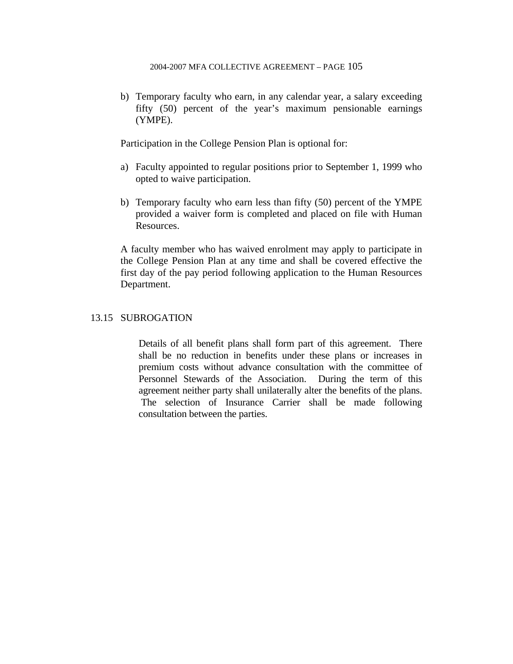b) Temporary faculty who earn, in any calendar year, a salary exceeding fifty (50) percent of the year's maximum pensionable earnings (YMPE).

Participation in the College Pension Plan is optional for:

- a) Faculty appointed to regular positions prior to September 1, 1999 who opted to waive participation.
- b) Temporary faculty who earn less than fifty (50) percent of the YMPE provided a waiver form is completed and placed on file with Human Resources.

A faculty member who has waived enrolment may apply to participate in the College Pension Plan at any time and shall be covered effective the first day of the pay period following application to the Human Resources Department.

# 13.15 SUBROGATION

 Details of all benefit plans shall form part of this agreement. There shall be no reduction in benefits under these plans or increases in premium costs without advance consultation with the committee of Personnel Stewards of the Association. During the term of this agreement neither party shall unilaterally alter the benefits of the plans. The selection of Insurance Carrier shall be made following consultation between the parties.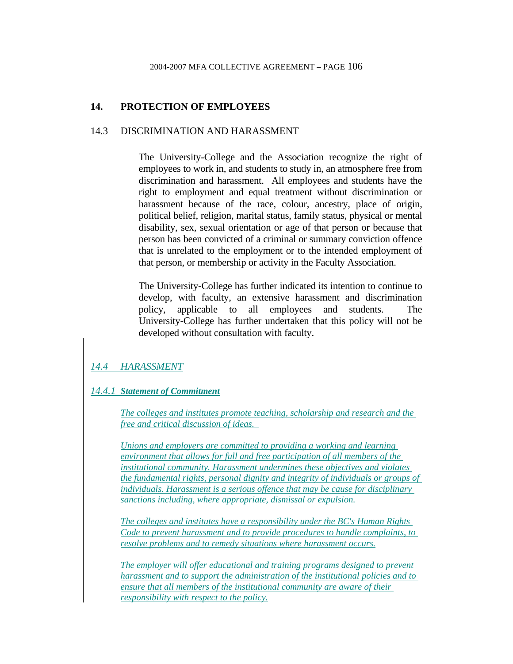## **14. PROTECTION OF EMPLOYEES**

### 14.3 DISCRIMINATION AND HARASSMENT

 The University-College and the Association recognize the right of employees to work in, and students to study in, an atmosphere free from discrimination and harassment. All employees and students have the right to employment and equal treatment without discrimination or harassment because of the race, colour, ancestry, place of origin, political belief, religion, marital status, family status, physical or mental disability, sex, sexual orientation or age of that person or because that person has been convicted of a criminal or summary conviction offence that is unrelated to the employment or to the intended employment of that person, or membership or activity in the Faculty Association.

 The University-College has further indicated its intention to continue to develop, with faculty, an extensive harassment and discrimination policy, applicable to all employees and students. The University-College has further undertaken that this policy will not be developed without consultation with faculty.

## *14.4 HARASSMENT*

### *14.4.1 Statement of Commitment*

*The colleges and institutes promote teaching, scholarship and research and the free and critical discussion of ideas.* 

*Unions and employers are committed to providing a working and learning environment that allows for full and free participation of all members of the institutional community. Harassment undermines these objectives and violates the fundamental rights, personal dignity and integrity of individuals or groups of individuals. Harassment is a serious offence that may be cause for disciplinary sanctions including, where appropriate, dismissal or expulsion.*

*The colleges and institutes have a responsibility under the BC's Human Rights Code to prevent harassment and to provide procedures to handle complaints, to resolve problems and to remedy situations where harassment occurs.*

*The employer will offer educational and training programs designed to prevent harassment and to support the administration of the institutional policies and to ensure that all members of the institutional community are aware of their responsibility with respect to the policy.*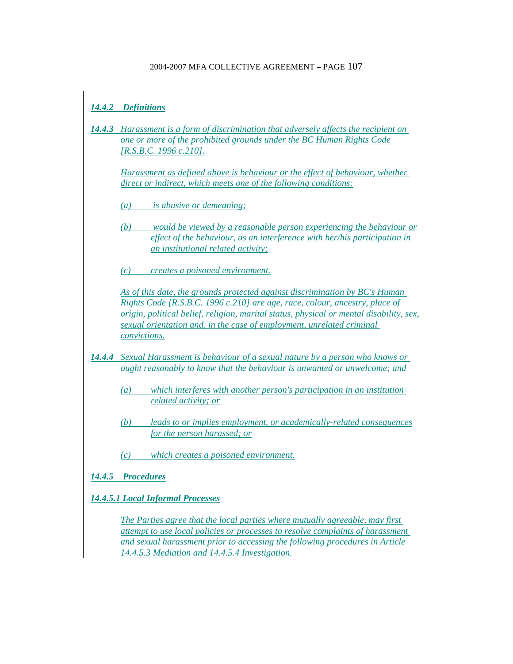# *14.4.2 Definitions*

*14.4.3 Harassment is a form of discrimination that adversely affects the recipient on one or more of the prohibited grounds under the BC Human Rights Code [R.S.B.C. 1996 c.210].*

*Harassment as defined above is behaviour or the effect of behaviour, whether direct or indirect, which meets one of the following conditions:*

- *(a) is abusive or demeaning;*
- *(b) would be viewed by a reasonable person experiencing the behaviour or effect of the behaviour, as an interference with her/his participation in an institutional related activity;*
- *(c) creates a poisoned environment.*

*As of this date, the grounds protected against discrimination by BC's Human Rights Code [R.S.B.C. 1996 c.210] are age, race, colour, ancestry, place of origin, political belief, religion, marital status, physical or mental disability, sex, sexual orientation and, in the case of employment, unrelated criminal convictions.*

- *14.4.4 Sexual Harassment is behaviour of a sexual nature by a person who knows or ought reasonably to know that the behaviour is unwanted or unwelcome; and*
	- *(a) which interferes with another person's participation in an institution related activity; or*
	- *(b) leads to or implies employment, or academically-related consequences for the person harassed; or*
	- *(c) which creates a poisoned environment.*

## *14.4.5 Procedures*

*14.4.5.1 Local Informal Processes*

*The Parties agree that the local parties where mutually agreeable, may first attempt to use local policies or processes to resolve complaints of harassment and sexual harassment prior to accessing the following procedures in Article 14.4.5.3 Mediation and 14.4.5.4 Investigation.*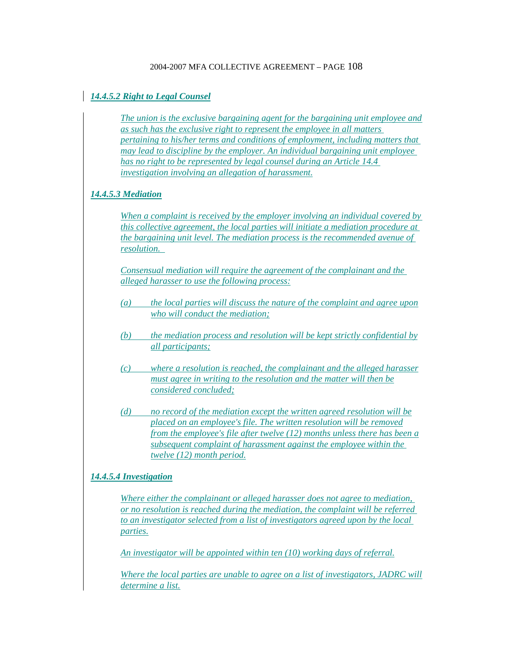### *14.4.5.2 Right to Legal Counsel*

*The union is the exclusive bargaining agent for the bargaining unit employee and as such has the exclusive right to represent the employee in all matters pertaining to his/her terms and conditions of employment, including matters that may lead to discipline by the employer. An individual bargaining unit employee has no right to be represented by legal counsel during an Article 14.4 investigation involving an allegation of harassment.*

### *14.4.5.3 Mediation*

*When a complaint is received by the employer involving an individual covered by this collective agreement, the local parties will initiate a mediation procedure at the bargaining unit level. The mediation process is the recommended avenue of resolution.* 

*Consensual mediation will require the agreement of the complainant and the alleged harasser to use the following process:*

- *(a) the local parties will discuss the nature of the complaint and agree upon who will conduct the mediation;*
- *(b) the mediation process and resolution will be kept strictly confidential by all participants;*
- *(c) where a resolution is reached, the complainant and the alleged harasser must agree in writing to the resolution and the matter will then be considered concluded;*
- *(d) no record of the mediation except the written agreed resolution will be placed on an employee's file. The written resolution will be removed from the employee's file after twelve (12) months unless there has been a subsequent complaint of harassment against the employee within the twelve (12) month period.*

### *14.4.5.4 Investigation*

*Where either the complainant or alleged harasser does not agree to mediation, or no resolution is reached during the mediation, the complaint will be referred to an investigator selected from a list of investigators agreed upon by the local parties.*

*An investigator will be appointed within ten (10) working days of referral.*

*Where the local parties are unable to agree on a list of investigators, JADRC will determine a list.*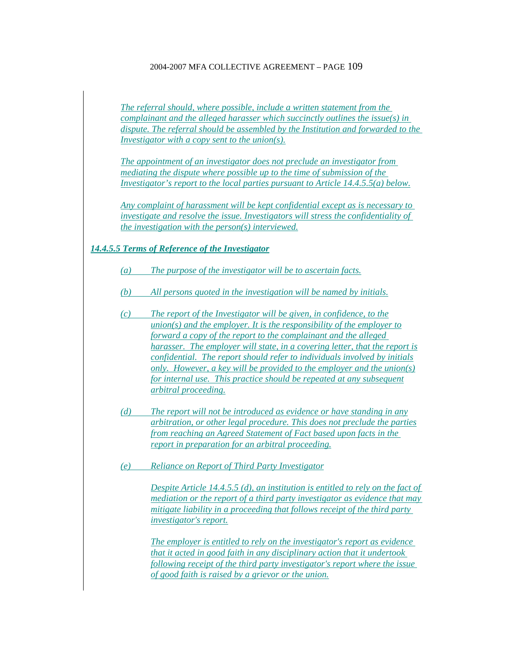*The referral should, where possible, include a written statement from the complainant and the alleged harasser which succinctly outlines the issue(s) in dispute. The referral should be assembled by the Institution and forwarded to the Investigator with a copy sent to the union(s).*

*The appointment of an investigator does not preclude an investigator from mediating the dispute where possible up to the time of submission of the Investigator's report to the local parties pursuant to Article 14.4.5.5(a) below.*

*Any complaint of harassment will be kept confidential except as is necessary to investigate and resolve the issue. Investigators will stress the confidentiality of the investigation with the person(s) interviewed.*

#### *14.4.5.5 Terms of Reference of the Investigator*

- *(a) The purpose of the investigator will be to ascertain facts.*
- *(b) All persons quoted in the investigation will be named by initials.*
- *(c) The report of the Investigator will be given, in confidence, to the union(s) and the employer. It is the responsibility of the employer to forward a copy of the report to the complainant and the alleged harasser. The employer will state, in a covering letter, that the report is confidential. The report should refer to individuals involved by initials only. However, a key will be provided to the employer and the union(s) for internal use. This practice should be repeated at any subsequent arbitral proceeding.*
- *(d) The report will not be introduced as evidence or have standing in any arbitration, or other legal procedure. This does not preclude the parties from reaching an Agreed Statement of Fact based upon facts in the report in preparation for an arbitral proceeding.*
- *(e) Reliance on Report of Third Party Investigator*

*Despite Article 14.4.5.5 (d), an institution is entitled to rely on the fact of mediation or the report of a third party investigator as evidence that may mitigate liability in a proceeding that follows receipt of the third party investigator's report.*

*The employer is entitled to rely on the investigator's report as evidence that it acted in good faith in any disciplinary action that it undertook following receipt of the third party investigator's report where the issue of good faith is raised by a grievor or the union.*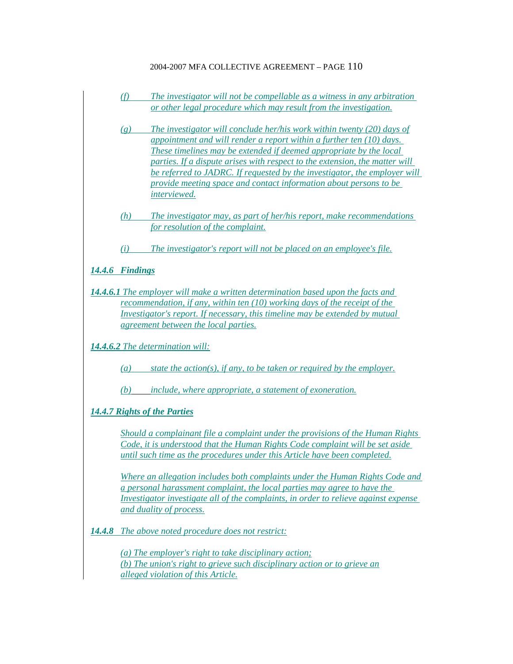- *(f) The investigator will not be compellable as a witness in any arbitration or other legal procedure which may result from the investigation.*
- *(g) The investigator will conclude her/his work within twenty (20) days of appointment and will render a report within a further ten (10) days. These timelines may be extended if deemed appropriate by the local parties. If a dispute arises with respect to the extension, the matter will be referred to JADRC. If requested by the investigator, the employer will provide meeting space and contact information about persons to be interviewed.*
- *(h) The investigator may, as part of her/his report, make recommendations for resolution of the complaint.*
- *(i) The investigator's report will not be placed on an employee's file.*

*14.4.6 Findings*

*14.4.6.1 The employer will make a written determination based upon the facts and recommendation, if any, within ten (10) working days of the receipt of the Investigator's report. If necessary, this timeline may be extended by mutual agreement between the local parties.*

*14.4.6.2 The determination will:*

*(a) state the action(s), if any, to be taken or required by the employer.*

*(b) include, where appropriate, a statement of exoneration.*

*14.4.7 Rights of the Parties*

*Should a complainant file a complaint under the provisions of the Human Rights Code, it is understood that the Human Rights Code complaint will be set aside until such time as the procedures under this Article have been completed.*

*Where an allegation includes both complaints under the Human Rights Code and a personal harassment complaint, the local parties may agree to have the Investigator investigate all of the complaints, in order to relieve against expense and duality of process.*

*14.4.8 The above noted procedure does not restrict:*

*(a) The employer's right to take disciplinary action; (b) The union's right to grieve such disciplinary action or to grieve an alleged violation of this Article.*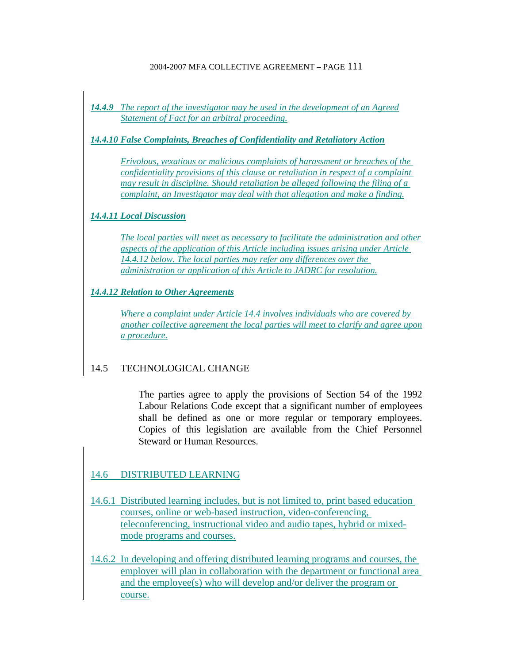*14.4.9 The report of the investigator may be used in the development of an Agreed Statement of Fact for an arbitral proceeding.*

*14.4.10 False Complaints, Breaches of Confidentiality and Retaliatory Action*

*Frivolous, vexatious or malicious complaints of harassment or breaches of the confidentiality provisions of this clause or retaliation in respect of a complaint may result in discipline. Should retaliation be alleged following the filing of a complaint, an Investigator may deal with that allegation and make a finding.*

## *14.4.11 Local Discussion*

*The local parties will meet as necessary to facilitate the administration and other aspects of the application of this Article including issues arising under Article 14.4.12 below. The local parties may refer any differences over the administration or application of this Article to JADRC for resolution.*

*14.4.12 Relation to Other Agreements*

*Where a complaint under Article 14.4 involves individuals who are covered by another collective agreement the local parties will meet to clarify and agree upon a procedure.*

## 14.5 TECHNOLOGICAL CHANGE

 The parties agree to apply the provisions of Section 54 of the 1992 Labour Relations Code except that a significant number of employees shall be defined as one or more regular or temporary employees. Copies of this legislation are available from the Chief Personnel Steward or Human Resources.

## 14.6 DISTRIBUTED LEARNING

- 14.6.1 Distributed learning includes, but is not limited to, print based education courses, online or web-based instruction, video-conferencing, teleconferencing, instructional video and audio tapes, hybrid or mixedmode programs and courses.
- 14.6.2 In developing and offering distributed learning programs and courses, the employer will plan in collaboration with the department or functional area and the employee(s) who will develop and/or deliver the program or course.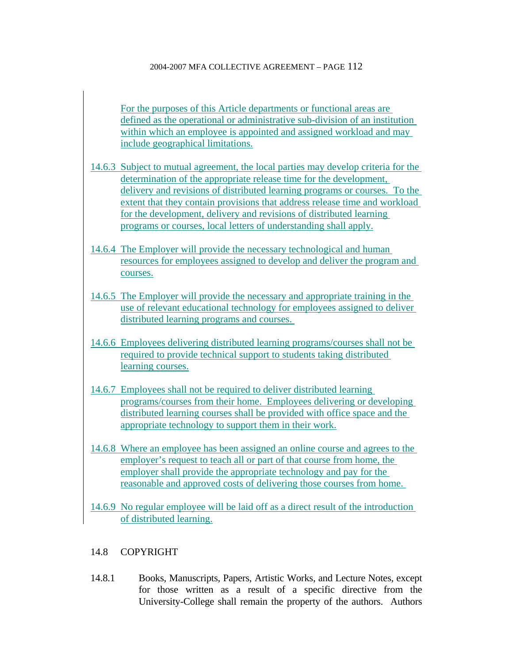For the purposes of this Article departments or functional areas are defined as the operational or administrative sub-division of an institution within which an employee is appointed and assigned workload and may include geographical limitations.

- 14.6.3 Subject to mutual agreement, the local parties may develop criteria for the determination of the appropriate release time for the development, delivery and revisions of distributed learning programs or courses. To the extent that they contain provisions that address release time and workload for the development, delivery and revisions of distributed learning programs or courses, local letters of understanding shall apply.
- 14.6.4 The Employer will provide the necessary technological and human resources for employees assigned to develop and deliver the program and courses.
- 14.6.5 The Employer will provide the necessary and appropriate training in the use of relevant educational technology for employees assigned to deliver distributed learning programs and courses.
- 14.6.6 Employees delivering distributed learning programs/courses shall not be required to provide technical support to students taking distributed learning courses.
- 14.6.7 Employees shall not be required to deliver distributed learning programs/courses from their home. Employees delivering or developing distributed learning courses shall be provided with office space and the appropriate technology to support them in their work.
- 14.6.8 Where an employee has been assigned an online course and agrees to the employer's request to teach all or part of that course from home, the employer shall provide the appropriate technology and pay for the reasonable and approved costs of delivering those courses from home.
- 14.6.9 No regular employee will be laid off as a direct result of the introduction of distributed learning.

# 14.8 COPYRIGHT

14.8.1 Books, Manuscripts, Papers, Artistic Works, and Lecture Notes, except for those written as a result of a specific directive from the University-College shall remain the property of the authors. Authors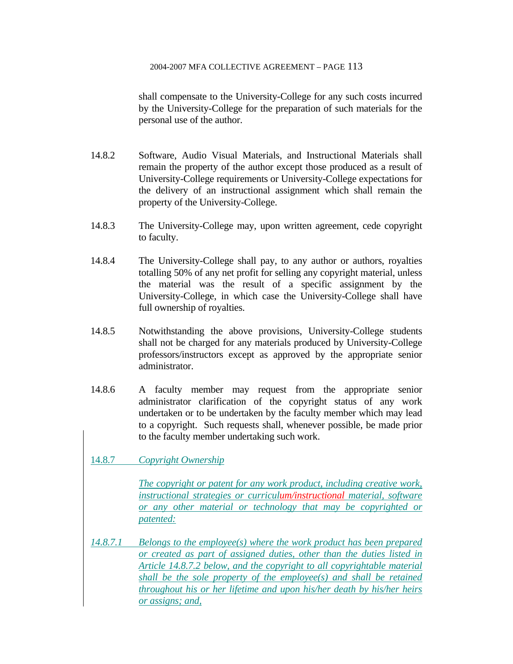shall compensate to the University-College for any such costs incurred by the University-College for the preparation of such materials for the personal use of the author.

- 14.8.2 Software, Audio Visual Materials, and Instructional Materials shall remain the property of the author except those produced as a result of University-College requirements or University-College expectations for the delivery of an instructional assignment which shall remain the property of the University-College.
- 14.8.3 The University-College may, upon written agreement, cede copyright to faculty.
- 14.8.4 The University-College shall pay, to any author or authors, royalties totalling 50% of any net profit for selling any copyright material, unless the material was the result of a specific assignment by the University-College, in which case the University-College shall have full ownership of royalties.
- 14.8.5 Notwithstanding the above provisions, University-College students shall not be charged for any materials produced by University-College professors/instructors except as approved by the appropriate senior administrator.
- 14.8.6 A faculty member may request from the appropriate senior administrator clarification of the copyright status of any work undertaken or to be undertaken by the faculty member which may lead to a copyright. Such requests shall, whenever possible, be made prior to the faculty member undertaking such work.

## 14.8.7 *Copyright Ownership*

*The copyright or patent for any work product, including creative work, instructional strategies or curriculum/instructional material, software or any other material or technology that may be copyrighted or patented:*

*14.8.7.1 Belongs to the employee(s) where the work product has been prepared or created as part of assigned duties, other than the duties listed in Article 14.8.7.2 below, and the copyright to all copyrightable material shall be the sole property of the employee(s) and shall be retained throughout his or her lifetime and upon his/her death by his/her heirs or assigns; and,*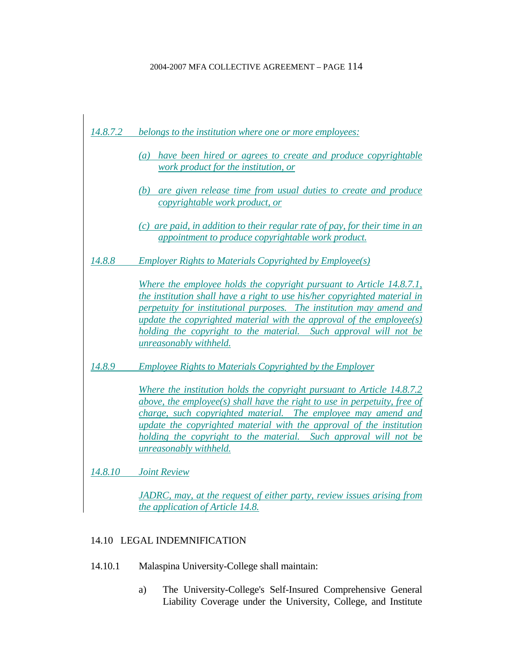

## 14.10 LEGAL INDEMNIFICATION

- 14.10.1 Malaspina University-College shall maintain:
	- a) The University-College's Self-Insured Comprehensive General Liability Coverage under the University, College, and Institute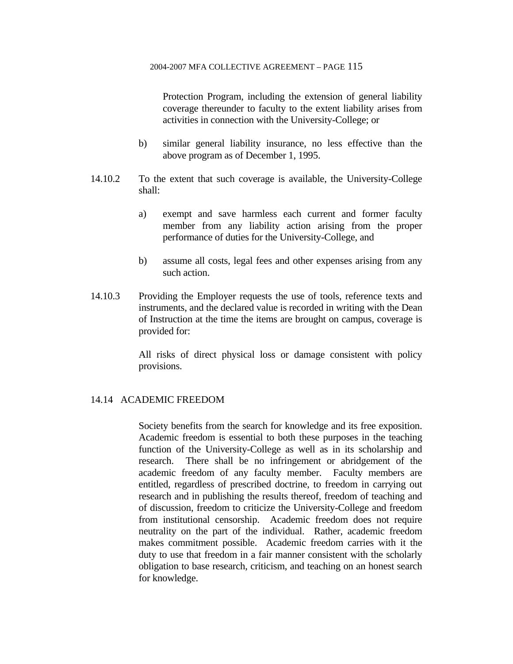Protection Program, including the extension of general liability coverage thereunder to faculty to the extent liability arises from activities in connection with the University-College; or

- b) similar general liability insurance, no less effective than the above program as of December 1, 1995.
- 14.10.2 To the extent that such coverage is available, the University-College shall:
	- a) exempt and save harmless each current and former faculty member from any liability action arising from the proper performance of duties for the University-College, and
	- b) assume all costs, legal fees and other expenses arising from any such action.
- 14.10.3 Providing the Employer requests the use of tools, reference texts and instruments, and the declared value is recorded in writing with the Dean of Instruction at the time the items are brought on campus, coverage is provided for:

 All risks of direct physical loss or damage consistent with policy provisions.

### 14.14 ACADEMIC FREEDOM

 Society benefits from the search for knowledge and its free exposition. Academic freedom is essential to both these purposes in the teaching function of the University-College as well as in its scholarship and research. There shall be no infringement or abridgement of the academic freedom of any faculty member. Faculty members are entitled, regardless of prescribed doctrine, to freedom in carrying out research and in publishing the results thereof, freedom of teaching and of discussion, freedom to criticize the University-College and freedom from institutional censorship. Academic freedom does not require neutrality on the part of the individual. Rather, academic freedom makes commitment possible. Academic freedom carries with it the duty to use that freedom in a fair manner consistent with the scholarly obligation to base research, criticism, and teaching on an honest search for knowledge.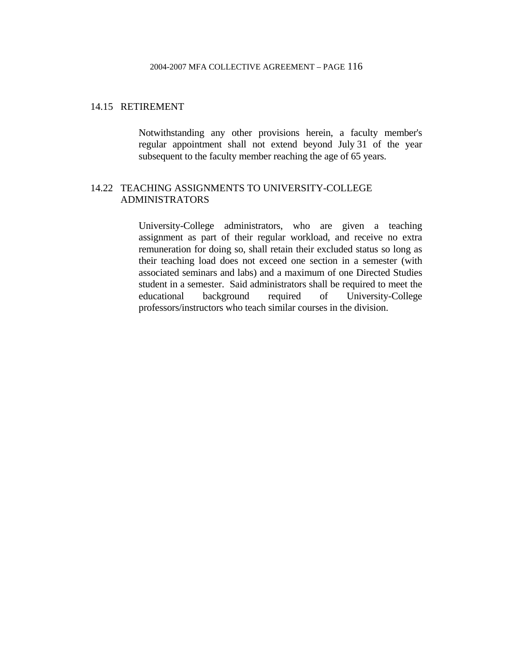## 14.15 RETIREMENT

 Notwithstanding any other provisions herein, a faculty member's regular appointment shall not extend beyond July 31 of the year subsequent to the faculty member reaching the age of 65 years.

# 14.22 TEACHING ASSIGNMENTS TO UNIVERSITY-COLLEGE ADMINISTRATORS

 University-College administrators, who are given a teaching assignment as part of their regular workload, and receive no extra remuneration for doing so, shall retain their excluded status so long as their teaching load does not exceed one section in a semester (with associated seminars and labs) and a maximum of one Directed Studies student in a semester. Said administrators shall be required to meet the educational background required of University-College professors/instructors who teach similar courses in the division.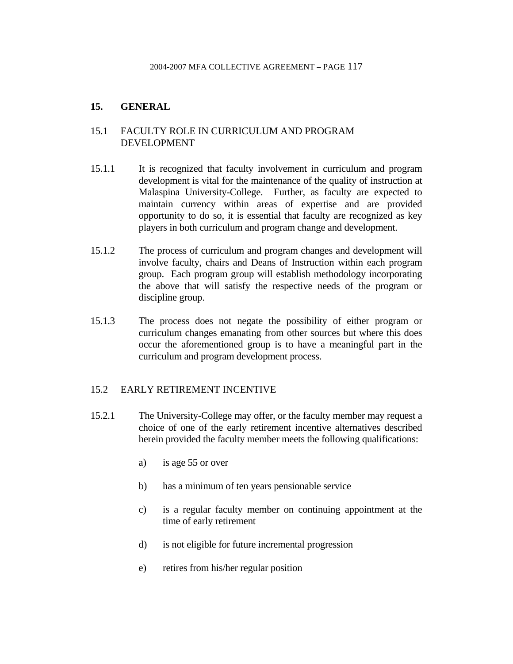# **15. GENERAL**

## 15.1 FACULTY ROLE IN CURRICULUM AND PROGRAM DEVELOPMENT

- 15.1.1 It is recognized that faculty involvement in curriculum and program development is vital for the maintenance of the quality of instruction at Malaspina University-College. Further, as faculty are expected to maintain currency within areas of expertise and are provided opportunity to do so, it is essential that faculty are recognized as key players in both curriculum and program change and development.
- 15.1.2 The process of curriculum and program changes and development will involve faculty, chairs and Deans of Instruction within each program group. Each program group will establish methodology incorporating the above that will satisfy the respective needs of the program or discipline group.
- 15.1.3 The process does not negate the possibility of either program or curriculum changes emanating from other sources but where this does occur the aforementioned group is to have a meaningful part in the curriculum and program development process.

## 15.2 EARLY RETIREMENT INCENTIVE

- 15.2.1 The University-College may offer, or the faculty member may request a choice of one of the early retirement incentive alternatives described herein provided the faculty member meets the following qualifications:
	- a) is age 55 or over
	- b) has a minimum of ten years pensionable service
	- c) is a regular faculty member on continuing appointment at the time of early retirement
	- d) is not eligible for future incremental progression
	- e) retires from his/her regular position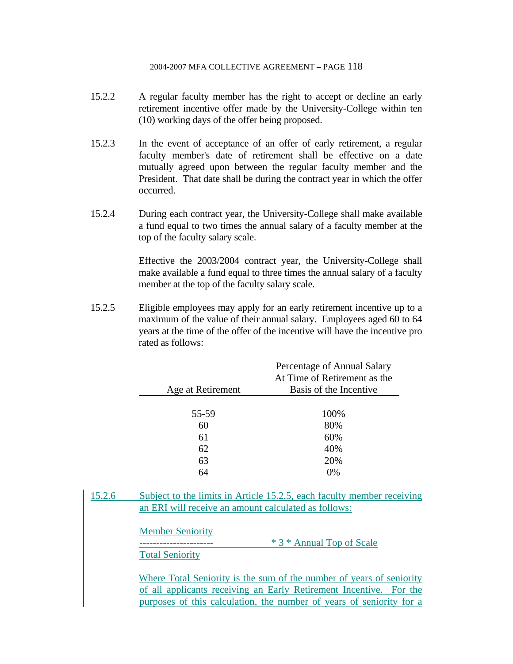- 15.2.2 A regular faculty member has the right to accept or decline an early retirement incentive offer made by the University-College within ten (10) working days of the offer being proposed.
- 15.2.3 In the event of acceptance of an offer of early retirement, a regular faculty member's date of retirement shall be effective on a date mutually agreed upon between the regular faculty member and the President. That date shall be during the contract year in which the offer occurred.
- 15.2.4 During each contract year, the University-College shall make available a fund equal to two times the annual salary of a faculty member at the top of the faculty salary scale.

 Effective the 2003/2004 contract year, the University-College shall make available a fund equal to three times the annual salary of a faculty member at the top of the faculty salary scale.

15.2.5 Eligible employees may apply for an early retirement incentive up to a maximum of the value of their annual salary. Employees aged 60 to 64 years at the time of the offer of the incentive will have the incentive pro rated as follows:

|                   | Percentage of Annual Salary<br>At Time of Retirement as the |
|-------------------|-------------------------------------------------------------|
| Age at Retirement | Basis of the Incentive                                      |
|                   |                                                             |
| 55-59             | 100%                                                        |
| 60                | 80%                                                         |
| 61                | 60%                                                         |
| 62                | 40%                                                         |
| 63                | 20%                                                         |
| 64                | 0%                                                          |
|                   |                                                             |

15.2.6 Subject to the limits in Article 15.2.5, each faculty member receiving an ERI will receive an amount calculated as follows:

Member Seniority

\* 3 \* Annual Top of Scale

Total Seniority

Where Total Seniority is the sum of the number of years of seniority of all applicants receiving an Early Retirement Incentive. For the purposes of this calculation, the number of years of seniority for a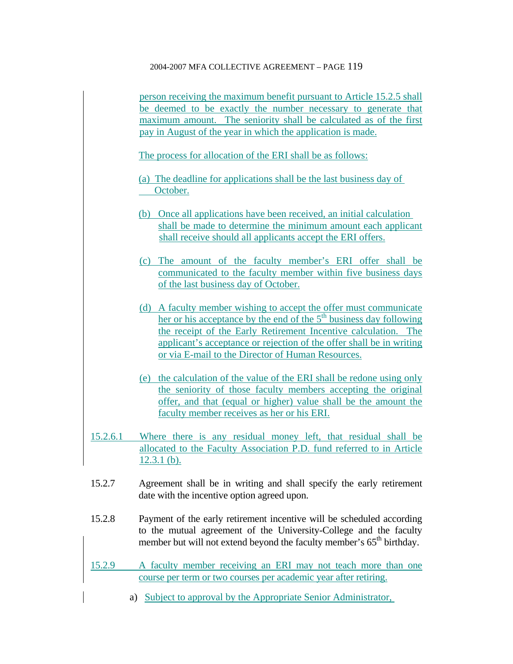person receiving the maximum benefit pursuant to Article 15.2.5 shall be deemed to be exactly the number necessary to generate that maximum amount. The seniority shall be calculated as of the first pay in August of the year in which the application is made.

The process for allocation of the ERI shall be as follows:

(a) The deadline for applications shall be the last business day of October.

- (b) Once all applications have been received, an initial calculation shall be made to determine the minimum amount each applicant shall receive should all applicants accept the ERI offers.
- (c) The amount of the faculty member's ERI offer shall be communicated to the faculty member within five business days of the last business day of October.
- (d) A faculty member wishing to accept the offer must communicate her or his acceptance by the end of the 5<sup>th</sup> business day following the receipt of the Early Retirement Incentive calculation. The applicant's acceptance or rejection of the offer shall be in writing or via E-mail to the Director of Human Resources.
- (e) the calculation of the value of the ERI shall be redone using only the seniority of those faculty members accepting the original offer, and that (equal or higher) value shall be the amount the faculty member receives as her or his ERI.
- 15.2.6.1 Where there is any residual money left, that residual shall be allocated to the Faculty Association P.D. fund referred to in Article 12.3.1 (b).
- 15.2.7 Agreement shall be in writing and shall specify the early retirement date with the incentive option agreed upon.
- 15.2.8 Payment of the early retirement incentive will be scheduled according to the mutual agreement of the University-College and the faculty member but will not extend beyond the faculty member's  $65<sup>th</sup>$  birthday.
- 15.2.9 A faculty member receiving an ERI may not teach more than one course per term or two courses per academic year after retiring.
	- a) Subject to approval by the Appropriate Senior Administrator,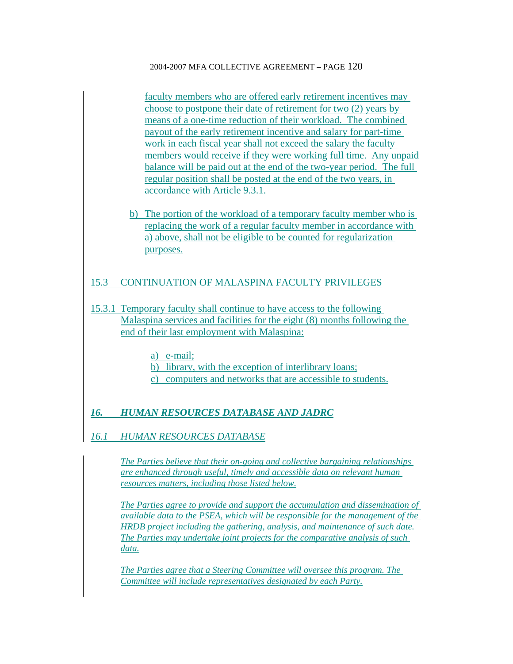faculty members who are offered early retirement incentives may choose to postpone their date of retirement for two (2) years by means of a one-time reduction of their workload. The combined payout of the early retirement incentive and salary for part-time work in each fiscal year shall not exceed the salary the faculty members would receive if they were working full time. Any unpaid balance will be paid out at the end of the two-year period. The full regular position shall be posted at the end of the two years, in accordance with Article 9.3.1.

b) The portion of the workload of a temporary faculty member who is replacing the work of a regular faculty member in accordance with a) above, shall not be eligible to be counted for regularization purposes.

# 15.3 CONTINUATION OF MALASPINA FACULTY PRIVILEGES

- 15.3.1 Temporary faculty shall continue to have access to the following Malaspina services and facilities for the eight (8) months following the end of their last employment with Malaspina:
	- a) e-mail;
	- b) library, with the exception of interlibrary loans;
	- c) computers and networks that are accessible to students.

# *16. HUMAN RESOURCES DATABASE AND JADRC*

## *16.1 HUMAN RESOURCES DATABASE*

*The Parties believe that their on-going and collective bargaining relationships are enhanced through useful, timely and accessible data on relevant human resources matters, including those listed below.*

*The Parties agree to provide and support the accumulation and dissemination of available data to the PSEA, which will be responsible for the management of the HRDB project including the gathering, analysis, and maintenance of such date. The Parties may undertake joint projects for the comparative analysis of such data.*

*The Parties agree that a Steering Committee will oversee this program. The Committee will include representatives designated by each Party.*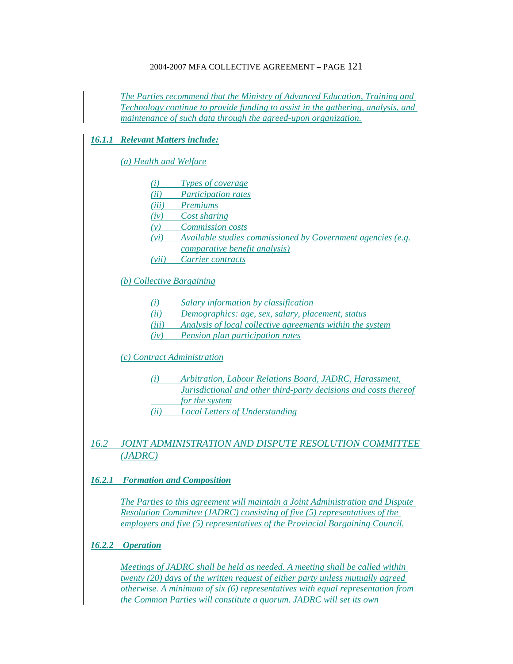*The Parties recommend that the Ministry of Advanced Education, Training and Technology continue to provide funding to assist in the gathering, analysis, and maintenance of such data through the agreed-upon organization.*

### *16.1.1 Relevant Matters include:*

#### *(a) Health and Welfare*

- *(i) Types of coverage*
- *(ii) Participation rates*
- *(iii) Premiums*
- *(iv) Cost sharing*
- *(v) Commission costs*
- *(vi) Available studies commissioned by Government agencies (e.g.*
- *comparative benefit analysis)*
- *(vii) Carrier contracts*

### *(b) Collective Bargaining*

- *(i) Salary information by classification*
- *(ii) Demographics: age, sex, salary, placement, status*
- *(iii) Analysis of local collective agreements within the system*
- *(iv) Pension plan participation rates*

### *(c) Contract Administration*

- *(i) Arbitration, Labour Relations Board, JADRC, Harassment, Jurisdictional and other third-party decisions and costs thereof*
- *for the system*
- *(ii) Local Letters of Understanding*

## *16.2 JOINT ADMINISTRATION AND DISPUTE RESOLUTION COMMITTEE (JADRC)*

### *16.2.1 Formation and Composition*

*The Parties to this agreement will maintain a Joint Administration and Dispute Resolution Committee (JADRC) consisting of five (5) representatives of the employers and five (5) representatives of the Provincial Bargaining Council.*

### *16.2.2 Operation*

*Meetings of JADRC shall be held as needed. A meeting shall be called within twenty (20) days of the written request of either party unless mutually agreed otherwise. A minimum of six (6) representatives with equal representation from the Common Parties will constitute a quorum. JADRC will set its own*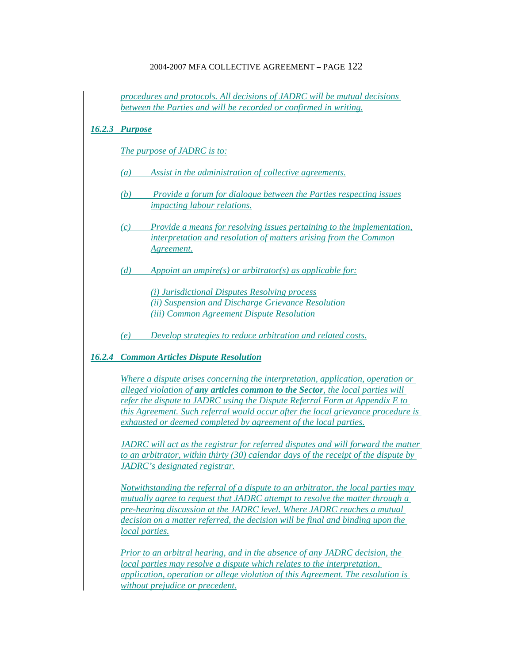|        | procedures and protocols. All decisions of JADRC will be mutual decisions<br>between the Parties and will be recorded or confirmed in writing.       |                                                                                                                                                                                                                                                                                                                                |  |  |
|--------|------------------------------------------------------------------------------------------------------------------------------------------------------|--------------------------------------------------------------------------------------------------------------------------------------------------------------------------------------------------------------------------------------------------------------------------------------------------------------------------------|--|--|
| 16.2.3 | <b>Purpose</b>                                                                                                                                       |                                                                                                                                                                                                                                                                                                                                |  |  |
|        |                                                                                                                                                      | The purpose of JADRC is to:                                                                                                                                                                                                                                                                                                    |  |  |
|        | $\left(a\right)$                                                                                                                                     | Assist in the administration of collective agreements.                                                                                                                                                                                                                                                                         |  |  |
|        | (b)                                                                                                                                                  | Provide a forum for dialogue between the Parties respecting issues<br><i>impacting labour relations.</i>                                                                                                                                                                                                                       |  |  |
|        | (c)                                                                                                                                                  | Provide a means for resolving issues pertaining to the implementation,<br>interpretation and resolution of matters arising from the Common<br>Agreement.                                                                                                                                                                       |  |  |
|        | (d)                                                                                                                                                  | Appoint an umpire(s) or arbitrator(s) as applicable for:                                                                                                                                                                                                                                                                       |  |  |
|        |                                                                                                                                                      | (i) Jurisdictional Disputes Resolving process<br>(ii) Suspension and Discharge Grievance Resolution<br>(iii) Common Agreement Dispute Resolution                                                                                                                                                                               |  |  |
|        | (e)                                                                                                                                                  | Develop strategies to reduce arbitration and related costs.                                                                                                                                                                                                                                                                    |  |  |
| 16.2.4 | <b>Common Articles Dispute Resolution</b>                                                                                                            |                                                                                                                                                                                                                                                                                                                                |  |  |
|        | Where a dispute arises concerning the interpretation, application, operation or                                                                      |                                                                                                                                                                                                                                                                                                                                |  |  |
|        | alleged violation of any articles common to the Sector, the local parties will                                                                       |                                                                                                                                                                                                                                                                                                                                |  |  |
|        | refer the dispute to JADRC using the Dispute Referral Form at Appendix E to                                                                          |                                                                                                                                                                                                                                                                                                                                |  |  |
|        | this Agreement. Such referral would occur after the local grievance procedure is<br>exhausted or deemed completed by agreement of the local parties. |                                                                                                                                                                                                                                                                                                                                |  |  |
|        |                                                                                                                                                      | JADRC will act as the registrar for referred disputes and will forward the matter<br>to an arbitrator, within thirty $(30)$ calendar days of the receipt of the dispute by<br>JADRC's designated registrar.                                                                                                                    |  |  |
|        | local parties.                                                                                                                                       | Notwithstanding the referral of a dispute to an arbitrator, the local parties may<br>mutually agree to request that JADRC attempt to resolve the matter through a<br>pre-hearing discussion at the JADRC level. Where JADRC reaches a mutual<br>decision on a matter referred, the decision will be final and binding upon the |  |  |
|        |                                                                                                                                                      | <b>Prior to an arbitral hearing, and in the absence of any JADRC decision, the</b><br>local parties may resolve a dispute which relates to the interpretation,<br>application, operation or allege violation of this Agreement. The resolution is<br>without prejudice or precedent.                                           |  |  |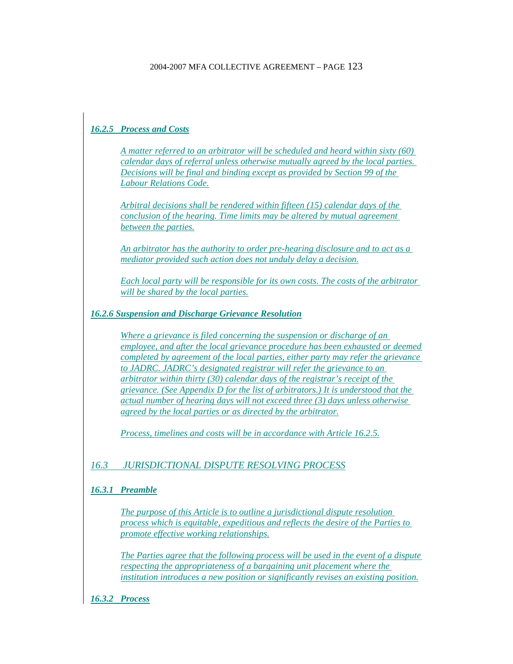# *16.2.5 Process and Costs*

*A matter referred to an arbitrator will be scheduled and heard within sixty (60) calendar days of referral unless otherwise mutually agreed by the local parties. Decisions will be final and binding except as provided by Section 99 of the Labour Relations Code.*

*Arbitral decisions shall be rendered within fifteen (15) calendar days of the conclusion of the hearing. Time limits may be altered by mutual agreement between the parties.*

*An arbitrator has the authority to order pre-hearing disclosure and to act as a mediator provided such action does not unduly delay a decision.*

*Each local party will be responsible for its own costs. The costs of the arbitrator will be shared by the local parties.*

### *16.2.6 Suspension and Discharge Grievance Resolution*

*Where a grievance is filed concerning the suspension or discharge of an employee, and after the local grievance procedure has been exhausted or deemed completed by agreement of the local parties, either party may refer the grievance to JADRC. JADRC's designated registrar will refer the grievance to an arbitrator within thirty (30) calendar days of the registrar's receipt of the grievance. (See Appendix D for the list of arbitrators.) It is understood that the actual number of hearing days will not exceed three (3) days unless otherwise agreed by the local parties or as directed by the arbitrator.*

*Process, timelines and costs will be in accordance with Article 16.2.5.*

## *16.3 JURISDICTIONAL DISPUTE RESOLVING PROCESS*

### *16.3.1 Preamble*

*The purpose of this Article is to outline a jurisdictional dispute resolution process which is equitable, expeditious and reflects the desire of the Parties to promote effective working relationships.*

*The Parties agree that the following process will be used in the event of a dispute respecting the appropriateness of a bargaining unit placement where the institution introduces a new position or significantly revises an existing position.*

*16.3.2 Process*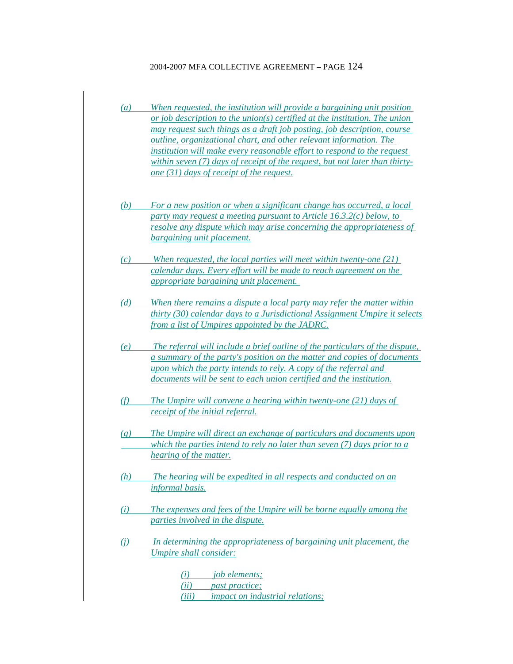- *(a) When requested, the institution will provide a bargaining unit position or job description to the union(s) certified at the institution. The union may request such things as a draft job posting, job description, course outline, organizational chart, and other relevant information. The institution will make every reasonable effort to respond to the request within seven (7) days of receipt of the request, but not later than thirtyone (31) days of receipt of the request.*
- *(b) For a new position or when a significant change has occurred, a local party may request a meeting pursuant to Article 16.3.2(c) below, to resolve any dispute which may arise concerning the appropriateness of bargaining unit placement.*
- *(c) When requested, the local parties will meet within twenty-one (21) calendar days. Every effort will be made to reach agreement on the appropriate bargaining unit placement.*
- *(d) When there remains a dispute a local party may refer the matter within thirty (30) calendar days to a Jurisdictional Assignment Umpire it selects from a list of Umpires appointed by the JADRC.*
- *(e) The referral will include a brief outline of the particulars of the dispute, a summary of the party's position on the matter and copies of documents upon which the party intends to rely. A copy of the referral and documents will be sent to each union certified and the institution.*
- *(f) The Umpire will convene a hearing within twenty-one (21) days of receipt of the initial referral.*
- *(g) The Umpire will direct an exchange of particulars and documents upon which the parties intend to rely no later than seven (7) days prior to a hearing of the matter.*
- *(h) The hearing will be expedited in all respects and conducted on an informal basis.*
- *(i) The expenses and fees of the Umpire will be borne equally among the parties involved in the dispute.*
- *(j) In determining the appropriateness of bargaining unit placement, the Umpire shall consider:*

*(i) job elements; (ii) past practice; (iii) impact on industrial relations;*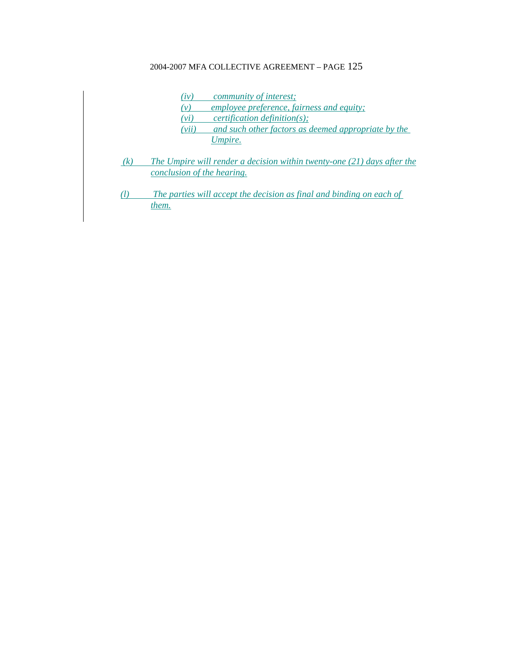- *(iv) community of interest;*
- *(v) employee preference, fairness and equity;*
- *(vi) certification definition(s);*
- *(vii) and such other factors as deemed appropriate by the Umpire.*
- *(k) The Umpire will render a decision within twenty-one (21) days after the conclusion of the hearing.*
- *(l) The parties will accept the decision as final and binding on each of them.*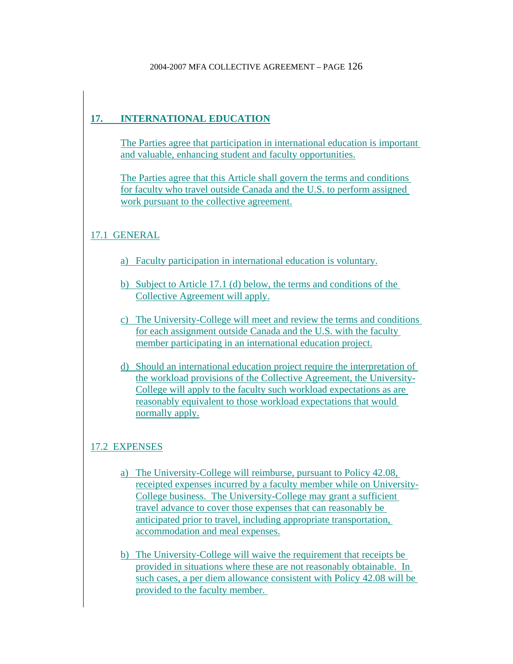# **17. INTERNATIONAL EDUCATION**

The Parties agree that participation in international education is important and valuable, enhancing student and faculty opportunities.

The Parties agree that this Article shall govern the terms and conditions for faculty who travel outside Canada and the U.S. to perform assigned work pursuant to the collective agreement.

# 17.1 GENERAL

- a) Faculty participation in international education is voluntary.
- b) Subject to Article 17.1 (d) below, the terms and conditions of the Collective Agreement will apply.
- c) The University-College will meet and review the terms and conditions for each assignment outside Canada and the U.S. with the faculty member participating in an international education project.
- d) Should an international education project require the interpretation of the workload provisions of the Collective Agreement, the University-College will apply to the faculty such workload expectations as are reasonably equivalent to those workload expectations that would normally apply.

# 17.2 EXPENSES

- a) The University-College will reimburse, pursuant to Policy 42.08, receipted expenses incurred by a faculty member while on University-College business. The University-College may grant a sufficient travel advance to cover those expenses that can reasonably be anticipated prior to travel, including appropriate transportation, accommodation and meal expenses.
- b) The University-College will waive the requirement that receipts be provided in situations where these are not reasonably obtainable. In such cases, a per diem allowance consistent with Policy 42.08 will be provided to the faculty member.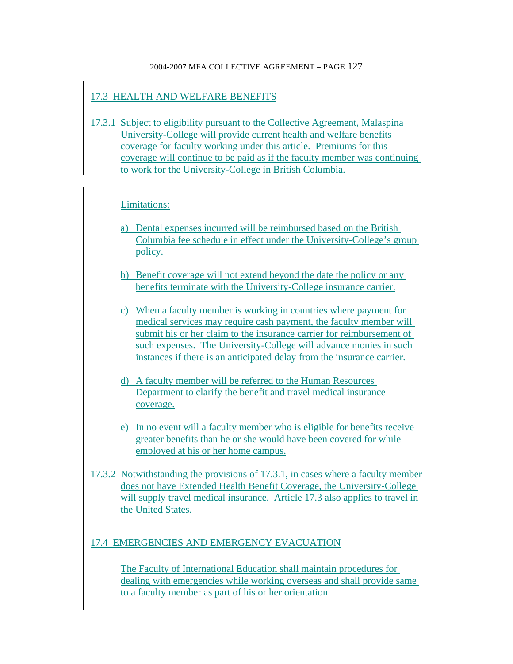## 17.3 HEALTH AND WELFARE BENEFITS

17.3.1 Subject to eligibility pursuant to the Collective Agreement, Malaspina University-College will provide current health and welfare benefits coverage for faculty working under this article. Premiums for this coverage will continue to be paid as if the faculty member was continuing to work for the University-College in British Columbia.

## Limitations:

- a) Dental expenses incurred will be reimbursed based on the British Columbia fee schedule in effect under the University-College's group policy.
- b) Benefit coverage will not extend beyond the date the policy or any benefits terminate with the University-College insurance carrier.
- c) When a faculty member is working in countries where payment for medical services may require cash payment, the faculty member will submit his or her claim to the insurance carrier for reimbursement of such expenses. The University-College will advance monies in such instances if there is an anticipated delay from the insurance carrier.
- d) A faculty member will be referred to the Human Resources Department to clarify the benefit and travel medical insurance coverage.
- e) In no event will a faculty member who is eligible for benefits receive greater benefits than he or she would have been covered for while employed at his or her home campus.
- 17.3.2 Notwithstanding the provisions of 17.3.1, in cases where a faculty member does not have Extended Health Benefit Coverage, the University-College will supply travel medical insurance. Article 17.3 also applies to travel in the United States.

## 17.4 EMERGENCIES AND EMERGENCY EVACUATION

The Faculty of International Education shall maintain procedures for dealing with emergencies while working overseas and shall provide same to a faculty member as part of his or her orientation.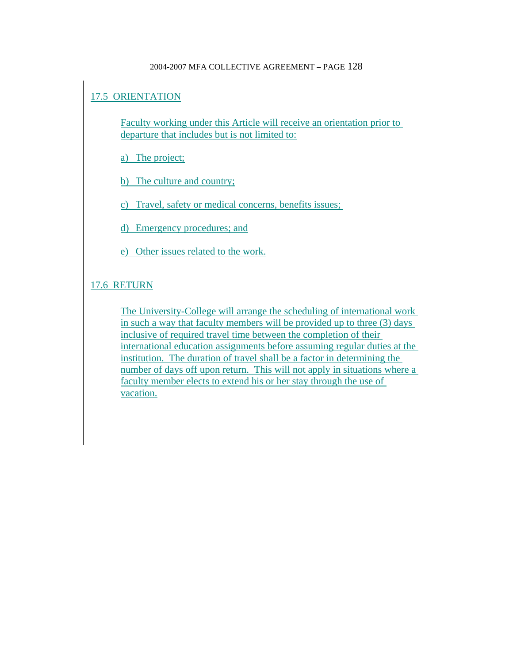# 17.5 ORIENTATION

Faculty working under this Article will receive an orientation prior to departure that includes but is not limited to:

a) The project;

b) The culture and country;

c) Travel, safety or medical concerns, benefits issues;

d) Emergency procedures; and

e) Other issues related to the work.

## 17.6 RETURN

The University-College will arrange the scheduling of international work in such a way that faculty members will be provided up to three (3) days inclusive of required travel time between the completion of their international education assignments before assuming regular duties at the institution. The duration of travel shall be a factor in determining the number of days off upon return. This will not apply in situations where a faculty member elects to extend his or her stay through the use of vacation.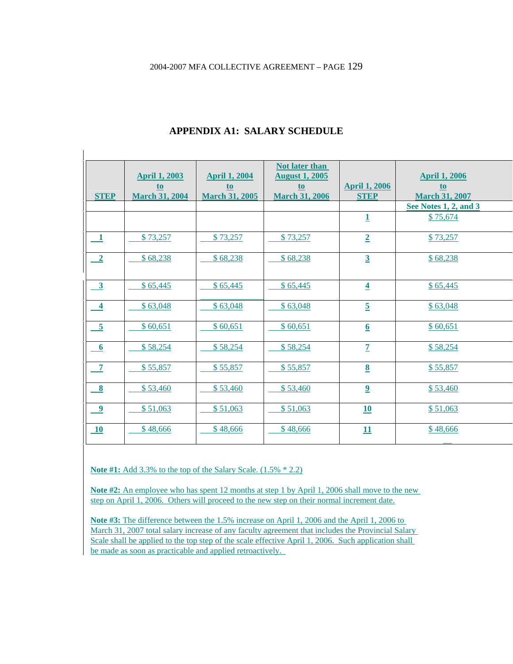| <b>STEP</b>             | <b>April 1, 2003</b><br>t <sub>o</sub><br><b>March 31, 2004</b> | <b>April 1, 2004</b><br>t <sub>o</sub><br><b>March 31, 2005</b> | <b>Not later than</b><br><b>August 1, 2005</b><br>$to$<br><b>March 31, 2006</b> | <b>April 1, 2006</b><br><b>STEP</b> | <b>April 1, 2006</b><br>t <sub>o</sub><br><b>March 31, 2007</b> |
|-------------------------|-----------------------------------------------------------------|-----------------------------------------------------------------|---------------------------------------------------------------------------------|-------------------------------------|-----------------------------------------------------------------|
|                         |                                                                 |                                                                 |                                                                                 |                                     | See Notes 1, 2, and 3                                           |
|                         |                                                                 |                                                                 |                                                                                 | $\mathbf{1}$                        | \$75,674                                                        |
| $\mathbf{1}$            | \$73,257                                                        | \$73,257                                                        | \$73,257                                                                        | $\overline{2}$                      | \$73,257                                                        |
| $\overline{\mathbf{2}}$ | \$68,238                                                        | \$68,238                                                        | \$68,238                                                                        | $\overline{3}$                      | \$68,238                                                        |
| $\overline{\mathbf{3}}$ | \$65,445                                                        | \$65,445                                                        | \$65,445                                                                        | $\overline{\mathbf{4}}$             | \$65,445                                                        |
| $\boldsymbol{4}$        | \$63,048                                                        | \$63,048                                                        | \$63,048                                                                        | $\overline{5}$                      | \$63,048                                                        |
| $\overline{\mathbf{5}}$ | \$60,651                                                        | \$60,651                                                        | \$60,651                                                                        | $6 \overline{6}$                    | \$60,651                                                        |
| 6                       | \$58,254                                                        | \$58,254                                                        | \$58,254                                                                        | $\overline{1}$                      | \$58,254                                                        |
| $\overline{7}$          | \$55,857                                                        | \$55,857                                                        | \$55,857                                                                        | $\underline{8}$                     | \$55,857                                                        |
| $\boldsymbol{8}$        | \$53,460                                                        | \$53,460                                                        | \$53,460                                                                        | $\overline{2}$                      | \$53,460                                                        |
| $\boldsymbol{9}$        | \$51,063                                                        | \$51,063                                                        | \$51,063                                                                        | 10                                  | \$51,063                                                        |
| 10                      | \$48,666                                                        | \$48,666                                                        | \$48,666                                                                        | 11                                  | \$48,666                                                        |

## **APPENDIX A1: SALARY SCHEDULE**

**Note #1:** Add 3.3% to the top of the Salary Scale. (1.5% \* 2.2)

Note #2: An employee who has spent 12 months at step 1 by April 1, 2006 shall move to the new step on April 1, 2006. Others will proceed to the new step on their normal increment date.

**Note #3:** The difference between the 1.5% increase on April 1, 2006 and the April 1, 2006 to March 31, 2007 total salary increase of any faculty agreement that includes the Provincial Salary Scale shall be applied to the top step of the scale effective April 1, 2006. Such application shall be made as soon as practicable and applied retroactively.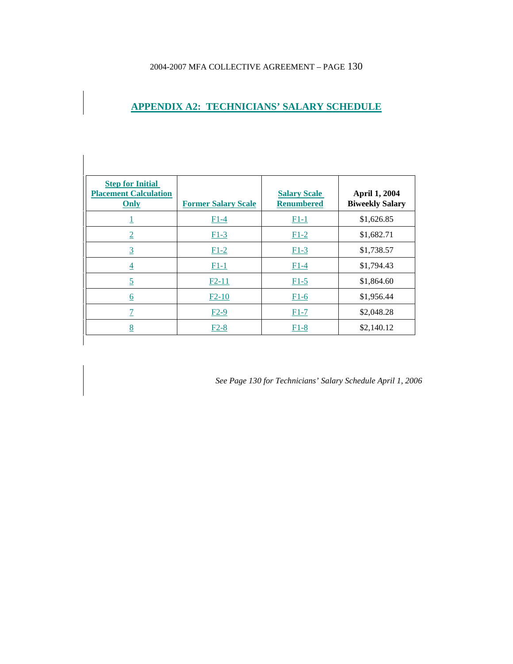**APPENDIX A2: TECHNICIANS' SALARY SCHEDULE**

 $\overline{\phantom{a}}$ 

| <b>Step for Initial</b><br><b>Placement Calculation</b><br>Only | <b>Former Salary Scale</b> | <b>Salary Scale</b><br><b>Renumbered</b> | April 1, 2004<br><b>Biweekly Salary</b> |
|-----------------------------------------------------------------|----------------------------|------------------------------------------|-----------------------------------------|
| ⊥                                                               | $F1-4$                     | $F1-1$                                   | \$1,626.85                              |
| $\overline{2}$                                                  | $F1-3$                     | $F1-2$                                   | \$1,682.71                              |
| $\overline{3}$                                                  | $F1-2$                     | $F1-3$                                   | \$1,738.57                              |
| $\overline{4}$                                                  | $F1-1$                     | $F1-4$                                   | \$1,794.43                              |
| $\overline{5}$                                                  | $F2-11$                    | $F1-5$                                   | \$1,864.60                              |
| $\underline{6}$                                                 | $F2-10$                    | $F1-6$                                   | \$1,956.44                              |
| $\overline{1}$                                                  | $F2-9$                     | $F1-7$                                   | \$2,048.28                              |
| 8                                                               | $F2-8$                     | $F1-8$                                   | \$2,140.12                              |

*See Page 130 for Technicians' Salary Schedule April 1, 2006*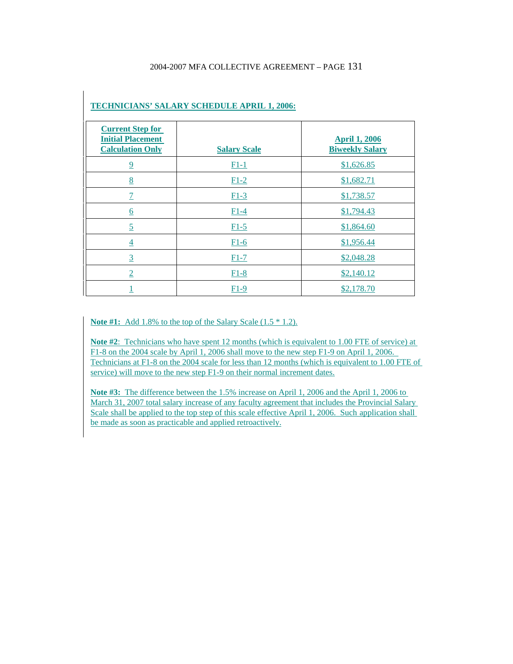| <b>Current Step for</b><br><b>Initial Placement</b><br><b>Calculation Only</b> | <b>Salary Scale</b> | <b>April 1, 2006</b><br><b>Biweekly Salary</b> |
|--------------------------------------------------------------------------------|---------------------|------------------------------------------------|
| $\overline{9}$                                                                 | $F1-1$              | \$1,626.85                                     |
| 8                                                                              | $F1-2$              | \$1,682.71                                     |
|                                                                                | $F1-3$              | \$1,738.57                                     |
| $\underline{6}$                                                                | $F1-4$              | \$1,794.43                                     |
| $\overline{5}$                                                                 | $F1-5$              | \$1,864.60                                     |
| $\overline{4}$                                                                 | $F1-6$              | \$1,956.44                                     |
| $\overline{3}$                                                                 | $F1-7$              | \$2,048.28                                     |
| $\overline{2}$                                                                 | $F1-8$              | \$2,140.12                                     |
|                                                                                | $F1-9$              | \$2,178.70                                     |

#### **TECHNICIANS' SALARY SCHEDULE APRIL 1, 2006:**

**Note #1:**Add 1.8% to the top of the Salary Scale (1.5 \* 1.2).

**Note #2**: Technicians who have spent 12 months (which is equivalent to 1.00 FTE of service) at F1-8 on the 2004 scale by April 1, 2006 shall move to the new step F1-9 on April 1, 2006. Technicians at F1-8 on the 2004 scale for less than 12 months (which is equivalent to 1.00 FTE of service) will move to the new step F1-9 on their normal increment dates.

**Note #3:** The difference between the 1.5% increase on April 1, 2006 and the April 1, 2006 to March 31, 2007 total salary increase of any faculty agreement that includes the Provincial Salary Scale shall be applied to the top step of this scale effective April 1, 2006. Such application shall be made as soon as practicable and applied retroactively.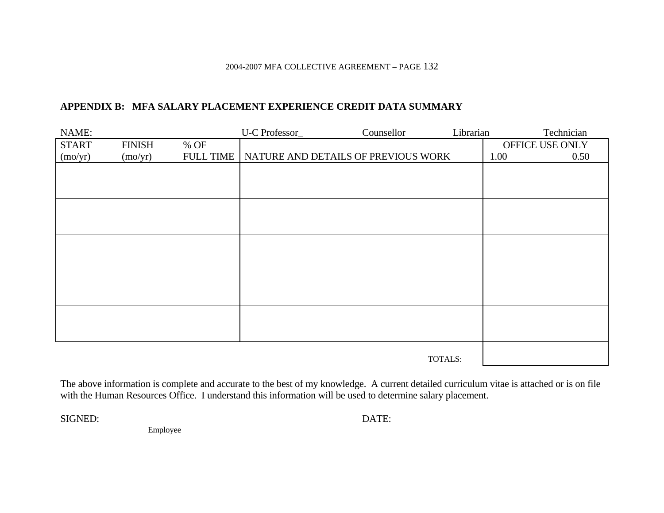## **APPENDIX B: MFA SALARY PLACEMENT EXPERIENCE CREDIT DATA SUMMARY**

| NAME:        |               |                  | U-C Professor_ | Counsellor                          | Librarian |      | Technician      |
|--------------|---------------|------------------|----------------|-------------------------------------|-----------|------|-----------------|
| <b>START</b> | <b>FINISH</b> | % OF             |                |                                     |           |      | OFFICE USE ONLY |
| (mo/yr)      | (mo/yr)       | <b>FULL TIME</b> |                | NATURE AND DETAILS OF PREVIOUS WORK |           | 1.00 | 0.50            |
|              |               |                  |                |                                     |           |      |                 |
|              |               |                  |                |                                     |           |      |                 |
|              |               |                  |                |                                     |           |      |                 |
|              |               |                  |                |                                     |           |      |                 |
|              |               |                  |                |                                     |           |      |                 |
|              |               |                  |                |                                     |           |      |                 |
|              |               |                  |                |                                     |           |      |                 |
|              |               |                  |                |                                     |           |      |                 |
|              |               |                  |                |                                     |           |      |                 |
|              |               |                  |                |                                     |           |      |                 |
|              |               |                  |                |                                     |           |      |                 |
|              |               |                  |                |                                     |           |      |                 |
|              |               |                  |                |                                     |           |      |                 |
|              |               |                  |                |                                     |           |      |                 |
|              |               |                  |                |                                     |           |      |                 |
|              |               |                  |                |                                     |           |      |                 |
|              |               |                  |                |                                     | TOTALS:   |      |                 |

The above information is complete and accurate to the best of my knowledge. A current detailed curriculum vitae is attached or is on file with the Human Resources Office. I understand this information will be used to determine salary placement.

SIGNED:

DATE:

Employee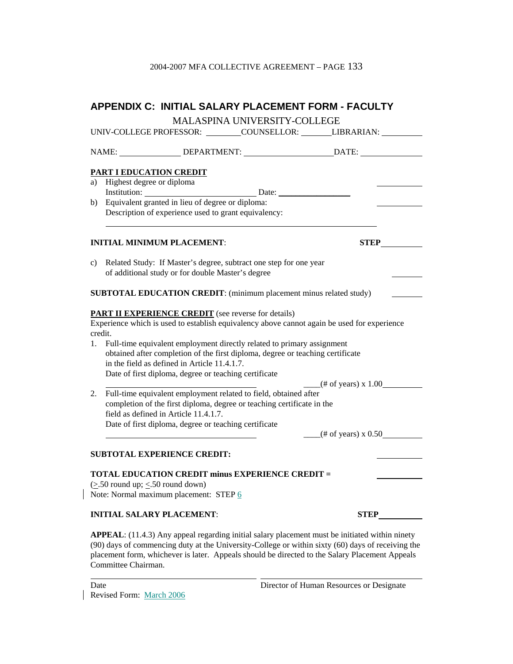|    |                                            | <b>APPENDIX C: INITIAL SALARY PLACEMENT FORM - FACULTY</b>                                                                                                                                                                                                                                                                                                                                                                     |                                                                                                      |
|----|--------------------------------------------|--------------------------------------------------------------------------------------------------------------------------------------------------------------------------------------------------------------------------------------------------------------------------------------------------------------------------------------------------------------------------------------------------------------------------------|------------------------------------------------------------------------------------------------------|
|    |                                            | <b>MALASPINA UNIVERSITY-COLLEGE</b>                                                                                                                                                                                                                                                                                                                                                                                            |                                                                                                      |
|    |                                            |                                                                                                                                                                                                                                                                                                                                                                                                                                | UNIV-COLLEGE PROFESSOR: _________COUNSELLOR: _________LIBRARIAN: __________                          |
|    |                                            |                                                                                                                                                                                                                                                                                                                                                                                                                                | NAME: _________________DEPARTMENT: ______________________________DATE: _____________________________ |
|    | PART I EDUCATION CREDIT                    |                                                                                                                                                                                                                                                                                                                                                                                                                                |                                                                                                      |
|    | a) Highest degree or diploma               |                                                                                                                                                                                                                                                                                                                                                                                                                                |                                                                                                      |
|    |                                            | Institution: Date: Date:<br>Equivalent granted in lieu of degree or diploma:                                                                                                                                                                                                                                                                                                                                                   |                                                                                                      |
| b) |                                            | Description of experience used to grant equivalency:                                                                                                                                                                                                                                                                                                                                                                           |                                                                                                      |
|    |                                            | <b>INITIAL MINIMUM PLACEMENT:</b>                                                                                                                                                                                                                                                                                                                                                                                              | <b>STEP</b>                                                                                          |
| c) |                                            | Related Study: If Master's degree, subtract one step for one year<br>of additional study or for double Master's degree                                                                                                                                                                                                                                                                                                         |                                                                                                      |
|    |                                            | SUBTOTAL EDUCATION CREDIT: (minimum placement minus related study)                                                                                                                                                                                                                                                                                                                                                             |                                                                                                      |
| 1. | credit.                                    | <b>PART II EXPERIENCE CREDIT</b> (see reverse for details)<br>Experience which is used to establish equivalency above cannot again be used for experience<br>Full-time equivalent employment directly related to primary assignment<br>obtained after completion of the first diploma, degree or teaching certificate<br>in the field as defined in Article 11.4.1.7.<br>Date of first diploma, degree or teaching certificate |                                                                                                      |
|    |                                            | Full-time equivalent employment related to field, obtained after                                                                                                                                                                                                                                                                                                                                                               | $($ # of years) x 1.00 $\qquad$                                                                      |
| 2. |                                            | completion of the first diploma, degree or teaching certificate in the<br>field as defined in Article 11.4.1.7.<br>Date of first diploma, degree or teaching certificate                                                                                                                                                                                                                                                       |                                                                                                      |
|    |                                            |                                                                                                                                                                                                                                                                                                                                                                                                                                | $-$ (# of years) x 0.50                                                                              |
|    |                                            | <b>SUBTOTAL EXPERIENCE CREDIT:</b>                                                                                                                                                                                                                                                                                                                                                                                             |                                                                                                      |
|    | $(\geq 50$ round up; $\leq 50$ round down) | <b>TOTAL EDUCATION CREDIT minus EXPERIENCE CREDIT =</b><br>Note: Normal maximum placement: STEP 6                                                                                                                                                                                                                                                                                                                              |                                                                                                      |
|    |                                            | <b>INITIAL SALARY PLACEMENT:</b>                                                                                                                                                                                                                                                                                                                                                                                               | <b>STEP</b>                                                                                          |
|    |                                            |                                                                                                                                                                                                                                                                                                                                                                                                                                |                                                                                                      |

**APPEAL**: (11.4.3) Any appeal regarding initial salary placement must be initiated within ninety (90) days of commencing duty at the University-College or within sixty (60) days of receiving the placement form, whichever is later. Appeals should be directed to the Salary Placement Appeals Committee Chairman.

 $\overline{a}$ 

 $\overline{\phantom{a}}$ 

Date Director of Human Resources or Designate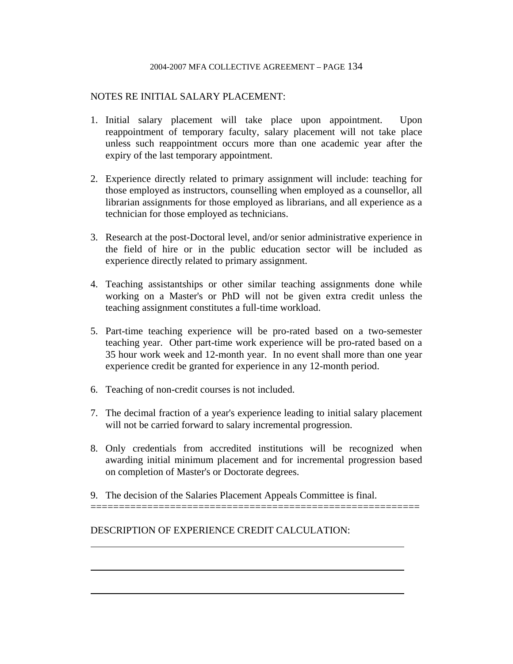### NOTES RE INITIAL SALARY PLACEMENT:

- 1. Initial salary placement will take place upon appointment. Upon reappointment of temporary faculty, salary placement will not take place unless such reappointment occurs more than one academic year after the expiry of the last temporary appointment.
- 2. Experience directly related to primary assignment will include: teaching for those employed as instructors, counselling when employed as a counsellor, all librarian assignments for those employed as librarians, and all experience as a technician for those employed as technicians.
- 3. Research at the post-Doctoral level, and/or senior administrative experience in the field of hire or in the public education sector will be included as experience directly related to primary assignment.
- 4. Teaching assistantships or other similar teaching assignments done while working on a Master's or PhD will not be given extra credit unless the teaching assignment constitutes a full-time workload.
- 5. Part-time teaching experience will be pro-rated based on a two-semester teaching year. Other part-time work experience will be pro-rated based on a 35 hour work week and 12-month year. In no event shall more than one year experience credit be granted for experience in any 12-month period.
- 6. Teaching of non-credit courses is not included.
- 7. The decimal fraction of a year's experience leading to initial salary placement will not be carried forward to salary incremental progression.
- 8. Only credentials from accredited institutions will be recognized when awarding initial minimum placement and for incremental progression based on completion of Master's or Doctorate degrees.

i<br>L

9. The decision of the Salaries Placement Appeals Committee is final.

==========================================================

DESCRIPTION OF EXPERIENCE CREDIT CALCULATION:

 $\overline{a}$ 

 $\overline{a}$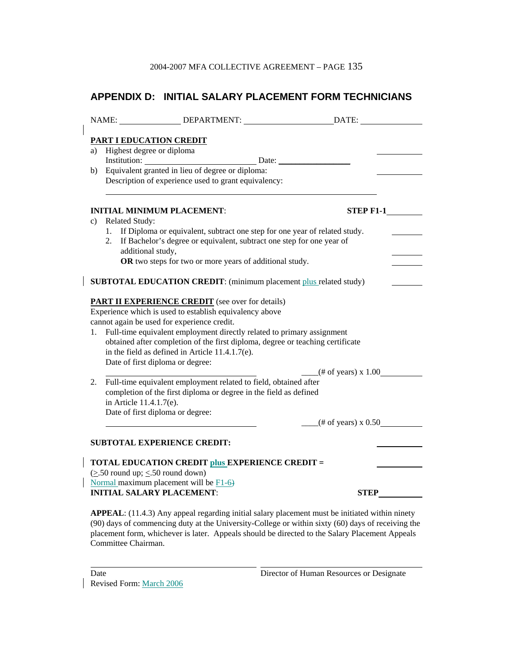# **APPENDIX D: INITIAL SALARY PLACEMENT FORM TECHNICIANS**

|                                                                                |                              | PART I EDUCATION CREDIT                                           |                                                                               |                                    |  |
|--------------------------------------------------------------------------------|------------------------------|-------------------------------------------------------------------|-------------------------------------------------------------------------------|------------------------------------|--|
|                                                                                | a) Highest degree or diploma |                                                                   |                                                                               |                                    |  |
| b)                                                                             |                              | Equivalent granted in lieu of degree or diploma:                  | Institution: Date: Date:                                                      |                                    |  |
|                                                                                |                              | Description of experience used to grant equivalency:              |                                                                               |                                    |  |
|                                                                                |                              |                                                                   |                                                                               |                                    |  |
|                                                                                |                              |                                                                   |                                                                               |                                    |  |
| c)                                                                             | <b>Related Study:</b>        | <b>INITIAL MINIMUM PLACEMENT:</b>                                 |                                                                               | <b>STEP F1-1</b>                   |  |
|                                                                                |                              |                                                                   | 1. If Diploma or equivalent, subtract one step for one year of related study. |                                    |  |
|                                                                                | 2.                           |                                                                   | If Bachelor's degree or equivalent, subtract one step for one year of         |                                    |  |
|                                                                                | additional study,            |                                                                   |                                                                               |                                    |  |
|                                                                                |                              | OR two steps for two or more years of additional study.           |                                                                               |                                    |  |
|                                                                                |                              |                                                                   |                                                                               |                                    |  |
|                                                                                |                              |                                                                   | SUBTOTAL EDUCATION CREDIT: (minimum placement plus related study)             |                                    |  |
|                                                                                |                              | <b>PART II EXPERIENCE CREDIT</b> (see over for details)           |                                                                               |                                    |  |
| Experience which is used to establish equivalency above                        |                              |                                                                   |                                                                               |                                    |  |
| cannot again be used for experience credit.                                    |                              |                                                                   |                                                                               |                                    |  |
| 1.                                                                             |                              |                                                                   | Full-time equivalent employment directly related to primary assignment        |                                    |  |
| obtained after completion of the first diploma, degree or teaching certificate |                              |                                                                   |                                                                               |                                    |  |
|                                                                                |                              | in the field as defined in Article 11.4.1.7(e).                   |                                                                               |                                    |  |
|                                                                                |                              | Date of first diploma or degree:                                  |                                                                               | $(\text{\# of years}) \times 1.00$ |  |
| 2.                                                                             |                              | Full-time equivalent employment related to field, obtained after  |                                                                               |                                    |  |
|                                                                                |                              | completion of the first diploma or degree in the field as defined |                                                                               |                                    |  |
|                                                                                | in Article 11.4.1.7(e).      |                                                                   |                                                                               |                                    |  |
|                                                                                |                              | Date of first diploma or degree:                                  |                                                                               |                                    |  |
|                                                                                |                              |                                                                   |                                                                               | $($ # of years) x 0.50 $\qquad$    |  |
|                                                                                |                              | <b>SUBTOTAL EXPERIENCE CREDIT:</b>                                |                                                                               |                                    |  |
|                                                                                |                              |                                                                   |                                                                               |                                    |  |
|                                                                                |                              | <b>TOTAL EDUCATION CREDIT plus EXPERIENCE CREDIT =</b>            |                                                                               |                                    |  |
|                                                                                |                              | $(\geq 50$ round up; $\leq 50$ round down)                        |                                                                               |                                    |  |
|                                                                                |                              | Normal maximum placement will be $F1-6$                           |                                                                               |                                    |  |
|                                                                                |                              | <b>INITIAL SALARY PLACEMENT:</b>                                  |                                                                               | <b>STEP</b>                        |  |

**APPEAL**: (11.4.3) Any appeal regarding initial salary placement must be initiated within ninety (90) days of commencing duty at the University-College or within sixty (60) days of receiving the placement form, whichever is later. Appeals should be directed to the Salary Placement Appeals Committee Chairman.

| Date                            |  |
|---------------------------------|--|
| <b>Revised Form: March 2006</b> |  |

 $\overline{a}$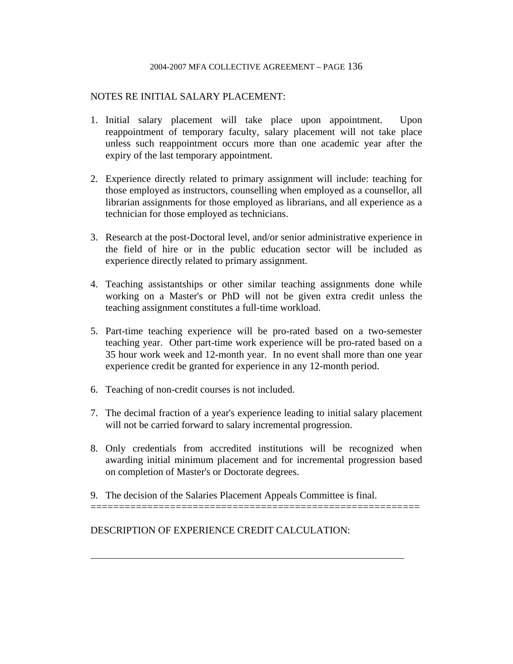## NOTES RE INITIAL SALARY PLACEMENT:

- 1. Initial salary placement will take place upon appointment. Upon reappointment of temporary faculty, salary placement will not take place unless such reappointment occurs more than one academic year after the expiry of the last temporary appointment.
- 2. Experience directly related to primary assignment will include: teaching for those employed as instructors, counselling when employed as a counsellor, all librarian assignments for those employed as librarians, and all experience as a technician for those employed as technicians.
- 3. Research at the post-Doctoral level, and/or senior administrative experience in the field of hire or in the public education sector will be included as experience directly related to primary assignment.
- 4. Teaching assistantships or other similar teaching assignments done while working on a Master's or PhD will not be given extra credit unless the teaching assignment constitutes a full-time workload.
- 5. Part-time teaching experience will be pro-rated based on a two-semester teaching year. Other part-time work experience will be pro-rated based on a 35 hour work week and 12-month year. In no event shall more than one year experience credit be granted for experience in any 12-month period.
- 6. Teaching of non-credit courses is not included.
- 7. The decimal fraction of a year's experience leading to initial salary placement will not be carried forward to salary incremental progression.
- 8. Only credentials from accredited institutions will be recognized when awarding initial minimum placement and for incremental progression based on completion of Master's or Doctorate degrees.

==========================================================

9. The decision of the Salaries Placement Appeals Committee is final.

DESCRIPTION OF EXPERIENCE CREDIT CALCULATION:

 $\overline{a}$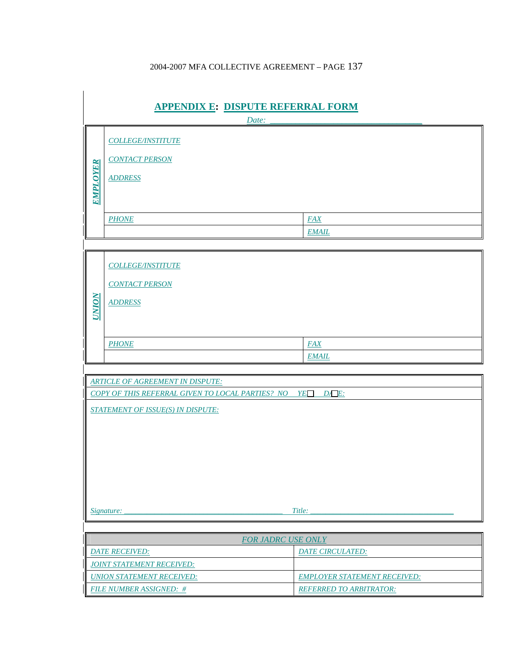| <b>APPENDIX E: DISPUTE REFERRAL FORM</b>                                                                                                                                                  |                                                                     |                                     |  |  |  |
|-------------------------------------------------------------------------------------------------------------------------------------------------------------------------------------------|---------------------------------------------------------------------|-------------------------------------|--|--|--|
|                                                                                                                                                                                           |                                                                     | Date:                               |  |  |  |
| <b>EMPLOYER</b>                                                                                                                                                                           | <b>COLLEGE/INSTITUTE</b><br><b>CONTACT PERSON</b><br><b>ADDRESS</b> |                                     |  |  |  |
|                                                                                                                                                                                           | <b>PHONE</b>                                                        | <b>FAX</b>                          |  |  |  |
|                                                                                                                                                                                           |                                                                     | <b>EMAIL</b>                        |  |  |  |
|                                                                                                                                                                                           |                                                                     |                                     |  |  |  |
| <b>NOIND</b>                                                                                                                                                                              | <b>COLLEGE/INSTITUTE</b><br><b>CONTACT PERSON</b><br><b>ADDRESS</b> |                                     |  |  |  |
|                                                                                                                                                                                           | <b>PHONE</b>                                                        | <b>FAX</b>                          |  |  |  |
|                                                                                                                                                                                           |                                                                     | <b>EMAIL</b>                        |  |  |  |
| <b>ARTICLE OF AGREEMENT IN DISPUTE:</b><br>$D A E$ :<br>YE<br><b>COPY OF THIS REFERRAL GIVEN TO LOCAL PARTIES? NO</b><br><b>STATEMENT OF ISSUE(S) IN DISPUTE:</b><br>Title:<br>Signature: |                                                                     |                                     |  |  |  |
|                                                                                                                                                                                           |                                                                     |                                     |  |  |  |
|                                                                                                                                                                                           | <b>FOR JADRC USE ONLY</b>                                           |                                     |  |  |  |
|                                                                                                                                                                                           | <b>DATE RECEIVED:</b>                                               | DATE CIRCULATED:                    |  |  |  |
|                                                                                                                                                                                           | <b>JOINT STATEMENT RECEIVED:</b>                                    |                                     |  |  |  |
|                                                                                                                                                                                           | <b>UNION STATEMENT RECEIVED:</b>                                    | <b>EMPLOYER STATEMENT RECEIVED:</b> |  |  |  |
|                                                                                                                                                                                           | <b>FILE NUMBER ASSIGNED: #</b><br><b>REFERRED TO ARBITRATOR:</b>    |                                     |  |  |  |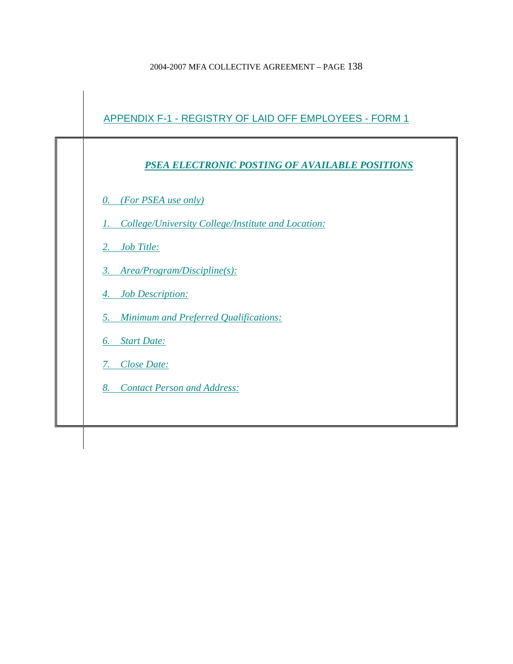

## *PSEA ELECTRONIC POSTING OF AVAILABLE POSITIONS*

*0. (For PSEA use only)*

*1. College/University College/Institute and Location:*

*2. Job Title:*

*3. Area/Program/Discipline(s):*

*4. Job Description:*

*5. Minimum and Preferred Qualifications:*

*6. Start Date:*

*7. Close Date:*

*8. Contact Person and Address:*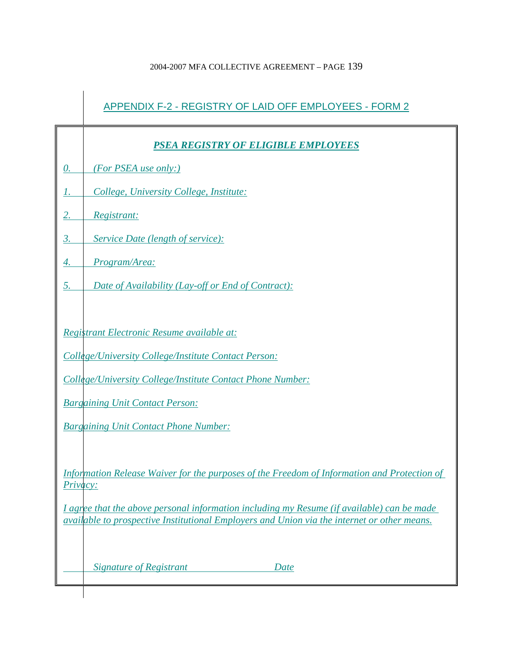ń

|                   | APPENDIX F-2 - REGISTRY OF LAID OFF EMPLOYEES - FORM 2                                      |
|-------------------|---------------------------------------------------------------------------------------------|
|                   | PSEA REGISTRY OF ELIGIBLE EMPLOYEES                                                         |
| $\underline{0}$ . | (For PSEA use only:)                                                                        |
| Ι.                | College, University College, Institute:                                                     |
| 2.                | Registrant:                                                                                 |
| $\overline{3}$ .  | Service Date (length of service):                                                           |
| 4.                | Program/Area:                                                                               |
| 5.                | Date of Availability (Lay-off or End of Contract):                                          |
|                   |                                                                                             |
|                   | Registrant Electronic Resume available at:                                                  |
|                   | College/University College/Institute Contact Person:                                        |
|                   | College/University College/Institute Contact Phone Number:                                  |
|                   | <b>Bargaining Unit Contact Person:</b>                                                      |
|                   | <b>Bargaining Unit Contact Phone Number:</b>                                                |
|                   |                                                                                             |
| <u>Privacy:</u>   | Information Release Waiver for the purposes of the Freedom of Information and Protection of |
|                   | I agree that the above personal information including my Resume (if available) can be made  |
|                   | available to prospective Institutional Employers and Union via the internet or other means. |
|                   |                                                                                             |
|                   | Signature of Registrant<br>Date                                                             |
|                   |                                                                                             |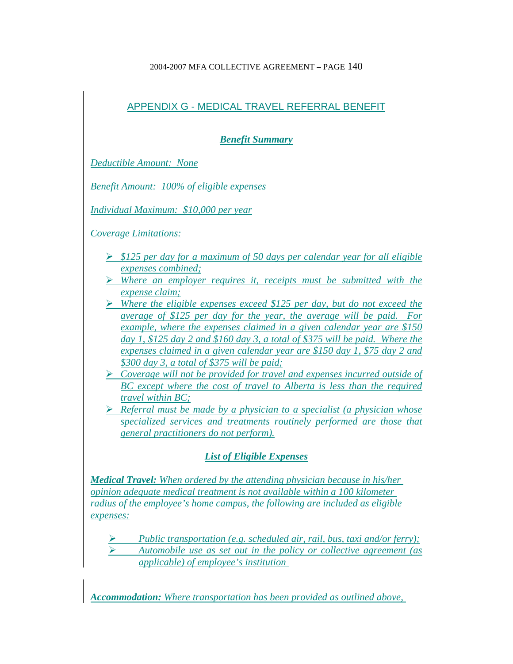# APPENDIX G - MEDICAL TRAVEL REFERRAL BENEFIT

*Benefit Summary*

*Deductible Amount: None*

*Benefit Amount: 100% of eligible expenses*

*Individual Maximum: \$10,000 per year*

*Coverage Limitations:*

- ¾ *\$125 per day for a maximum of 50 days per calendar year for all eligible expenses combined;*
- ¾ *Where an employer requires it, receipts must be submitted with the expense claim;*
- ¾ *Where the eligible expenses exceed \$125 per day, but do not exceed the average of \$125 per day for the year, the average will be paid. For example, where the expenses claimed in a given calendar year are \$150 day 1, \$125 day 2 and \$160 day 3, a total of \$375 will be paid. Where the expenses claimed in a given calendar year are \$150 day 1, \$75 day 2 and \$300 day 3, a total of \$375 will be paid;*
- ¾ *Coverage will not be provided for travel and expenses incurred outside of BC except where the cost of travel to Alberta is less than the required travel within BC;*
- ¾ *Referral must be made by a physician to a specialist (a physician whose specialized services and treatments routinely performed are those that general practitioners do not perform).*

# *List of Eligible Expenses*

*Medical Travel: When ordered by the attending physician because in his/her opinion adequate medical treatment is not available within a 100 kilometer radius of the employee's home campus, the following are included as eligible expenses:*

- ¾ *Public transportation (e.g. scheduled air, rail, bus, taxi and/or ferry);*
- ¾ *Automobile use as set out in the policy or collective agreement (as applicable) of employee's institution*

*Accommodation: Where transportation has been provided as outlined above,*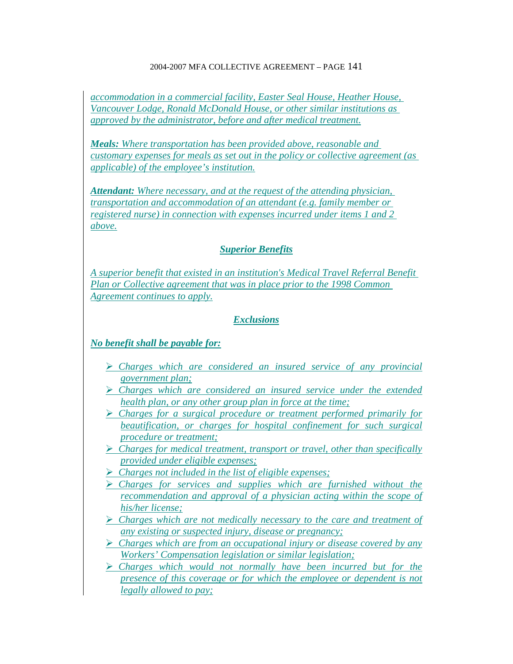*accommodation in a commercial facility, Easter Seal House, Heather House, Vancouver Lodge, Ronald McDonald House, or other similar institutions as approved by the administrator, before and after medical treatment.*

*Meals: Where transportation has been provided above, reasonable and customary expenses for meals as set out in the policy or collective agreement (as applicable) of the employee's institution.*

*Attendant: Where necessary, and at the request of the attending physician, transportation and accommodation of an attendant (e.g. family member or registered nurse) in connection with expenses incurred under items 1 and 2 above.*

## *Superior Benefits*

*A superior benefit that existed in an institution's Medical Travel Referral Benefit Plan or Collective agreement that was in place prior to the 1998 Common Agreement continues to apply.*

## *Exclusions*

## *No benefit shall be payable for:*

- ¾ *Charges which are considered an insured service of any provincial government plan;*
- ¾ *Charges which are considered an insured service under the extended health plan, or any other group plan in force at the time;*
- ¾ *Charges for a surgical procedure or treatment performed primarily for beautification, or charges for hospital confinement for such surgical procedure or treatment;*
- ¾ *Charges for medical treatment, transport or travel, other than specifically provided under eligible expenses;*
- ¾ *Charges not included in the list of eligible expenses;*
- ¾ *Charges for services and supplies which are furnished without the recommendation and approval of a physician acting within the scope of his/her license;*
- ¾ *Charges which are not medically necessary to the care and treatment of any existing or suspected injury, disease or pregnancy;*
- ¾ *Charges which are from an occupational injury or disease covered by any Workers' Compensation legislation or similar legislation;*
- ¾ *Charges which would not normally have been incurred but for the presence of this coverage or for which the employee or dependent is not legally allowed to pay;*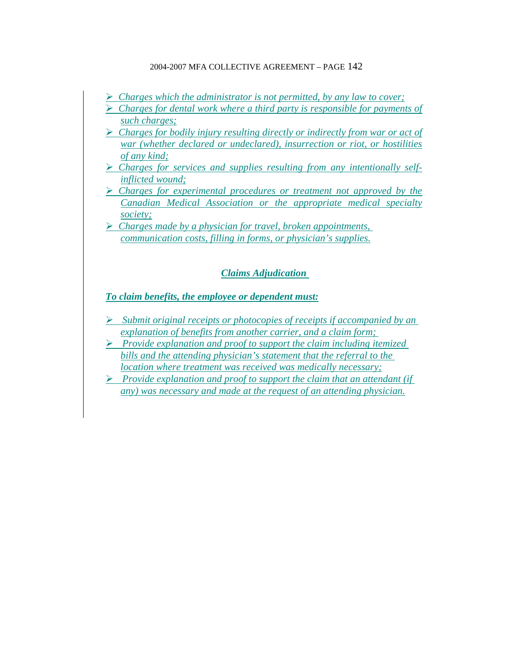- ¾ *Charges which the administrator is not permitted, by any law to cover;*
- ¾ *Charges for dental work where a third party is responsible for payments of such charges;*
- ¾ *Charges for bodily injury resulting directly or indirectly from war or act of war (whether declared or undeclared), insurrection or riot, or hostilities of any kind;*
- ¾ *Charges for services and supplies resulting from any intentionally selfinflicted wound;*
- ¾ *Charges for experimental procedures or treatment not approved by the Canadian Medical Association or the appropriate medical specialty society;*
- ¾ *Charges made by a physician for travel, broken appointments, communication costs, filling in forms, or physician's supplies.*

## *Claims Adjudication*

## *To claim benefits, the employee or dependent must:*

- ¾ *Submit original receipts or photocopies of receipts if accompanied by an explanation of benefits from another carrier, and a claim form;*
- ¾ *Provide explanation and proof to support the claim including itemized bills and the attending physician's statement that the referral to the location where treatment was received was medically necessary;*
- ¾ *Provide explanation and proof to support the claim that an attendant (if any) was necessary and made at the request of an attending physician.*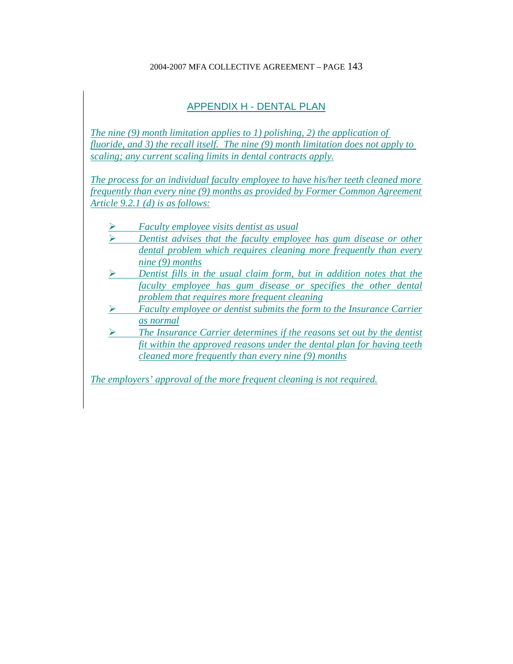# APPENDIX H - DENTAL PLAN

*The nine (9) month limitation applies to 1) polishing, 2) the application of fluoride, and 3) the recall itself. The nine (9) month limitation does not apply to scaling; any current scaling limits in dental contracts apply.*

*The process for an individual faculty employee to have his/her teeth cleaned more frequently than every nine (9) months as provided by Former Common Agreement Article 9.2.1 (d) is as follows:*

- ¾ *Faculty employee visits dentist as usual*
- ¾ *Dentist advises that the faculty employee has gum disease or other dental problem which requires cleaning more frequently than every nine (9) months*
- ¾ *Dentist fills in the usual claim form, but in addition notes that the faculty employee has gum disease or specifies the other dental problem that requires more frequent cleaning*
- ¾ *Faculty employee or dentist submits the form to the Insurance Carrier as normal*
- ¾ *The Insurance Carrier determines if the reasons set out by the dentist fit within the approved reasons under the dental plan for having teeth cleaned more frequently than every nine (9) months*

*The employers' approval of the more frequent cleaning is not required.*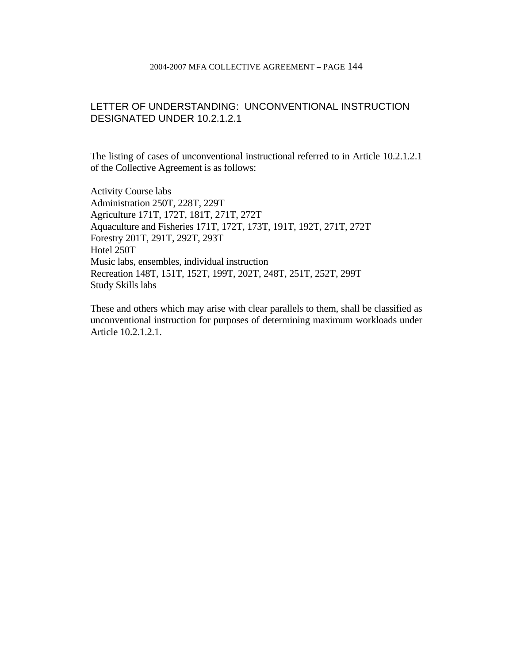## LETTER OF UNDERSTANDING: UNCONVENTIONAL INSTRUCTION DESIGNATED UNDER 10.2.1.2.1

The listing of cases of unconventional instructional referred to in Article 10.2.1.2.1 of the Collective Agreement is as follows:

Activity Course labs Administration 250T, 228T, 229T Agriculture 171T, 172T, 181T, 271T, 272T Aquaculture and Fisheries 171T, 172T, 173T, 191T, 192T, 271T, 272T Forestry 201T, 291T, 292T, 293T Hotel 250T Music labs, ensembles, individual instruction Recreation 148T, 151T, 152T, 199T, 202T, 248T, 251T, 252T, 299T Study Skills labs

These and others which may arise with clear parallels to them, shall be classified as unconventional instruction for purposes of determining maximum workloads under Article 10.2.1.2.1.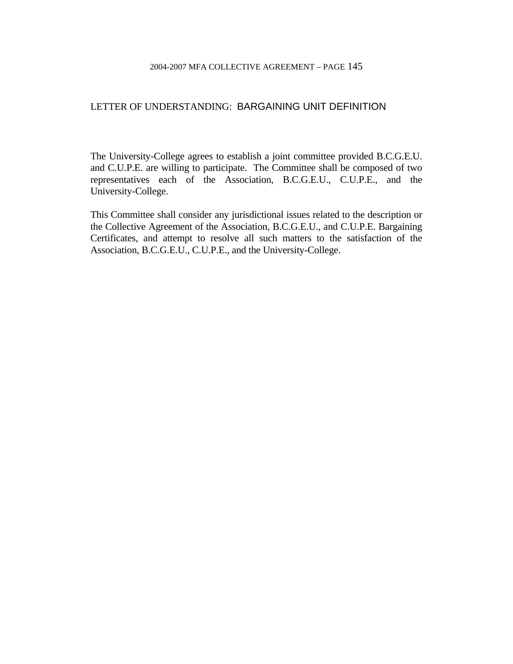### LETTER OF UNDERSTANDING: BARGAINING UNIT DEFINITION

The University-College agrees to establish a joint committee provided B.C.G.E.U. and C.U.P.E. are willing to participate. The Committee shall be composed of two representatives each of the Association, B.C.G.E.U., C.U.P.E., and the University-College.

This Committee shall consider any jurisdictional issues related to the description or the Collective Agreement of the Association, B.C.G.E.U., and C.U.P.E. Bargaining Certificates, and attempt to resolve all such matters to the satisfaction of the Association, B.C.G.E.U., C.U.P.E., and the University-College.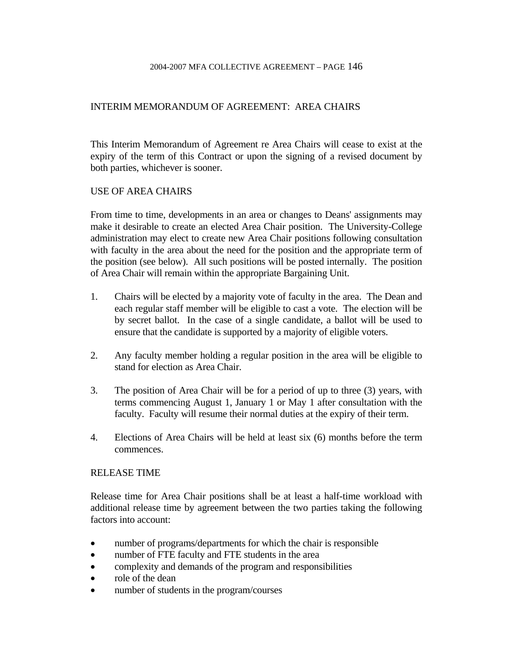## INTERIM MEMORANDUM OF AGREEMENT: AREA CHAIRS

This Interim Memorandum of Agreement re Area Chairs will cease to exist at the expiry of the term of this Contract or upon the signing of a revised document by both parties, whichever is sooner.

### USE OF AREA CHAIRS

From time to time, developments in an area or changes to Deans' assignments may make it desirable to create an elected Area Chair position. The University-College administration may elect to create new Area Chair positions following consultation with faculty in the area about the need for the position and the appropriate term of the position (see below). All such positions will be posted internally. The position of Area Chair will remain within the appropriate Bargaining Unit.

- 1. Chairs will be elected by a majority vote of faculty in the area. The Dean and each regular staff member will be eligible to cast a vote. The election will be by secret ballot. In the case of a single candidate, a ballot will be used to ensure that the candidate is supported by a majority of eligible voters.
- 2. Any faculty member holding a regular position in the area will be eligible to stand for election as Area Chair.
- 3. The position of Area Chair will be for a period of up to three (3) years, with terms commencing August 1, January 1 or May 1 after consultation with the faculty. Faculty will resume their normal duties at the expiry of their term.
- 4. Elections of Area Chairs will be held at least six (6) months before the term commences.

### RELEASE TIME

Release time for Area Chair positions shall be at least a half-time workload with additional release time by agreement between the two parties taking the following factors into account:

- number of programs/departments for which the chair is responsible
- number of FTE faculty and FTE students in the area
- complexity and demands of the program and responsibilities
- role of the dean
- number of students in the program/courses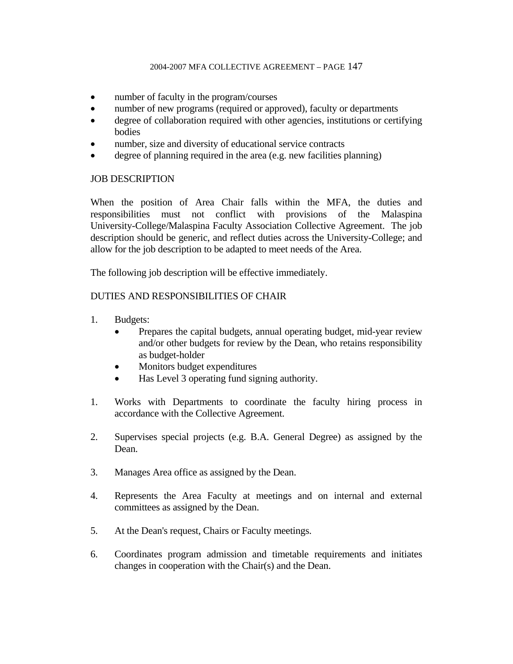- number of faculty in the program/courses
- number of new programs (required or approved), faculty or departments
- degree of collaboration required with other agencies, institutions or certifying bodies
- number, size and diversity of educational service contracts
- degree of planning required in the area (e.g. new facilities planning)

## JOB DESCRIPTION

When the position of Area Chair falls within the MFA, the duties and responsibilities must not conflict with provisions of the Malaspina University-College/Malaspina Faculty Association Collective Agreement. The job description should be generic, and reflect duties across the University-College; and allow for the job description to be adapted to meet needs of the Area.

The following job description will be effective immediately.

## DUTIES AND RESPONSIBILITIES OF CHAIR

- 1. Budgets:
	- Prepares the capital budgets, annual operating budget, mid-year review and/or other budgets for review by the Dean, who retains responsibility as budget-holder
	- Monitors budget expenditures
	- Has Level 3 operating fund signing authority.
- 1. Works with Departments to coordinate the faculty hiring process in accordance with the Collective Agreement.
- 2. Supervises special projects (e.g. B.A. General Degree) as assigned by the Dean.
- 3. Manages Area office as assigned by the Dean.
- 4. Represents the Area Faculty at meetings and on internal and external committees as assigned by the Dean.
- 5. At the Dean's request, Chairs or Faculty meetings.
- 6. Coordinates program admission and timetable requirements and initiates changes in cooperation with the Chair(s) and the Dean.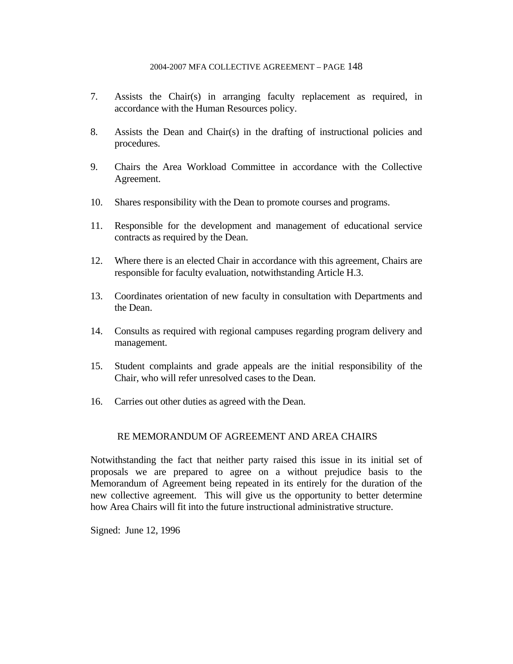- 7. Assists the Chair(s) in arranging faculty replacement as required, in accordance with the Human Resources policy.
- 8. Assists the Dean and Chair(s) in the drafting of instructional policies and procedures.
- 9. Chairs the Area Workload Committee in accordance with the Collective Agreement.
- 10. Shares responsibility with the Dean to promote courses and programs.
- 11. Responsible for the development and management of educational service contracts as required by the Dean.
- 12. Where there is an elected Chair in accordance with this agreement, Chairs are responsible for faculty evaluation, notwithstanding Article H.3.
- 13. Coordinates orientation of new faculty in consultation with Departments and the Dean.
- 14. Consults as required with regional campuses regarding program delivery and management.
- 15. Student complaints and grade appeals are the initial responsibility of the Chair, who will refer unresolved cases to the Dean.
- 16. Carries out other duties as agreed with the Dean.

### RE MEMORANDUM OF AGREEMENT AND AREA CHAIRS

Notwithstanding the fact that neither party raised this issue in its initial set of proposals we are prepared to agree on a without prejudice basis to the Memorandum of Agreement being repeated in its entirely for the duration of the new collective agreement. This will give us the opportunity to better determine how Area Chairs will fit into the future instructional administrative structure.

Signed: June 12, 1996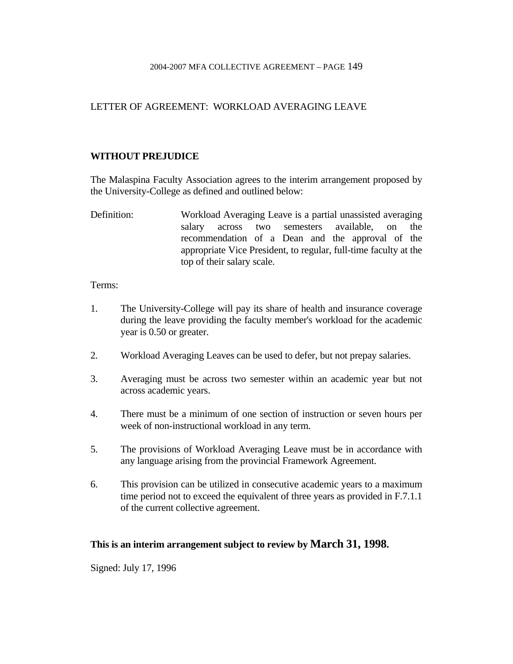## LETTER OF AGREEMENT: WORKLOAD AVERAGING LEAVE

## **WITHOUT PREJUDICE**

The Malaspina Faculty Association agrees to the interim arrangement proposed by the University-College as defined and outlined below:

Definition: Workload Averaging Leave is a partial unassisted averaging salary across two semesters available, on the recommendation of a Dean and the approval of the appropriate Vice President, to regular, full-time faculty at the top of their salary scale.

### Terms:

- 1. The University-College will pay its share of health and insurance coverage during the leave providing the faculty member's workload for the academic year is 0.50 or greater.
- 2. Workload Averaging Leaves can be used to defer, but not prepay salaries.
- 3. Averaging must be across two semester within an academic year but not across academic years.
- 4. There must be a minimum of one section of instruction or seven hours per week of non-instructional workload in any term.
- 5. The provisions of Workload Averaging Leave must be in accordance with any language arising from the provincial Framework Agreement.
- 6. This provision can be utilized in consecutive academic years to a maximum time period not to exceed the equivalent of three years as provided in F.7.1.1 of the current collective agreement.

## **This is an interim arrangement subject to review by March 31, 1998.**

Signed: July 17, 1996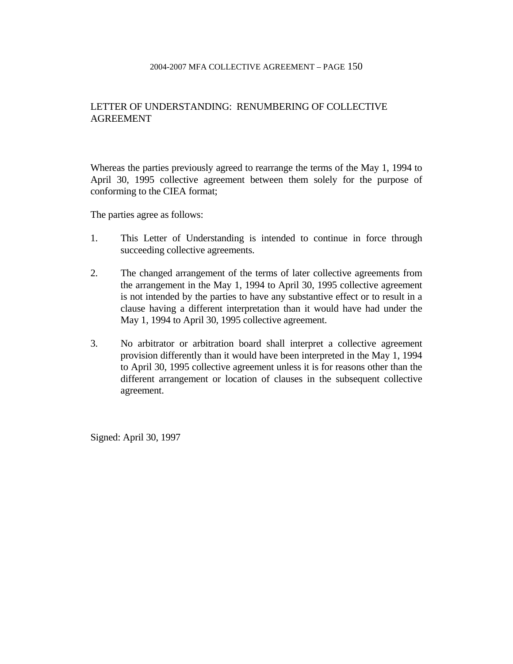## LETTER OF UNDERSTANDING: RENUMBERING OF COLLECTIVE AGREEMENT

Whereas the parties previously agreed to rearrange the terms of the May 1, 1994 to April 30, 1995 collective agreement between them solely for the purpose of conforming to the CIEA format;

The parties agree as follows:

- 1. This Letter of Understanding is intended to continue in force through succeeding collective agreements.
- 2. The changed arrangement of the terms of later collective agreements from the arrangement in the May 1, 1994 to April 30, 1995 collective agreement is not intended by the parties to have any substantive effect or to result in a clause having a different interpretation than it would have had under the May 1, 1994 to April 30, 1995 collective agreement.
- 3. No arbitrator or arbitration board shall interpret a collective agreement provision differently than it would have been interpreted in the May 1, 1994 to April 30, 1995 collective agreement unless it is for reasons other than the different arrangement or location of clauses in the subsequent collective agreement.

Signed: April 30, 1997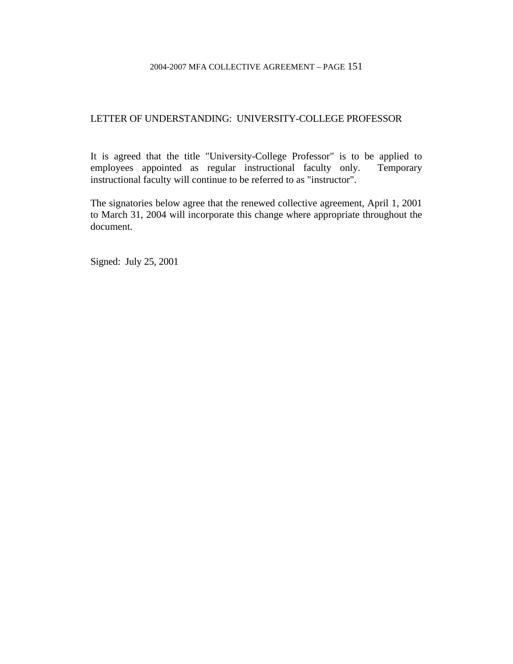## LETTER OF UNDERSTANDING: UNIVERSITY-COLLEGE PROFESSOR

It is agreed that the title "University-College Professor" is to be applied to employees appointed as regular instructional faculty only. Temporary instructional faculty will continue to be referred to as "instructor".

The signatories below agree that the renewed collective agreement, April 1, 2001 to March 31, 2004 will incorporate this change where appropriate throughout the document.

Signed: July 25, 2001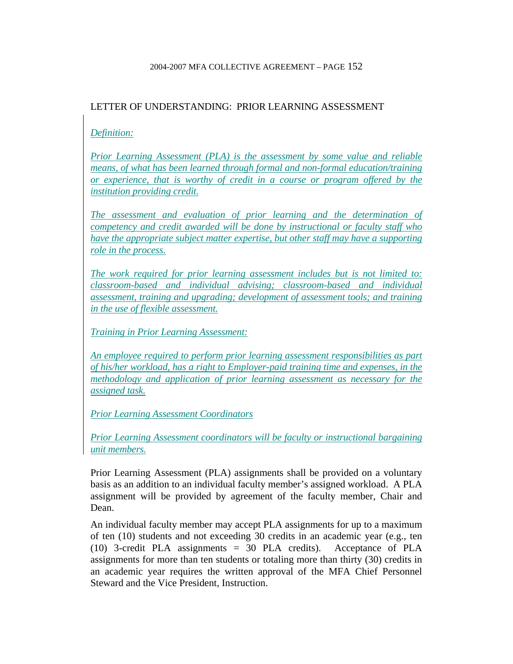## LETTER OF UNDERSTANDING: PRIOR LEARNING ASSESSMENT

## *Definition:*

*Prior Learning Assessment (PLA) is the assessment by some value and reliable means, of what has been learned through formal and non-formal education/training or experience, that is worthy of credit in a course or program offered by the institution providing credit.*

*The assessment and evaluation of prior learning and the determination of competency and credit awarded will be done by instructional or faculty staff who have the appropriate subject matter expertise, but other staff may have a supporting role in the process.*

*The work required for prior learning assessment includes but is not limited to: classroom-based and individual advising; classroom-based and individual assessment, training and upgrading; development of assessment tools; and training in the use of flexible assessment.*

*Training in Prior Learning Assessment:*

*An employee required to perform prior learning assessment responsibilities as part of his/her workload, has a right to Employer-paid training time and expenses, in the methodology and application of prior learning assessment as necessary for the assigned task.*

*Prior Learning Assessment Coordinators*

*Prior Learning Assessment coordinators will be faculty or instructional bargaining unit members.*

Prior Learning Assessment (PLA) assignments shall be provided on a voluntary basis as an addition to an individual faculty member's assigned workload. A PLA assignment will be provided by agreement of the faculty member, Chair and Dean.

An individual faculty member may accept PLA assignments for up to a maximum of ten (10) students and not exceeding 30 credits in an academic year (e.g., ten (10) 3-credit PLA assignments = 30 PLA credits). Acceptance of PLA assignments for more than ten students or totaling more than thirty (30) credits in an academic year requires the written approval of the MFA Chief Personnel Steward and the Vice President, Instruction.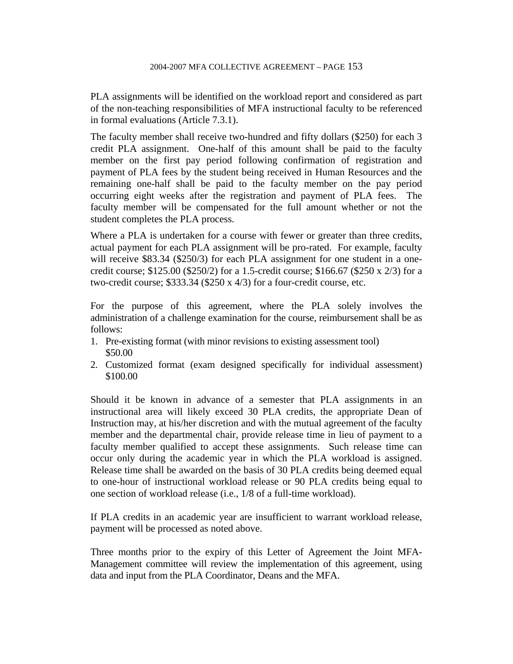PLA assignments will be identified on the workload report and considered as part of the non-teaching responsibilities of MFA instructional faculty to be referenced in formal evaluations (Article 7.3.1).

The faculty member shall receive two-hundred and fifty dollars (\$250) for each 3 credit PLA assignment. One-half of this amount shall be paid to the faculty member on the first pay period following confirmation of registration and payment of PLA fees by the student being received in Human Resources and the remaining one-half shall be paid to the faculty member on the pay period occurring eight weeks after the registration and payment of PLA fees. The faculty member will be compensated for the full amount whether or not the student completes the PLA process.

Where a PLA is undertaken for a course with fewer or greater than three credits, actual payment for each PLA assignment will be pro-rated. For example, faculty will receive \$83.34 (\$250/3) for each PLA assignment for one student in a onecredit course;  $$125.00$  ( $$250/2$ ) for a 1.5-credit course;  $$166.67$  ( $$250 \times 2/3$ ) for a two-credit course; \$333.34 (\$250 x 4/3) for a four-credit course, etc.

For the purpose of this agreement, where the PLA solely involves the administration of a challenge examination for the course, reimbursement shall be as follows:

- 1. Pre-existing format (with minor revisions to existing assessment tool) \$50.00
- 2. Customized format (exam designed specifically for individual assessment) \$100.00

Should it be known in advance of a semester that PLA assignments in an instructional area will likely exceed 30 PLA credits, the appropriate Dean of Instruction may, at his/her discretion and with the mutual agreement of the faculty member and the departmental chair, provide release time in lieu of payment to a faculty member qualified to accept these assignments. Such release time can occur only during the academic year in which the PLA workload is assigned. Release time shall be awarded on the basis of 30 PLA credits being deemed equal to one-hour of instructional workload release or 90 PLA credits being equal to one section of workload release (i.e., 1/8 of a full-time workload).

If PLA credits in an academic year are insufficient to warrant workload release, payment will be processed as noted above.

Three months prior to the expiry of this Letter of Agreement the Joint MFA-Management committee will review the implementation of this agreement, using data and input from the PLA Coordinator, Deans and the MFA.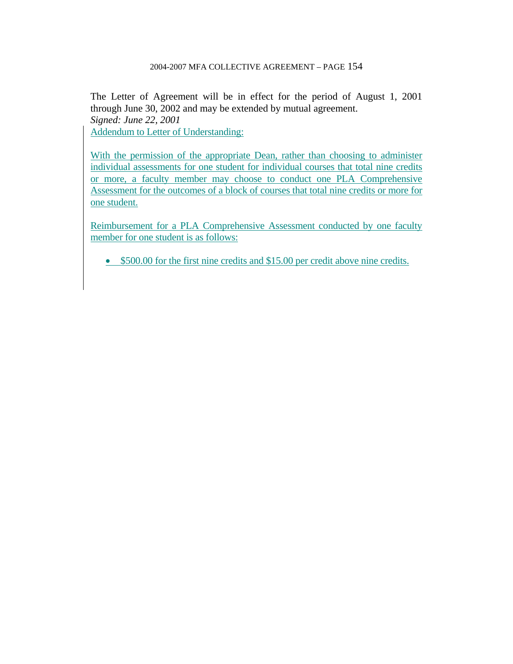The Letter of Agreement will be in effect for the period of August 1, 2001 through June 30, 2002 and may be extended by mutual agreement. *Signed: June 22, 2001*  Addendum to Letter of Understanding:

With the permission of the appropriate Dean, rather than choosing to administer individual assessments for one student for individual courses that total nine credits or more, a faculty member may choose to conduct one PLA Comprehensive Assessment for the outcomes of a block of courses that total nine credits or more for one student.

Reimbursement for a PLA Comprehensive Assessment conducted by one faculty member for one student is as follows:

• \$500.00 for the first nine credits and \$15.00 per credit above nine credits.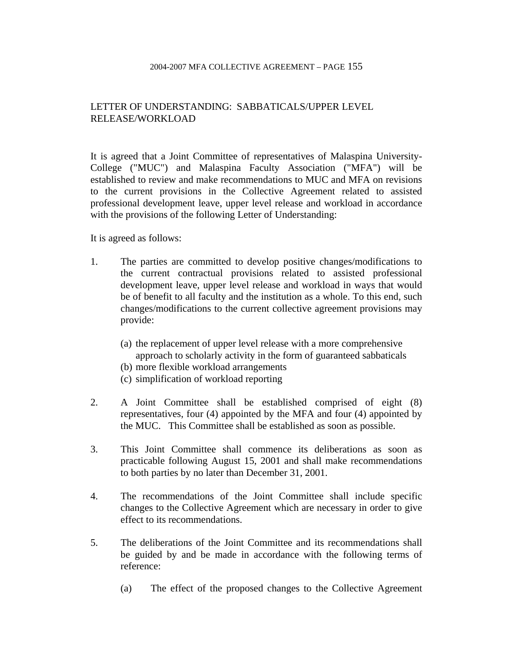## LETTER OF UNDERSTANDING: SABBATICALS/UPPER LEVEL RELEASE/WORKLOAD

It is agreed that a Joint Committee of representatives of Malaspina University-College ("MUC") and Malaspina Faculty Association ("MFA") will be established to review and make recommendations to MUC and MFA on revisions to the current provisions in the Collective Agreement related to assisted professional development leave, upper level release and workload in accordance with the provisions of the following Letter of Understanding:

It is agreed as follows:

- 1. The parties are committed to develop positive changes/modifications to the current contractual provisions related to assisted professional development leave, upper level release and workload in ways that would be of benefit to all faculty and the institution as a whole. To this end, such changes/modifications to the current collective agreement provisions may provide:
	- (a) the replacement of upper level release with a more comprehensive approach to scholarly activity in the form of guaranteed sabbaticals
	- (b) more flexible workload arrangements
	- (c) simplification of workload reporting
- 2. A Joint Committee shall be established comprised of eight (8) representatives, four (4) appointed by the MFA and four (4) appointed by the MUC. This Committee shall be established as soon as possible.
- 3. This Joint Committee shall commence its deliberations as soon as practicable following August 15, 2001 and shall make recommendations to both parties by no later than December 31, 2001.
- 4. The recommendations of the Joint Committee shall include specific changes to the Collective Agreement which are necessary in order to give effect to its recommendations.
- 5. The deliberations of the Joint Committee and its recommendations shall be guided by and be made in accordance with the following terms of reference:
	- (a) The effect of the proposed changes to the Collective Agreement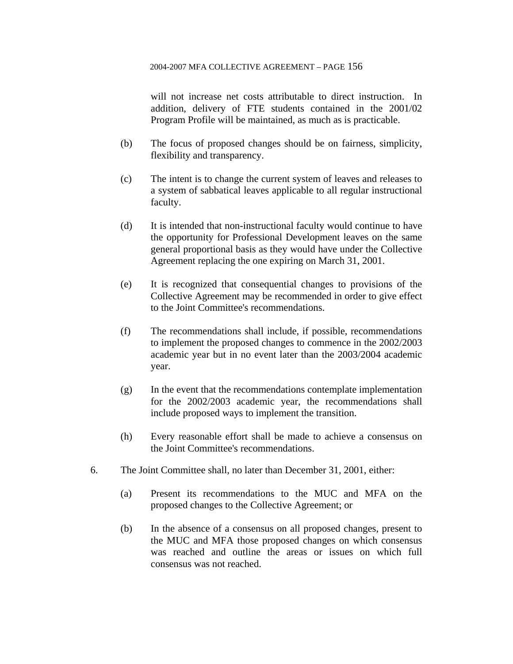will not increase net costs attributable to direct instruction. In addition, delivery of FTE students contained in the 2001/02 Program Profile will be maintained, as much as is practicable.

- (b) The focus of proposed changes should be on fairness, simplicity, flexibility and transparency.
- (c) The intent is to change the current system of leaves and releases to a system of sabbatical leaves applicable to all regular instructional faculty.
- (d) It is intended that non-instructional faculty would continue to have the opportunity for Professional Development leaves on the same general proportional basis as they would have under the Collective Agreement replacing the one expiring on March 31, 2001.
- (e) It is recognized that consequential changes to provisions of the Collective Agreement may be recommended in order to give effect to the Joint Committee's recommendations.
- (f) The recommendations shall include, if possible, recommendations to implement the proposed changes to commence in the 2002/2003 academic year but in no event later than the 2003/2004 academic year.
- (g) In the event that the recommendations contemplate implementation for the 2002/2003 academic year, the recommendations shall include proposed ways to implement the transition.
- (h) Every reasonable effort shall be made to achieve a consensus on the Joint Committee's recommendations.
- 6. The Joint Committee shall, no later than December 31, 2001, either:
	- (a) Present its recommendations to the MUC and MFA on the proposed changes to the Collective Agreement; or
	- (b) In the absence of a consensus on all proposed changes, present to the MUC and MFA those proposed changes on which consensus was reached and outline the areas or issues on which full consensus was not reached.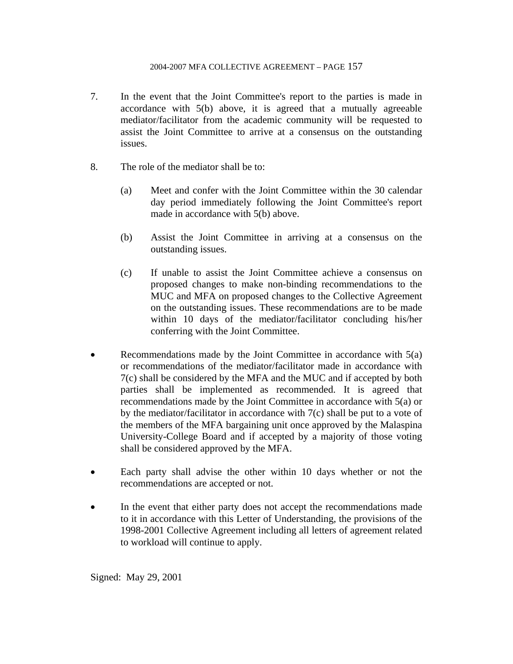- 7. In the event that the Joint Committee's report to the parties is made in accordance with 5(b) above, it is agreed that a mutually agreeable mediator/facilitator from the academic community will be requested to assist the Joint Committee to arrive at a consensus on the outstanding issues.
- 8. The role of the mediator shall be to:
	- (a) Meet and confer with the Joint Committee within the 30 calendar day period immediately following the Joint Committee's report made in accordance with 5(b) above.
	- (b) Assist the Joint Committee in arriving at a consensus on the outstanding issues.
	- (c) If unable to assist the Joint Committee achieve a consensus on proposed changes to make non-binding recommendations to the MUC and MFA on proposed changes to the Collective Agreement on the outstanding issues. These recommendations are to be made within 10 days of the mediator/facilitator concluding his/her conferring with the Joint Committee.
- Recommendations made by the Joint Committee in accordance with  $5(a)$ or recommendations of the mediator/facilitator made in accordance with 7(c) shall be considered by the MFA and the MUC and if accepted by both parties shall be implemented as recommended. It is agreed that recommendations made by the Joint Committee in accordance with 5(a) or by the mediator/facilitator in accordance with 7(c) shall be put to a vote of the members of the MFA bargaining unit once approved by the Malaspina University-College Board and if accepted by a majority of those voting shall be considered approved by the MFA.
- Each party shall advise the other within 10 days whether or not the recommendations are accepted or not.
- In the event that either party does not accept the recommendations made to it in accordance with this Letter of Understanding, the provisions of the 1998-2001 Collective Agreement including all letters of agreement related to workload will continue to apply.

Signed: May 29, 2001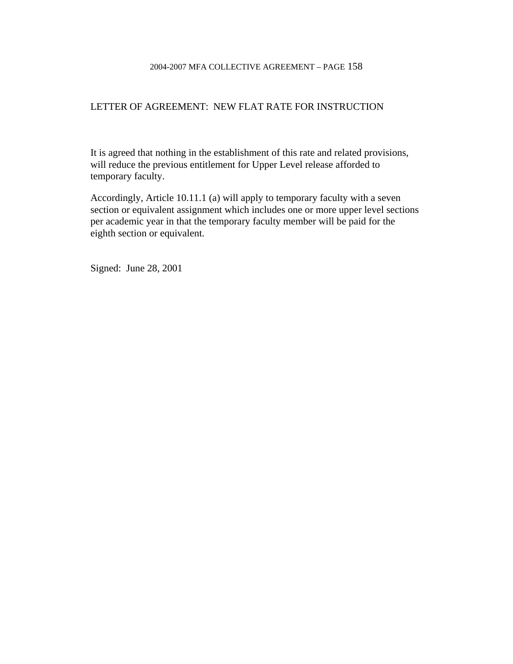### LETTER OF AGREEMENT: NEW FLAT RATE FOR INSTRUCTION

It is agreed that nothing in the establishment of this rate and related provisions, will reduce the previous entitlement for Upper Level release afforded to temporary faculty.

Accordingly, Article 10.11.1 (a) will apply to temporary faculty with a seven section or equivalent assignment which includes one or more upper level sections per academic year in that the temporary faculty member will be paid for the eighth section or equivalent.

Signed: June 28, 2001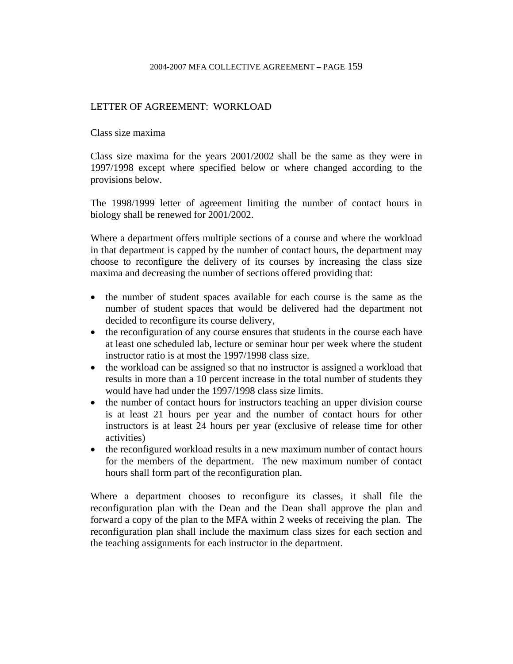## LETTER OF AGREEMENT: WORKLOAD

Class size maxima

Class size maxima for the years 2001/2002 shall be the same as they were in 1997/1998 except where specified below or where changed according to the provisions below.

The 1998/1999 letter of agreement limiting the number of contact hours in biology shall be renewed for 2001/2002.

Where a department offers multiple sections of a course and where the workload in that department is capped by the number of contact hours, the department may choose to reconfigure the delivery of its courses by increasing the class size maxima and decreasing the number of sections offered providing that:

- the number of student spaces available for each course is the same as the number of student spaces that would be delivered had the department not decided to reconfigure its course delivery,
- the reconfiguration of any course ensures that students in the course each have at least one scheduled lab, lecture or seminar hour per week where the student instructor ratio is at most the 1997/1998 class size.
- the workload can be assigned so that no instructor is assigned a workload that results in more than a 10 percent increase in the total number of students they would have had under the 1997/1998 class size limits.
- the number of contact hours for instructors teaching an upper division course is at least 21 hours per year and the number of contact hours for other instructors is at least 24 hours per year (exclusive of release time for other activities)
- the reconfigured workload results in a new maximum number of contact hours for the members of the department. The new maximum number of contact hours shall form part of the reconfiguration plan.

Where a department chooses to reconfigure its classes, it shall file the reconfiguration plan with the Dean and the Dean shall approve the plan and forward a copy of the plan to the MFA within 2 weeks of receiving the plan. The reconfiguration plan shall include the maximum class sizes for each section and the teaching assignments for each instructor in the department.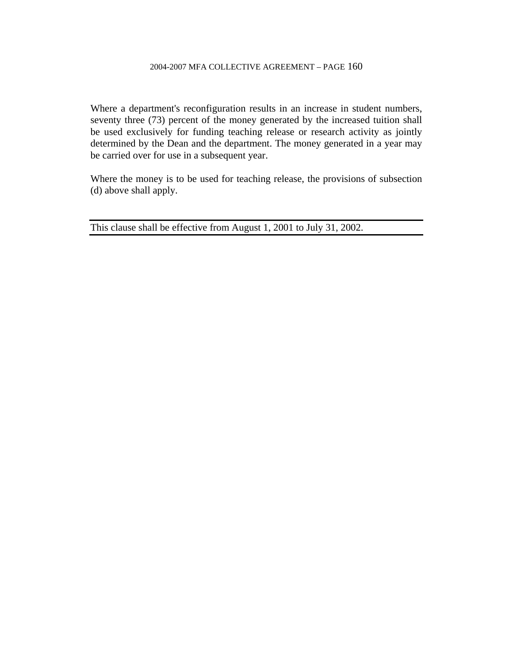Where a department's reconfiguration results in an increase in student numbers, seventy three (73) percent of the money generated by the increased tuition shall be used exclusively for funding teaching release or research activity as jointly determined by the Dean and the department. The money generated in a year may be carried over for use in a subsequent year.

Where the money is to be used for teaching release, the provisions of subsection (d) above shall apply.

This clause shall be effective from August 1, 2001 to July 31, 2002.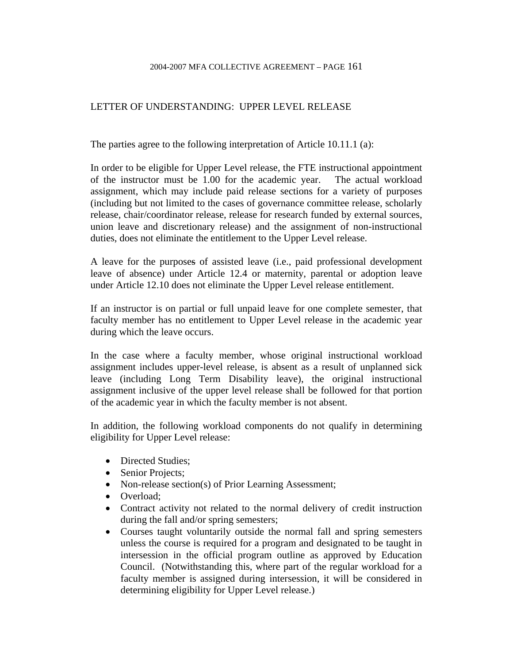## LETTER OF UNDERSTANDING: UPPER LEVEL RELEASE

The parties agree to the following interpretation of Article 10.11.1 (a):

In order to be eligible for Upper Level release, the FTE instructional appointment of the instructor must be 1.00 for the academic year. The actual workload assignment, which may include paid release sections for a variety of purposes (including but not limited to the cases of governance committee release, scholarly release, chair/coordinator release, release for research funded by external sources, union leave and discretionary release) and the assignment of non-instructional duties, does not eliminate the entitlement to the Upper Level release.

A leave for the purposes of assisted leave (i.e., paid professional development leave of absence) under Article 12.4 or maternity, parental or adoption leave under Article 12.10 does not eliminate the Upper Level release entitlement.

If an instructor is on partial or full unpaid leave for one complete semester, that faculty member has no entitlement to Upper Level release in the academic year during which the leave occurs.

In the case where a faculty member, whose original instructional workload assignment includes upper-level release, is absent as a result of unplanned sick leave (including Long Term Disability leave), the original instructional assignment inclusive of the upper level release shall be followed for that portion of the academic year in which the faculty member is not absent.

In addition, the following workload components do not qualify in determining eligibility for Upper Level release:

- Directed Studies;
- Senior Projects;
- Non-release section(s) of Prior Learning Assessment;
- Overload:
- Contract activity not related to the normal delivery of credit instruction during the fall and/or spring semesters;
- Courses taught voluntarily outside the normal fall and spring semesters unless the course is required for a program and designated to be taught in intersession in the official program outline as approved by Education Council. (Notwithstanding this, where part of the regular workload for a faculty member is assigned during intersession, it will be considered in determining eligibility for Upper Level release.)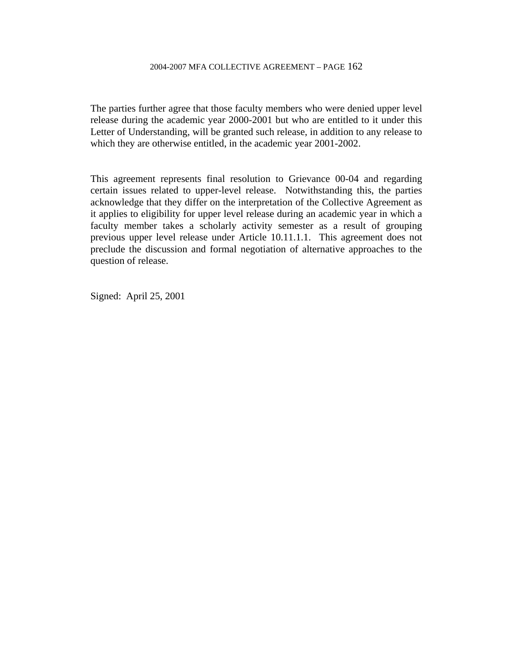The parties further agree that those faculty members who were denied upper level release during the academic year 2000-2001 but who are entitled to it under this Letter of Understanding, will be granted such release, in addition to any release to which they are otherwise entitled, in the academic year 2001-2002.

This agreement represents final resolution to Grievance 00-04 and regarding certain issues related to upper-level release. Notwithstanding this, the parties acknowledge that they differ on the interpretation of the Collective Agreement as it applies to eligibility for upper level release during an academic year in which a faculty member takes a scholarly activity semester as a result of grouping previous upper level release under Article 10.11.1.1. This agreement does not preclude the discussion and formal negotiation of alternative approaches to the question of release.

Signed: April 25, 2001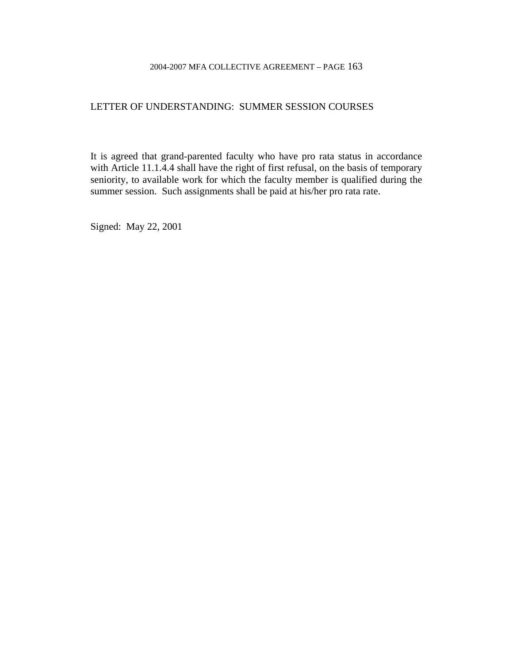## LETTER OF UNDERSTANDING: SUMMER SESSION COURSES

It is agreed that grand-parented faculty who have pro rata status in accordance with Article 11.1.4.4 shall have the right of first refusal, on the basis of temporary seniority, to available work for which the faculty member is qualified during the summer session. Such assignments shall be paid at his/her pro rata rate.

Signed: May 22, 2001